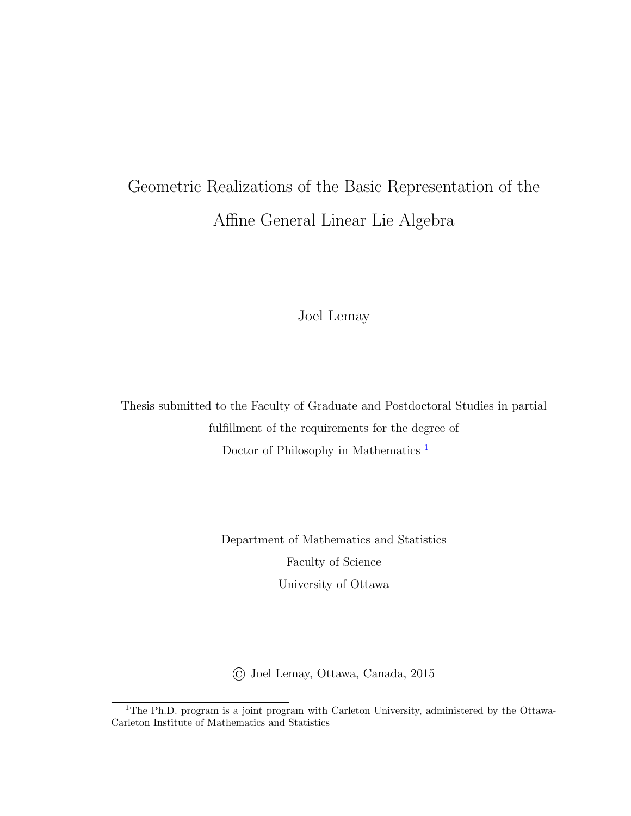# Geometric Realizations of the Basic Representation of the Affine General Linear Lie Algebra

Joel Lemay

Thesis submitted to the Faculty of Graduate and Postdoctoral Studies in partial fulfillment of the requirements for the degree of Doctor of Philosophy in Mathematics [1](#page-0-0)

> Department of Mathematics and Statistics Faculty of Science University of Ottawa

© Joel Lemay, Ottawa, Canada, 2015

<span id="page-0-0"></span><sup>&</sup>lt;sup>1</sup>The Ph.D. program is a joint program with Carleton University, administered by the Ottawa-Carleton Institute of Mathematics and Statistics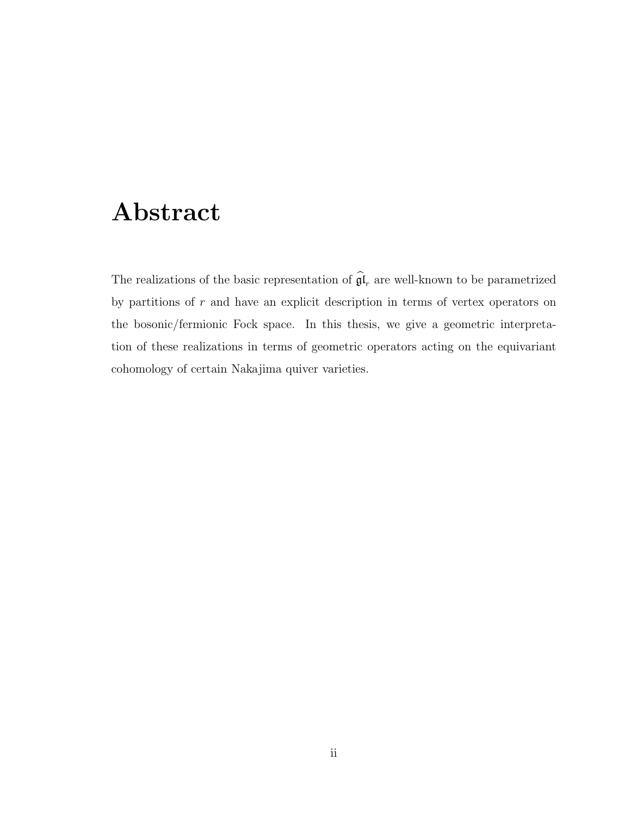#### Abstract

The realizations of the basic representation of  $\mathfrak{gl}_r$  are well-known to be parametrized by partitions of  $r$  and have an explicit description in terms of vertex operators on the bosonic/fermionic Fock space. In this thesis, we give a geometric interpretation of these realizations in terms of geometric operators acting on the equivariant cohomology of certain Nakajima quiver varieties.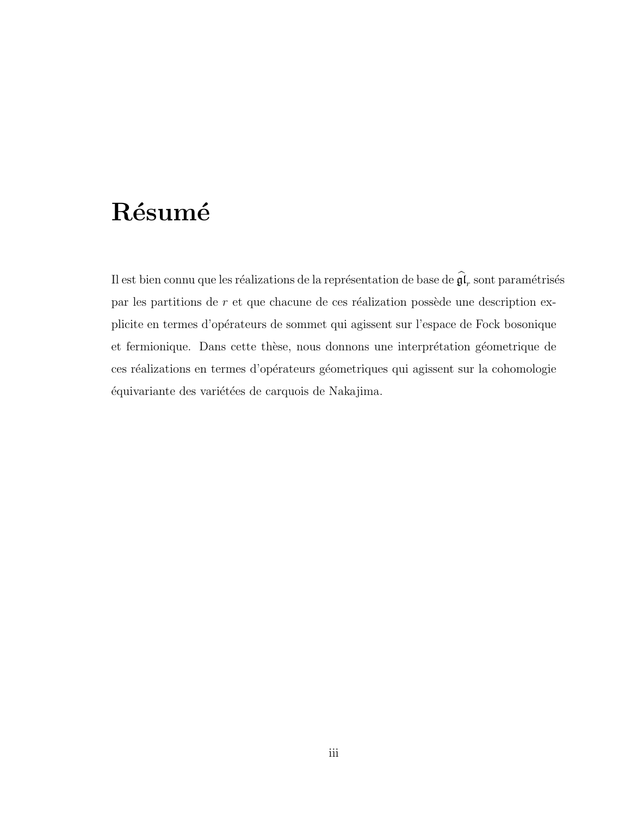# Résumé

Il est bien connu que les réalizations de la représentation de base de  $\mathfrak{gl}_r$  sont paramétrisés par les partitions de  $r$  et que chacune de ces réalization possède une description explicite en termes d'opérateurs de sommet qui agissent sur l'espace de Fock bosonique et fermionique. Dans cette thèse, nous donnons une interprétation géometrique de ces réalizations en termes d'opérateurs géometriques qui agissent sur la cohomologie équivariante des variétées de carquois de Nakajima.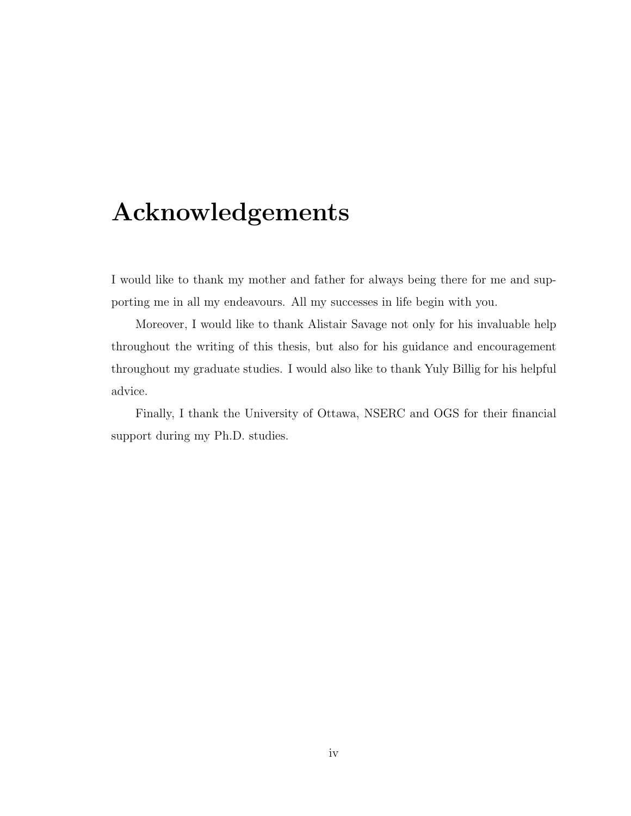### Acknowledgements

I would like to thank my mother and father for always being there for me and supporting me in all my endeavours. All my successes in life begin with you.

Moreover, I would like to thank Alistair Savage not only for his invaluable help throughout the writing of this thesis, but also for his guidance and encouragement throughout my graduate studies. I would also like to thank Yuly Billig for his helpful advice.

Finally, I thank the University of Ottawa, NSERC and OGS for their financial support during my Ph.D. studies.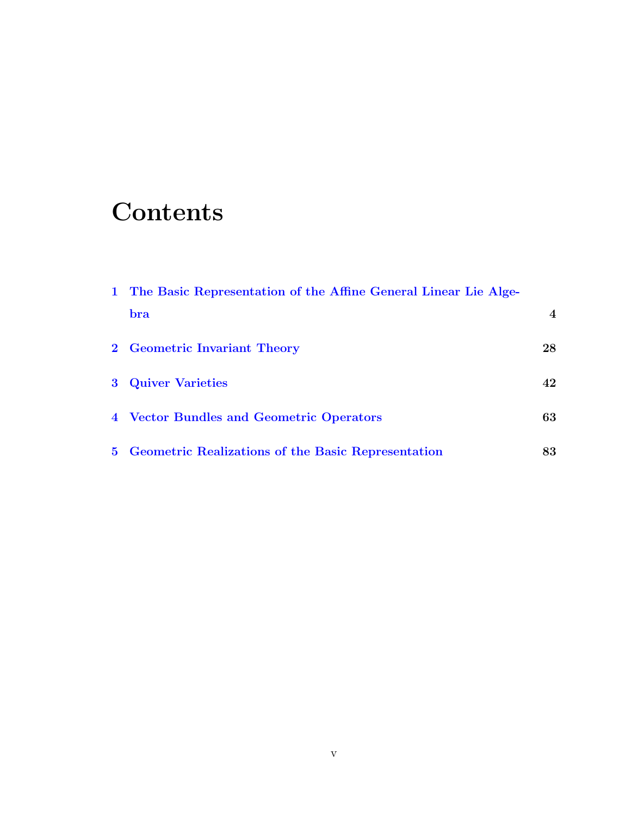# **Contents**

| 1 The Basic Representation of the Affine General Linear Lie Alge- |                  |
|-------------------------------------------------------------------|------------------|
| bra                                                               | $\boldsymbol{4}$ |
| 2 Geometric Invariant Theory                                      | 28               |
| <b>3</b> Quiver Varieties                                         | 42               |
| 4 Vector Bundles and Geometric Operators                          | 63               |
| 5 Geometric Realizations of the Basic Representation              | 83               |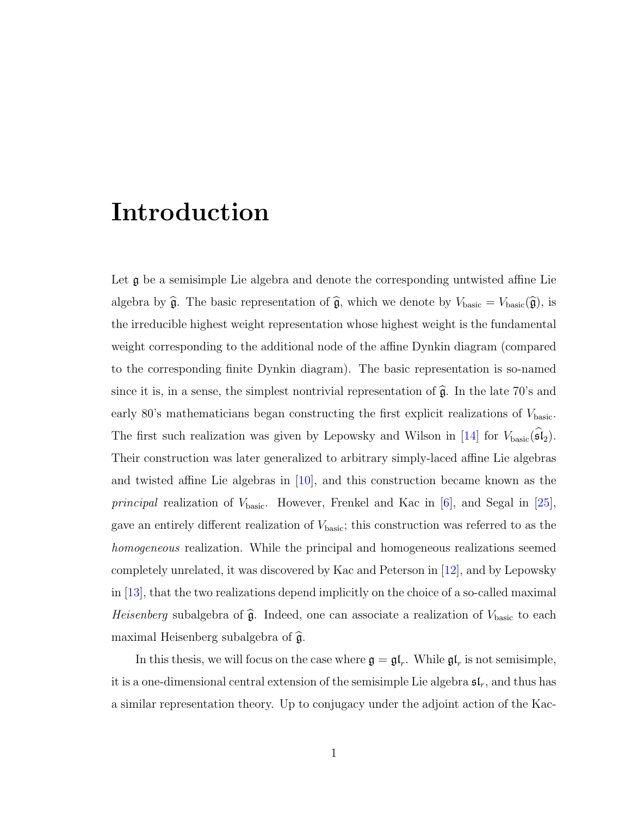#### Introduction

Let **g** be a semisimple Lie algebra and denote the corresponding untwisted affine Lie algebra by  $\hat{\mathfrak{g}}$ . The basic representation of  $\hat{\mathfrak{g}}$ , which we denote by  $V_{\text{basic}} = V_{\text{basic}}(\hat{\mathfrak{g}})$ , is the irreducible highest weight representation whose highest weight is the fundamental weight corresponding to the additional node of the affine Dynkin diagram (compared to the corresponding finite Dynkin diagram). The basic representation is so-named since it is, in a sense, the simplest nontrivial representation of  $\hat{\mathfrak{g}}$ . In the late 70's and early 80's mathematicians began constructing the first explicit realizations of  $V_{\text{basic}}$ . The first such realization was given by Lepowsky and Wilson in [\[14\]](#page-115-0) for  $V_{\text{basic}}(\mathfrak{sl}_2)$ . Their construction was later generalized to arbitrary simply-laced affine Lie algebras and twisted affine Lie algebras in [\[10\]](#page-115-1), and this construction became known as the *principal* realization of  $V_{\text{basic}}$ . However, Frenkel and Kac in [\[6\]](#page-114-0), and Segal in [\[25\]](#page-117-0), gave an entirely different realization of  $V_{\text{basic}}$ ; this construction was referred to as the homogeneous realization. While the principal and homogeneous realizations seemed completely unrelated, it was discovered by Kac and Peterson in [\[12\]](#page-115-2), and by Lepowsky in [\[13\]](#page-115-3), that the two realizations depend implicitly on the choice of a so-called maximal Heisenberg subalgebra of  $\hat{\mathfrak{g}}$ . Indeed, one can associate a realization of  $V_{\text{basic}}$  to each maximal Heisenberg subalgebra of  $\hat{\mathfrak{g}}$ .

In this thesis, we will focus on the case where  $\mathfrak{g} = \mathfrak{gl}_r$ . While  $\mathfrak{gl}_r$  is not semisimple, it is a one-dimensional central extension of the semisimple Lie algebra  $\mathfrak{sl}_r$ , and thus has a similar representation theory. Up to conjugacy under the adjoint action of the Kac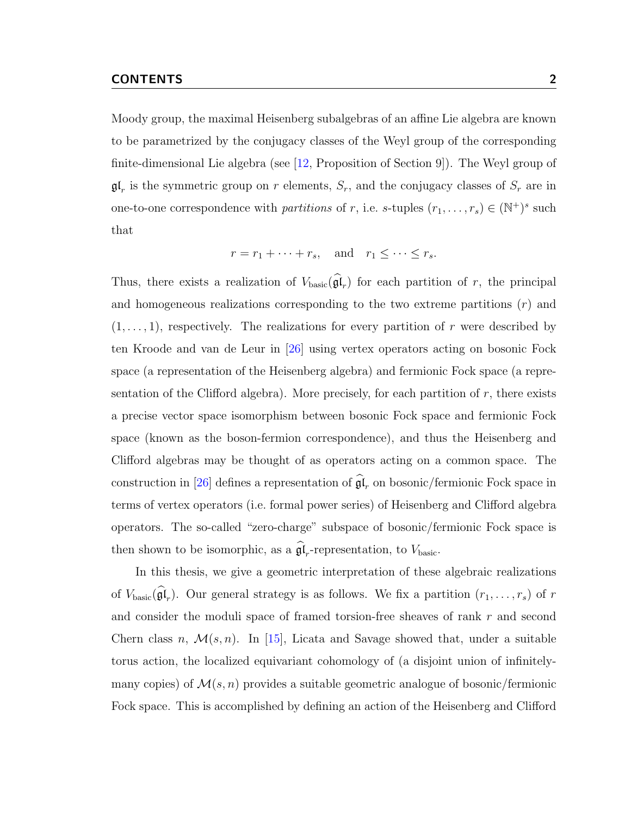Moody group, the maximal Heisenberg subalgebras of an affine Lie algebra are known to be parametrized by the conjugacy classes of the Weyl group of the corresponding finite-dimensional Lie algebra (see [\[12,](#page-115-2) Proposition of Section 9]). The Weyl group of  $\mathfrak{gl}_r$  is the symmetric group on r elements,  $S_r$ , and the conjugacy classes of  $S_r$  are in one-to-one correspondence with *partitions* of r, i.e. s-tuples  $(r_1, \ldots, r_s) \in (\mathbb{N}^+)^s$  such that

$$
r = r_1 + \cdots + r_s
$$
, and  $r_1 \leq \cdots \leq r_s$ .

Thus, there exists a realization of  $V_{\text{basic}}(\mathfrak{gl}_r)$  for each partition of r, the principal and homogeneous realizations corresponding to the two extreme partitions  $(r)$  and  $(1, \ldots, 1)$ , respectively. The realizations for every partition of r were described by ten Kroode and van de Leur in [\[26\]](#page-117-1) using vertex operators acting on bosonic Fock space (a representation of the Heisenberg algebra) and fermionic Fock space (a representation of the Clifford algebra). More precisely, for each partition of  $r$ , there exists a precise vector space isomorphism between bosonic Fock space and fermionic Fock space (known as the boson-fermion correspondence), and thus the Heisenberg and Clifford algebras may be thought of as operators acting on a common space. The construction in [\[26\]](#page-117-1) defines a representation of  $\mathfrak{gl}_r$  on bosonic/fermionic Fock space in terms of vertex operators (i.e. formal power series) of Heisenberg and Clifford algebra operators. The so-called "zero-charge" subspace of bosonic/fermionic Fock space is then shown to be isomorphic, as a  $\mathfrak{gl}_r$ -representation, to  $V_{\text{basic}}$ .

In this thesis, we give a geometric interpretation of these algebraic realizations of  $V_{\text{basic}}(\mathfrak{gl}_r)$ . Our general strategy is as follows. We fix a partition  $(r_1, \ldots, r_s)$  of r and consider the moduli space of framed torsion-free sheaves of rank r and second Chern class n,  $\mathcal{M}(s, n)$ . In [\[15\]](#page-115-4), Licata and Savage showed that, under a suitable torus action, the localized equivariant cohomology of (a disjoint union of infinitelymany copies) of  $\mathcal{M}(s, n)$  provides a suitable geometric analogue of bosonic/fermionic Fock space. This is accomplished by defining an action of the Heisenberg and Clifford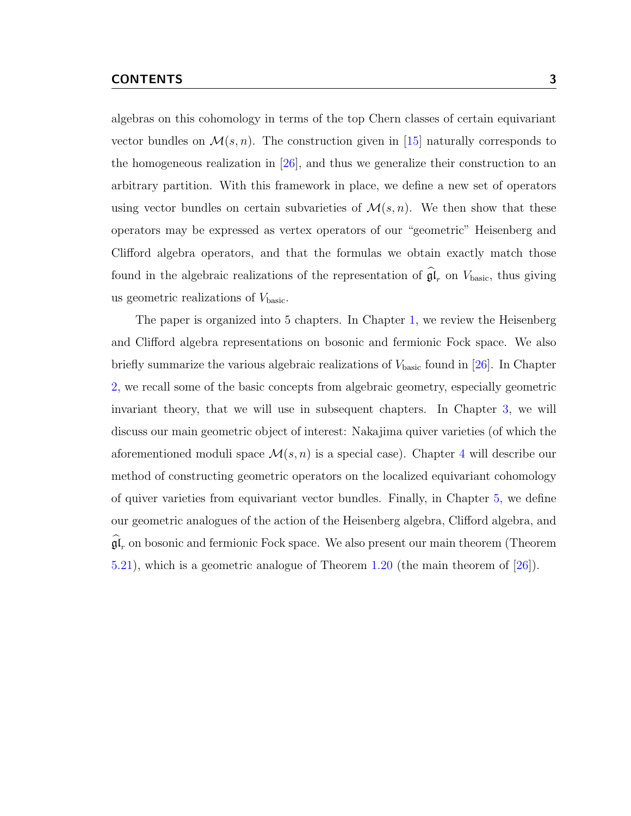algebras on this cohomology in terms of the top Chern classes of certain equivariant vector bundles on  $\mathcal{M}(s, n)$ . The construction given in [\[15\]](#page-115-4) naturally corresponds to the homogeneous realization in [\[26\]](#page-117-1), and thus we generalize their construction to an arbitrary partition. With this framework in place, we define a new set of operators using vector bundles on certain subvarieties of  $\mathcal{M}(s,n)$ . We then show that these operators may be expressed as vertex operators of our "geometric" Heisenberg and Clifford algebra operators, and that the formulas we obtain exactly match those found in the algebraic realizations of the representation of  $\mathfrak{gl}_r$  on  $V_{\text{basic}}$ , thus giving us geometric realizations of  $V_{\text{basic}}$ .

The paper is organized into 5 chapters. In Chapter [1,](#page-8-0) we review the Heisenberg and Clifford algebra representations on bosonic and fermionic Fock space. We also briefly summarize the various algebraic realizations of  $V_{\text{basic}}$  found in [\[26\]](#page-117-1). In Chapter [2,](#page-32-0) we recall some of the basic concepts from algebraic geometry, especially geometric invariant theory, that we will use in subsequent chapters. In Chapter [3,](#page-46-0) we will discuss our main geometric object of interest: Nakajima quiver varieties (of which the aforementioned moduli space  $\mathcal{M}(s, n)$  is a special case). Chapter [4](#page-67-0) will describe our method of constructing geometric operators on the localized equivariant cohomology of quiver varieties from equivariant vector bundles. Finally, in Chapter [5,](#page-87-0) we define our geometric analogues of the action of the Heisenberg algebra, Clifford algebra, and  $\mathfrak{gl}_r$  on bosonic and fermionic Fock space. We also present our main theorem (Theorem [5.21\)](#page-112-0), which is a geometric analogue of Theorem [1.20](#page-27-0) (the main theorem of [\[26\]](#page-117-1)).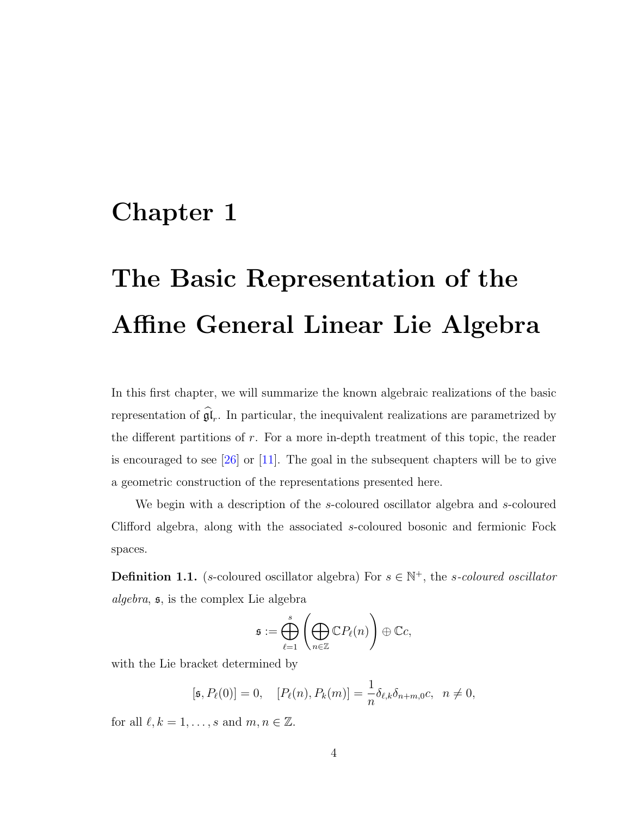#### <span id="page-8-0"></span>Chapter 1

# The Basic Representation of the Affine General Linear Lie Algebra

In this first chapter, we will summarize the known algebraic realizations of the basic representation of  $\mathfrak{gl}_r$ . In particular, the inequivalent realizations are parametrized by the different partitions of  $r$ . For a more in-depth treatment of this topic, the reader is encouraged to see  $[26]$  or  $[11]$ . The goal in the subsequent chapters will be to give a geometric construction of the representations presented here.

We begin with a description of the s-coloured oscillator algebra and s-coloured Clifford algebra, along with the associated s-coloured bosonic and fermionic Fock spaces.

<span id="page-8-1"></span>**Definition 1.1.** (s-coloured oscillator algebra) For  $s \in \mathbb{N}^+$ , the s-coloured oscillator algebra, s, is the complex Lie algebra

$$
\mathfrak{s} := \bigoplus_{\ell=1}^s \left( \bigoplus_{n \in \mathbb{Z}} \mathbb{C} P_{\ell}(n) \right) \oplus \mathbb{C} c,
$$

with the Lie bracket determined by

$$
[\mathfrak{s}, P_{\ell}(0)] = 0, \quad [P_{\ell}(n), P_{k}(m)] = \frac{1}{n} \delta_{\ell,k} \delta_{n+m,0} c, \quad n \neq 0,
$$

for all  $\ell, k = 1, \ldots, s$  and  $m, n \in \mathbb{Z}$ .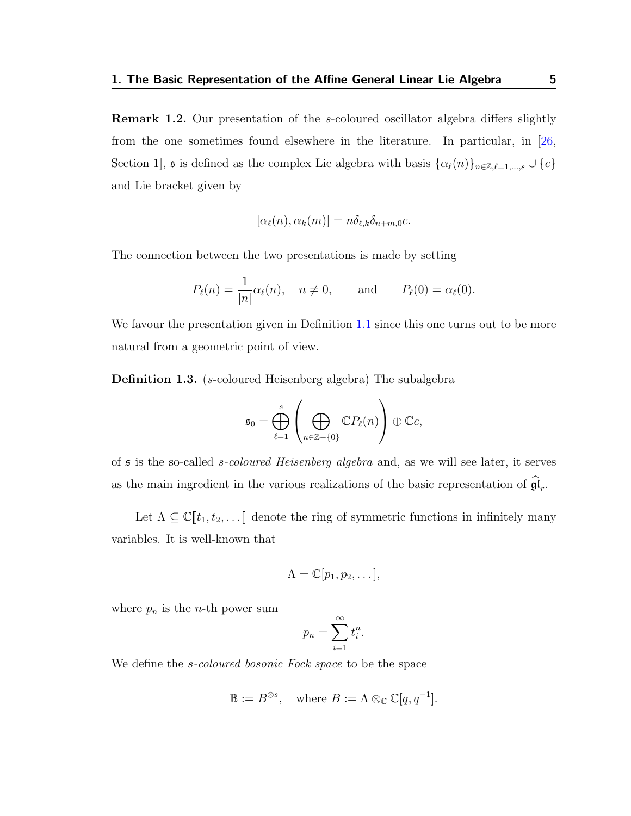<span id="page-9-0"></span>Remark 1.2. Our presentation of the s-coloured oscillator algebra differs slightly from the one sometimes found elsewhere in the literature. In particular, in [\[26,](#page-117-1) Section 1],  $\mathfrak s$  is defined as the complex Lie algebra with basis  $\{\alpha_\ell(n)\}_{n\in\mathbb Z,\ell=1,\ldots,s}\cup\{c\}$ and Lie bracket given by

$$
[\alpha_{\ell}(n), \alpha_{k}(m)] = n \delta_{\ell,k} \delta_{n+m,0} c.
$$

The connection between the two presentations is made by setting

$$
P_{\ell}(n) = \frac{1}{|n|} \alpha_{\ell}(n), \quad n \neq 0, \quad \text{and} \quad P_{\ell}(0) = \alpha_{\ell}(0).
$$

We favour the presentation given in Definition [1.1](#page-8-1) since this one turns out to be more natural from a geometric point of view.

Definition 1.3. (s-coloured Heisenberg algebra) The subalgebra

$$
\mathfrak{s}_0 = \bigoplus_{\ell=1}^s \left( \bigoplus_{n \in \mathbb{Z} - \{0\}} \mathbb{C}P_{\ell}(n) \right) \oplus \mathbb{C}c,
$$

of s is the so-called s-coloured Heisenberg algebra and, as we will see later, it serves as the main ingredient in the various realizations of the basic representation of  $\mathfrak{gl}_r$ .

Let  $\Lambda \subseteq \mathbb{C}[[t_1, t_2, \dots]]$  denote the ring of symmetric functions in infinitely many variables. It is well-known that

$$
\Lambda=\mathbb{C}[p_1,p_2,\ldots],
$$

where  $p_n$  is the *n*-th power sum

$$
p_n = \sum_{i=1}^{\infty} t_i^n.
$$

We define the *s-coloured bosonic Fock space* to be the space

$$
\mathbb{B} := B^{\otimes s}, \quad \text{where } B := \Lambda \otimes_{\mathbb{C}} \mathbb{C}[q, q^{-1}].
$$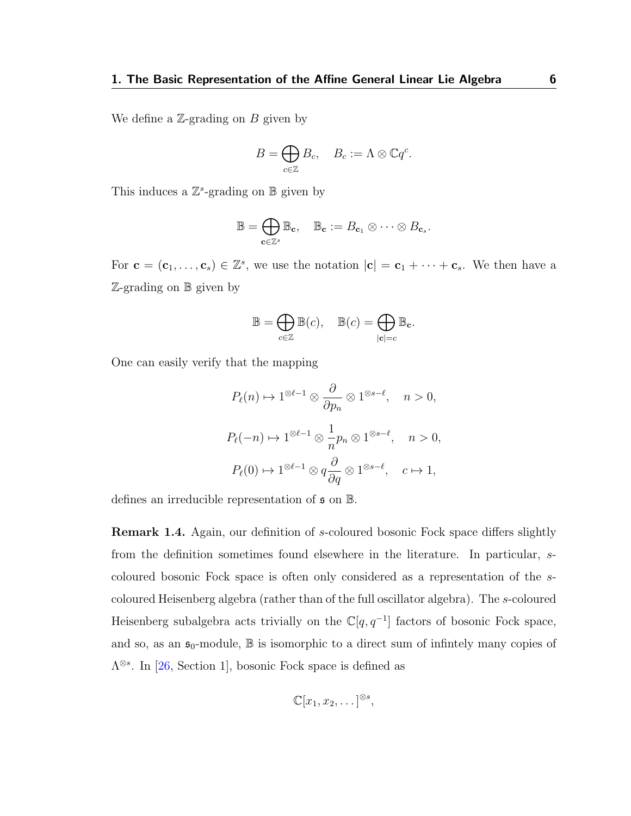We define a  $\mathbb{Z}$ -grading on B given by

$$
B=\bigoplus_{c\in\mathbb{Z}}B_c,\quad B_c:=\Lambda\otimes\mathbb{C}q^c.
$$

This induces a  $\mathbb{Z}^s$ -grading on  $\mathbb B$  given by

$$
\mathbb{B} = \bigoplus_{\mathbf{c} \in \mathbb{Z}^s} \mathbb{B}_{\mathbf{c}}, \quad \mathbb{B}_{\mathbf{c}} := B_{\mathbf{c}_1} \otimes \cdots \otimes B_{\mathbf{c}_s}.
$$

For  $\mathbf{c} = (\mathbf{c}_1, \dots, \mathbf{c}_s) \in \mathbb{Z}^s$ , we use the notation  $|\mathbf{c}| = \mathbf{c}_1 + \dots + \mathbf{c}_s$ . We then have a Z-grading on B given by

$$
\mathbb{B}=\bigoplus_{c\in\mathbb{Z}}\mathbb{B}(c),\quad \mathbb{B}(c)=\bigoplus_{|\mathbf{c}|=c}\mathbb{B}_{\mathbf{c}}.
$$

One can easily verify that the mapping

$$
P_{\ell}(n) \mapsto 1^{\otimes \ell - 1} \otimes \frac{\partial}{\partial p_n} \otimes 1^{\otimes s - \ell}, \quad n > 0,
$$
  

$$
P_{\ell}(-n) \mapsto 1^{\otimes \ell - 1} \otimes \frac{1}{n} p_n \otimes 1^{\otimes s - \ell}, \quad n > 0,
$$
  

$$
P_{\ell}(0) \mapsto 1^{\otimes \ell - 1} \otimes q \frac{\partial}{\partial q} \otimes 1^{\otimes s - \ell}, \quad c \mapsto 1,
$$

defines an irreducible representation of  $\mathfrak s$  on  $\mathbb B$ .

Remark 1.4. Again, our definition of s-coloured bosonic Fock space differs slightly from the definition sometimes found elsewhere in the literature. In particular, scoloured bosonic Fock space is often only considered as a representation of the scoloured Heisenberg algebra (rather than of the full oscillator algebra). The s-coloured Heisenberg subalgebra acts trivially on the  $\mathbb{C}[q, q^{-1}]$  factors of bosonic Fock space, and so, as an  $\mathfrak{s}_0$ -module,  $\mathbb B$  is isomorphic to a direct sum of infinitely many copies of  $\Lambda^{\otimes s}$ . In [\[26,](#page-117-1) Section 1], bosonic Fock space is defined as

$$
\mathbb{C}[x_1, x_2, \dots]^{\otimes s},
$$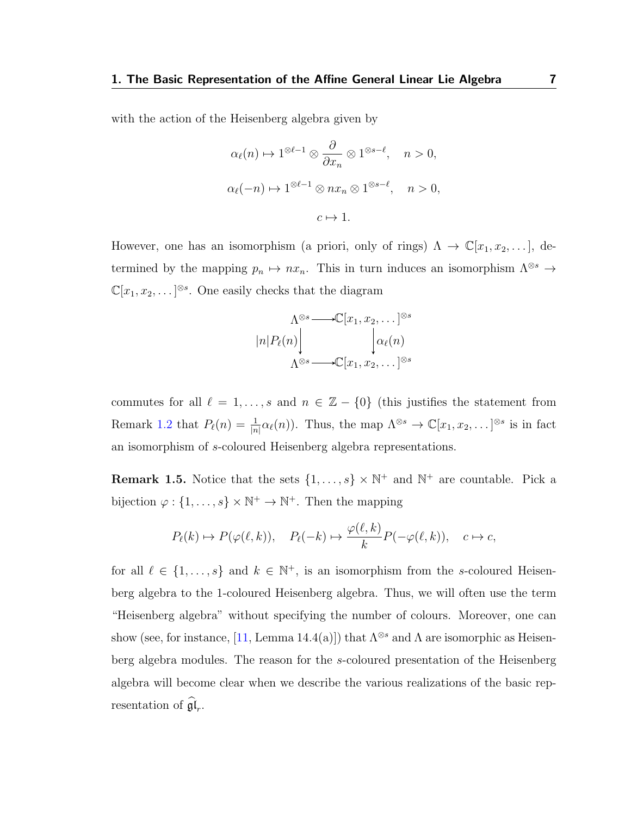with the action of the Heisenberg algebra given by

$$
\alpha_{\ell}(n) \mapsto 1^{\otimes \ell - 1} \otimes \frac{\partial}{\partial x_n} \otimes 1^{\otimes s - \ell}, \quad n > 0,
$$
  

$$
\alpha_{\ell}(-n) \mapsto 1^{\otimes \ell - 1} \otimes nx_n \otimes 1^{\otimes s - \ell}, \quad n > 0,
$$
  

$$
c \mapsto 1.
$$

However, one has an isomorphism (a priori, only of rings)  $\Lambda \to \mathbb{C}[x_1, x_2, \dots]$ , determined by the mapping  $p_n \mapsto nx_n$ . This in turn induces an isomorphism  $\Lambda^{\otimes s} \to$  $\mathbb{C}[x_1, x_2, \dots]^{\otimes s}$ . One easily checks that the diagram

$$
\Lambda^{\otimes s} \longrightarrow \mathbb{C}[x_1, x_2, \dots]^{\otimes s}
$$

$$
|n|P_{\ell}(n)\Big\downarrow \qquad \qquad \downarrow \alpha_{\ell}(n)
$$

$$
\Lambda^{\otimes s} \longrightarrow \mathbb{C}[x_1, x_2, \dots]^{\otimes s}
$$

commutes for all  $\ell = 1, \ldots, s$  and  $n \in \mathbb{Z} - \{0\}$  (this justifies the statement from Remark [1.2](#page-9-0) that  $P_\ell(n) = \frac{1}{|n|} \alpha_\ell(n)$ . Thus, the map  $\Lambda^{\otimes s} \to \mathbb{C}[x_1, x_2, \dots]^{\otimes s}$  is in fact an isomorphism of s-coloured Heisenberg algebra representations.

<span id="page-11-0"></span>**Remark 1.5.** Notice that the sets  $\{1, \ldots, s\} \times \mathbb{N}^+$  and  $\mathbb{N}^+$  are countable. Pick a bijection  $\varphi: \{1, \ldots, s\} \times \mathbb{N}^+ \to \mathbb{N}^+$ . Then the mapping

$$
P_{\ell}(k) \mapsto P(\varphi(\ell,k)), \quad P_{\ell}(-k) \mapsto \frac{\varphi(\ell,k)}{k} P(-\varphi(\ell,k)), \quad c \mapsto c,
$$

for all  $\ell \in \{1, \ldots, s\}$  and  $k \in \mathbb{N}^+$ , is an isomorphism from the s-coloured Heisenberg algebra to the 1-coloured Heisenberg algebra. Thus, we will often use the term "Heisenberg algebra" without specifying the number of colours. Moreover, one can show (see, for instance, [\[11,](#page-115-5) Lemma 14.4(a)]) that  $\Lambda^{\otimes s}$  and  $\Lambda$  are isomorphic as Heisenberg algebra modules. The reason for the s-coloured presentation of the Heisenberg algebra will become clear when we describe the various realizations of the basic representation of  $\mathfrak{gl}_r$ .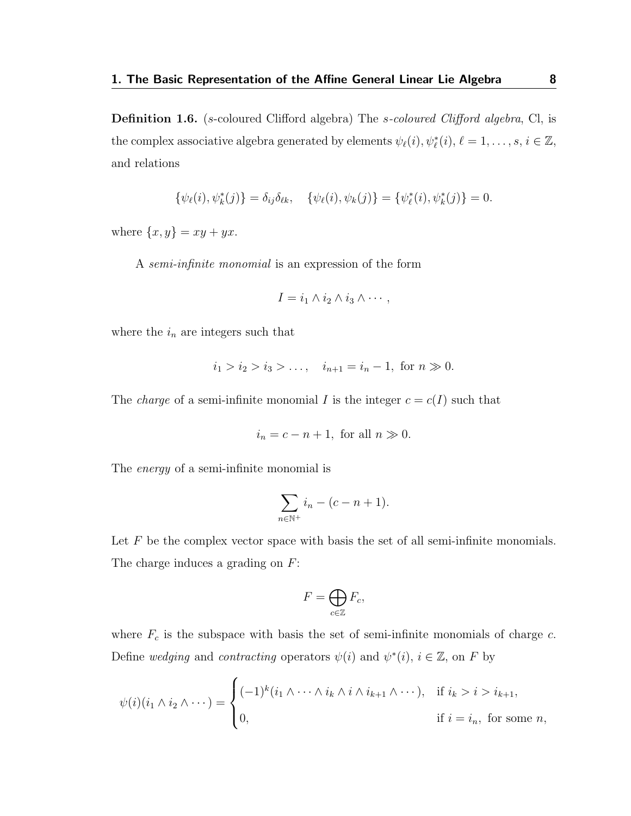Definition 1.6. (s-coloured Clifford algebra) The s-coloured Clifford algebra, Cl, is the complex associative algebra generated by elements  $\psi_{\ell}(i), \psi_{\ell}^{*}(i), \ell = 1, \ldots, s, i \in \mathbb{Z}$ , and relations

$$
\{\psi_{\ell}(i), \psi_k^*(j)\} = \delta_{ij}\delta_{\ell k}, \quad \{\psi_{\ell}(i), \psi_k(j)\} = \{\psi_{\ell}^*(i), \psi_k^*(j)\} = 0.
$$

where  $\{x, y\} = xy + yx$ .

A semi-infinite monomial is an expression of the form

$$
I = i_1 \wedge i_2 \wedge i_3 \wedge \cdots,
$$

where the  $i_n$  are integers such that

$$
i_1 > i_2 > i_3 > \dots
$$
,  $i_{n+1} = i_n - 1$ , for  $n \gg 0$ .

The *charge* of a semi-infinite monomial I is the integer  $c = c(I)$  such that

$$
i_n = c - n + 1
$$
, for all  $n \gg 0$ .

The energy of a semi-infinite monomial is

$$
\sum_{n \in \mathbb{N}^+} i_n - (c - n + 1).
$$

Let F be the complex vector space with basis the set of all semi-infinite monomials. The charge induces a grading on F:

$$
F=\bigoplus_{c\in\mathbb{Z}}F_c,
$$

where  $F_c$  is the subspace with basis the set of semi-infinite monomials of charge  $c$ . Define wedging and contracting operators  $\psi(i)$  and  $\psi^*(i)$ ,  $i \in \mathbb{Z}$ , on F by

$$
\psi(i)(i_1 \wedge i_2 \wedge \cdots) = \begin{cases}\n(-1)^k (i_1 \wedge \cdots \wedge i_k \wedge i \wedge i_{k+1} \wedge \cdots), & \text{if } i_k > i > i_{k+1}, \\
0, & \text{if } i = i_n, \text{ for some } n,\n\end{cases}
$$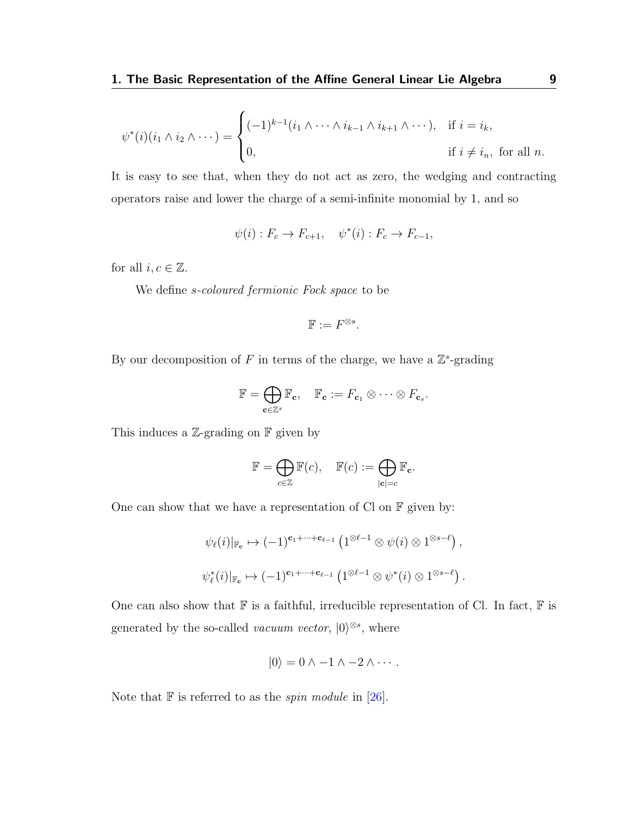$$
\psi^*(i)(i_1 \wedge i_2 \wedge \cdots) = \begin{cases}\n(-1)^{k-1}(i_1 \wedge \cdots \wedge i_{k-1} \wedge i_{k+1} \wedge \cdots), & \text{if } i = i_k, \\
0, & \text{if } i \neq i_n, \text{ for all } n.\n\end{cases}
$$

It is easy to see that, when they do not act as zero, the wedging and contracting operators raise and lower the charge of a semi-infinite monomial by 1, and so

$$
\psi(i): F_c \to F_{c+1}, \quad \psi^*(i): F_c \to F_{c-1},
$$

for all  $i, c \in \mathbb{Z}$ .

We define s-coloured fermionic Fock space to be

$$
\mathbb{F}:=F^{\otimes s}.
$$

By our decomposition of F in terms of the charge, we have a  $\mathbb{Z}^s$ -grading

$$
\mathbb{F} = \bigoplus_{\mathbf{c} \in \mathbb{Z}^s} \mathbb{F}_\mathbf{c}, \quad \mathbb{F}_\mathbf{c} := F_{\mathbf{c}_1} \otimes \cdots \otimes F_{\mathbf{c}_s}.
$$

This induces a  $\mathbb{Z}$ -grading on  $\mathbb F$  given by

$$
\mathbb{F} = \bigoplus_{c \in \mathbb{Z}} \mathbb{F}(c), \quad \mathbb{F}(c) := \bigoplus_{|\mathbf{c}| = c} \mathbb{F}_{\mathbf{c}}.
$$

One can show that we have a representation of Cl on  $\mathbb F$  given by:

$$
\psi_{\ell}(i)|_{\mathbb{F}_{\mathbf{c}}} \mapsto (-1)^{\mathbf{c}_1 + \dots + \mathbf{c}_{\ell-1}} \left( 1^{\otimes \ell - 1} \otimes \psi(i) \otimes 1^{\otimes s - \ell} \right),
$$
  

$$
\psi_{\ell}^{*}(i)|_{\mathbb{F}_{\mathbf{c}}} \mapsto (-1)^{\mathbf{c}_1 + \dots + \mathbf{c}_{\ell-1}} \left( 1^{\otimes \ell - 1} \otimes \psi^{*}(i) \otimes 1^{\otimes s - \ell} \right).
$$

One can also show that  $\mathbb F$  is a faithful, irreducible representation of Cl. In fact,  $\mathbb F$  is generated by the so-called *vacuum vector*,  $|0\rangle^{\otimes s}$ , where

$$
|0\rangle = 0 \wedge -1 \wedge -2 \wedge \cdots.
$$

Note that  $\mathbb F$  is referred to as the *spin module* in [\[26\]](#page-117-1).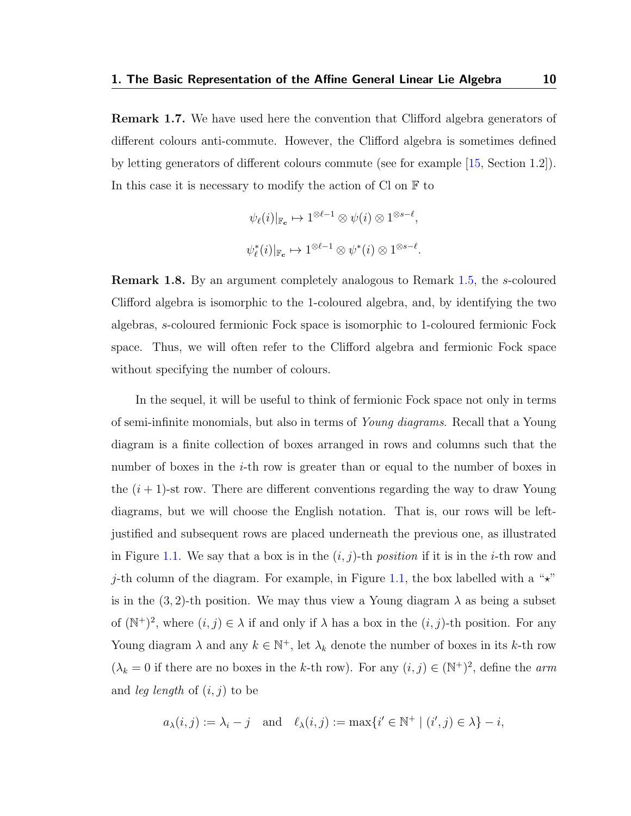Remark 1.7. We have used here the convention that Clifford algebra generators of different colours anti-commute. However, the Clifford algebra is sometimes defined by letting generators of different colours commute (see for example [\[15,](#page-115-4) Section 1.2]). In this case it is necessary to modify the action of  $Cl$  on  $\mathbb F$  to

$$
\psi_{\ell}(i)|_{\mathbb{F}_{c}} \mapsto 1^{\otimes \ell - 1} \otimes \psi(i) \otimes 1^{\otimes s - \ell},
$$
  

$$
\psi_{\ell}^{*}(i)|_{\mathbb{F}_{c}} \mapsto 1^{\otimes \ell - 1} \otimes \psi^{*}(i) \otimes 1^{\otimes s - \ell}.
$$

**Remark 1.8.** By an argument completely analogous to Remark [1.5,](#page-11-0) the s-coloured Clifford algebra is isomorphic to the 1-coloured algebra, and, by identifying the two algebras, s-coloured fermionic Fock space is isomorphic to 1-coloured fermionic Fock space. Thus, we will often refer to the Clifford algebra and fermionic Fock space without specifying the number of colours.

In the sequel, it will be useful to think of fermionic Fock space not only in terms of semi-infinite monomials, but also in terms of Young diagrams. Recall that a Young diagram is a finite collection of boxes arranged in rows and columns such that the number of boxes in the *i*-th row is greater than or equal to the number of boxes in the  $(i + 1)$ -st row. There are different conventions regarding the way to draw Young diagrams, but we will choose the English notation. That is, our rows will be leftjustified and subsequent rows are placed underneath the previous one, as illustrated in Figure [1.1.](#page-15-0) We say that a box is in the  $(i, j)$ -th *position* if it is in the *i*-th row and j-th column of the diagram. For example, in Figure [1.1,](#page-15-0) the box labelled with a " $\star$ " is in the  $(3, 2)$ -th position. We may thus view a Young diagram  $\lambda$  as being a subset of  $(N^+)^2$ , where  $(i, j) \in \lambda$  if and only if  $\lambda$  has a box in the  $(i, j)$ -th position. For any Young diagram  $\lambda$  and any  $k \in \mathbb{N}^+$ , let  $\lambda_k$  denote the number of boxes in its k-th row  $(\lambda_k = 0$  if there are no boxes in the k-th row). For any  $(i, j) \in (\mathbb{N}^+)^2$ , define the arm and *leg length* of  $(i, j)$  to be

$$
a_{\lambda}(i, j) := \lambda_i - j
$$
 and  $\ell_{\lambda}(i, j) := \max\{i' \in \mathbb{N}^+ \mid (i', j) \in \lambda\} - i$ ,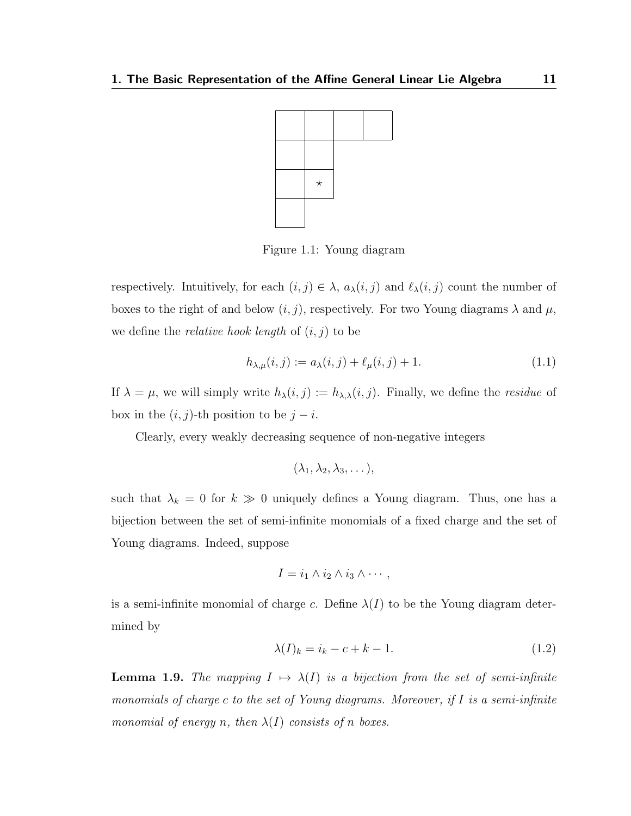<span id="page-15-0"></span>

Figure 1.1: Young diagram

respectively. Intuitively, for each  $(i, j) \in \lambda$ ,  $a_{\lambda}(i, j)$  and  $\ell_{\lambda}(i, j)$  count the number of boxes to the right of and below  $(i, j)$ , respectively. For two Young diagrams  $\lambda$  and  $\mu$ , we define the *relative hook length* of  $(i, j)$  to be

$$
h_{\lambda,\mu}(i,j) := a_{\lambda}(i,j) + \ell_{\mu}(i,j) + 1.
$$
\n(1.1)

If  $\lambda = \mu$ , we will simply write  $h_{\lambda}(i, j) := h_{\lambda, \lambda}(i, j)$ . Finally, we define the *residue* of box in the  $(i, j)$ -th position to be  $j - i$ .

Clearly, every weakly decreasing sequence of non-negative integers

$$
(\lambda_1, \lambda_2, \lambda_3, \dots),
$$

such that  $\lambda_k = 0$  for  $k \gg 0$  uniquely defines a Young diagram. Thus, one has a bijection between the set of semi-infinite monomials of a fixed charge and the set of Young diagrams. Indeed, suppose

$$
I = i_1 \wedge i_2 \wedge i_3 \wedge \cdots,
$$

is a semi-infinite monomial of charge c. Define  $\lambda(I)$  to be the Young diagram determined by

$$
\lambda(I)_k = i_k - c + k - 1. \tag{1.2}
$$

<span id="page-15-1"></span>**Lemma 1.9.** The mapping  $I \mapsto \lambda(I)$  is a bijection from the set of semi-infinite monomials of charge c to the set of Young diagrams. Moreover, if I is a semi-infinite monomial of energy n, then  $\lambda(I)$  consists of n boxes.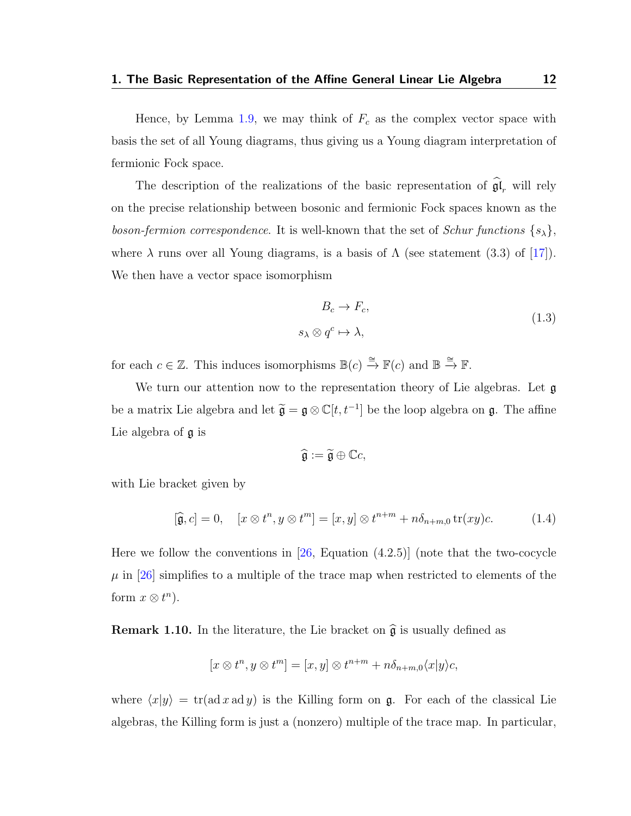Hence, by Lemma [1.9,](#page-15-1) we may think of  $F_c$  as the complex vector space with basis the set of all Young diagrams, thus giving us a Young diagram interpretation of fermionic Fock space.

The description of the realizations of the basic representation of  $\mathfrak{gl}_r$  will rely on the precise relationship between bosonic and fermionic Fock spaces known as the boson-fermion correspondence. It is well-known that the set of Schur functions  $\{s_{\lambda}\},$ where  $\lambda$  runs over all Young diagrams, is a basis of  $\Lambda$  (see statement (3.3) of [\[17\]](#page-116-0)). We then have a vector space isomorphism

<span id="page-16-1"></span>
$$
B_c \to F_c,
$$
  
\n
$$
\lambda \otimes q^c \mapsto \lambda,
$$
\n(1.3)

for each  $c \in \mathbb{Z}$ . This induces isomorphisms  $\mathbb{B}(c) \stackrel{\cong}{\to} \mathbb{F}(c)$  and  $\mathbb{B} \stackrel{\cong}{\to} \mathbb{F}$ .

 $\mathcal{S}_{\mathcal{A}}$ 

We turn our attention now to the representation theory of Lie algebras. Let  $\mathfrak g$ be a matrix Lie algebra and let  $\tilde{\mathfrak{g}} = \mathfrak{g} \otimes \mathbb{C}[t, t^{-1}]$  be the loop algebra on  $\mathfrak{g}$ . The affine Lie algebra of g is

$$
\widehat{\mathfrak{g}}:=\widetilde{\mathfrak{g}}\oplus \mathbb{C}c,
$$

with Lie bracket given by

<span id="page-16-0"></span>
$$
[\widehat{\mathfrak{g}},c] = 0, \quad [x \otimes t^n, y \otimes t^m] = [x,y] \otimes t^{n+m} + n\delta_{n+m,0} \operatorname{tr}(xy)c. \tag{1.4}
$$

Here we follow the conventions in  $[26,$  Equation  $(4.2.5)$  (note that the two-cocycle  $\mu$  in [\[26\]](#page-117-1) simplifies to a multiple of the trace map when restricted to elements of the form  $x \otimes t^n$ ).

**Remark 1.10.** In the literature, the Lie bracket on  $\hat{\mathfrak{g}}$  is usually defined as

$$
[x \otimes t^n, y \otimes t^m] = [x, y] \otimes t^{n+m} + n\delta_{n+m,0} \langle x|y \rangle c,
$$

where  $\langle x|y \rangle = \text{tr}(\text{ad } x \text{ ad } y)$  is the Killing form on g. For each of the classical Lie algebras, the Killing form is just a (nonzero) multiple of the trace map. In particular,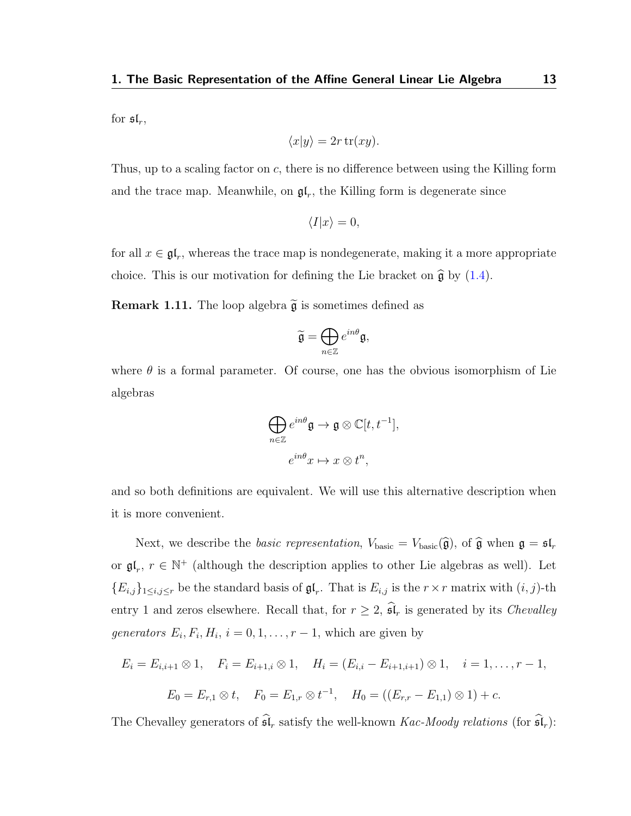for  $\mathfrak{sl}_r$ ,

$$
\langle x|y\rangle = 2r \operatorname{tr}(xy).
$$

Thus, up to a scaling factor on c, there is no difference between using the Killing form and the trace map. Meanwhile, on  $\mathfrak{gl}_r$ , the Killing form is degenerate since

$$
\langle I|x\rangle = 0,
$$

for all  $x \in \mathfrak{gl}_r$ , whereas the trace map is nondegenerate, making it a more appropriate choice. This is our motivation for defining the Lie bracket on  $\hat{\mathfrak{g}}$  by [\(1.4\)](#page-16-0).

**Remark 1.11.** The loop algebra  $\widetilde{\mathfrak{g}}$  is sometimes defined as

$$
\widetilde{\mathfrak{g}}=\bigoplus_{n\in\mathbb{Z}}e^{in\theta}\mathfrak{g},
$$

where  $\theta$  is a formal parameter. Of course, one has the obvious isomorphism of Lie algebras

$$
\bigoplus_{n\in\mathbb{Z}}e^{in\theta}\mathfrak{g}\to\mathfrak{g}\otimes\mathbb{C}[t,t^{-1}],
$$
  

$$
e^{in\theta}x\mapsto x\otimes t^n,
$$

and so both definitions are equivalent. We will use this alternative description when it is more convenient.

Next, we describe the *basic representation*,  $V_{\text{basic}} = V_{\text{basic}}(\hat{\mathfrak{g}})$ , of  $\hat{\mathfrak{g}}$  when  $\mathfrak{g} = \mathfrak{sl}_r$ or  $\mathfrak{gl}_r$ ,  $r \in \mathbb{N}^+$  (although the description applies to other Lie algebras as well). Let  ${E_{i,j}}_{1\leq i,j\leq r}$  be the standard basis of  $\mathfrak{gl}_r$ . That is  $E_{i,j}$  is the  $r \times r$  matrix with  $(i, j)$ -th entry 1 and zeros elsewhere. Recall that, for  $r \geq 2$ ,  $\widehat{\mathfrak{sl}}_r$  is generated by its *Chevalley* generators  $E_i, F_i, H_i, i = 0, 1, \ldots, r - 1$ , which are given by

$$
E_i = E_{i,i+1} \otimes 1, \quad F_i = E_{i+1,i} \otimes 1, \quad H_i = (E_{i,i} - E_{i+1,i+1}) \otimes 1, \quad i = 1, \dots, r-1,
$$
  

$$
E_0 = E_{r,1} \otimes t, \quad F_0 = E_{1,r} \otimes t^{-1}, \quad H_0 = ((E_{r,r} - E_{1,1}) \otimes 1) + c.
$$

The Chevalley generators of  $\widehat{\mathfrak{sl}}_r$  satisfy the well-known Kac-Moody relations (for  $\widehat{\mathfrak{sl}}_r$ ):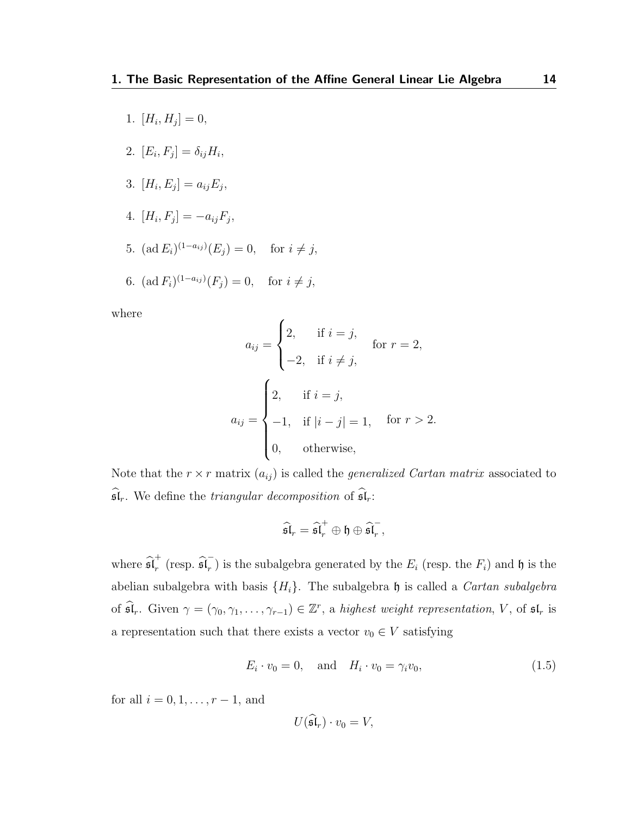- 1.  $[H_i, H_j] = 0,$
- 2.  $[E_i, F_j] = \delta_{ij} H_i,$
- 3.  $[H_i, E_j] = a_{ij} E_j,$
- 4.  $[H_i, F_j] = -a_{ij}F_j,$
- 5.  $(\text{ad } E_i)^{(1-a_{ij})}(E_j) = 0$ , for  $i \neq j$ ,

6. 
$$
(\text{ad } F_i)^{(1-a_{ij})}(F_j) = 0
$$
, for  $i \neq j$ ,

where

$$
a_{ij} = \begin{cases} 2, & \text{if } i = j, \\ -2, & \text{if } i \neq j, \end{cases} \quad \text{for } r = 2,
$$

$$
a_{ij} = \begin{cases} 2, & \text{if } i = j, \\ -1, & \text{if } |i - j| = 1, \quad \text{for } r > 2. \\ 0, & \text{otherwise,} \end{cases}
$$

Note that the  $r \times r$  matrix  $(a_{ij})$  is called the *generalized Cartan matrix* associated to  $\widehat{\mathfrak{sl}}_r$ . We define the *triangular decomposition* of  $\widehat{\mathfrak{sl}}_r$ :

$$
\widehat{\mathfrak{sl}}_r = \widehat{\mathfrak{sl}}_r^+ \oplus \mathfrak{h} \oplus \widehat{\mathfrak{sl}}_r^-,
$$

where  $\widehat{\mathfrak{sl}}_r^+$  $\mathbf{r}^+$  (resp.  $\widehat{\mathfrak{sl}_r}^ F_r$ ) is the subalgebra generated by the  $E_i$  (resp. the  $F_i$ ) and  $\mathfrak h$  is the abelian subalgebra with basis  $\{H_i\}$ . The subalgebra h is called a *Cartan subalgebra* of  $\widehat{\mathfrak{sl}}_r$ . Given  $\gamma = (\gamma_0, \gamma_1, \ldots, \gamma_{r-1}) \in \mathbb{Z}^r$ , a highest weight representation, V, of  $\mathfrak{sl}_r$  is a representation such that there exists a vector  $v_0 \in V$  satisfying

<span id="page-18-0"></span>
$$
E_i \cdot v_0 = 0, \quad \text{and} \quad H_i \cdot v_0 = \gamma_i v_0,\tag{1.5}
$$

for all  $i = 0, 1, \ldots, r - 1$ , and

$$
U(\mathfrak{sl}_r)\cdot v_0=V,
$$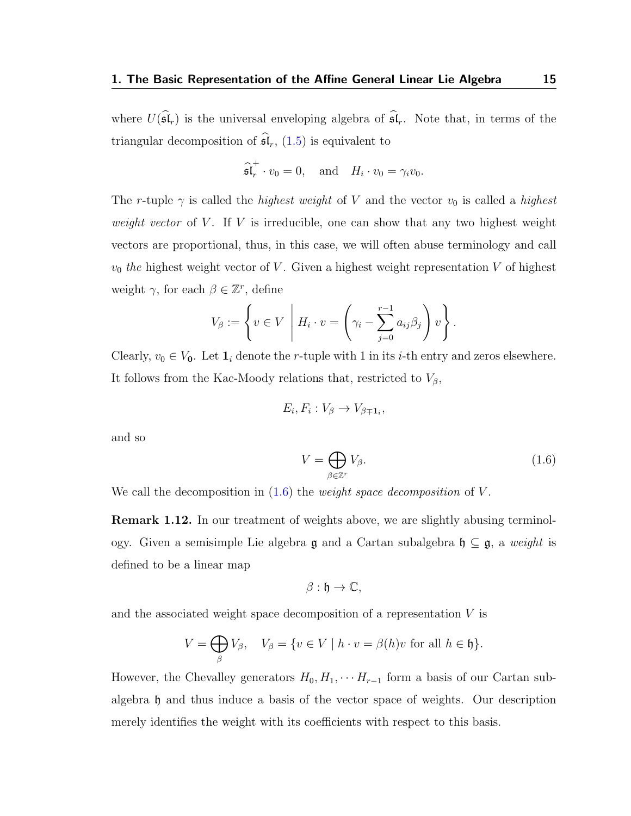where  $U(\widehat{\mathfrak{sl}}_r)$  is the universal enveloping algebra of  $\widehat{\mathfrak{sl}}_r$ . Note that, in terms of the triangular decomposition of  $\widehat{\mathfrak{sl}}_r$ , [\(1.5\)](#page-18-0) is equivalent to

$$
\widehat{\mathfrak{sl}}_r^+ \cdot v_0 = 0
$$
, and  $H_i \cdot v_0 = \gamma_i v_0$ .

The r-tuple  $\gamma$  is called the *highest weight* of V and the vector  $v_0$  is called a *highest* weight vector of  $V$ . If  $V$  is irreducible, one can show that any two highest weight vectors are proportional, thus, in this case, we will often abuse terminology and call  $v_0$  the highest weight vector of V. Given a highest weight representation V of highest weight  $\gamma$ , for each  $\beta \in \mathbb{Z}^r$ , define

$$
V_{\beta} := \left\{ v \in V \mid H_i \cdot v = \left( \gamma_i - \sum_{j=0}^{r-1} a_{ij} \beta_j \right) v \right\}.
$$

Clearly,  $v_0 \in V_0$ . Let  $\mathbf{1}_i$  denote the r-tuple with 1 in its *i*-th entry and zeros elsewhere. It follows from the Kac-Moody relations that, restricted to  $V_{\beta}$ ,

$$
E_i, F_i: V_{\beta} \to V_{\beta \mp \mathbf{1}_i},
$$

and so

<span id="page-19-0"></span>
$$
V = \bigoplus_{\beta \in \mathbb{Z}^r} V_{\beta}.\tag{1.6}
$$

We call the decomposition in  $(1.6)$  the *weight space decomposition* of V.

**Remark 1.12.** In our treatment of weights above, we are slightly abusing terminology. Given a semisimple Lie algebra  $\mathfrak g$  and a Cartan subalgebra  $\mathfrak h \subseteq \mathfrak g$ , a weight is defined to be a linear map

$$
\beta: \mathfrak{h} \to \mathbb{C},
$$

and the associated weight space decomposition of a representation V is

$$
V = \bigoplus_{\beta} V_{\beta}, \quad V_{\beta} = \{ v \in V \mid h \cdot v = \beta(h)v \text{ for all } h \in \mathfrak{h} \}.
$$

However, the Chevalley generators  $H_0, H_1, \cdots H_{r-1}$  form a basis of our Cartan subalgebra h and thus induce a basis of the vector space of weights. Our description merely identifies the weight with its coefficients with respect to this basis.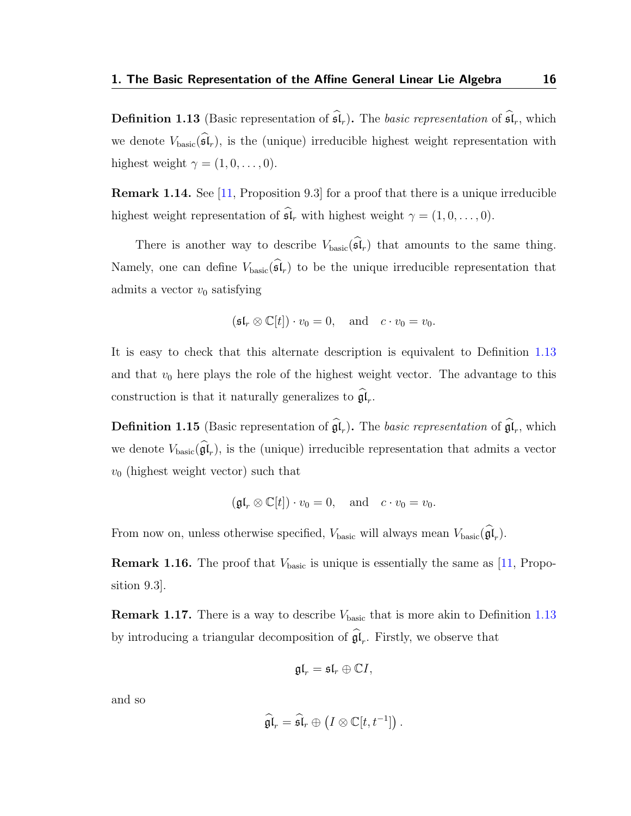<span id="page-20-0"></span>**Definition 1.13** (Basic representation of  $\widehat{\mathfrak{sl}}_r$ ). The basic representation of  $\widehat{\mathfrak{sl}}_r$ , which we denote  $V_{\text{basic}}(\widehat{\mathfrak{sl}}_r)$ , is the (unique) irreducible highest weight representation with highest weight  $\gamma = (1, 0, \ldots, 0)$ .

Remark 1.14. See [\[11,](#page-115-5) Proposition 9.3] for a proof that there is a unique irreducible highest weight representation of  $\widehat{\mathfrak{sl}}_r$  with highest weight  $\gamma = (1, 0, \ldots, 0)$ .

There is another way to describe  $V_{\text{basic}}(\widehat{\mathfrak{sl}}_r)$  that amounts to the same thing. Namely, one can define  $V_{\text{basic}}(\hat{\mathfrak{sl}}_r)$  to be the unique irreducible representation that admits a vector  $v_0$  satisfying

$$
(\mathfrak{sl}_r \otimes \mathbb{C}[t]) \cdot v_0 = 0
$$
, and  $c \cdot v_0 = v_0$ .

It is easy to check that this alternate description is equivalent to Definition [1.13](#page-20-0) and that  $v_0$  here plays the role of the highest weight vector. The advantage to this construction is that it naturally generalizes to  $\mathfrak{gl}_r$ .

**Definition 1.15** (Basic representation of  $\mathfrak{gl}_r$ ). The basic representation of  $\mathfrak{gl}_r$ , which we denote  $V_{\text{basic}}(\mathfrak{gl}_r)$ , is the (unique) irreducible representation that admits a vector  $v_0$  (highest weight vector) such that

$$
(\mathfrak{gl}_r \otimes \mathbb{C}[t]) \cdot v_0 = 0
$$
, and  $c \cdot v_0 = v_0$ .

From now on, unless otherwise specified,  $V_{\text{basic}}$  will always mean  $V_{\text{basic}}(\mathfrak{gl}_r)$ .

**Remark 1.16.** The proof that  $V_{\text{basic}}$  is unique is essentially the same as [\[11,](#page-115-5) Proposition 9.3].

**Remark 1.17.** There is a way to describe  $V_{\text{basic}}$  that is more akin to Definition [1.13](#page-20-0) by introducing a triangular decomposition of  $\mathfrak{gl}_r$ . Firstly, we observe that

$$
\mathfrak{gl}_r=\mathfrak{sl}_r\oplus \mathbb{C} I,
$$

and so

$$
\widehat{\mathfrak{gl}}_r = \widehat{\mathfrak{sl}}_r \oplus \left( I \otimes \mathbb{C}[t,t^{-1}] \right).
$$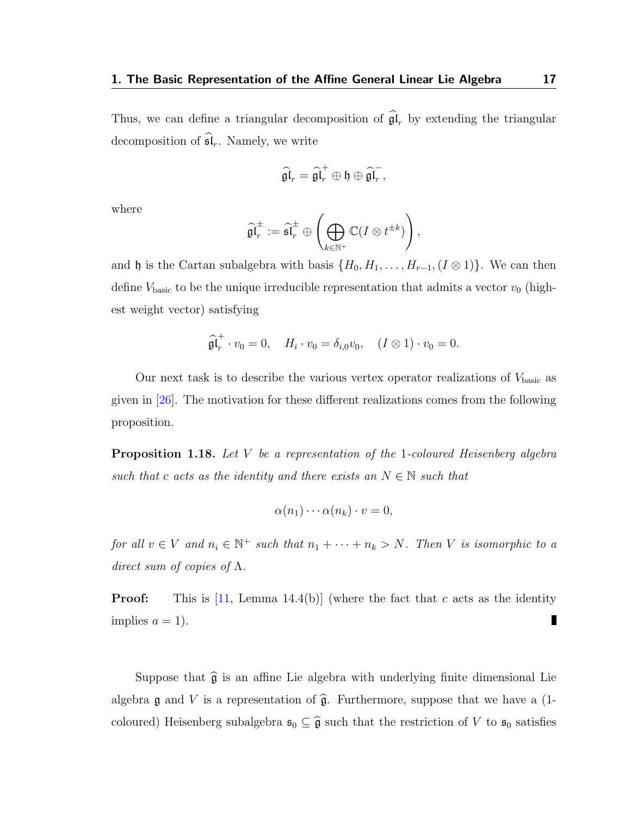Thus, we can define a triangular decomposition of  $\mathfrak{gl}_r$  by extending the triangular decomposition of  $\widehat{\mathfrak{sl}}_r$ . Namely, we write

$$
\widehat{\mathfrak{gl}}_r = \widehat{\mathfrak{gl}}_r^+ \oplus \mathfrak{h} \oplus \widehat{\mathfrak{gl}}_r^-,
$$

where

$$
\widehat{\mathfrak{gl}}_r^\pm:=\widehat{\mathfrak{sl}}_r^\pm\oplus\left(\bigoplus_{k\in\mathbb{N}^+}\mathbb{C}(I\otimes t^{\pm k})\right),
$$

and h is the Cartan subalgebra with basis  $\{H_0, H_1, \ldots, H_{r-1}, (I \otimes 1)\}\)$ . We can then define  $V_{\text{basic}}$  to be the unique irreducible representation that admits a vector  $v_0$  (highest weight vector) satisfying

$$
\widehat{\mathfrak{gl}}_r^+ \cdot v_0 = 0, \quad H_i \cdot v_0 = \delta_{i,0} v_0, \quad (I \otimes 1) \cdot v_0 = 0.
$$

Our next task is to describe the various vertex operator realizations of  $V_{\rm basic}$  as given in [\[26\]](#page-117-1). The motivation for these different realizations comes from the following proposition.

<span id="page-21-0"></span>**Proposition 1.18.** Let V be a representation of the 1-coloured Heisenberg algebra such that c acts as the identity and there exists an  $N \in \mathbb{N}$  such that

$$
\alpha(n_1)\cdots\alpha(n_k)\cdot v=0,
$$

for all  $v \in V$  and  $n_i \in \mathbb{N}^+$  such that  $n_1 + \cdots + n_k > N$ . Then V is isomorphic to a direct sum of copies of  $\Lambda$ .

**Proof:** This is [\[11,](#page-115-5) Lemma 14.4(b)] (where the fact that c acts as the identity implies  $a = 1$ . J.

Suppose that  $\widehat{\mathfrak{g}}$  is an affine Lie algebra with underlying finite dimensional Lie algebra g and V is a representation of  $\hat{\mathfrak{g}}$ . Furthermore, suppose that we have a (1coloured) Heisenberg subalgebra  $\mathfrak{s}_0 \subseteq \widehat{\mathfrak{g}}$  such that the restriction of V to  $\mathfrak{s}_0$  satisfies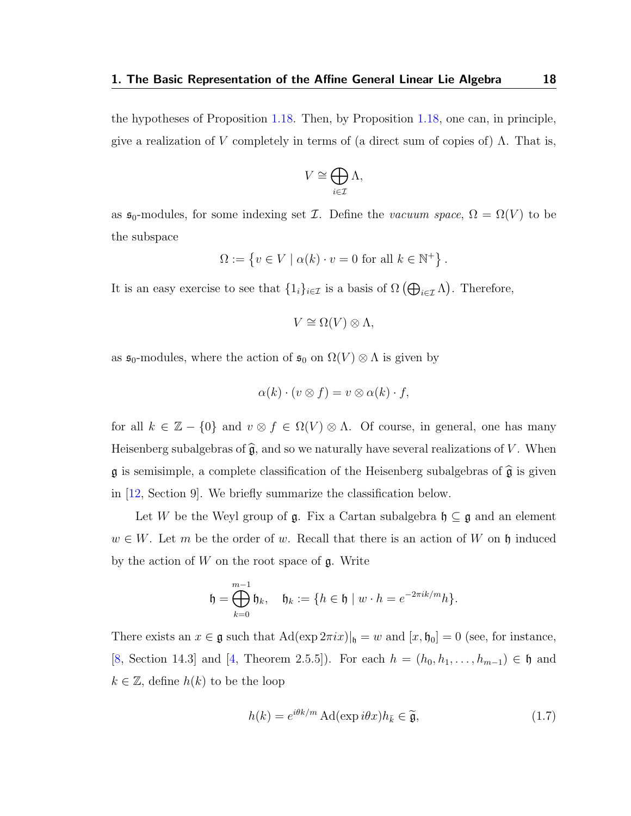the hypotheses of Proposition [1.18.](#page-21-0) Then, by Proposition [1.18,](#page-21-0) one can, in principle, give a realization of V completely in terms of (a direct sum of copies of)  $\Lambda$ . That is,

$$
V \cong \bigoplus_{i \in \mathcal{I}} \Lambda,
$$

as  $\mathfrak{s}_0$ -modules, for some indexing set  $\mathcal{I}$ . Define the vacuum space,  $\Omega = \Omega(V)$  to be the subspace

$$
\Omega := \left\{ v \in V \mid \alpha(k) \cdot v = 0 \text{ for all } k \in \mathbb{N}^+ \right\}.
$$

It is an easy exercise to see that  $\{1_i\}_{i\in\mathcal{I}}$  is a basis of  $\Omega\left(\bigoplus_{i\in\mathcal{I}}\Lambda\right)$ . Therefore,

$$
V \cong \Omega(V) \otimes \Lambda,
$$

as  $\mathfrak{s}_0$ -modules, where the action of  $\mathfrak{s}_0$  on  $\Omega(V) \otimes \Lambda$  is given by

$$
\alpha(k) \cdot (v \otimes f) = v \otimes \alpha(k) \cdot f,
$$

for all  $k \in \mathbb{Z} - \{0\}$  and  $v \otimes f \in \Omega(V) \otimes \Lambda$ . Of course, in general, one has many Heisenberg subalgebras of  $\widehat{\mathfrak{g}}$ , and so we naturally have several realizations of V. When  $\mathfrak g$  is semisimple, a complete classification of the Heisenberg subalgebras of  $\widehat{\mathfrak g}$  is given in [\[12,](#page-115-2) Section 9]. We briefly summarize the classification below.

Let W be the Weyl group of  $\mathfrak{g}$ . Fix a Cartan subalgebra  $\mathfrak{h} \subseteq \mathfrak{g}$  and an element  $w \in W$ . Let m be the order of w. Recall that there is an action of W on h induced by the action of  $W$  on the root space of  $\mathfrak{g}$ . Write

$$
\mathfrak{h} = \bigoplus_{k=0}^{m-1} \mathfrak{h}_k, \quad \mathfrak{h}_k := \{ h \in \mathfrak{h} \mid w \cdot h = e^{-2\pi i k/m} h \}.
$$

There exists an  $x \in \mathfrak{g}$  such that  $\text{Ad}(\exp 2\pi ix)|_{\mathfrak{h}} = w$  and  $[x, \mathfrak{h}_0] = 0$  (see, for instance, [\[8,](#page-115-6) Section 14.3] and [\[4,](#page-114-1) Theorem 2.5.5]). For each  $h = (h_0, h_1, \ldots, h_{m-1}) \in \mathfrak{h}$  and  $k \in \mathbb{Z}$ , define  $h(k)$  to be the loop

<span id="page-22-0"></span>
$$
h(k) = e^{i\theta k/m} \operatorname{Ad}(\exp i\theta x) h_{\bar{k}} \in \widetilde{\mathfrak{g}},\tag{1.7}
$$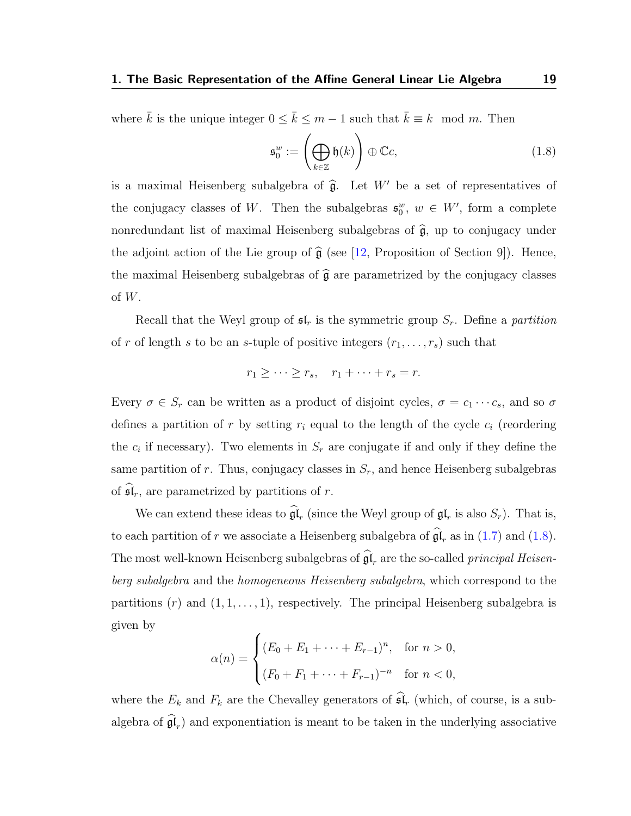where  $\bar{k}$  is the unique integer  $0 \leq \bar{k} \leq m-1$  such that  $\bar{k} \equiv k \mod m$ . Then

<span id="page-23-0"></span>
$$
\mathfrak{s}_0^w := \left(\bigoplus_{k \in \mathbb{Z}} \mathfrak{h}(k)\right) \oplus \mathbb{C}c,\tag{1.8}
$$

is a maximal Heisenberg subalgebra of  $\hat{\mathfrak{g}}$ . Let W' be a set of representatives of the conjugacy classes of W. Then the subalgebras  $\mathfrak{s}_{0}^{w}$ ,  $w \in W'$ , form a complete nonredundant list of maximal Heisenberg subalgebras of  $\hat{\mathfrak{g}}$ , up to conjugacy under the adjoint action of the Lie group of  $\widehat{\mathfrak{g}}$  (see [\[12,](#page-115-2) Proposition of Section 9]). Hence, the maximal Heisenberg subalgebras of  $\hat{\mathfrak{g}}$  are parametrized by the conjugacy classes of W.

Recall that the Weyl group of  $\mathfrak{sl}_r$  is the symmetric group  $S_r$ . Define a partition of r of length s to be an s-tuple of positive integers  $(r_1, \ldots, r_s)$  such that

$$
r_1 \geq \cdots \geq r_s, \quad r_1 + \cdots + r_s = r.
$$

Every  $\sigma \in S_r$  can be written as a product of disjoint cycles,  $\sigma = c_1 \cdots c_s$ , and so  $\sigma$ defines a partition of r by setting  $r_i$  equal to the length of the cycle  $c_i$  (reordering the  $c_i$  if necessary). Two elements in  $S_r$  are conjugate if and only if they define the same partition of r. Thus, conjugacy classes in  $S_r$ , and hence Heisenberg subalgebras of  $\mathfrak{sl}_r$ , are parametrized by partitions of r.

We can extend these ideas to  $\mathfrak{gl}_r$  (since the Weyl group of  $\mathfrak{gl}_r$  is also  $S_r$ ). That is, to each partition of r we associate a Heisenberg subalgebra of  $\mathfrak{gl}_r$  as in [\(1.7\)](#page-22-0) and [\(1.8\)](#page-23-0). The most well-known Heisenberg subalgebras of  $\mathfrak{gl}_r$  are the so-called *principal Heisen*berg subalgebra and the homogeneous Heisenberg subalgebra, which correspond to the partitions  $(r)$  and  $(1, 1, \ldots, 1)$ , respectively. The principal Heisenberg subalgebra is given by

$$
\alpha(n) = \begin{cases} (E_0 + E_1 + \dots + E_{r-1})^n, & \text{for } n > 0, \\ (F_0 + F_1 + \dots + F_{r-1})^{-n} & \text{for } n < 0, \end{cases}
$$

where the  $E_k$  and  $F_k$  are the Chevalley generators of  $\widehat{\mathfrak{sl}}_r$  (which, of course, is a subalgebra of  $\mathfrak{gl}_r$ ) and exponentiation is meant to be taken in the underlying associative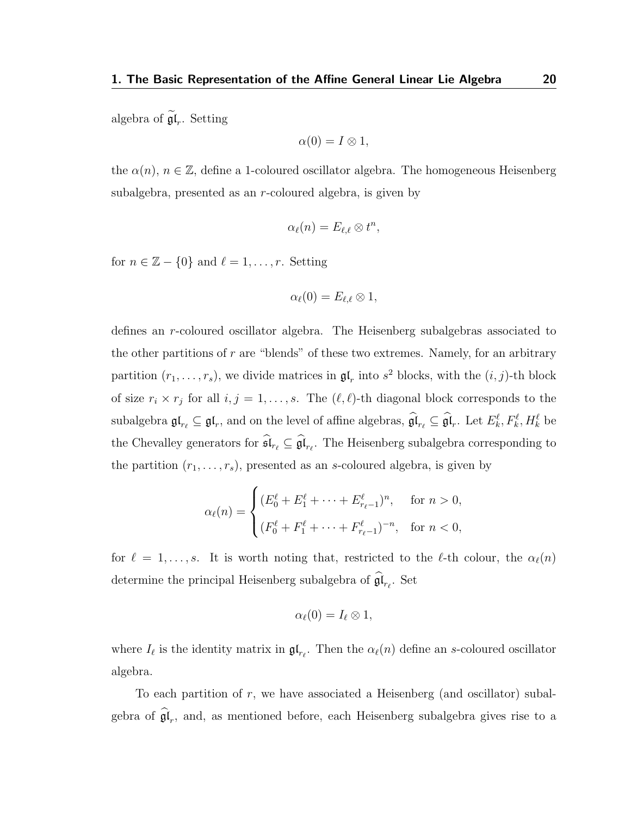algebra of  $\mathfrak{gl}_r$ . Setting

$$
\alpha(0) = I \otimes 1,
$$

the  $\alpha(n)$ ,  $n \in \mathbb{Z}$ , define a 1-coloured oscillator algebra. The homogeneous Heisenberg subalgebra, presented as an r-coloured algebra, is given by

$$
\alpha_{\ell}(n) = E_{\ell,\ell} \otimes t^n,
$$

for  $n \in \mathbb{Z} - \{0\}$  and  $\ell = 1, \ldots, r$ . Setting

$$
\alpha_{\ell}(0)=E_{\ell,\ell}\otimes 1,
$$

defines an r-coloured oscillator algebra. The Heisenberg subalgebras associated to the other partitions of  $r$  are "blends" of these two extremes. Namely, for an arbitrary partition  $(r_1, \ldots, r_s)$ , we divide matrices in  $\mathfrak{gl}_r$  into  $s^2$  blocks, with the  $(i, j)$ -th block of size  $r_i \times r_j$  for all  $i, j = 1, \ldots, s$ . The  $(\ell, \ell)$ -th diagonal block corresponds to the subalgebra  $\mathfrak{gl}_{r_\ell} \subseteq \mathfrak{gl}_r$ , and on the level of affine algebras,  $\widehat{\mathfrak{gl}}_{r_\ell} \subseteq \widehat{\mathfrak{gl}}_r$ . Let  $E_k^\ell, F_k^\ell, H_k^\ell$  be the Chevalley generators for  $\mathfrak{sl}_{r_\ell} \subseteq \mathfrak{gl}_{r_\ell}$ . The Heisenberg subalgebra corresponding to the partition  $(r_1, \ldots, r_s)$ , presented as an s-coloured algebra, is given by

$$
\alpha_{\ell}(n) = \begin{cases} (E_0^{\ell} + E_1^{\ell} + \dots + E_{r_{\ell}-1}^{\ell})^n, & \text{for } n > 0, \\ (F_0^{\ell} + F_1^{\ell} + \dots + F_{r_{\ell}-1}^{\ell})^{-n}, & \text{for } n < 0, \end{cases}
$$

for  $\ell = 1, \ldots, s$ . It is worth noting that, restricted to the  $\ell$ -th colour, the  $\alpha_{\ell}(n)$ determine the principal Heisenberg subalgebra of  $\mathfrak{gl}_{r_{\ell}}$ . Set

$$
\alpha_{\ell}(0)=I_{\ell}\otimes 1,
$$

where  $I_\ell$  is the identity matrix in  $\mathfrak{gl}_{r_\ell}$ . Then the  $\alpha_\ell(n)$  define an s-coloured oscillator algebra.

To each partition of  $r$ , we have associated a Heisenberg (and oscillator) subalgebra of  $\mathfrak{gl}_r$ , and, as mentioned before, each Heisenberg subalgebra gives rise to a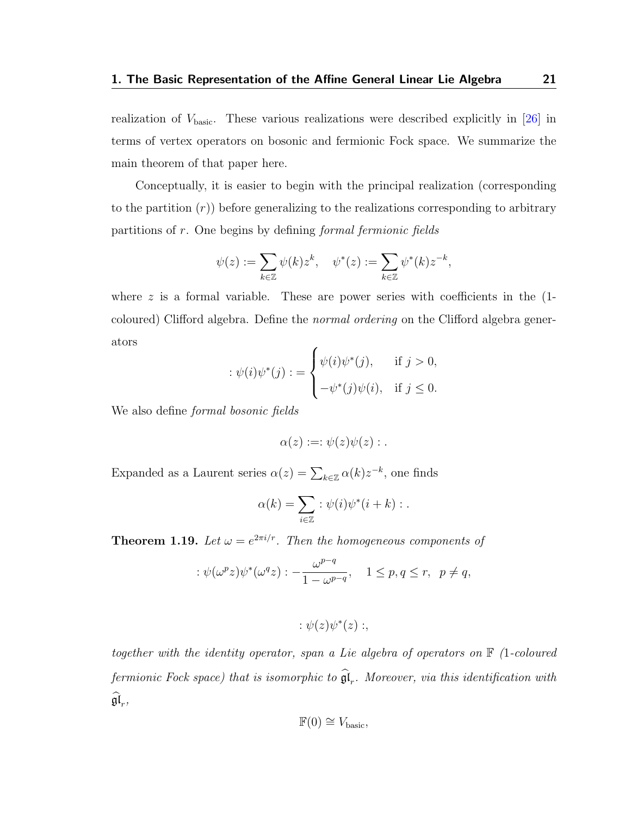realization of  $V_{\text{basic}}$ . These various realizations were described explicitly in [\[26\]](#page-117-1) in terms of vertex operators on bosonic and fermionic Fock space. We summarize the main theorem of that paper here.

Conceptually, it is easier to begin with the principal realization (corresponding to the partition  $(r)$ ) before generalizing to the realizations corresponding to arbitrary partitions of r. One begins by defining formal fermionic fields

$$
\psi(z) := \sum_{k \in \mathbb{Z}} \psi(k) z^k, \quad \psi^*(z) := \sum_{k \in \mathbb{Z}} \psi^*(k) z^{-k},
$$

where  $z$  is a formal variable. These are power series with coefficients in the  $(1$ coloured) Clifford algebra. Define the normal ordering on the Clifford algebra generators

$$
\therefore \psi(i)\psi^*(j) := \begin{cases} \psi(i)\psi^*(j), & \text{if } j > 0, \\ -\psi^*(j)\psi(i), & \text{if } j \le 0. \end{cases}
$$

We also define *formal bosonic fields* 

$$
\alpha(z):=:\psi(z)\psi(z):.
$$

Expanded as a Laurent series  $\alpha(z) = \sum_{k \in \mathbb{Z}} \alpha(k) z^{-k}$ , one finds

$$
\alpha(k) = \sum_{i \in \mathbb{Z}} : \psi(i)\psi^*(i+k) : .
$$

<span id="page-25-0"></span>**Theorem 1.19.** Let  $\omega = e^{2\pi i/r}$ . Then the homogeneous components of

$$
:\psi(\omega^p z)\psi^*(\omega^q z): -\frac{\omega^{p-q}}{1-\omega^{p-q}}, \quad 1\leq p,q\leq r, \ \ p\neq q,
$$

$$
:\psi(z)\psi^*(z):,
$$

together with the identity operator, span a Lie algebra of operators on  $\mathbb F$  (1-coloured fermionic Fock space) that is isomorphic to  $\mathfrak{gl}_r$ . Moreover, via this identification with  $\mathfrak{gl}_r$ ,

$$
\mathbb{F}(0) \cong V_{\text{basic}},
$$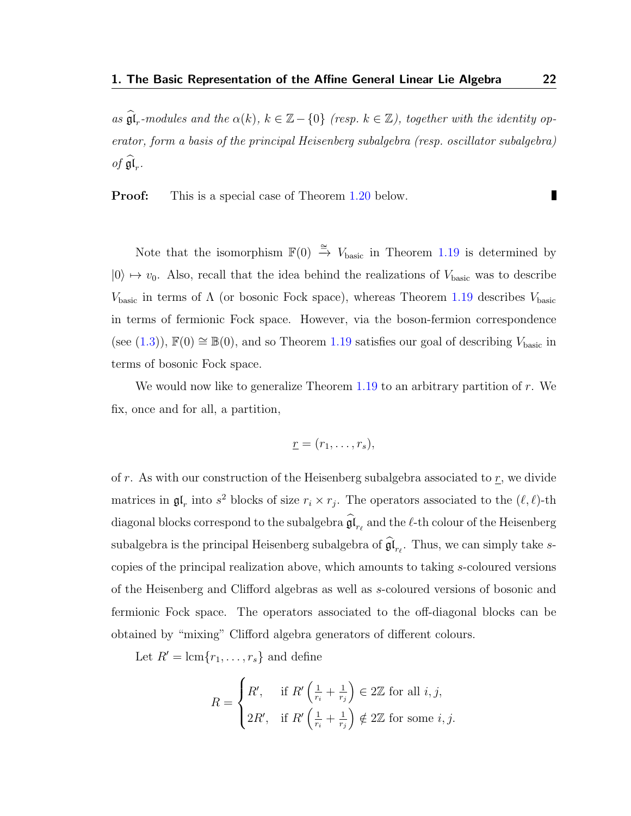as  $\widehat{\mathfrak{gl}}_r$ -modules and the  $\alpha(k)$ ,  $k \in \mathbb{Z} - \{0\}$  (resp.  $k \in \mathbb{Z}$ ), together with the identity operator, form a basis of the principal Heisenberg subalgebra (resp. oscillator subalgebra) of  $\mathfrak{gl}_r$ .

**Proof:** This is a special case of Theorem [1.20](#page-27-0) below.

Note that the isomorphism  $\mathbb{F}(0) \stackrel{\cong}{\to} V_{\text{basic}}$  in Theorem [1.19](#page-25-0) is determined by  $|0\rangle \mapsto v_0$ . Also, recall that the idea behind the realizations of  $V_{\text{basic}}$  was to describe  $V_{\text{basic}}$  in terms of  $\Lambda$  (or bosonic Fock space), whereas Theorem [1.19](#page-25-0) describes  $V_{\text{basic}}$ in terms of fermionic Fock space. However, via the boson-fermion correspondence (see [\(1.3\)](#page-16-1)),  $\mathbb{F}(0) \cong \mathbb{B}(0)$ , and so Theorem [1.19](#page-25-0) satisfies our goal of describing  $V_{\text{basic}}$  in terms of bosonic Fock space.

We would now like to generalize Theorem  $1.19$  to an arbitrary partition of r. We fix, once and for all, a partition,

$$
\underline{r}=(r_1,\ldots,r_s),
$$

of r. As with our construction of the Heisenberg subalgebra associated to  $\underline{r}$ , we divide matrices in  $\mathfrak{gl}_r$  into  $s^2$  blocks of size  $r_i \times r_j$ . The operators associated to the  $(\ell, \ell)$ -th diagonal blocks correspond to the subalgebra  $\mathfrak{gl}_{r_\ell}$  and the  $\ell\text{-th}$  colour of the Heisenberg subalgebra is the principal Heisenberg subalgebra of  $\mathfrak{gl}_{r_{\ell}}$ . Thus, we can simply take scopies of the principal realization above, which amounts to taking s-coloured versions of the Heisenberg and Clifford algebras as well as s-coloured versions of bosonic and fermionic Fock space. The operators associated to the off-diagonal blocks can be obtained by "mixing" Clifford algebra generators of different colours.

Let  $R' = \text{lcm}\lbrace r_1, \ldots, r_s \rbrace$  and define

$$
R = \begin{cases} R', & \text{if } R' \left( \frac{1}{r_i} + \frac{1}{r_j} \right) \in 2\mathbb{Z} \text{ for all } i, j, \\ 2R', & \text{if } R' \left( \frac{1}{r_i} + \frac{1}{r_j} \right) \notin 2\mathbb{Z} \text{ for some } i, j. \end{cases}
$$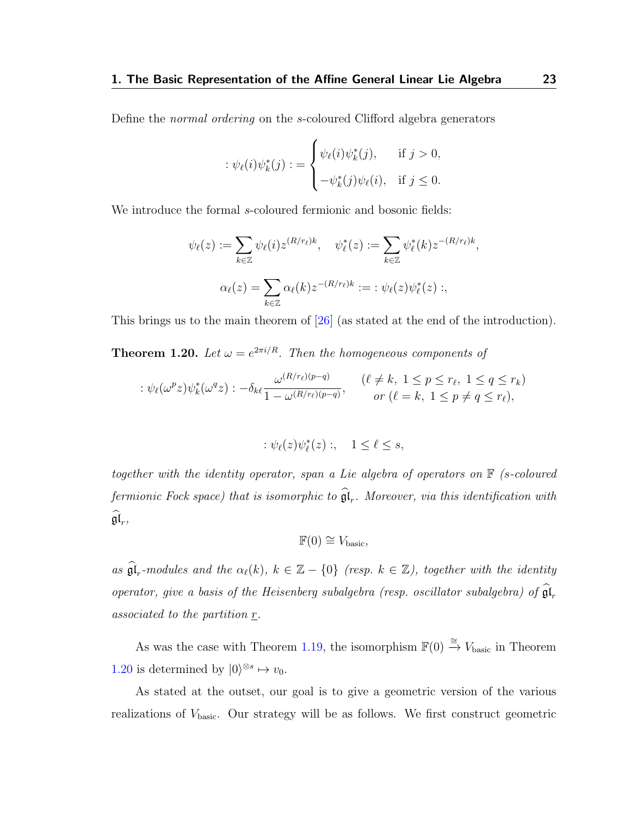Define the normal ordering on the s-coloured Clifford algebra generators

$$
\begin{aligned} \n\therefore \psi_{\ell}(i)\psi_k^*(j) &= \begin{cases} \n\psi_{\ell}(i)\psi_k^*(j), & \text{if } j > 0, \\ \n-\psi_k^*(j)\psi_{\ell}(i), & \text{if } j \leq 0. \n\end{cases} \n\end{aligned}
$$

We introduce the formal s-coloured fermionic and bosonic fields:

$$
\psi_{\ell}(z) := \sum_{k \in \mathbb{Z}} \psi_{\ell}(i) z^{(R/r_{\ell})k}, \quad \psi_{\ell}^{*}(z) := \sum_{k \in \mathbb{Z}} \psi_{\ell}^{*}(k) z^{-(R/r_{\ell})k},
$$

$$
\alpha_{\ell}(z) = \sum_{k \in \mathbb{Z}} \alpha_{\ell}(k) z^{-(R/r_{\ell})k} := \psi_{\ell}(z) \psi_{\ell}^{*}(z) ;
$$

This brings us to the main theorem of  $[26]$  (as stated at the end of the introduction).

<span id="page-27-0"></span>**Theorem 1.20.** Let  $\omega = e^{2\pi i/R}$ . Then the homogeneous components of

$$
\therefore \psi_{\ell}(\omega^p z)\psi_k^*(\omega^q z) : -\delta_{k\ell} \frac{\omega^{(R/r_{\ell})(p-q)}}{1-\omega^{(R/r_{\ell})(p-q)}}, \quad (\ell \neq k, 1 \leq p \leq r_{\ell}, 1 \leq q \leq r_k)
$$
  
or  $(\ell = k, 1 \leq p \neq q \leq r_{\ell}),$ 

$$
:\psi_{\ell}(z)\psi_{\ell}^*(z):,\quad 1\leq \ell\leq s,
$$

together with the identity operator, span a Lie algebra of operators on  $\mathbb F$  (s-coloured fermionic Fock space) that is isomorphic to  $\mathfrak{gl}_r$ . Moreover, via this identification with  $\mathfrak{gl}_r,$ 

$$
\mathbb{F}(0) \cong V_{\text{basic}},
$$

as  $\widehat{\mathfrak{gl}}_r$ -modules and the  $\alpha_\ell(k)$ ,  $k \in \mathbb{Z} - \{0\}$  (resp.  $k \in \mathbb{Z}$ ), together with the identity operator, give a basis of the Heisenberg subalgebra (resp. oscillator subalgebra) of  $\mathfrak{gl}_r$ associated to the partition r.

As was the case with Theorem [1.19,](#page-25-0) the isomorphism  $\mathbb{F}(0) \stackrel{\cong}{\to} V_{\text{basic}}$  in Theorem [1.20](#page-27-0) is determined by  $|0\rangle^{\otimes s} \mapsto v_0$ .

As stated at the outset, our goal is to give a geometric version of the various realizations of  $V_{\text{basic}}$ . Our strategy will be as follows. We first construct geometric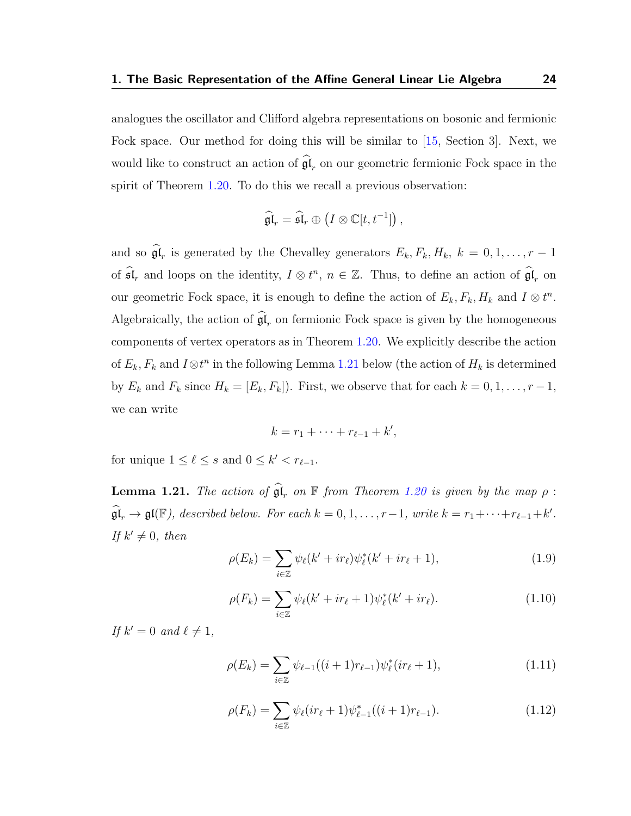analogues the oscillator and Clifford algebra representations on bosonic and fermionic Fock space. Our method for doing this will be similar to [\[15,](#page-115-4) Section 3]. Next, we would like to construct an action of  $\mathfrak{gl}_r$  on our geometric fermionic Fock space in the spirit of Theorem [1.20.](#page-27-0) To do this we recall a previous observation:

$$
\widehat{\mathfrak{gl}}_r = \widehat{\mathfrak{sl}}_r \oplus \left( I \otimes \mathbb{C}[t,t^{-1}] \right),
$$

and so  $\mathfrak{gl}_r$  is generated by the Chevalley generators  $E_k, F_k, H_k, k = 0, 1, \ldots, r - 1$ of  $\widehat{\mathfrak{sl}}_r$  and loops on the identity,  $I \otimes t^n$ ,  $n \in \mathbb{Z}$ . Thus, to define an action of  $\widehat{\mathfrak{gl}}_r$  on our geometric Fock space, it is enough to define the action of  $E_k, F_k, H_k$  and  $I \otimes t^n$ . Algebraically, the action of  $\mathfrak{gl}_r$  on fermionic Fock space is given by the homogeneous components of vertex operators as in Theorem [1.20.](#page-27-0) We explicitly describe the action of  $E_k$ ,  $F_k$  and  $I \otimes t^n$  in the following Lemma [1.21](#page-28-0) below (the action of  $H_k$  is determined by  $E_k$  and  $F_k$  since  $H_k = [E_k, F_k]$ . First, we observe that for each  $k = 0, 1, \ldots, r - 1$ , we can write

$$
k=r_1+\cdots+r_{\ell-1}+k',
$$

for unique  $1 \leq \ell \leq s$  and  $0 \leq k' < r_{\ell-1}$ .

<span id="page-28-0"></span>**Lemma 1.21.** The action of  $\widehat{\mathfrak{gl}}_r$  on  $\mathbb F$  from Theorem [1.20](#page-27-0) is given by the map  $\rho$ :  $\widehat{\mathfrak{gl}}_r \to \mathfrak{gl}(\mathbb{F})$ , described below. For each  $k = 0, 1, \ldots, r-1$ , write  $k = r_1 + \cdots + r_{\ell-1} + k'$ . If  $k' \neq 0$ , then

<span id="page-28-1"></span>
$$
\rho(E_k) = \sum_{i \in \mathbb{Z}} \psi_{\ell}(k' + ir_{\ell}) \psi_{\ell}^*(k' + ir_{\ell} + 1), \tag{1.9}
$$

$$
\rho(F_k) = \sum_{i \in \mathbb{Z}} \psi_{\ell}(k' + ir_{\ell} + 1)\psi_{\ell}^*(k' + ir_{\ell}). \tag{1.10}
$$

If  $k' = 0$  and  $\ell \neq 1$ ,

$$
\rho(E_k) = \sum_{i \in \mathbb{Z}} \psi_{\ell-1}((i+1)r_{\ell-1})\psi_{\ell}^*(ir_{\ell}+1), \tag{1.11}
$$

$$
\rho(F_k) = \sum_{i \in \mathbb{Z}} \psi_\ell(ir_\ell + 1)\psi_{\ell-1}^*((i+1)r_{\ell-1}).\tag{1.12}
$$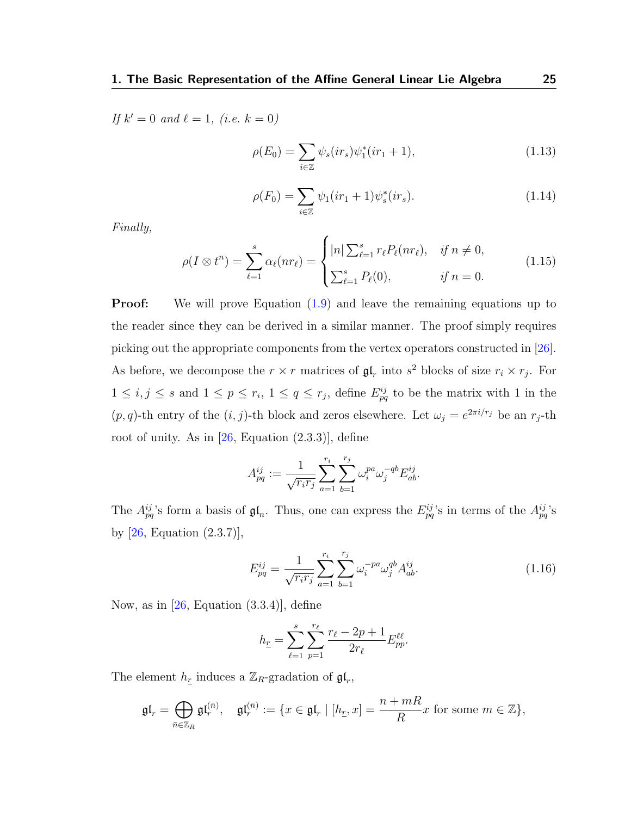If  $k' = 0$  and  $\ell = 1$ , (i.e.  $k = 0$ )

$$
\rho(E_0) = \sum_{i \in \mathbb{Z}} \psi_s(ir_s)\psi_1^*(ir_1 + 1),\tag{1.13}
$$

$$
\rho(F_0) = \sum_{i \in \mathbb{Z}} \psi_1(ir_1 + 1)\psi_s^*(ir_s). \tag{1.14}
$$

Finally,

$$
\rho(I \otimes t^n) = \sum_{\ell=1}^s \alpha_\ell(nr_\ell) = \begin{cases} |n| \sum_{\ell=1}^s r_\ell P_\ell(nr_\ell), & \text{if } n \neq 0, \\ \sum_{\ell=1}^s P_\ell(0), & \text{if } n = 0. \end{cases}
$$
(1.15)

**Proof:** We will prove Equation  $(1.9)$  and leave the remaining equations up to the reader since they can be derived in a similar manner. The proof simply requires picking out the appropriate components from the vertex operators constructed in [\[26\]](#page-117-1). As before, we decompose the  $r \times r$  matrices of  $\mathfrak{gl}_r$  into  $s^2$  blocks of size  $r_i \times r_j$ . For  $1 \leq i, j \leq s$  and  $1 \leq p \leq r_i, 1 \leq q \leq r_j$ , define  $E_{pq}^{ij}$  to be the matrix with 1 in the  $(p, q)$ -th entry of the  $(i, j)$ -th block and zeros elsewhere. Let  $\omega_j = e^{2\pi i/r_j}$  be an  $r_j$ -th root of unity. As in  $[26, Equation E(2.3.3)], define$  $[26, Equation E(2.3.3)], define$ 

$$
A_{pq}^{ij} := \frac{1}{\sqrt{r_i r_j}} \sum_{a=1}^{r_i} \sum_{b=1}^{r_j} \omega_i^{pa} \omega_j^{-qb} E_{ab}^{ij}.
$$

The  $A_{pq}^{ij}$ 's form a basis of  $\mathfrak{gl}_n$ . Thus, one can express the  $E_{pq}^{ij}$ 's in terms of the  $A_{pq}^{ij}$ 's by [\[26,](#page-117-1) Equation (2.3.7)],

<span id="page-29-0"></span>
$$
E_{pq}^{ij} = \frac{1}{\sqrt{r_i r_j}} \sum_{a=1}^{r_i} \sum_{b=1}^{r_j} \omega_i^{-pa} \omega_j^{qb} A_{ab}^{ij}.
$$
 (1.16)

Now, as in  $[26,$  Equation  $(3.3.4)$ , define

$$
h_{\underline{r}} = \sum_{\ell=1}^{s} \sum_{p=1}^{r_{\ell}} \frac{r_{\ell} - 2p + 1}{2r_{\ell}} E_{pp}^{\ell\ell}.
$$

The element  $h_{\underline{r}}$  induces a  $\mathbb{Z}_R$ -gradation of  $\mathfrak{gl}_r$ ,

$$
\mathfrak{gl}_r = \bigoplus_{\bar{n} \in \mathbb{Z}_R} \mathfrak{gl}_r^{(\bar{n})}, \quad \mathfrak{gl}_r^{(\bar{n})} := \{ x \in \mathfrak{gl}_r \mid [h_{\underline{r}}, x] = \frac{n + mR}{R} x \text{ for some } m \in \mathbb{Z} \},
$$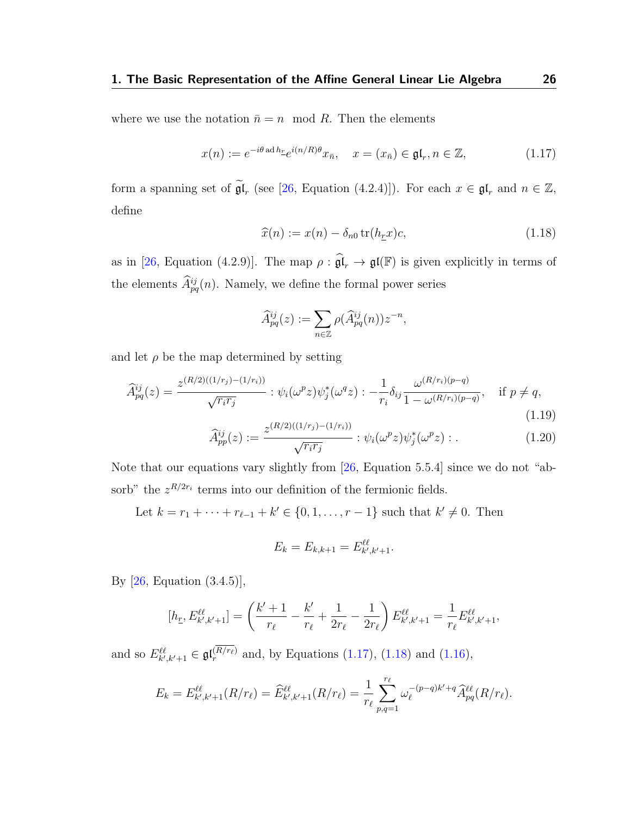where we use the notation  $\bar{n} = n \mod R$ . Then the elements

<span id="page-30-0"></span>
$$
x(n) := e^{-i\theta \operatorname{ad} h_{\underline{r}}} e^{i(n/R)\theta} x_{\bar{n}}, \quad x = (x_{\bar{n}}) \in \mathfrak{gl}_r, n \in \mathbb{Z}, \tag{1.17}
$$

form a spanning set of  $\widetilde{\mathfrak{gl}}_r$  (see [\[26,](#page-117-1) Equation (4.2.4)]). For each  $x \in \mathfrak{gl}_r$  and  $n \in \mathbb{Z}$ , define

<span id="page-30-1"></span>
$$
\widehat{x}(n) := x(n) - \delta_{n0} \operatorname{tr}(h_{\underline{r}} x)c,\tag{1.18}
$$

as in [\[26,](#page-117-1) Equation (4.2.9)]. The map  $\rho : \widehat{\mathfrak{gl}}_r \to \mathfrak{gl}(\mathbb{F})$  is given explicitly in terms of the elements  $\hat{A}^{ij}_{pq}(n)$ . Namely, we define the formal power series

$$
\widehat{A}^{ij}_{pq}(z) := \sum_{n \in \mathbb{Z}} \rho(\widehat{A}^{ij}_{pq}(n)) z^{-n},
$$

and let  $\rho$  be the map determined by setting

<span id="page-30-2"></span>
$$
\widehat{A}_{pq}^{ij}(z) = \frac{z^{(R/2)((1/r_j) - (1/r_i))}}{\sqrt{r_i r_j}} : \psi_i(\omega^p z) \psi_j^*(\omega^q z) : -\frac{1}{r_i} \delta_{ij} \frac{\omega^{(R/r_i)(p-q)}}{1 - \omega^{(R/r_i)(p-q)}}, \quad \text{if } p \neq q,
$$
\n(1.19)

<span id="page-30-3"></span>
$$
\widehat{A}_{pp}^{ij}(z) := \frac{z^{(R/2)((1/r_j) - (1/r_i))}}{\sqrt{r_i r_j}} : \psi_i(\omega^p z) \psi_j^*(\omega^p z) : .
$$
\n(1.20)

Note that our equations vary slightly from [\[26,](#page-117-1) Equation 5.5.4] since we do not "absorb" the  $z^{R/2r_i}$  terms into our definition of the fermionic fields.

Let  $k = r_1 + \cdots + r_{\ell-1} + k' \in \{0, 1, \ldots, r-1\}$  such that  $k' \neq 0$ . Then

$$
E_k = E_{k,k+1} = E_{k',k'+1}^{\ell\ell}.
$$

By [\[26,](#page-117-1) Equation (3.4.5)],

$$
[h_{\underline{r}}, E_{k',k'+1}^{\ell\ell}] = \left(\frac{k'+1}{r_{\ell}} - \frac{k'}{r_{\ell}} + \frac{1}{2r_{\ell}} - \frac{1}{2r_{\ell}}\right) E_{k',k'+1}^{\ell\ell} = \frac{1}{r_{\ell}} E_{k',k'+1}^{\ell\ell},
$$

and so  $E_{k',k'+1}^{\ell\ell} \in \mathfrak{gl}_r^{(R/r_{\ell})}$  and, by Equations [\(1.17\)](#page-30-0), [\(1.18\)](#page-30-1) and [\(1.16\)](#page-29-0),

$$
E_k = E_{k',k'+1}^{\ell\ell}(R/r_{\ell}) = \widehat{E}_{k',k'+1}^{\ell\ell}(R/r_{\ell}) = \frac{1}{r_{\ell}} \sum_{p,q=1}^{r_{\ell}} \omega_{\ell}^{-(p-q)k'+q} \widehat{A}_{pq}^{\ell\ell}(R/r_{\ell}).
$$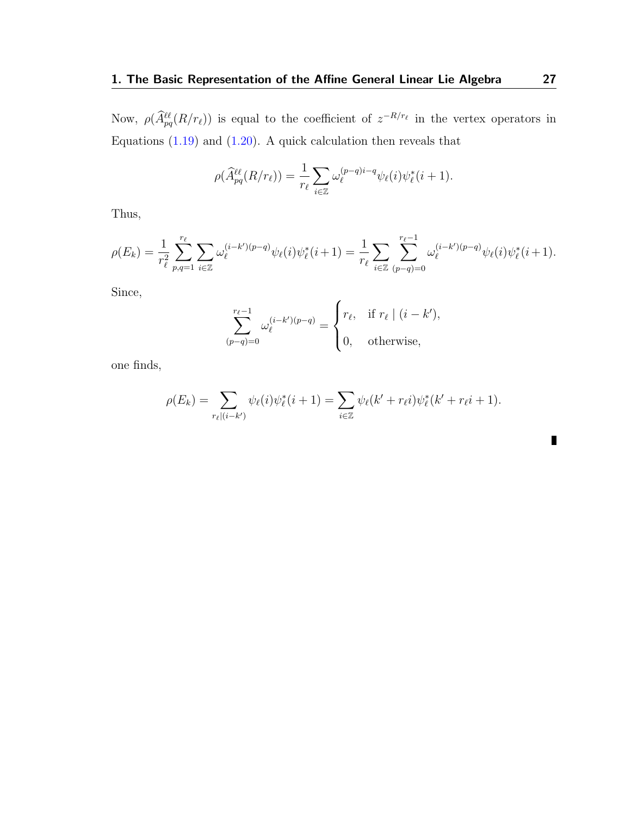Now,  $\rho(\hat{A}^{\ell\ell}_{pq}(R/r_{\ell}))$  is equal to the coefficient of  $z^{-R/r_{\ell}}$  in the vertex operators in Equations  $(1.19)$  and  $(1.20)$ . A quick calculation then reveals that

$$
\rho(\widehat{A}_{pq}^{\ell\ell}(R/r_{\ell})) = \frac{1}{r_{\ell}} \sum_{i \in \mathbb{Z}} \omega_{\ell}^{(p-q)i-q} \psi_{\ell}(i) \psi_{\ell}^{*}(i+1).
$$

Thus,

$$
\rho(E_k) = \frac{1}{r_\ell^2} \sum_{p,q=1}^{r_\ell} \sum_{i \in \mathbb{Z}} \omega_\ell^{(i-k')(p-q)} \psi_\ell(i) \psi_\ell^*(i+1) = \frac{1}{r_\ell} \sum_{i \in \mathbb{Z}} \sum_{(p-q)=0}^{r_\ell-1} \omega_\ell^{(i-k')(p-q)} \psi_\ell(i) \psi_\ell^*(i+1).
$$

Since,

$$
\sum_{(p-q)=0}^{r_{\ell}-1} \omega_{\ell}^{(i-k')(p-q)} = \begin{cases} r_{\ell}, & \text{if } r_{\ell} \mid (i-k'), \\ 0, & \text{otherwise,} \end{cases}
$$

one finds,

$$
\rho(E_k) = \sum_{r_{\ell} | (i - k')} \psi_{\ell}(i) \psi_{\ell}^*(i + 1) = \sum_{i \in \mathbb{Z}} \psi_{\ell}(k' + r_{\ell}i) \psi_{\ell}^*(k' + r_{\ell}i + 1).
$$

П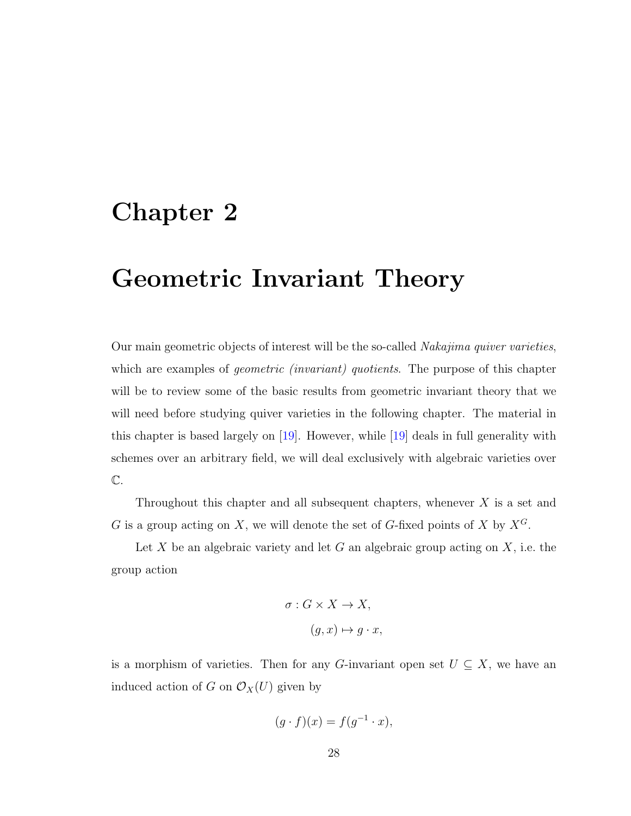#### <span id="page-32-0"></span>Chapter 2

#### Geometric Invariant Theory

Our main geometric objects of interest will be the so-called *Nakajima quiver varieties*, which are examples of *geometric (invariant)* quotients. The purpose of this chapter will be to review some of the basic results from geometric invariant theory that we will need before studying quiver varieties in the following chapter. The material in this chapter is based largely on [\[19\]](#page-116-1). However, while [\[19\]](#page-116-1) deals in full generality with schemes over an arbitrary field, we will deal exclusively with algebraic varieties over C.

Throughout this chapter and all subsequent chapters, whenever  $X$  is a set and G is a group acting on X, we will denote the set of G-fixed points of X by  $X^G$ .

Let X be an algebraic variety and let G an algebraic group acting on  $X$ , i.e. the group action

$$
\sigma: G \times X \to X,
$$

$$
(g, x) \mapsto g \cdot x,
$$

is a morphism of varieties. Then for any G-invariant open set  $U \subseteq X$ , we have an induced action of G on  $\mathcal{O}_X(U)$  given by

$$
(g \cdot f)(x) = f(g^{-1} \cdot x),
$$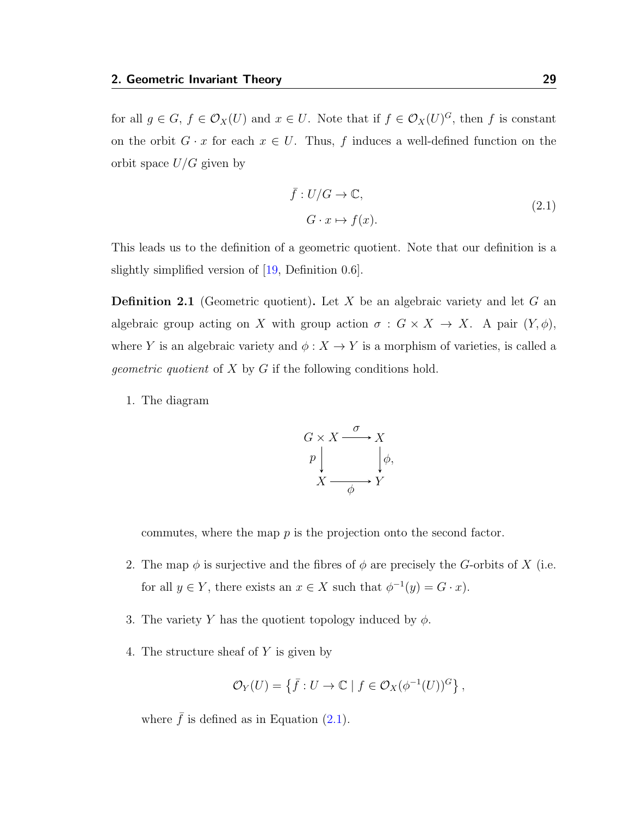for all  $g \in G$ ,  $f \in \mathcal{O}_X(U)$  and  $x \in U$ . Note that if  $f \in \mathcal{O}_X(U)^G$ , then f is constant on the orbit  $G \cdot x$  for each  $x \in U$ . Thus, f induces a well-defined function on the orbit space  $U/G$  given by

<span id="page-33-0"></span>
$$
\bar{f}: U/G \to \mathbb{C},
$$
  
\n
$$
G \cdot x \mapsto f(x).
$$
\n(2.1)

This leads us to the definition of a geometric quotient. Note that our definition is a slightly simplified version of [\[19,](#page-116-1) Definition 0.6].

<span id="page-33-3"></span>**Definition 2.1** (Geometric quotient). Let X be an algebraic variety and let G an algebraic group acting on X with group action  $\sigma : G \times X \to X$ . A pair  $(Y, \phi)$ , where  $Y$  is an algebraic variety and  $\phi: X \to Y$  is a morphism of varieties, is called a geometric quotient of X by G if the following conditions hold.

1. The diagram

$$
G \times X \xrightarrow{\sigma} X
$$
  
\n
$$
p \downarrow \qquad \qquad \downarrow \phi,
$$
  
\n
$$
X \xrightarrow{\phi} Y
$$

commutes, where the map  $p$  is the projection onto the second factor.

- <span id="page-33-1"></span>2. The map  $\phi$  is surjective and the fibres of  $\phi$  are precisely the G-orbits of X (i.e. for all  $y \in Y$ , there exists an  $x \in X$  such that  $\phi^{-1}(y) = G \cdot x$ .
- <span id="page-33-2"></span>3. The variety Y has the quotient topology induced by  $\phi$ .
- 4. The structure sheaf of Y is given by

$$
\mathcal{O}_Y(U) = \{ \bar{f} : U \to \mathbb{C} \mid f \in \mathcal{O}_X(\phi^{-1}(U))^G \},
$$

where  $\bar{f}$  is defined as in Equation [\(2.1\)](#page-33-0).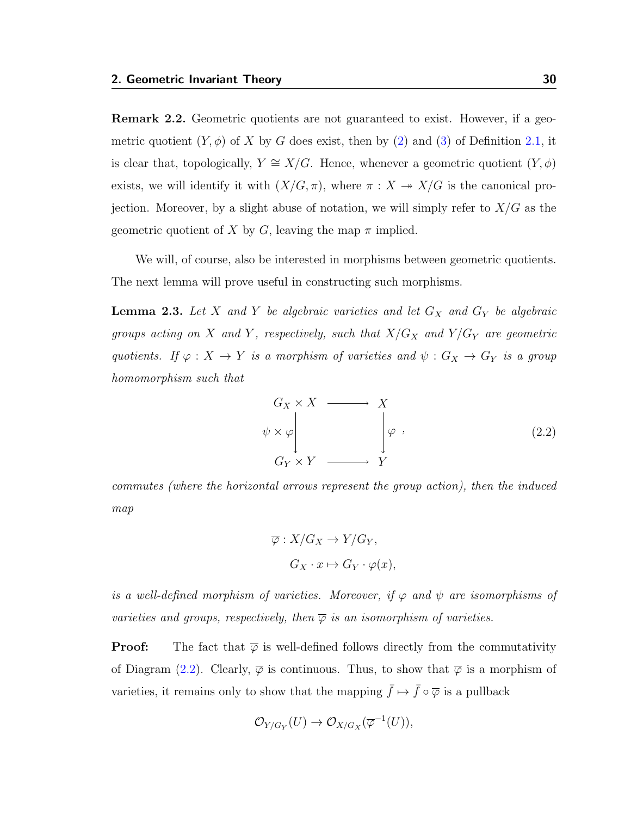Remark 2.2. Geometric quotients are not guaranteed to exist. However, if a geometric quotient  $(Y, \phi)$  of X by G does exist, then by [\(2\)](#page-33-1) and [\(3\)](#page-33-2) of Definition [2.1,](#page-33-3) it is clear that, topologically,  $Y \cong X/G$ . Hence, whenever a geometric quotient  $(Y, \phi)$ exists, we will identify it with  $(X/G, \pi)$ , where  $\pi : X \to X/G$  is the canonical projection. Moreover, by a slight abuse of notation, we will simply refer to  $X/G$  as the geometric quotient of X by G, leaving the map  $\pi$  implied.

We will, of course, also be interested in morphisms between geometric quotients. The next lemma will prove useful in constructing such morphisms.

**Lemma 2.3.** Let X and Y be algebraic varieties and let  $G_X$  and  $G_Y$  be algebraic groups acting on X and Y, respectively, such that  $X/G_X$  and  $Y/G_Y$  are geometric quotients. If  $\varphi: X \to Y$  is a morphism of varieties and  $\psi: G_X \to G_Y$  is a group homomorphism such that

<span id="page-34-0"></span>
$$
G_X \times X \longrightarrow X
$$
  
\n
$$
\psi \times \varphi \downarrow \qquad \qquad \varphi ,
$$
  
\n
$$
G_Y \times Y \longrightarrow Y
$$
\n(2.2)

commutes (where the horizontal arrows represent the group action), then the induced map

$$
\overline{\varphi}: X/G_X \to Y/G_Y,
$$
  

$$
G_X \cdot x \mapsto G_Y \cdot \varphi(x),
$$

is a well-defined morphism of varieties. Moreover, if  $\varphi$  and  $\psi$  are isomorphisms of varieties and groups, respectively, then  $\overline{\varphi}$  is an isomorphism of varieties.

**Proof:** The fact that  $\overline{\varphi}$  is well-defined follows directly from the commutativity of Diagram [\(2.2\)](#page-34-0). Clearly,  $\overline{\varphi}$  is continuous. Thus, to show that  $\overline{\varphi}$  is a morphism of varieties, it remains only to show that the mapping  $\bar{f} \mapsto \bar{f} \circ \overline{\varphi}$  is a pullback

$$
\mathcal{O}_{Y/G_Y}(U) \to \mathcal{O}_{X/G_X}(\overline{\varphi}^{-1}(U)),
$$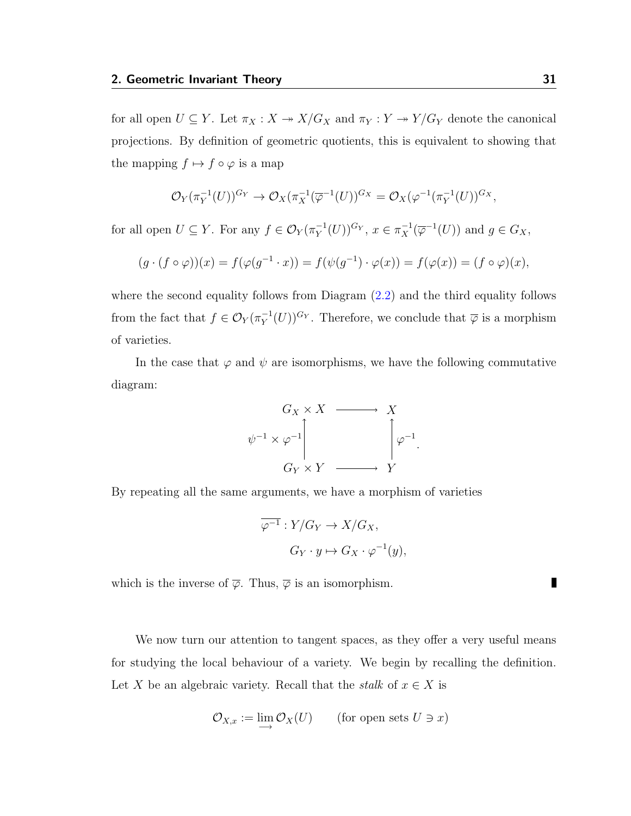for all open  $U \subseteq Y$ . Let  $\pi_X : X \to X/G_X$  and  $\pi_Y : Y \to Y/G_Y$  denote the canonical projections. By definition of geometric quotients, this is equivalent to showing that the mapping  $f \mapsto f \circ \varphi$  is a map

$$
\mathcal{O}_Y(\pi_Y^{-1}(U))^{G_Y} \to \mathcal{O}_X(\pi_X^{-1}(\overline{\varphi}^{-1}(U))^{G_X} = \mathcal{O}_X(\varphi^{-1}(\pi_Y^{-1}(U))^{G_X},
$$

for all open  $U \subseteq Y$ . For any  $f \in \mathcal{O}_Y(\pi_Y^{-1})$  $\tau_Y^{-1}(U)$ <sup>G</sup> $Y, x \in \pi_X^{-1}(\overline{\varphi}^{-1}(U))$  and  $g \in G_X$ ,

$$
(g \cdot (f \circ \varphi))(x) = f(\varphi(g^{-1} \cdot x)) = f(\psi(g^{-1}) \cdot \varphi(x)) = f(\varphi(x)) = (f \circ \varphi)(x),
$$

where the second equality follows from Diagram [\(2.2\)](#page-34-0) and the third equality follows from the fact that  $f \in \mathcal{O}_Y(\pi_Y^{-1})$  $(V_Y^{-1}(U))^{G_Y}$ . Therefore, we conclude that  $\overline{\varphi}$  is a morphism of varieties.

In the case that  $\varphi$  and  $\psi$  are isomorphisms, we have the following commutative diagram:



By repeating all the same arguments, we have a morphism of varieties

$$
\overline{\varphi^{-1}}: Y/G_Y \to X/G_X,
$$
  

$$
G_Y \cdot y \mapsto G_X \cdot \varphi^{-1}(y),
$$

which is the inverse of  $\overline{\varphi}$ . Thus,  $\overline{\varphi}$  is an isomorphism.

We now turn our attention to tangent spaces, as they offer a very useful means for studying the local behaviour of a variety. We begin by recalling the definition. Let X be an algebraic variety. Recall that the stalk of  $x \in X$  is

$$
\mathcal{O}_{X,x} := \lim_{\longrightarrow} \mathcal{O}_X(U) \qquad \text{(for open sets } U \ni x)
$$

П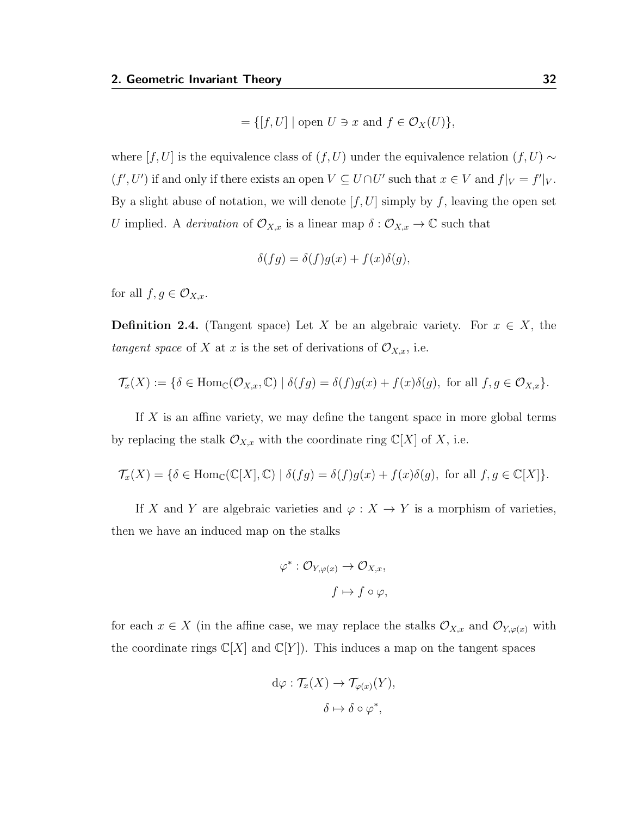$$
= \{ [f, U] \mid \text{open } U \ni x \text{ and } f \in \mathcal{O}_X(U) \},
$$

where  $[f, U]$  is the equivalence class of  $(f, U)$  under the equivalence relation  $(f, U) \sim$  $(f', U')$  if and only if there exists an open  $V \subseteq U \cap U'$  such that  $x \in V$  and  $f|_V = f'|_V$ . By a slight abuse of notation, we will denote  $[f, U]$  simply by f, leaving the open set U implied. A *derivation* of  $\mathcal{O}_{X,x}$  is a linear map  $\delta : \mathcal{O}_{X,x} \to \mathbb{C}$  such that

$$
\delta(fg) = \delta(f)g(x) + f(x)\delta(g),
$$

for all  $f, g \in \mathcal{O}_{X,x}$ .

**Definition 2.4.** (Tangent space) Let X be an algebraic variety. For  $x \in X$ , the tangent space of X at x is the set of derivations of  $\mathcal{O}_{X,x}$ , i.e.

$$
\mathcal{T}_x(X) := \{ \delta \in \text{Hom}_{\mathbb{C}}(\mathcal{O}_{X,x}, \mathbb{C}) \mid \delta(fg) = \delta(f)g(x) + f(x)\delta(g), \text{ for all } f, g \in \mathcal{O}_{X,x} \}.
$$

If X is an affine variety, we may define the tangent space in more global terms by replacing the stalk  $\mathcal{O}_{X,x}$  with the coordinate ring  $\mathbb{C}[X]$  of X, i.e.

$$
\mathcal{T}_x(X)=\{\delta\in \mathrm{Hom}_{\mathbb{C}}(\mathbb{C}[X],\mathbb{C})~|~ \delta(fg)=\delta(f)g(x)+f(x)\delta(g), \text{ for all } f,g\in \mathbb{C}[X]\}.
$$

If X and Y are algebraic varieties and  $\varphi: X \to Y$  is a morphism of varieties, then we have an induced map on the stalks

$$
\varphi^* : \mathcal{O}_{Y, \varphi(x)} \to \mathcal{O}_{X, x},
$$

$$
f \mapsto f \circ \varphi,
$$

for each  $x \in X$  (in the affine case, we may replace the stalks  $\mathcal{O}_{X,x}$  and  $\mathcal{O}_{Y,\varphi(x)}$  with the coordinate rings  $\mathbb{C}[X]$  and  $\mathbb{C}[Y]$ . This induces a map on the tangent spaces

$$
d\varphi : \mathcal{T}_x(X) \to \mathcal{T}_{\varphi(x)}(Y),
$$

$$
\delta \mapsto \delta \circ \varphi^*,
$$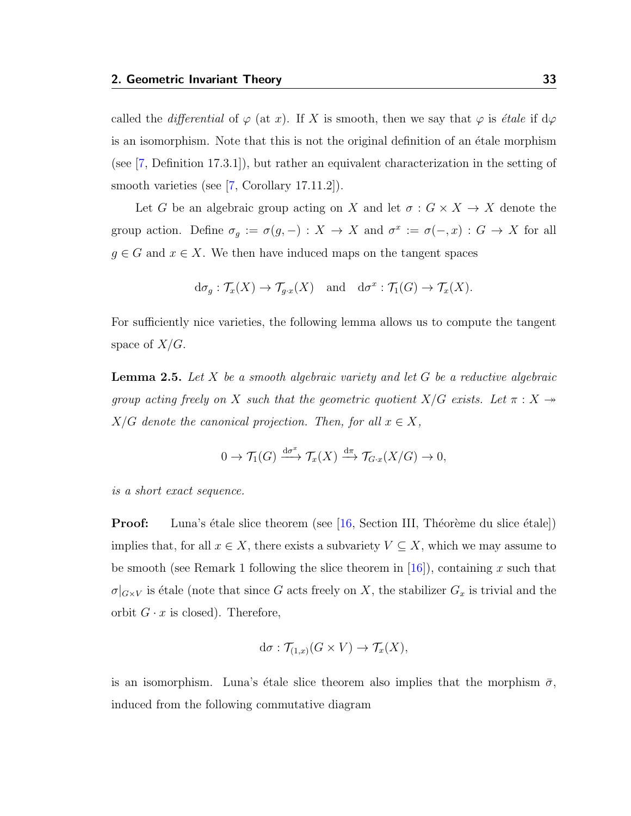called the differential of  $\varphi$  (at x). If X is smooth, then we say that  $\varphi$  is *étale* if d $\varphi$ is an isomorphism. Note that this is not the original definition of an étale morphism (see [\[7,](#page-115-0) Definition 17.3.1]), but rather an equivalent characterization in the setting of smooth varieties (see [\[7,](#page-115-0) Corollary 17.11.2]).

Let G be an algebraic group acting on X and let  $\sigma: G \times X \to X$  denote the group action. Define  $\sigma_g := \sigma(g, -) : X \to X$  and  $\sigma^x := \sigma(-, x) : G \to X$  for all  $g \in G$  and  $x \in X$ . We then have induced maps on the tangent spaces

$$
d\sigma_g: \mathcal{T}_x(X) \to \mathcal{T}_{g \cdot x}(X)
$$
 and  $d\sigma^x: \mathcal{T}_1(G) \to \mathcal{T}_x(X)$ .

For sufficiently nice varieties, the following lemma allows us to compute the tangent space of  $X/G$ .

<span id="page-37-0"></span>**Lemma 2.5.** Let X be a smooth algebraic variety and let G be a reductive algebraic group acting freely on X such that the geometric quotient  $X/G$  exists. Let  $\pi : X \rightarrow$  $X/G$  denote the canonical projection. Then, for all  $x \in X$ ,

$$
0 \to \mathcal{T}_1(G) \xrightarrow{\mathrm{d}\sigma^x} \mathcal{T}_x(X) \xrightarrow{\mathrm{d}\pi} \mathcal{T}_{G\cdot x}(X/G) \to 0,
$$

is a short exact sequence.

**Proof:** Luna's étale slice theorem (see [\[16,](#page-116-0) Section III, Théorème du slice étale]) implies that, for all  $x \in X$ , there exists a subvariety  $V \subseteq X$ , which we may assume to be smooth (see Remark 1 following the slice theorem in  $[16]$ ), containing x such that  $\sigma|_{G\times V}$  is étale (note that since G acts freely on X, the stabilizer  $G_x$  is trivial and the orbit  $G \cdot x$  is closed). Therefore,

$$
d\sigma : \mathcal{T}_{(1,x)}(G \times V) \to \mathcal{T}_x(X),
$$

is an isomorphism. Luna's étale slice theorem also implies that the morphism  $\bar{\sigma}$ , induced from the following commutative diagram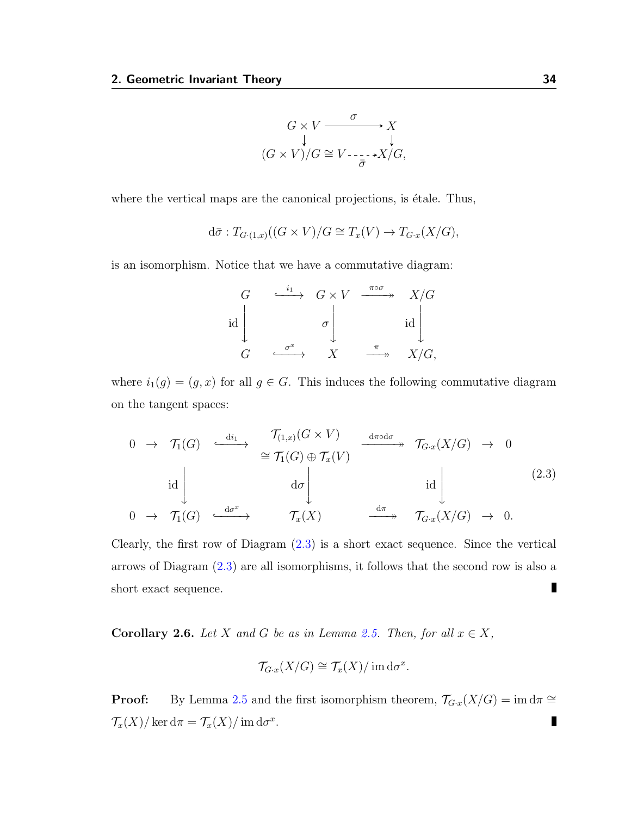$$
G \times V \xrightarrow{\sigma} X
$$
  
\n
$$
(G \times V)/G \cong V \xrightarrow{\sigma} X/G,
$$

where the vertical maps are the canonical projections, is étale. Thus,

$$
d\bar{\sigma}: T_{G\cdot(1,x)}((G \times V)/G \cong T_x(V) \to T_{G\cdot x}(X/G),
$$

is an isomorphism. Notice that we have a commutative diagram:

$$
\begin{array}{ccc}\nG & \xrightarrow{i_1} & G \times V & \xrightarrow{\pi \circ \sigma} & X/G \\
\downarrow{\text{id}} & & \sigma & & \downarrow{\text{id}} \\
G & \xrightarrow{\sigma^x} & X & \xrightarrow{\pi} & X/G,\n\end{array}
$$

where  $i_1(g) = (g, x)$  for all  $g \in G$ . This induces the following commutative diagram on the tangent spaces:

<span id="page-38-0"></span>
$$
0 \rightarrow \mathcal{T}_1(G) \xrightarrow{\operatorname{di}_1} \mathcal{T}_{(1,x)}(G \times V) \xrightarrow{\operatorname{d} \pi \circ \operatorname{d} \sigma} \mathcal{T}_{G \cdot x}(X/G) \rightarrow 0
$$
  
\n
$$
\operatorname{id} \downarrow \qquad \qquad \operatorname{d} \sigma \downarrow \qquad \qquad \operatorname{id} \downarrow \qquad \qquad \operatorname{id}
$$
  
\n
$$
0 \rightarrow \mathcal{T}_1(G) \xrightarrow{\operatorname{d} \sigma^x} \mathcal{T}_x(X) \xrightarrow{\operatorname{d} \pi} \mathcal{T}_{G \cdot x}(X/G) \rightarrow 0.
$$
  
\n(2.3)

Clearly, the first row of Diagram [\(2.3\)](#page-38-0) is a short exact sequence. Since the vertical arrows of Diagram [\(2.3\)](#page-38-0) are all isomorphisms, it follows that the second row is also a ▊ short exact sequence.

<span id="page-38-1"></span>**Corollary 2.6.** Let X and G be as in Lemma [2.5.](#page-37-0) Then, for all  $x \in X$ ,

$$
\mathcal{T}_{G\cdot x}(X/G) \cong \mathcal{T}_x(X)/\operatorname{im} d\sigma^x.
$$

**Proof:** By Lemma [2.5](#page-37-0) and the first isomorphism theorem,  $\mathcal{T}_{G\cdot x}(X/G) = \text{im } d\pi \cong$  $\mathcal{T}_x(X)/\ker \mathrm{d}\pi = \mathcal{T}_x(X)/\operatorname{im} \mathrm{d}\sigma^x.$ П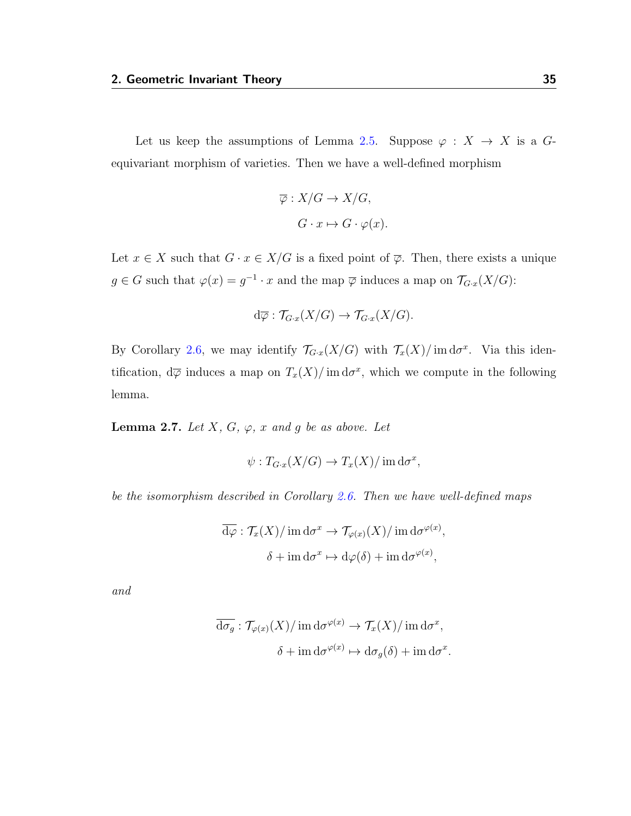Let us keep the assumptions of Lemma [2.5.](#page-37-0) Suppose  $\varphi : X \to X$  is a Gequivariant morphism of varieties. Then we have a well-defined morphism

$$
\overline{\varphi}: X/G \to X/G,
$$

$$
G \cdot x \mapsto G \cdot \varphi(x).
$$

Let  $x \in X$  such that  $G \cdot x \in X/G$  is a fixed point of  $\overline{\varphi}$ . Then, there exists a unique  $g \in G$  such that  $\varphi(x) = g^{-1} \cdot x$  and the map  $\overline{\varphi}$  induces a map on  $\mathcal{T}_{G \cdot x}(X/G)$ :

$$
d\overline{\varphi} : \mathcal{T}_{G\cdot x}(X/G) \to \mathcal{T}_{G\cdot x}(X/G).
$$

By Corollary [2.6,](#page-38-1) we may identify  $\mathcal{T}_{G\cdot x}(X/G)$  with  $\mathcal{T}_x(X)/\text{im}\,\mathrm{d}\sigma^x$ . Via this identification,  $d\overline{\varphi}$  induces a map on  $T_x(X)/\text{im } d\sigma^x$ , which we compute in the following lemma.

<span id="page-39-0"></span>**Lemma 2.7.** Let  $X$ ,  $G$ ,  $\varphi$ ,  $x$  and  $g$  be as above. Let

$$
\psi: T_{G\cdot x}(X/G) \to T_x(X)/\operatorname{im} d\sigma^x,
$$

be the isomorphism described in Corollary [2.6.](#page-38-1) Then we have well-defined maps

$$
\overline{\mathrm{d}\varphi} : \mathcal{T}_x(X) / \operatorname{im} \mathrm{d}\sigma^x \to \mathcal{T}_{\varphi(x)}(X) / \operatorname{im} \mathrm{d}\sigma^{\varphi(x)},
$$

$$
\delta + \operatorname{im} \mathrm{d}\sigma^x \mapsto \mathrm{d}\varphi(\delta) + \operatorname{im} \mathrm{d}\sigma^{\varphi(x)},
$$

and

$$
\overline{\mathrm{d}\sigma_g} : \mathcal{T}_{\varphi(x)}(X) / \mathrm{im} \,\mathrm{d}\sigma^{\varphi(x)} \to \mathcal{T}_x(X) / \mathrm{im} \,\mathrm{d}\sigma^x,
$$

$$
\delta + \mathrm{im} \,\mathrm{d}\sigma^{\varphi(x)} \mapsto \mathrm{d}\sigma_g(\delta) + \mathrm{im} \,\mathrm{d}\sigma^x.
$$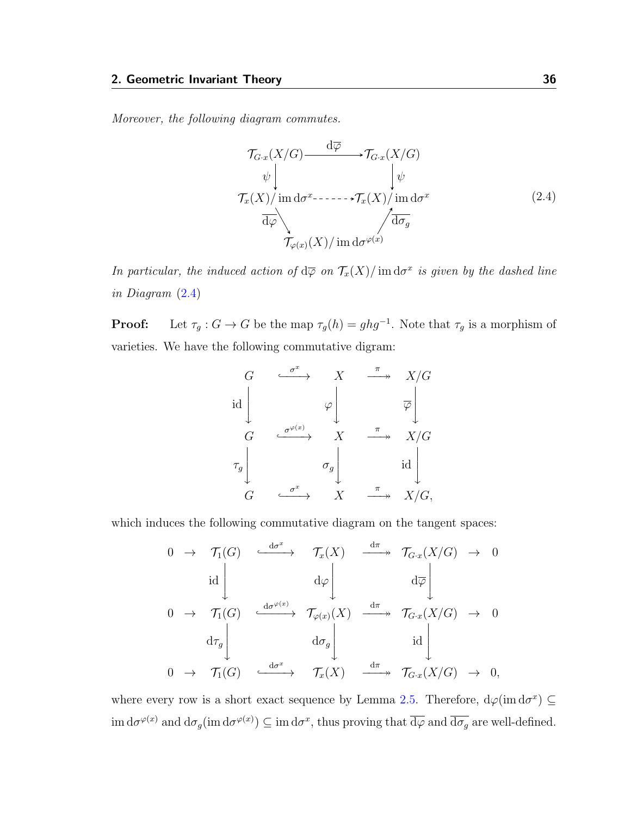Moreover, the following diagram commutes.

<span id="page-40-0"></span>
$$
\mathcal{T}_{G\cdot x}(X/G) \xrightarrow{\mathrm{d}\overline{\varphi}} \mathcal{T}_{G\cdot x}(X/G)
$$
\n
$$
\psi \downarrow \qquad \qquad \downarrow \psi
$$
\n
$$
\mathcal{T}_x(X) / \operatorname{im} \mathrm{d}\sigma^x \longrightarrow \mathcal{T}_x(X) / \operatorname{im} \mathrm{d}\sigma^x
$$
\n
$$
\overline{\mathrm{d}\varphi} \qquad \qquad \qquad \downarrow \overline{\mathrm{d}\sigma_g}
$$
\n
$$
\mathcal{T}_{\varphi(x)}(X) / \operatorname{im} \mathrm{d}\sigma^{\varphi(x)}
$$
\n(2.4)

In particular, the induced action of  $d\overline{\varphi}$  on  $\mathcal{T}_x(X)/\mathrm{im}\,d\sigma^x$  is given by the dashed line in Diagram [\(2.4\)](#page-40-0)

**Proof:** Let  $\tau_g$ :  $G \to G$  be the map  $\tau_g(h) = ghg^{-1}$ . Note that  $\tau_g$  is a morphism of varieties. We have the following commutative digram:

$$
\begin{array}{ccc}\nG & \xrightarrow{\sigma^x} & X & \xrightarrow{\pi} & X/G \\
\downarrow{\rm id} & & \varphi & & \varphi \\
G & \xrightarrow{\sigma^{\varphi(x)}} & X & \xrightarrow{\pi} & X/G \\
\tau_g & & & \sigma_g & & \downarrow{\rm id} \\
G & \xrightarrow{\sigma^x} & X & \xrightarrow{\pi} & X/G,\n\end{array}
$$

which induces the following commutative diagram on the tangent spaces:

$$
0 \rightarrow \mathcal{T}_1(G) \xrightarrow{d\sigma^x} \mathcal{T}_x(X) \xrightarrow{d\pi} \mathcal{T}_{G\cdot x}(X/G) \rightarrow 0
$$
  
\n
$$
0 \rightarrow \mathcal{T}_1(G) \xrightarrow{d\sigma^{\varphi(x)}} \mathcal{T}_{\varphi(x)}(X) \xrightarrow{d\pi} \mathcal{T}_{G\cdot x}(X/G) \rightarrow 0
$$
  
\n
$$
0 \rightarrow \mathcal{T}_1(G) \xrightarrow{d\sigma^x} \mathcal{T}_{\varphi(X)} \xrightarrow{d\pi} \mathcal{T}_{G\cdot x}(X/G) \rightarrow 0
$$
  
\n
$$
0 \rightarrow \mathcal{T}_1(G) \xrightarrow{d\sigma^x} \mathcal{T}_x(X) \xrightarrow{d\pi} \mathcal{T}_{G\cdot x}(X/G) \rightarrow 0,
$$

where every row is a short exact sequence by Lemma [2.5.](#page-37-0) Therefore,  $d\varphi(\text{im }d\sigma^x) \subseteq$  $\dim \mathrm{d}\sigma^{\varphi(x)}$  and  $\mathrm{d}\sigma_g(\mathrm{im} \mathrm{d}\sigma^{\varphi(x)}) \subseteq \mathrm{im} \mathrm{d}\sigma^x$ , thus proving that  $\overline{\mathrm{d}\varphi}$  and  $\overline{\mathrm{d}\sigma_g}$  are well-defined.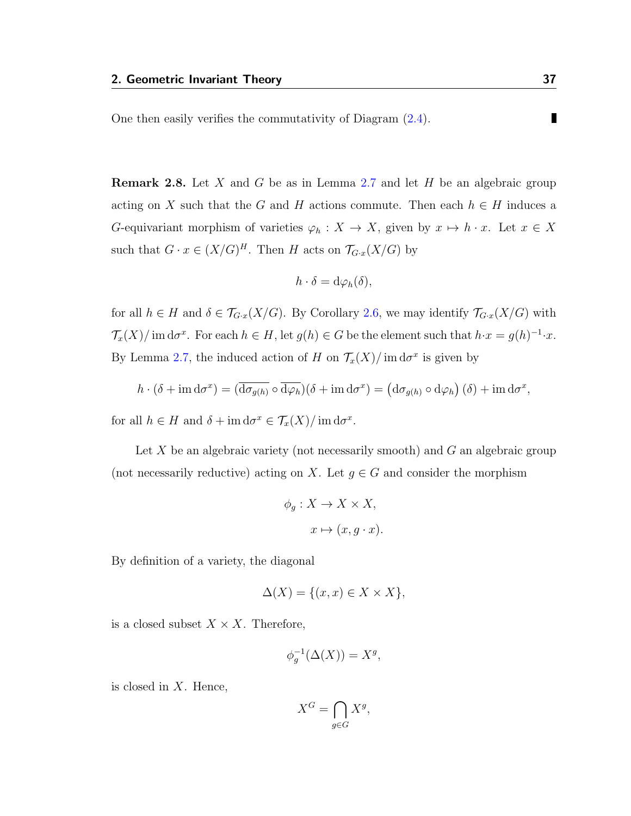П One then easily verifies the commutativity of Diagram [\(2.4\)](#page-40-0).

<span id="page-41-0"></span>**Remark 2.8.** Let X and G be as in Lemma [2.7](#page-39-0) and let H be an algebraic group acting on X such that the G and H actions commute. Then each  $h \in H$  induces a G-equivariant morphism of varieties  $\varphi_h : X \to X$ , given by  $x \mapsto h \cdot x$ . Let  $x \in X$ such that  $G \cdot x \in (X/G)^H$ . Then H acts on  $\mathcal{T}_{G \cdot x}(X/G)$  by

$$
h \cdot \delta = d\varphi_h(\delta),
$$

for all  $h \in H$  and  $\delta \in \mathcal{T}_{G\cdot x}(X/G)$ . By Corollary [2.6,](#page-38-1) we may identify  $\mathcal{T}_{G\cdot x}(X/G)$  with  $\mathcal{T}_x(X)/\text{ im }\mathrm{d}\sigma^x$ . For each  $h \in H$ , let  $g(h) \in G$  be the element such that  $h \cdot x = g(h)^{-1} \cdot x$ . By Lemma [2.7,](#page-39-0) the induced action of H on  $\mathcal{T}_x(X)/\text{im}\,\mathrm{d}\sigma^x$  is given by

$$
h \cdot (\delta + \operatorname{im} d\sigma^x) = (\overline{d\sigma_{g(h)}} \circ \overline{d\varphi_h})(\delta + \operatorname{im} d\sigma^x) = (d\sigma_{g(h)} \circ d\varphi_h)(\delta) + \operatorname{im} d\sigma^x,
$$

for all  $h \in H$  and  $\delta + \text{im } d\sigma^x \in \mathcal{T}_x(X)/\text{ im } d\sigma^x$ .

Let  $X$  be an algebraic variety (not necessarily smooth) and  $G$  an algebraic group (not necessarily reductive) acting on X. Let  $g \in G$  and consider the morphism

$$
\phi_g: X \to X \times X,
$$

$$
x \mapsto (x, g \cdot x).
$$

By definition of a variety, the diagonal

$$
\Delta(X) = \{(x, x) \in X \times X\},\
$$

is a closed subset  $X \times X$ . Therefore,

$$
\phi_g^{-1}(\Delta(X)) = X^g,
$$

is closed in  $X$ . Hence,

$$
X^G = \bigcap_{g \in G} X^g,
$$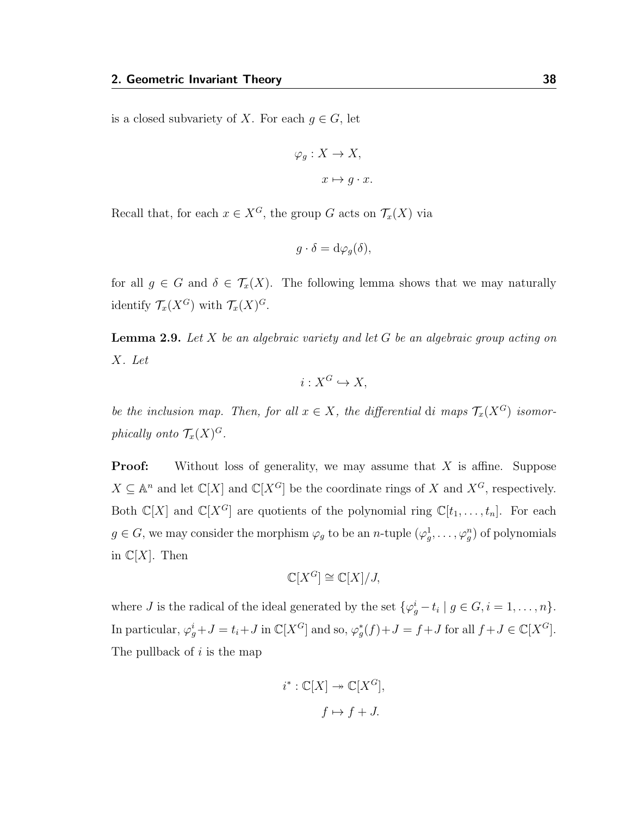is a closed subvariety of X. For each  $g \in G$ , let

$$
\varphi_g: X \to X,
$$

$$
x \mapsto g \cdot x.
$$

Recall that, for each  $x \in X^G$ , the group G acts on  $\mathcal{T}_x(X)$  via

$$
g \cdot \delta = d\varphi_g(\delta),
$$

for all  $g \in G$  and  $\delta \in \mathcal{T}_x(X)$ . The following lemma shows that we may naturally identify  $\mathcal{T}_x(X^G)$  with  $\mathcal{T}_x(X)^G$ .

<span id="page-42-0"></span>**Lemma 2.9.** Let X be an algebraic variety and let G be an algebraic group acting on X. Let

$$
i: X^G \hookrightarrow X,
$$

be the inclusion map. Then, for all  $x \in X$ , the differential di maps  $\mathcal{T}_x(X^G)$  isomorphically onto  $\mathcal{T}_x(X)^G$ .

**Proof:** Without loss of generality, we may assume that  $X$  is affine. Suppose  $X \subseteq \mathbb{A}^n$  and let  $\mathbb{C}[X]$  and  $\mathbb{C}[X^G]$  be the coordinate rings of X and  $X^G$ , respectively. Both  $\mathbb{C}[X]$  and  $\mathbb{C}[X^G]$  are quotients of the polynomial ring  $\mathbb{C}[t_1, \ldots, t_n]$ . For each  $g \in G$ , we may consider the morphism  $\varphi_g$  to be an *n*-tuple  $(\varphi_g^1, \dots, \varphi_g^n)$  of polynomials in  $\mathbb{C}[X]$ . Then

$$
\mathbb{C}[X^G] \cong \mathbb{C}[X]/J,
$$

where *J* is the radical of the ideal generated by the set  $\{\varphi_g^i - t_i \mid g \in G, i = 1, \ldots, n\}.$ In particular,  $\varphi_g^i + J = t_i + J$  in  $\mathbb{C}[X^G]$  and so,  $\varphi_g^*(f) + J = f + J$  for all  $f + J \in \mathbb{C}[X^G]$ . The pullback of  $i$  is the map

$$
i^* : \mathbb{C}[X] \to \mathbb{C}[X^G],
$$
  

$$
f \mapsto f + J.
$$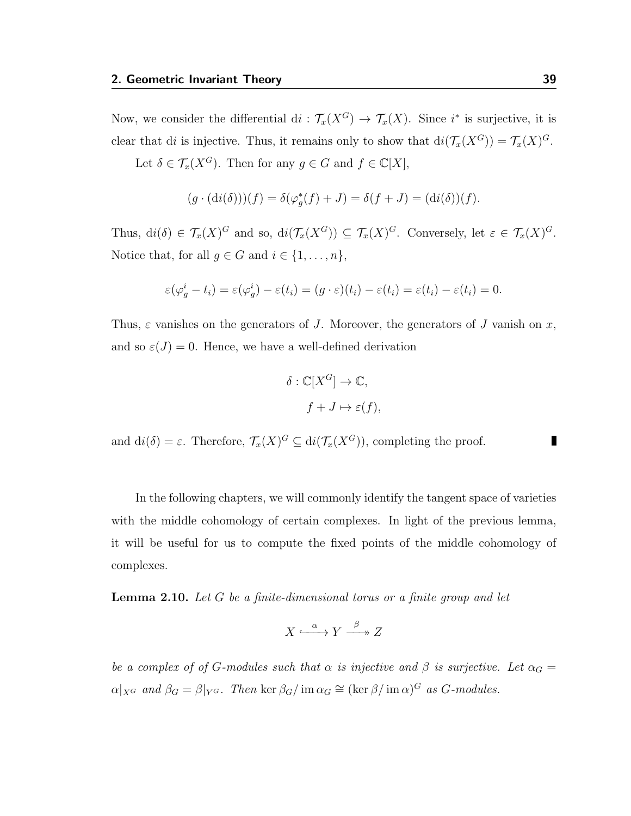Now, we consider the differential  $di : \mathcal{T}_x(X^G) \to \mathcal{T}_x(X)$ . Since  $i^*$  is surjective, it is clear that di is injective. Thus, it remains only to show that  $di(\mathcal{T}_x(X^G)) = \mathcal{T}_x(X)^G$ .

Let  $\delta \in \mathcal{T}_x(X^G)$ . Then for any  $g \in G$  and  $f \in \mathbb{C}[X]$ ,

$$
(g \cdot (\mathrm{d}i(\delta)))(f) = \delta(\varphi_g^*(f) + J) = \delta(f + J) = (\mathrm{d}i(\delta))(f).
$$

Thus,  $di(\delta) \in \mathcal{T}_x(X)^G$  and so,  $di(\mathcal{T}_x(X^G)) \subseteq \mathcal{T}_x(X)^G$ . Conversely, let  $\varepsilon \in \mathcal{T}_x(X)^G$ . Notice that, for all  $g \in G$  and  $i \in \{1, \ldots, n\},\$ 

$$
\varepsilon(\varphi_g^i - t_i) = \varepsilon(\varphi_g^i) - \varepsilon(t_i) = (g \cdot \varepsilon)(t_i) - \varepsilon(t_i) = \varepsilon(t_i) - \varepsilon(t_i) = 0.
$$

Thus,  $\varepsilon$  vanishes on the generators of J. Moreover, the generators of J vanish on x, and so  $\varepsilon(J) = 0$ . Hence, we have a well-defined derivation

$$
\delta : \mathbb{C}[X^G] \to \mathbb{C},
$$
  

$$
f + J \mapsto \varepsilon(f),
$$

and  $di(\delta) = \varepsilon$ . Therefore,  $\mathcal{T}_x(X)^G \subseteq di(\mathcal{T}_x(X^G))$ , completing the proof.

In the following chapters, we will commonly identify the tangent space of varieties with the middle cohomology of certain complexes. In light of the previous lemma, it will be useful for us to compute the fixed points of the middle cohomology of complexes.

<span id="page-43-0"></span>**Lemma 2.10.** Let G be a finite-dimensional torus or a finite group and let

$$
X \xrightarrow{\alpha} Y \xrightarrow{\beta} Z
$$

be a complex of of G-modules such that  $\alpha$  is injective and  $\beta$  is surjective. Let  $\alpha_G =$  $\alpha|_{X^G}$  and  $\beta_G = \beta|_{Y^G}$ . Then ker  $\beta_G / \text{im } \alpha_G \cong (\text{ker } \beta / \text{im } \alpha)^G$  as  $G$ -modules.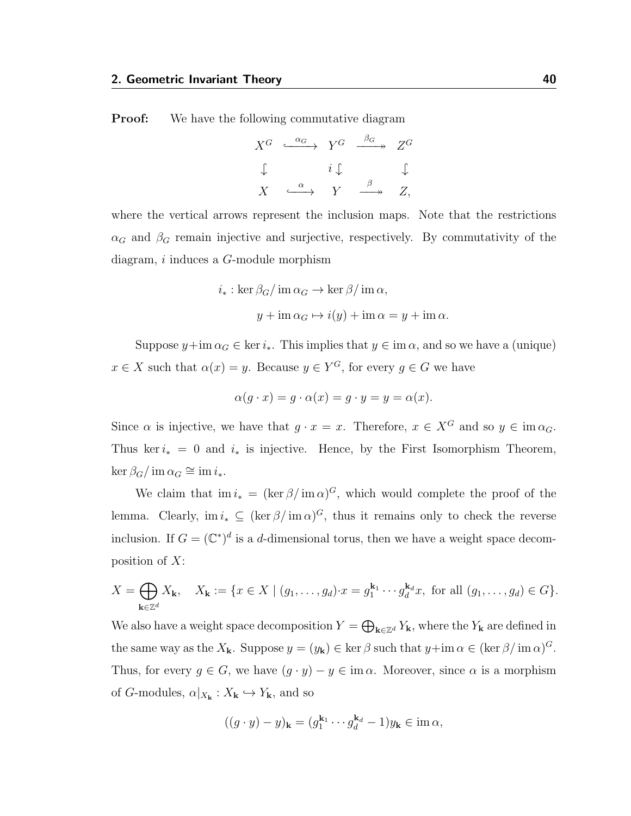**Proof:** We have the following commutative diagram

$$
X^{G} \xrightarrow{\alpha_{G}} Y^{G} \xrightarrow{\beta_{G}} Z^{G}
$$
  

$$
\downarrow \qquad i \downarrow \qquad \downarrow
$$
  

$$
X \xrightarrow{\alpha} Y \xrightarrow{\beta} Z,
$$

where the vertical arrows represent the inclusion maps. Note that the restrictions  $\alpha_G$  and  $\beta_G$  remain injective and surjective, respectively. By commutativity of the diagram, i induces a G-module morphism

$$
i_* : \ker \beta_G / \operatorname{im} \alpha_G \to \ker \beta / \operatorname{im} \alpha,
$$
  

$$
y + \operatorname{im} \alpha_G \mapsto i(y) + \operatorname{im} \alpha = y + \operatorname{im} \alpha.
$$

Suppose  $y+\text{im }\alpha_G \in \text{ker } i_*$ . This implies that  $y \in \text{im }\alpha$ , and so we have a (unique)  $x \in X$  such that  $\alpha(x) = y$ . Because  $y \in Y^G$ , for every  $g \in G$  we have

$$
\alpha(g \cdot x) = g \cdot \alpha(x) = g \cdot y = y = \alpha(x).
$$

Since  $\alpha$  is injective, we have that  $q \cdot x = x$ . Therefore,  $x \in X^G$  and so  $y \in \text{im } \alpha_G$ . Thus ker  $i_* = 0$  and  $i_*$  is injective. Hence, by the First Isomorphism Theorem,  $\ker \beta_G / \text{im } \alpha_G \cong \text{im } i_*$ .

We claim that  $\lim i_*= (\ker \beta / \mathrm{im} \alpha)^G$ , which would complete the proof of the lemma. Clearly,  $\text{im } i_* \subseteq (\ker \beta / \text{im } \alpha)^G$ , thus it remains only to check the reverse inclusion. If  $G = (\mathbb{C}^*)^d$  is a d-dimensional torus, then we have a weight space decomposition of  $X$ :

$$
X = \bigoplus_{\mathbf{k} \in \mathbb{Z}^d} X_{\mathbf{k}}, \quad X_{\mathbf{k}} := \{ x \in X \mid (g_1, \dots, g_d) \cdot x = g_1^{\mathbf{k}_1} \cdots g_d^{\mathbf{k}_d} x, \text{ for all } (g_1, \dots, g_d) \in G \}.
$$

We also have a weight space decomposition  $Y = \bigoplus_{\mathbf{k} \in \mathbb{Z}^d} Y_{\mathbf{k}}$ , where the  $Y_{\mathbf{k}}$  are defined in the same way as the  $X_{\mathbf{k}}$ . Suppose  $y = (y_{\mathbf{k}}) \in \ker \beta$  such that  $y + \mathrm{im} \alpha \in (\ker \beta / \mathrm{im} \alpha)^{G}$ . Thus, for every  $g \in G$ , we have  $(g \cdot y) - y \in \text{im } \alpha$ . Moreover, since  $\alpha$  is a morphism of G-modules,  $\alpha|_{X_{\mathbf{k}}} : X_{\mathbf{k}} \hookrightarrow Y_{\mathbf{k}}$ , and so

$$
((g \cdot y) - y)_k = (g_1^{k_1} \cdots g_d^{k_d} - 1)y_k \in \text{im } \alpha,
$$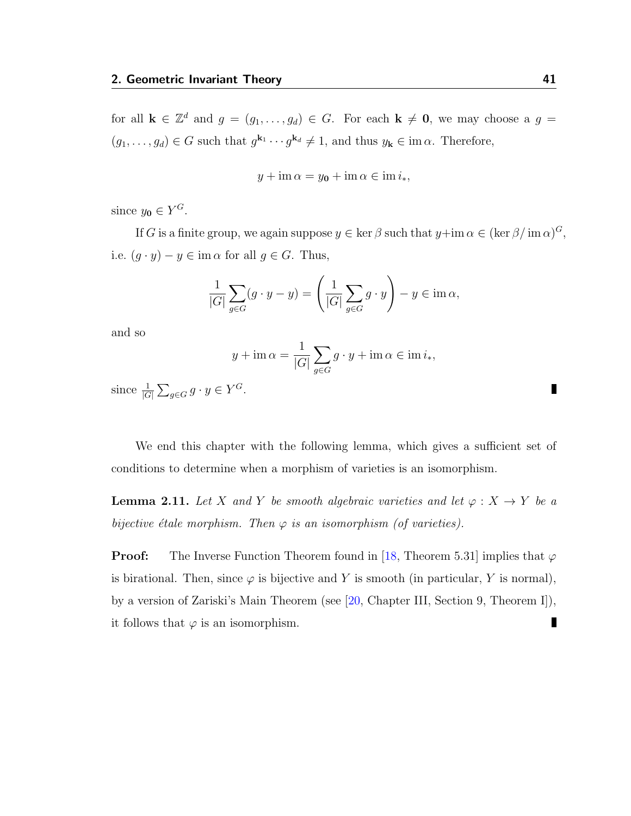for all  $\mathbf{k} \in \mathbb{Z}^d$  and  $g = (g_1, \ldots, g_d) \in G$ . For each  $\mathbf{k} \neq \mathbf{0}$ , we may choose a  $g =$  $(g_1, \ldots, g_d) \in G$  such that  $g^{\mathbf{k}_1} \cdots g^{\mathbf{k}_d} \neq 1$ , and thus  $y_{\mathbf{k}} \in \text{im } \alpha$ . Therefore,

$$
y + \operatorname{im} \alpha = y_0 + \operatorname{im} \alpha \in \operatorname{im} i_*,
$$

since  $y_0 \in Y^G$ .

If G is a finite group, we again suppose  $y \in \ker \beta$  such that  $y+\mathrm{im}\,\alpha \in (\ker \beta / \mathrm{im}\,\alpha)^G$ , i.e.  $(g \cdot y) - y \in \text{im } \alpha \text{ for all } g \in G$ . Thus,

$$
\frac{1}{|G|} \sum_{g \in G} (g \cdot y - y) = \left(\frac{1}{|G|} \sum_{g \in G} g \cdot y\right) - y \in \text{im } \alpha,
$$

and so

$$
y + \operatorname{im} \alpha = \frac{1}{|G|} \sum_{g \in G} g \cdot y + \operatorname{im} \alpha \in \operatorname{im} i_*,
$$

since  $\frac{1}{|G|} \sum_{g \in G} g \cdot y \in Y^G$ .

We end this chapter with the following lemma, which gives a sufficient set of conditions to determine when a morphism of varieties is an isomorphism.

<span id="page-45-0"></span>**Lemma 2.11.** Let X and Y be smooth algebraic varieties and let  $\varphi: X \to Y$  be a bijective étale morphism. Then  $\varphi$  is an isomorphism (of varieties).

**Proof:** The Inverse Function Theorem found in [\[18,](#page-116-1) Theorem 5.31] implies that  $\varphi$ is birational. Then, since  $\varphi$  is bijective and Y is smooth (in particular, Y is normal), by a version of Zariski's Main Theorem (see [\[20,](#page-116-2) Chapter III, Section 9, Theorem I]), П it follows that  $\varphi$  is an isomorphism.

П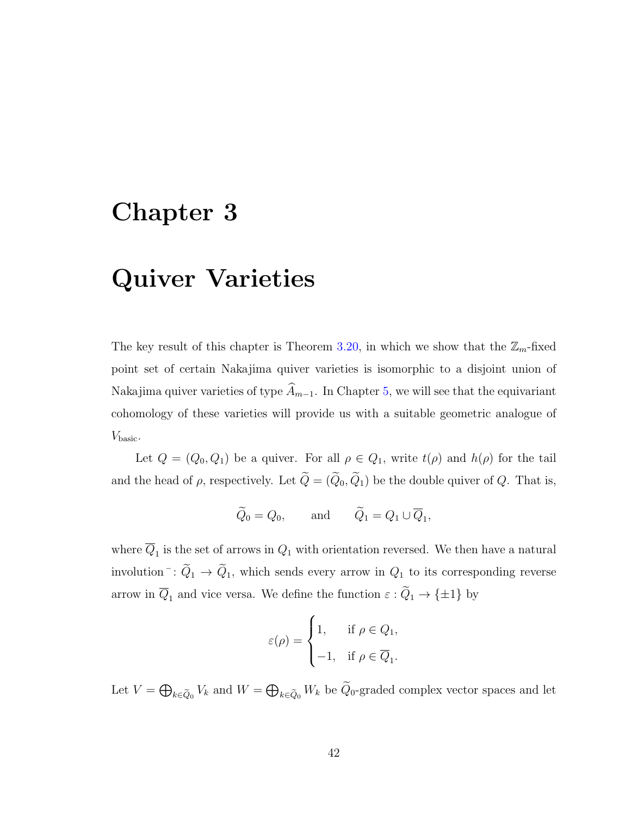# Chapter 3

# Quiver Varieties

The key result of this chapter is Theorem [3.20,](#page-64-0) in which we show that the  $\mathbb{Z}_m$ -fixed point set of certain Nakajima quiver varieties is isomorphic to a disjoint union of Nakajima quiver varieties of type  $\widehat{A}_{m-1}$ . In Chapter [5,](#page-87-0) we will see that the equivariant cohomology of these varieties will provide us with a suitable geometric analogue of  $V_{\text{basic}}$ .

Let  $Q = (Q_0, Q_1)$  be a quiver. For all  $\rho \in Q_1$ , write  $t(\rho)$  and  $h(\rho)$  for the tail and the head of  $\rho$ , respectively. Let  $\widetilde{Q} = (\widetilde{Q}_0, \widetilde{Q}_1)$  be the double quiver of  $Q$ . That is,

$$
\widetilde{Q}_0 = Q_0
$$
, and  $\widetilde{Q}_1 = Q_1 \cup \overline{Q}_1$ ,

where  $Q_1$  is the set of arrows in  $Q_1$  with orientation reversed. We then have a natural involution  $\bar{Q}_1 \rightarrow \tilde{Q}_1$ , which sends every arrow in  $Q_1$  to its corresponding reverse arrow in  $\overline{Q}_1$  and vice versa. We define the function  $\varepsilon : \widetilde{Q}_1 \to {\pm 1}$  by

$$
\varepsilon(\rho) = \begin{cases} 1, & \text{if } \rho \in Q_1, \\ -1, & \text{if } \rho \in \overline{Q}_1. \end{cases}
$$

Let  $V = \bigoplus_{k \in \tilde{Q}_0} V_k$  and  $W = \bigoplus_{k \in \tilde{Q}_0} W_k$  be  $Q_0$ -graded complex vector spaces and let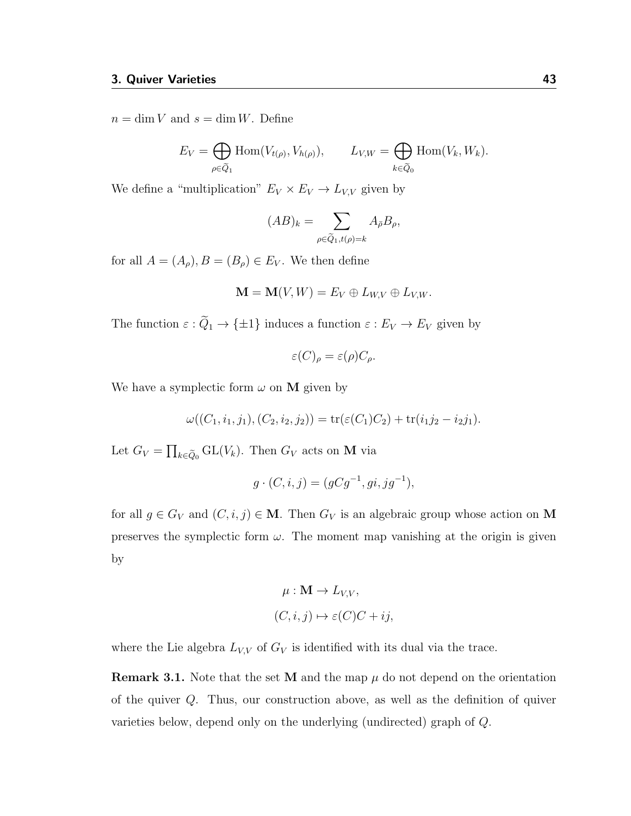$n = \dim V$  and  $s = \dim W$ . Define

$$
E_V = \bigoplus_{\rho \in \widetilde{Q}_1} \text{Hom}(V_{t(\rho)}, V_{h(\rho)}), \qquad L_{V,W} = \bigoplus_{k \in \widetilde{Q}_0} \text{Hom}(V_k, W_k).
$$

We define a "multiplication"  $E_V \times E_V \rightarrow L_{V,V}$  given by

$$
(AB)_k = \sum_{\rho \in \widetilde{Q}_1, t(\rho) = k} A_{\bar{\rho}} B_{\rho},
$$

for all  $A = (A_{\rho}), B = (B_{\rho}) \in E_V$ . We then define

$$
\mathbf{M} = \mathbf{M}(V, W) = E_V \oplus L_{W, V} \oplus L_{V, W}.
$$

The function  $\varepsilon : \widetilde{Q}_1 \to {\{\pm 1\}}$  induces a function  $\varepsilon : E_V \to E_V$  given by

$$
\varepsilon(C)_{\rho} = \varepsilon(\rho)C_{\rho}.
$$

We have a symplectic form  $\omega$  on **M** given by

$$
\omega((C_1,i_1,j_1),(C_2,i_2,j_2)) = \text{tr}(\varepsilon(C_1)C_2) + \text{tr}(i_1j_2 - i_2j_1).
$$

Let  $G_V = \prod_{k \in \tilde{Q}_0} GL(V_k)$ . Then  $G_V$  acts on **M** via

$$
g \cdot (C, i, j) = (gCg^{-1}, gi, jg^{-1}),
$$

for all  $g \in G_V$  and  $(C, i, j) \in M$ . Then  $G_V$  is an algebraic group whose action on M preserves the symplectic form  $\omega$ . The moment map vanishing at the origin is given by

$$
\mu : \mathbf{M} \to L_{V,V},
$$
  

$$
(C, i, j) \mapsto \varepsilon(C)C + ij,
$$

where the Lie algebra  $L_{V,V}$  of  $G_V$  is identified with its dual via the trace.

**Remark 3.1.** Note that the set M and the map  $\mu$  do not depend on the orientation of the quiver Q. Thus, our construction above, as well as the definition of quiver varieties below, depend only on the underlying (undirected) graph of Q.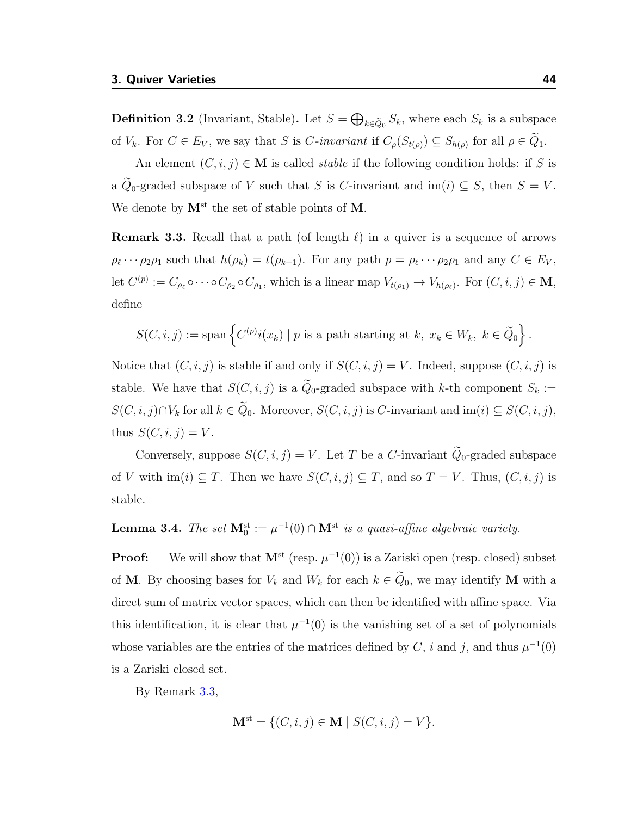<span id="page-48-2"></span>**Definition 3.2** (Invariant, Stable). Let  $S = \bigoplus_{k \in \tilde{Q}_0} S_k$ , where each  $S_k$  is a subspace of  $V_k$ . For  $C \in E_V$ , we say that S is C-invariant if  $C_\rho(S_{t(\rho)}) \subseteq S_{h(\rho)}$  for all  $\rho \in Q_1$ .

An element  $(C, i, j) \in \mathbf{M}$  is called *stable* if the following condition holds: if S is a  $\tilde{Q}_0$ -graded subspace of V such that S is C-invariant and im $(i) \subseteq S$ , then  $S = V$ . We denote by  $M^{\text{st}}$  the set of stable points of M.

<span id="page-48-0"></span>**Remark 3.3.** Recall that a path (of length  $\ell$ ) in a quiver is a sequence of arrows  $\rho_{\ell} \cdots \rho_2 \rho_1$  such that  $h(\rho_k) = t(\rho_{k+1})$ . For any path  $p = \rho_{\ell} \cdots \rho_2 \rho_1$  and any  $C \in E_V$ , let  $C^{(p)} := C_{\rho_\ell} \circ \cdots \circ C_{\rho_2} \circ C_{\rho_1}$ , which is a linear map  $V_{t(\rho_1)} \to V_{h(\rho_\ell)}$ . For  $(C, i, j) \in \mathbf{M}$ , define

$$
S(C, i, j) := \text{span}\left\{C^{(p)}i(x_k) \mid p \text{ is a path starting at } k, x_k \in W_k, k \in \widetilde{Q}_0\right\}.
$$

Notice that  $(C, i, j)$  is stable if and only if  $S(C, i, j) = V$ . Indeed, suppose  $(C, i, j)$  is stable. We have that  $S(C, i, j)$  is a  $\widetilde{Q}_0$ -graded subspace with k-th component  $S_k :=$  $S(C, i, j) \cap V_k$  for all  $k \in \tilde{Q}_0$ . Moreover,  $S(C, i, j)$  is C-invariant and  $\text{im}(i) \subseteq S(C, i, j)$ , thus  $S(C, i, j) = V$ .

Conversely, suppose  $S(C, i, j) = V$ . Let T be a C-invariant  $\widetilde{Q}_0$ -graded subspace of V with  $\text{im}(i) \subseteq T$ . Then we have  $S(C, i, j) \subseteq T$ , and so  $T = V$ . Thus,  $(C, i, j)$  is stable.

#### <span id="page-48-1"></span>**Lemma 3.4.** The set  $\mathbf{M}_0^{\text{st}} := \mu^{-1}(0) \cap \mathbf{M}^{\text{st}}$  is a quasi-affine algebraic variety.

**Proof:** We will show that  $M^{st}$  (resp.  $\mu^{-1}(0)$ ) is a Zariski open (resp. closed) subset of M. By choosing bases for  $V_k$  and  $W_k$  for each  $k \in \tilde{Q}_0$ , we may identify M with a direct sum of matrix vector spaces, which can then be identified with affine space. Via this identification, it is clear that  $\mu^{-1}(0)$  is the vanishing set of a set of polynomials whose variables are the entries of the matrices defined by C, i and j, and thus  $\mu^{-1}(0)$ is a Zariski closed set.

By Remark [3.3,](#page-48-0)

$$
\mathbf{M}^{\text{st}} = \{ (C, i, j) \in \mathbf{M} \mid S(C, i, j) = V \}.
$$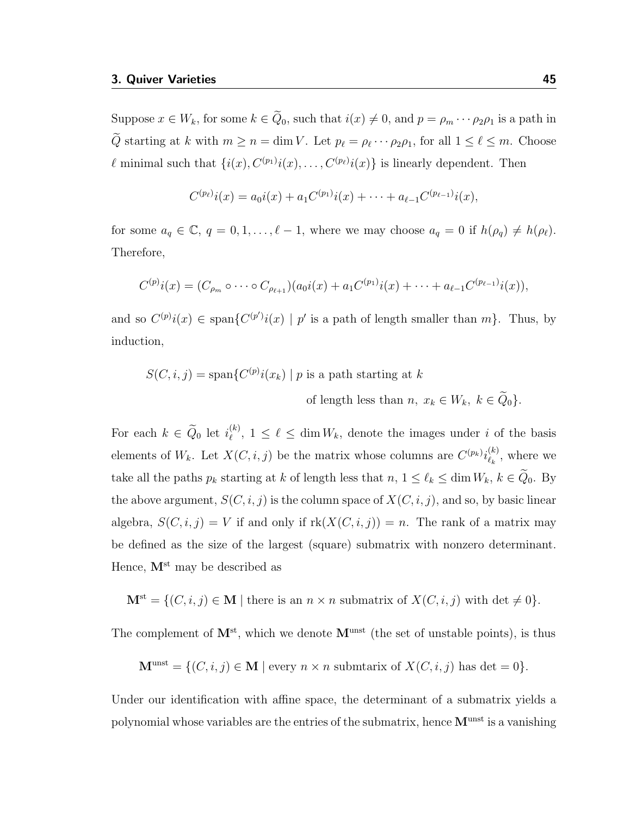Suppose  $x \in W_k$ , for some  $k \in \tilde{Q}_0$ , such that  $i(x) \neq 0$ , and  $p = \rho_m \cdots \rho_2 \rho_1$  is a path in Q starting at k with  $m \ge n = \dim V$ . Let  $p_\ell = \rho_\ell \cdots \rho_2 \rho_1$ , for all  $1 \le \ell \le m$ . Choose  $\ell$  minimal such that  $\{i(x), C^{(p_1)}i(x), \ldots, C^{(p_\ell)}i(x)\}$  is linearly dependent. Then

$$
C^{(p_\ell)}i(x) = a_0i(x) + a_1C^{(p_1)}i(x) + \cdots + a_{\ell-1}C^{(p_{\ell-1})}i(x),
$$

for some  $a_q \in \mathbb{C}$ ,  $q = 0, 1, \ldots, \ell - 1$ , where we may choose  $a_q = 0$  if  $h(\rho_q) \neq h(\rho_\ell)$ . Therefore,

$$
C^{(p)}i(x) = (C_{\rho_m} \circ \cdots \circ C_{\rho_{\ell+1}})(a_0i(x) + a_1C^{(p_1)}i(x) + \cdots + a_{\ell-1}C^{(p_{\ell-1})}i(x)),
$$

and so  $C^{(p)}i(x) \in \text{span}\{C^{(p')i}(x) \mid p' \text{ is a path of length smaller than } m\}.$  Thus, by induction,

$$
S(C, i, j) = \text{span}\{C^{(p)}i(x_k) \mid p \text{ is a path starting at } k
$$
  
of length less than  $n, x_k \in W_k, k \in \tilde{Q}_0\}.$ 

For each  $k \in \widetilde{Q}_0$  let  $i_{\ell}^{(k)}$  $\ell^{(k)}$ ,  $1 \leq \ell \leq \dim W_k$ , denote the images under i of the basis elements of  $W_k$ . Let  $X(C, i, j)$  be the matrix whose columns are  $C^{(p_k)}i_{\ell_k}^{(k)}$  $\binom{k}{k}$ , where we take all the paths  $p_k$  starting at k of length less that  $n, 1 \leq \ell_k \leq \dim W_k, k \in \tilde{Q}_0$ . By the above argument,  $S(C, i, j)$  is the column space of  $X(C, i, j)$ , and so, by basic linear algebra,  $S(C, i, j) = V$  if and only if  $rk(X(C, i, j)) = n$ . The rank of a matrix may be defined as the size of the largest (square) submatrix with nonzero determinant. Hence,  $M^{\text{st}}$  may be described as

 $\mathbf{M}^{\text{st}} = \{ (C, i, j) \in \mathbf{M} \mid \text{there is an } n \times n \text{ submatrix of } X(C, i, j) \text{ with det } \neq 0 \}.$ 

The complement of  $M^{st}$ , which we denote  $M^{unst}$  (the set of unstable points), is thus

 $\mathbf{M}^{\text{unst}} = \{ (C, i, j) \in \mathbf{M} \mid \text{every } n \times n \text{ submatrix of } X(C, i, j) \text{ has det } = 0 \}.$ 

Under our identification with affine space, the determinant of a submatrix yields a polynomial whose variables are the entries of the submatrix, hence  $M<sup>unst</sup>$  is a vanishing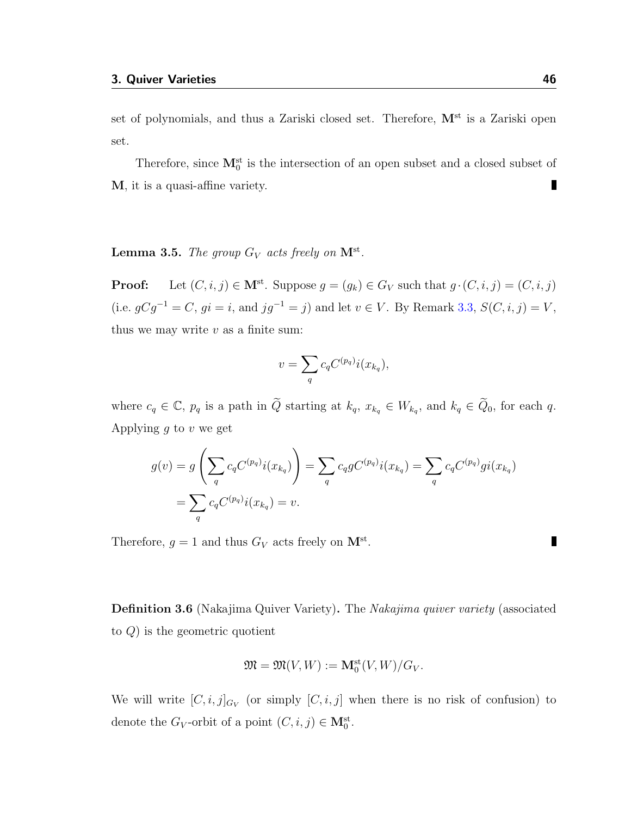set of polynomials, and thus a Zariski closed set. Therefore,  $M^{st}$  is a Zariski open set.

Therefore, since  $\mathbf{M}_{0}^{\text{st}}$  is the intersection of an open subset and a closed subset of M, it is a quasi-affine variety. П

<span id="page-50-1"></span>**Lemma 3.5.** The group  $G_V$  acts freely on  $M^{\text{st}}$ .

**Proof:** Let  $(C, i, j) \in \mathbf{M}^{st}$ . Suppose  $g = (g_k) \in G_V$  such that  $g \cdot (C, i, j) = (C, i, j)$ (i.e.  $gCg^{-1} = C$ ,  $gi = i$ , and  $jg^{-1} = j$ ) and let  $v \in V$ . By Remark [3.3,](#page-48-0)  $S(C, i, j) = V$ , thus we may write  $v$  as a finite sum:

$$
v = \sum_{q} c_q C^{(p_q)} i(x_{k_q}),
$$

where  $c_q \in \mathbb{C}$ ,  $p_q$  is a path in  $\widetilde{Q}$  starting at  $k_q$ ,  $x_{k_q} \in W_{k_q}$ , and  $k_q \in \widetilde{Q}_0$ , for each q. Applying  $g$  to  $v$  we get

$$
g(v) = g\left(\sum_{q} c_q C^{(p_q)} i(x_{k_q})\right) = \sum_{q} c_q g C^{(p_q)} i(x_{k_q}) = \sum_{q} c_q C^{(p_q)} g i(x_{k_q})
$$

$$
= \sum_{q} c_q C^{(p_q)} i(x_{k_q}) = v.
$$

Therefore,  $g = 1$  and thus  $G_V$  acts freely on  $\mathbf{M}^{\text{st}}$ .

<span id="page-50-0"></span>Definition 3.6 (Nakajima Quiver Variety). The Nakajima quiver variety (associated to Q) is the geometric quotient

$$
\mathfrak{M} = \mathfrak{M}(V, W) := \mathbf{M}_0^{\mathrm{st}}(V, W) / G_V.
$$

We will write  $[C, i, j]_{G_V}$  (or simply  $[C, i, j]$  when there is no risk of confusion) to denote the  $G_V$ -orbit of a point  $(C, i, j) \in M_0^{\text{st}}$ .

п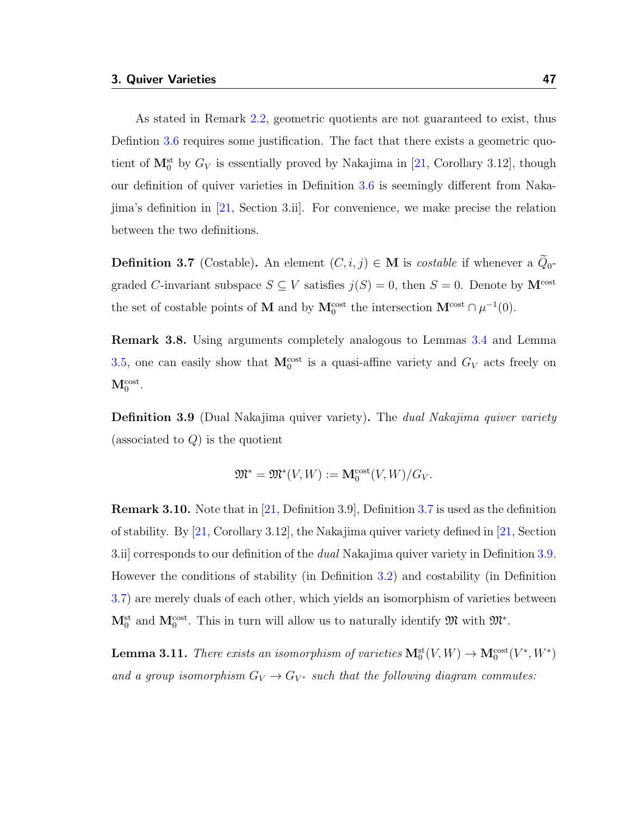As stated in Remark [2.2,](#page-34-0) geometric quotients are not guaranteed to exist, thus Defintion [3.6](#page-50-0) requires some justification. The fact that there exists a geometric quotient of  $\mathbf{M}_{0}^{\text{st}}$  by  $G_V$  is essentially proved by Nakajima in [\[21,](#page-116-3) Corollary 3.12], though our definition of quiver varieties in Definition [3.6](#page-50-0) is seemingly different from Nakajima's definition in [\[21,](#page-116-3) Section 3.ii]. For convenience, we make precise the relation between the two definitions.

<span id="page-51-0"></span>**Definition 3.7** (Costable). An element  $(C, i, j) \in M$  is *costable* if whenever a  $Q_0$ graded C-invariant subspace  $S \subseteq V$  satisfies  $j(S) = 0$ , then  $S = 0$ . Denote by  $\mathbf{M}^{\text{cost}}$ the set of costable points of **M** and by  $M_0^{\text{cost}}$  the intersection  $M^{\text{cost}} \cap \mu^{-1}(0)$ .

Remark 3.8. Using arguments completely analogous to Lemmas [3.4](#page-48-1) and Lemma [3.5,](#page-50-1) one can easily show that  $M_0^{\text{cost}}$  is a quasi-affine variety and  $G_V$  acts freely on  $\mathbf{M}_0^{\text{cost}}.$ 

<span id="page-51-1"></span>**Definition 3.9** (Dual Nakajima quiver variety). The *dual Nakajima quiver variety* (associated to  $Q$ ) is the quotient

$$
\mathfrak{M}^* = \mathfrak{M}^*(V, W) := \mathbf{M}_0^{\text{cost}}(V, W) / G_V.
$$

Remark 3.10. Note that in [\[21,](#page-116-3) Definition 3.9], Definition [3.7](#page-51-0) is used as the definition of stability. By [\[21,](#page-116-3) Corollary 3.12], the Nakajima quiver variety defined in [\[21,](#page-116-3) Section 3.ii] corresponds to our definition of the dual Nakajima quiver variety in Definition [3.9.](#page-51-1) However the conditions of stability (in Definition [3.2\)](#page-48-2) and costability (in Definition [3.7\)](#page-51-0) are merely duals of each other, which yields an isomorphism of varieties between  $\mathbf{M}_{0}^{\text{st}}$  and  $\mathbf{M}_{0}^{\text{cost}}$ . This in turn will allow us to naturally identify  $\mathfrak{M}$  with  $\mathfrak{M}^*$ .

<span id="page-51-2"></span>**Lemma 3.11.** There exists an isomorphism of varieties  $M_0^{\text{st}}(V, W) \to M_0^{\text{cost}}(V^*, W^*)$ and a group isomorphism  $G_V \to G_{V^*}$  such that the following diagram commutes: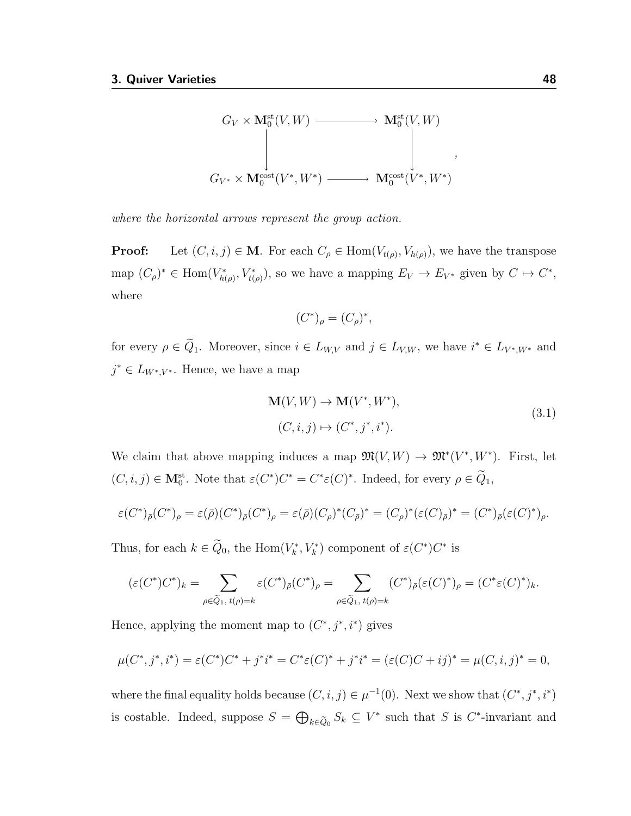

where the horizontal arrows represent the group action.

**Proof:** Let  $(C, i, j) \in M$ . For each  $C_{\rho} \in \text{Hom}(V_{t(\rho)}, V_{h(\rho)})$ , we have the transpose map  $(C_\rho)^* \in \text{Hom}(V_{h(\rho)}^*, V_{t(\rho)}^*)$ , so we have a mapping  $E_V \to E_{V^*}$  given by  $C \to C^*$ , where

<span id="page-52-0"></span>
$$
(C^*)_\rho = (C_{\bar\rho})^*,
$$

for every  $\rho \in \tilde{Q}_1$ . Moreover, since  $i \in L_{W,V}$  and  $j \in L_{V,W}$ , we have  $i^* \in L_{V^*,W^*}$  and  $j^* \in L_{W^*,V^*}$ . Hence, we have a map

$$
\mathbf{M}(V, W) \to \mathbf{M}(V^*, W^*),
$$
  
(C, i, j) \mapsto (C^\*, j^\*, i^\*). (3.1)

We claim that above mapping induces a map  $\mathfrak{M}(V, W) \to \mathfrak{M}^*(V^*, W^*)$ . First, let  $(C, i, j) \in M_0^{\text{st}}$ . Note that  $\varepsilon(C^*)C^* = C^* \varepsilon(C)^*$ . Indeed, for every  $\rho \in \tilde{Q}_1$ ,

$$
\varepsilon(C^*)_{\bar{\rho}}(C^*)_{\rho} = \varepsilon(\bar{\rho})(C^*)_{\bar{\rho}}(C^*)_{\rho} = \varepsilon(\bar{\rho})(C_{\rho})^*(C_{\bar{\rho}})^* = (C_{\rho})^*(\varepsilon(C)_{\bar{\rho}})^* = (C^*)_{\bar{\rho}}(\varepsilon(C)^*)_{\rho}.
$$

Thus, for each  $k \in \mathbb{Q}_0$ , the  $\text{Hom}(V_k^*, V_k^*)$  component of  $\varepsilon(C^*)C^*$  is

$$
(\varepsilon(C^*)C^*)_k = \sum_{\rho \in \widetilde{Q}_1, t(\rho) = k} \varepsilon(C^*)_{\bar{\rho}}(C^*)_{\rho} = \sum_{\rho \in \widetilde{Q}_1, t(\rho) = k} (C^*)_{\bar{\rho}}(\varepsilon(C)^*)_{\rho} = (C^* \varepsilon(C)^*)_k.
$$

Hence, applying the moment map to  $(C^*, j^*, i^*)$  gives

$$
\mu(C^*, j^*, i^*) = \varepsilon(C^*)C^* + j^*i^* = C^*\varepsilon(C)^* + j^*i^* = (\varepsilon(C)C + ij)^* = \mu(C, i, j)^* = 0,
$$

where the final equality holds because  $(C, i, j) \in \mu^{-1}(0)$ . Next we show that  $(C^*, j^*, i^*)$ is costable. Indeed, suppose  $S = \bigoplus_{k \in \tilde{Q}_0} S_k \subseteq V^*$  such that S is C<sup>\*</sup>-invariant and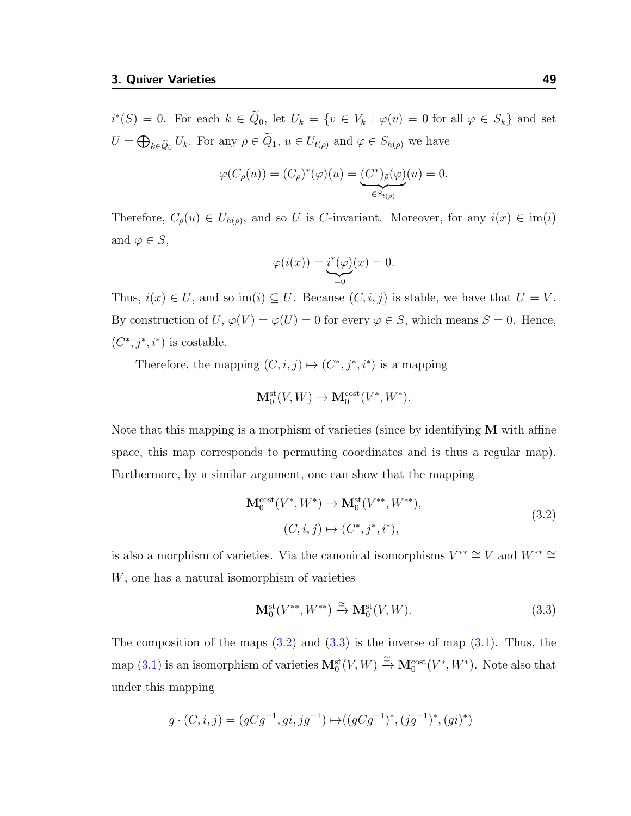$i^*(S) = 0$ . For each  $k \in \tilde{Q}_0$ , let  $U_k = \{v \in V_k \mid \varphi(v) = 0$  for all  $\varphi \in S_k\}$  and set  $U = \bigoplus_{k \in \tilde{Q}_0} U_k$ . For any  $\rho \in Q_1$ ,  $u \in U_{t(\rho)}$  and  $\varphi \in S_{h(\rho)}$  we have

$$
\varphi(C_{\rho}(u)) = (C_{\rho})^*(\varphi)(u) = \underbrace{(C^*)_{\bar{\rho}}(\varphi)}_{\in S_{t(\rho)}}(u) = 0.
$$

Therefore,  $C_{\rho}(u) \in U_{h(\rho)}$ , and so U is C-invariant. Moreover, for any  $i(x) \in \text{im}(i)$ and  $\varphi \in S$ ,

$$
\varphi(i(x)) = \underbrace{i^*(\varphi)}_{=0}(x) = 0.
$$

Thus,  $i(x) \in U$ , and so im(i)  $\subseteq U$ . Because  $(C, i, j)$  is stable, we have that  $U = V$ . By construction of  $U, \varphi(V) = \varphi(U) = 0$  for every  $\varphi \in S$ , which means  $S = 0$ . Hence,  $(C^*, j^*, i^*)$  is costable.

Therefore, the mapping  $(C, i, j) \mapsto (C^*, j^*, i^*)$  is a mapping

$$
\mathbf{M}_0^{\mathrm{st}}(V,W) \to \mathbf{M}_0^{\mathrm{cost}}(V^*,W^*).
$$

Note that this mapping is a morphism of varieties (since by identifying  $M$  with affine space, this map corresponds to permuting coordinates and is thus a regular map). Furthermore, by a similar argument, one can show that the mapping

<span id="page-53-0"></span>
$$
\mathbf{M}_0^{\text{cost}}(V^*, W^*) \to \mathbf{M}_0^{\text{st}}(V^{**}, W^{**}),
$$
  
(C, i, j) \mapsto (C^\*, j^\*, i^\*), (3.2)

is also a morphism of varieties. Via the canonical isomorphisms  $V^{**} \cong V$  and  $W^{**} \cong$ W, one has a natural isomorphism of varieties

<span id="page-53-1"></span>
$$
\mathbf{M}_0^{\mathrm{st}}(V^{**}, W^{**}) \xrightarrow{\cong} \mathbf{M}_0^{\mathrm{st}}(V, W). \tag{3.3}
$$

The composition of the maps  $(3.2)$  and  $(3.3)$  is the inverse of map  $(3.1)$ . Thus, the map [\(3.1\)](#page-52-0) is an isomorphism of varieties  $M_0^{\text{st}}(V, W) \stackrel{\cong}{\to} M_0^{\text{cost}}(V^*, W^*)$ . Note also that under this mapping

$$
g \cdot (C, i, j) = (gCg^{-1}, gi, jg^{-1}) \mapsto ((gCg^{-1})^*, (jg^{-1})^*, (gi)^*)
$$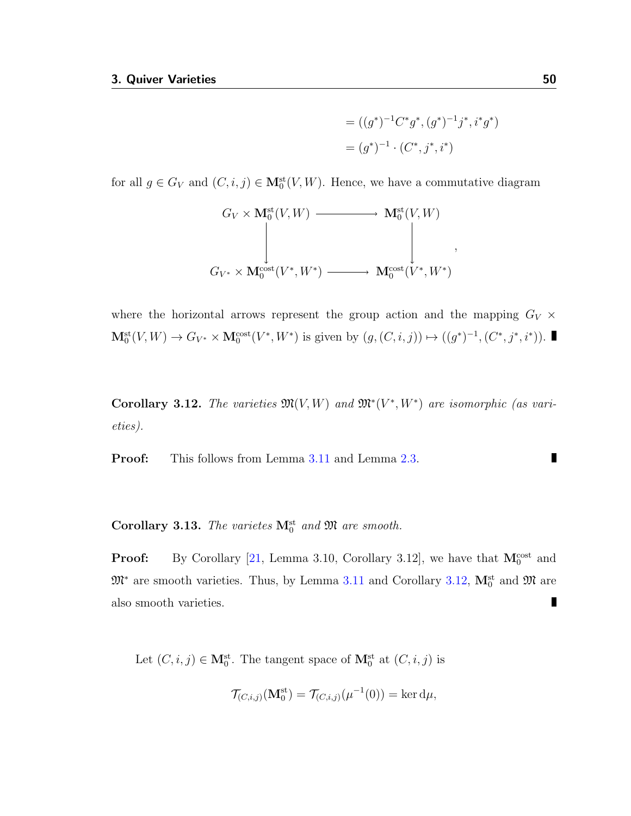$$
= ((g^*)^{-1}C^*g^*, (g^*)^{-1}j^*, i^*g^*)
$$
  
= 
$$
(g^*)^{-1} \cdot (C^*, j^*, i^*)
$$

for all  $g \in G_V$  and  $(C, i, j) \in M_0^{\text{st}}(V, W)$ . Hence, we have a commutative diagram

$$
G_V \times \mathbf{M}_0^{\mathrm{st}}(V, W) \longrightarrow \mathbf{M}_0^{\mathrm{st}}(V, W)
$$
  
\n
$$
\downarrow \qquad \qquad \downarrow \qquad \qquad \downarrow
$$
  
\n
$$
G_{V^*} \times \mathbf{M}_0^{\mathrm{cost}}(V^*, W^*) \longrightarrow \mathbf{M}_0^{\mathrm{cost}}(V^*, W^*)
$$

where the horizontal arrows represent the group action and the mapping  $G_V \times$  $\mathbf{M}_0^{\text{st}}(V,W) \to G_{V^*} \times \mathbf{M}_0^{\text{cost}}(V^*,W^*)$  is given by  $(g,(C,i,j)) \mapsto ((g^*)^{-1}, (C^*,j^*,i^*)).$ 

<span id="page-54-0"></span>Corollary 3.12. The varieties  $\mathfrak{M}(V, W)$  and  $\mathfrak{M}^*(V^*, W^*)$  are isomorphic (as varieties).

**Proof:** This follows from Lemma [3.11](#page-51-2) and Lemma [2.3.](#page-34-1)

Corollary 3.13. The varietes  $M_0^{\text{st}}$  and  $\mathfrak{M}$  are smooth.

**Proof:** By Corollary [\[21,](#page-116-3) Lemma 3.10, Corollary 3.12], we have that  $M_0^{\text{cost}}$  and  $\mathfrak{M}^*$  are smooth varieties. Thus, by Lemma [3.11](#page-51-2) and Corollary [3.12,](#page-54-0)  $\mathbf{M}_0^{\text{st}}$  and  $\mathfrak{M}$  are П also smooth varieties.

Let  $(C, i, j) \in \mathbf{M}_{0}^{\text{st}}$ . The tangent space of  $\mathbf{M}_{0}^{\text{st}}$  at  $(C, i, j)$  is

$$
\mathcal{T}_{(C,i,j)}(\mathbf{M}_0^{\mathrm{st}}) = \mathcal{T}_{(C,i,j)}(\mu^{-1}(0)) = \ker d\mu,
$$

П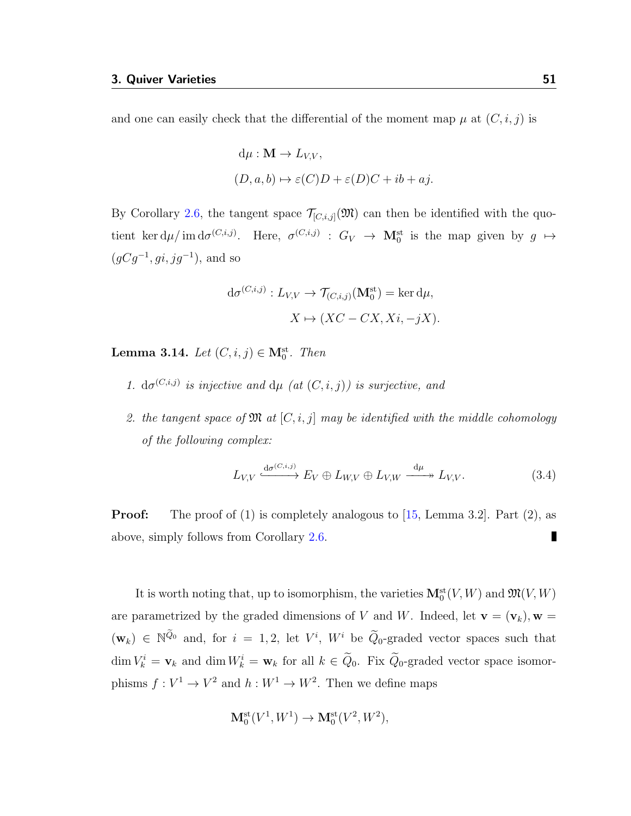and one can easily check that the differential of the moment map  $\mu$  at  $(C, i, j)$  is

$$
d\mu : \mathbf{M} \to L_{V,V},
$$
  

$$
(D, a, b) \mapsto \varepsilon(C)D + \varepsilon(D)C + ib + aj.
$$

By Corollary [2.6,](#page-38-1) the tangent space  $\mathcal{T}_{[C,i,j]}(\mathfrak{M})$  can then be identified with the quotient ker  $d\mu / \text{im } d\sigma^{(C,i,j)}$ . Here,  $\sigma^{(C,i,j)}$ :  $G_V \rightarrow \mathbf{M}_0^{\text{st}}$  is the map given by  $g \mapsto$  $(gCg^{-1}, gi, jg^{-1})$ , and so

$$
d\sigma^{(C,i,j)}: L_{V,V} \to \mathcal{T}_{(C,i,j)}(\mathbf{M}_0^{\text{st}}) = \ker d\mu,
$$
  

$$
X \mapsto (XC - CX, Xi, -jX).
$$

<span id="page-55-1"></span>**Lemma 3.14.** Let  $(C, i, j) \in M_0^{\text{st}}$ . Then

- 1.  $d\sigma^{(C,i,j)}$  is injective and  $d\mu$  (at  $(C,i,j)$ ) is surjective, and
- 2. the tangent space of  $\mathfrak{M}$  at  $[C, i, j]$  may be identified with the middle cohomology of the following complex:

<span id="page-55-0"></span>
$$
L_{V,V} \xrightarrow{\mathrm{d}\sigma^{(C,i,j)}} E_V \oplus L_{W,V} \oplus L_{V,W} \xrightarrow{\mathrm{d}\mu} L_{V,V}. \tag{3.4}
$$

**Proof:** The proof of (1) is completely analogous to  $[15, \text{Lemma } 3.2]$  $[15, \text{Lemma } 3.2]$ . Part (2), as above, simply follows from Corollary [2.6.](#page-38-1)

It is worth noting that, up to isomorphism, the varieties  $\mathbf{M}_0^{\text{st}}(V,W)$  and  $\mathfrak{M}(V,W)$ are parametrized by the graded dimensions of V and W. Indeed, let  $\mathbf{v} = (\mathbf{v}_k)$ ,  $\mathbf{w} =$  $(\mathbf{w}_k) \in \mathbb{N}^{\tilde{Q}_0}$  and, for  $i = 1, 2$ , let  $V^i$ ,  $W^i$  be  $\tilde{Q}_0$ -graded vector spaces such that  $\dim V_k^i = \mathbf{v}_k$  and  $\dim W_k^i = \mathbf{w}_k$  for all  $k \in \tilde{Q}_0$ . Fix  $\tilde{Q}_0$ -graded vector space isomorphisms  $f: V^1 \to V^2$  and  $h: W^1 \to W^2$ . Then we define maps

$$
\mathbf{M}_0^{\mathrm{st}}(V^1, W^1) \to \mathbf{M}_0^{\mathrm{st}}(V^2, W^2),
$$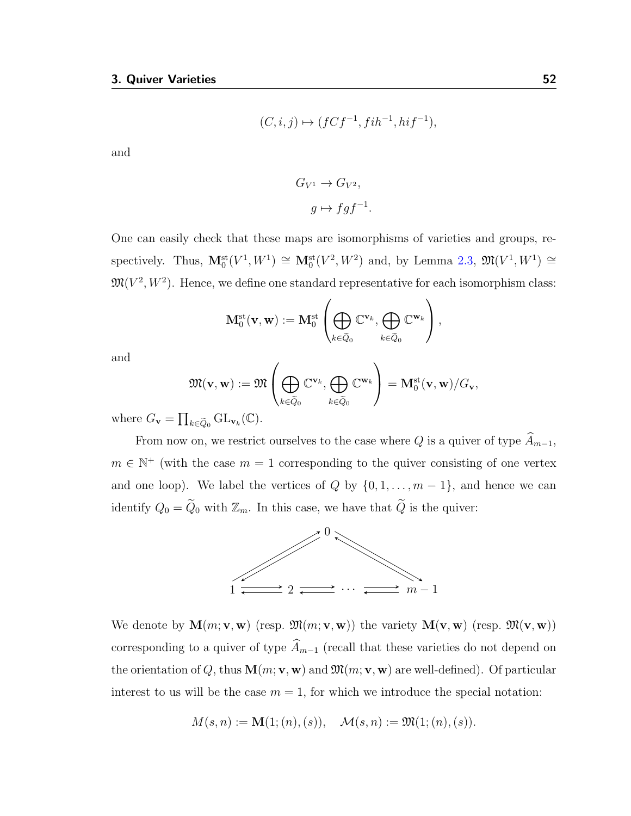$$
(C,i,j)\mapsto (fCf^{-1},fih^{-1},hif^{-1}),
$$

and

$$
G_{V^1} \to G_{V^2},
$$
  

$$
g \mapsto fgf^{-1}.
$$

One can easily check that these maps are isomorphisms of varieties and groups, respectively. Thus,  $\mathbf{M}_0^{\text{st}}(V^1, W^1) \cong \mathbf{M}_0^{\text{st}}(V^2, W^2)$  and, by Lemma [2.3,](#page-34-1)  $\mathfrak{M}(V^1, W^1) \cong$  $\mathfrak{M}(V^2, W^2)$ . Hence, we define one standard representative for each isomorphism class:

$$
\mathbf{M}_0^{\mathrm{st}}(\mathbf{v},\mathbf{w}) := \mathbf{M}_0^{\mathrm{st}}\left(\bigoplus_{k\in \widetilde{Q}_0}\mathbb{C}^{\mathbf{v}_k},\bigoplus_{k\in \widetilde{Q}_0}\mathbb{C}^{\mathbf{w}_k}\right),
$$

and

$$
\mathfrak{M}(\mathbf{v},\mathbf{w}) := \mathfrak{M}\left(\bigoplus_{k\in \widetilde{Q}_0}\mathbb{C}^{\mathbf{v}_k},\bigoplus_{k\in \widetilde{Q}_0}\mathbb{C}^{\mathbf{w}_k}\right) = \mathbf{M}_0^{\mathrm{st}}(\mathbf{v},\mathbf{w})/G_{\mathbf{v}},
$$

where  $G_{\mathbf{v}} = \prod_{k \in \tilde{Q}_0} GL_{\mathbf{v}_k}(\mathbb{C}).$ 

From now on, we restrict ourselves to the case where Q is a quiver of type  $\widehat{A}_{m-1}$ ,  $m \in \mathbb{N}^+$  (with the case  $m = 1$  corresponding to the quiver consisting of one vertex and one loop). We label the vertices of  $Q$  by  $\{0, 1, \ldots, m-1\}$ , and hence we can identify  $Q_0 = \widetilde{Q}_0$  with  $\mathbb{Z}_m$ . In this case, we have that  $\widetilde{Q}$  is the quiver:



We denote by  $\mathbf{M}(m; \mathbf{v}, \mathbf{w})$  (resp.  $\mathfrak{M}(m; \mathbf{v}, \mathbf{w})$ ) the variety  $\mathbf{M}(\mathbf{v}, \mathbf{w})$  (resp.  $\mathfrak{M}(\mathbf{v}, \mathbf{w})$ ) corresponding to a quiver of type  $\widehat{A}_{m-1}$  (recall that these varieties do not depend on the orientation of Q, thus  $\mathbf{M}(m; \mathbf{v}, \mathbf{w})$  and  $\mathfrak{M}(m; \mathbf{v}, \mathbf{w})$  are well-defined). Of particular interest to us will be the case  $m = 1$ , for which we introduce the special notation:

$$
M(s, n) := \mathbf{M}(1; (n), (s)), \quad \mathcal{M}(s, n) := \mathfrak{M}(1; (n), (s)).
$$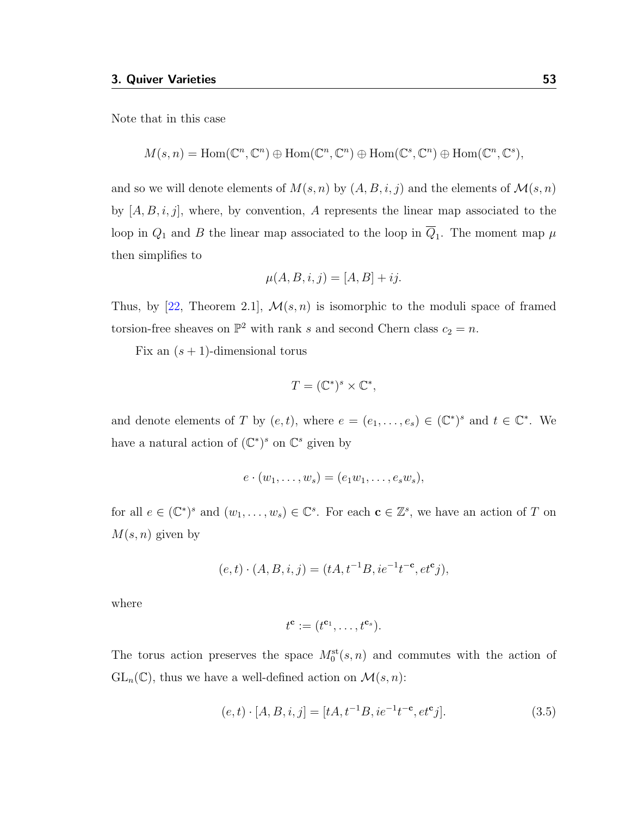Note that in this case

$$
M(s,n) = \text{Hom}(\mathbb{C}^n, \mathbb{C}^n) \oplus \text{Hom}(\mathbb{C}^n, \mathbb{C}^n) \oplus \text{Hom}(\mathbb{C}^s, \mathbb{C}^n) \oplus \text{Hom}(\mathbb{C}^n, \mathbb{C}^s),
$$

and so we will denote elements of  $M(s, n)$  by  $(A, B, i, j)$  and the elements of  $\mathcal{M}(s, n)$ by  $[A, B, i, j]$ , where, by convention, A represents the linear map associated to the loop in  $Q_1$  and B the linear map associated to the loop in  $\overline{Q}_1$ . The moment map  $\mu$ then simplifies to

$$
\mu(A, B, i, j) = [A, B] + ij.
$$

Thus, by [\[22,](#page-116-4) Theorem 2.1],  $\mathcal{M}(s, n)$  is isomorphic to the moduli space of framed torsion-free sheaves on  $\mathbb{P}^2$  with rank s and second Chern class  $c_2 = n$ .

Fix an  $(s + 1)$ -dimensional torus

$$
T = (\mathbb{C}^*)^s \times \mathbb{C}^*,
$$

and denote elements of T by  $(e, t)$ , where  $e = (e_1, \ldots, e_s) \in (\mathbb{C}^*)^s$  and  $t \in \mathbb{C}^*$ . We have a natural action of  $(\mathbb{C}^*)^s$  on  $\mathbb{C}^s$  given by

$$
e\cdot (w_1,\ldots,w_s)=(e_1w_1,\ldots,e_sw_s),
$$

for all  $e \in (\mathbb{C}^*)^s$  and  $(w_1, \ldots, w_s) \in \mathbb{C}^s$ . For each  $\mathbf{c} \in \mathbb{Z}^s$ , we have an action of T on  $M(s, n)$  given by

$$
(e, t) \cdot (A, B, i, j) = (tA, t^{-1}B, ie^{-1}t^{-c}, et^c j),
$$

where

$$
t^{\mathbf{c}} := (t^{\mathbf{c}_1}, \dots, t^{\mathbf{c}_s}).
$$

The torus action preserves the space  $M_0^{\text{st}}(s,n)$  and commutes with the action of  $GL_n(\mathbb{C})$ , thus we have a well-defined action on  $\mathcal{M}(s,n)$ :

<span id="page-57-0"></span>
$$
(e,t) \cdot [A,B,i,j] = [tA, t^{-1}B, ie^{-1}t^{-c}, et^{c}j]. \tag{3.5}
$$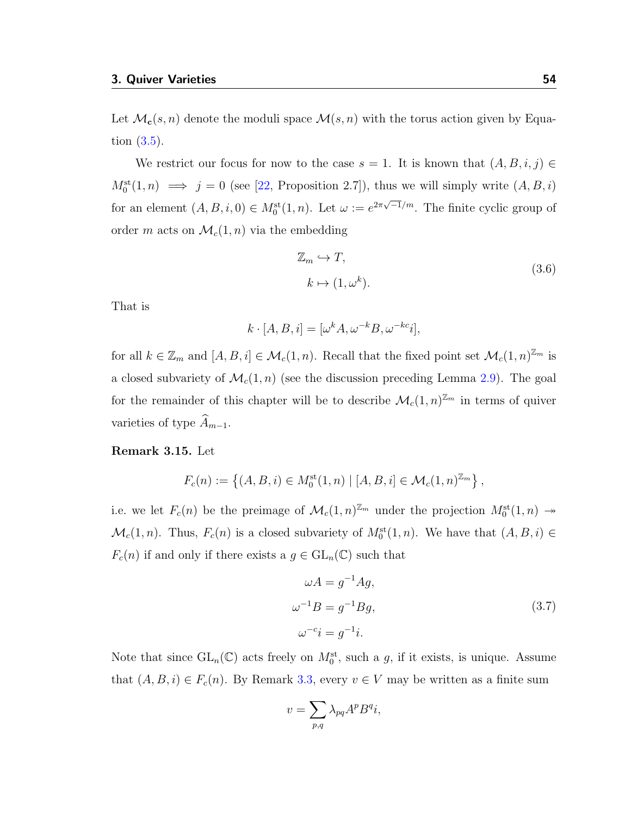Let  $\mathcal{M}_c(s, n)$  denote the moduli space  $\mathcal{M}(s, n)$  with the torus action given by Equation [\(3.5\)](#page-57-0).

We restrict our focus for now to the case  $s = 1$ . It is known that  $(A, B, i, j) \in$  $M_0^{\text{st}}(1,n) \implies j=0$  (see [\[22,](#page-116-4) Proposition 2.7]), thus we will simply write  $(A, B, i)$ for an element  $(A, B, i, 0) \in M_0^{\text{st}}(1, n)$ . Let  $\omega := e^{2\pi\sqrt{-1}/m}$ . The finite cyclic group of order m acts on  $\mathcal{M}_c(1,n)$  via the embedding

$$
\mathbb{Z}_m \hookrightarrow T,
$$
  
\n
$$
k \mapsto (1, \omega^k).
$$
\n(3.6)

That is

$$
k \cdot [A, B, i] = [\omega^k A, \omega^{-k} B, \omega^{-k} i],
$$

for all  $k \in \mathbb{Z}_m$  and  $[A, B, i] \in \mathcal{M}_c(1,n)$ . Recall that the fixed point set  $\mathcal{M}_c(1,n)^{\mathbb{Z}_m}$  is a closed subvariety of  $\mathcal{M}_c(1,n)$  (see the discussion preceding Lemma [2.9\)](#page-42-0). The goal for the remainder of this chapter will be to describe  $\mathcal{M}_c(1,n)^{\mathbb{Z}_m}$  in terms of quiver varieties of type  $\widehat{A}_{m-1}$ .

<span id="page-58-1"></span>Remark 3.15. Let

$$
F_c(n) := \left\{ (A, B, i) \in M_0^{\text{st}}(1, n) \mid [A, B, i] \in \mathcal{M}_c(1, n)^{\mathbb{Z}_m} \right\},\
$$

i.e. we let  $F_c(n)$  be the preimage of  $\mathcal{M}_c(1,n)^{\mathbb{Z}_m}$  under the projection  $M_0^{\text{st}}(1,n) \to$  $\mathcal{M}_c(1,n)$ . Thus,  $F_c(n)$  is a closed subvariety of  $M_0^{\text{st}}(1,n)$ . We have that  $(A, B, i) \in$  $F_c(n)$  if and only if there exists a  $g \in GL_n(\mathbb{C})$  such that

<span id="page-58-0"></span>
$$
\omega A = g^{-1} A g,
$$
  
\n
$$
\omega^{-1} B = g^{-1} B g,
$$
\n
$$
\omega^{-c} i = g^{-1} i.
$$
\n(3.7)

Note that since  $GL_n(\mathbb{C})$  acts freely on  $M_0^{\text{st}}$ , such a g, if it exists, is unique. Assume that  $(A, B, i) \in F_c(n)$ . By Remark [3.3,](#page-48-0) every  $v \in V$  may be written as a finite sum

$$
v = \sum_{p,q} \lambda_{pq} A^p B^q i,
$$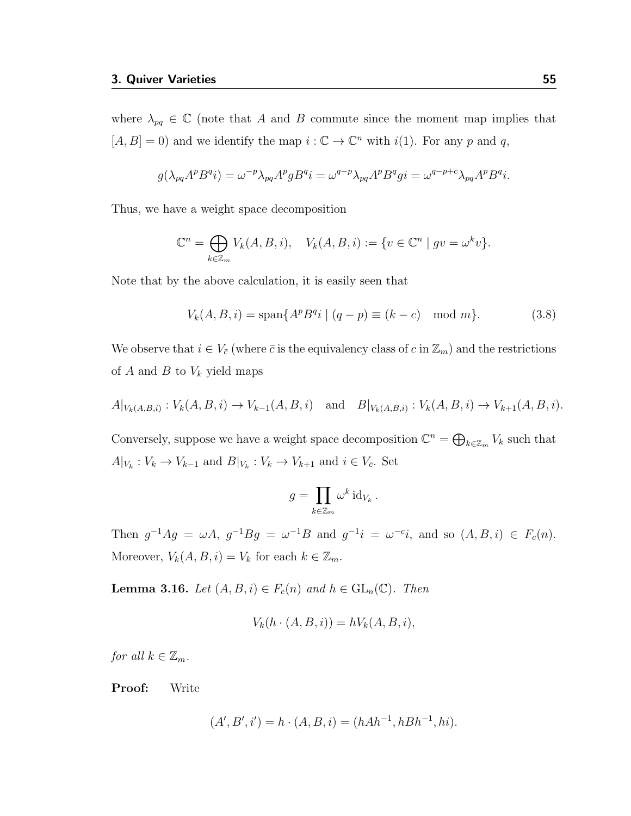where  $\lambda_{pq} \in \mathbb{C}$  (note that A and B commute since the moment map implies that  $[A, B] = 0$  and we identify the map  $i : \mathbb{C} \to \mathbb{C}^n$  with  $i(1)$ . For any p and q,

$$
g(\lambda_{pq}A^p B^q i) = \omega^{-p} \lambda_{pq} A^p g B^q i = \omega^{q-p} \lambda_{pq} A^p B^q g i = \omega^{q-p+c} \lambda_{pq} A^p B^q i.
$$

Thus, we have a weight space decomposition

$$
\mathbb{C}^n = \bigoplus_{k \in \mathbb{Z}_m} V_k(A, B, i), \quad V_k(A, B, i) := \{ v \in \mathbb{C}^n \mid gv = \omega^k v \}.
$$

Note that by the above calculation, it is easily seen that

$$
V_k(A, B, i) = \text{span}\{A^p B^q i \mid (q - p) \equiv (k - c) \mod m\}.
$$
 (3.8)

We observe that  $i \in V_{\bar{c}}$  (where  $\bar{c}$  is the equivalency class of c in  $\mathbb{Z}_m$ ) and the restrictions of  $A$  and  $B$  to  $V_k$  yield maps

$$
A|_{V_k(A,B,i)}: V_k(A,B,i) \to V_{k-1}(A,B,i)
$$
 and  $B|_{V_k(A,B,i)}: V_k(A,B,i) \to V_{k+1}(A,B,i)$ .

Conversely, suppose we have a weight space decomposition  $\mathbb{C}^n = \bigoplus_{k \in \mathbb{Z}_m} V_k$  such that  $A|_{V_k}: V_k \to V_{k-1}$  and  $B|_{V_k}: V_k \to V_{k+1}$  and  $i \in V_{\bar{c}}$ . Set

$$
g = \prod_{k \in \mathbb{Z}_m} \omega^k \operatorname{id}_{V_k}.
$$

Then  $g^{-1}Ag = \omega A$ ,  $g^{-1}Bg = \omega^{-1}B$  and  $g^{-1}i = \omega^{-c}i$ , and so  $(A, B, i) \in F_c(n)$ . Moreover,  $V_k(A, B, i) = V_k$  for each  $k \in \mathbb{Z}_m$ .

<span id="page-59-0"></span>**Lemma 3.16.** Let  $(A, B, i) \in F_c(n)$  and  $h \in GL_n(\mathbb{C})$ . Then

$$
V_k(h \cdot (A, B, i)) = hV_k(A, B, i),
$$

for all  $k \in \mathbb{Z}_m$ .

Proof: Write

$$
(A', B', i') = h \cdot (A, B, i) = (hAh^{-1}, hBh^{-1}, hi).
$$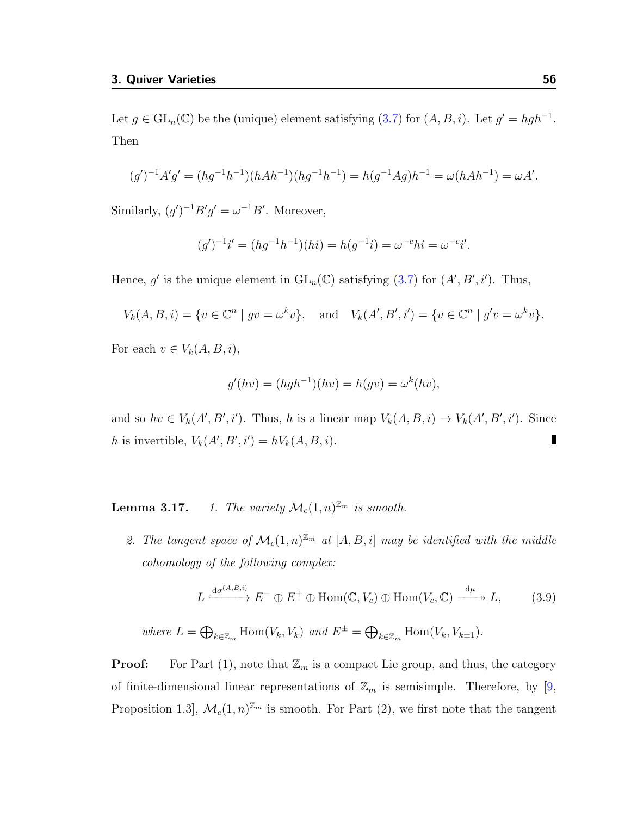Let  $g \in GL_n(\mathbb{C})$  be the (unique) element satisfying [\(3.7\)](#page-58-0) for  $(A, B, i)$ . Let  $g' = hgh^{-1}$ . Then

$$
(g')^{-1}A'g' = (hg^{-1}h^{-1})(hAh^{-1})(hg^{-1}h^{-1}) = h(g^{-1}Ag)h^{-1} = \omega(hAh^{-1}) = \omega A'.
$$

Similarly,  $(g')^{-1}B'g' = \omega^{-1}B'$ . Moreover,

$$
(g')^{-1}i' = (hg^{-1}h^{-1})(hi) = h(g^{-1}i) = \omega^{-c}hi = \omega^{-c}i'.
$$

Hence, g' is the unique element in  $GL_n(\mathbb{C})$  satisfying  $(3.7)$  for  $(A', B', i')$ . Thus,

$$
V_k(A, B, i) = \{ v \in \mathbb{C}^n \mid gv = \omega^k v \}, \text{ and } V_k(A', B', i') = \{ v \in \mathbb{C}^n \mid g'v = \omega^k v \}.
$$

For each  $v \in V_k(A, B, i)$ ,

$$
g'(hv) = (hgh^{-1})(hv) = h(gv) = \omega^k(hv),
$$

and so  $hv \in V_k(A', B', i')$ . Thus, h is a linear map  $V_k(A, B, i) \to V_k(A', B', i')$ . Since h is invertible,  $V_k(A', B', i') = hV_k(A, B, i)$ .

**Lemma 3.17.** 1. The variety  $\mathcal{M}_c(1,n)^{\mathbb{Z}_m}$  is smooth.

2. The tangent space of  $\mathcal{M}_c(1,n)^{\mathbb{Z}_m}$  at  $[A, B, i]$  may be identified with the middle cohomology of the following complex:

<span id="page-60-0"></span>
$$
L \xrightarrow{\mathrm{d}\sigma^{(A,B,i)}} E^- \oplus E^+ \oplus \mathrm{Hom}(\mathbb{C}, V_{\bar{c}}) \oplus \mathrm{Hom}(V_{\bar{c}}, \mathbb{C}) \xrightarrow{\mathrm{d}\mu} L, \tag{3.9}
$$

where  $L = \bigoplus_{k \in \mathbb{Z}_m} \text{Hom}(V_k, V_k)$  and  $E^{\pm} = \bigoplus_{k \in \mathbb{Z}_m} \text{Hom}(V_k, V_{k\pm 1})$ .

**Proof:** For Part  $(1)$ , note that  $\mathbb{Z}_m$  is a compact Lie group, and thus, the category of finite-dimensional linear representations of  $\mathbb{Z}_m$  is semisimple. Therefore, by [\[9,](#page-115-2) Proposition 1.3,  $\mathcal{M}_c(1,n)^{\mathbb{Z}_m}$  is smooth. For Part (2), we first note that the tangent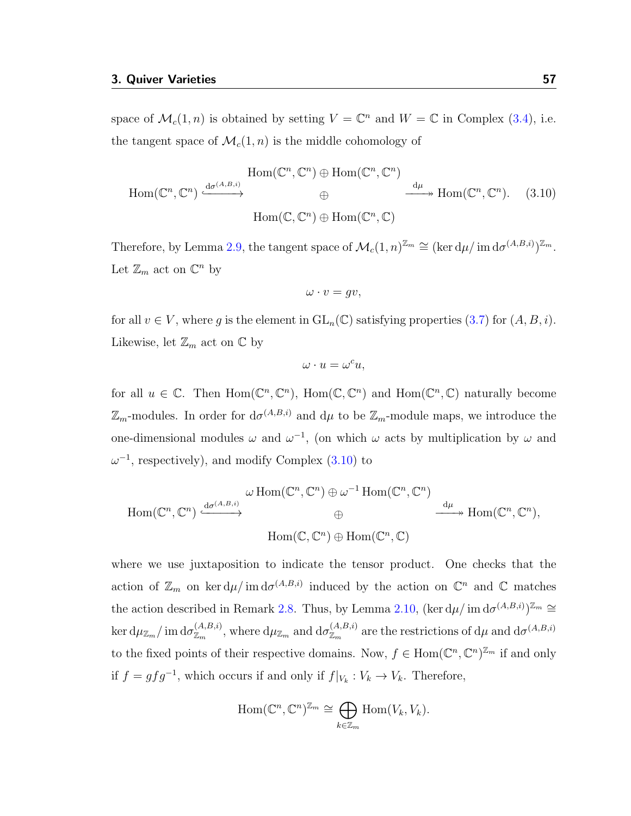space of  $\mathcal{M}_c(1,n)$  is obtained by setting  $V = \mathbb{C}^n$  and  $W = \mathbb{C}$  in Complex [\(3.4\)](#page-55-0), i.e. the tangent space of  $\mathcal{M}_c(1,n)$  is the middle cohomology of

<span id="page-61-0"></span>
$$
\text{Hom}(\mathbb{C}^n, \mathbb{C}^n) \xrightarrow{\text{d}\sigma^{(A,B,i)}} \text{Hom}(\mathbb{C}^n, \mathbb{C}^n) \oplus \text{Hom}(\mathbb{C}^n, \mathbb{C}^n) \xrightarrow{\text{d}\mu} \text{Hom}(\mathbb{C}^n, \mathbb{C}^n). \tag{3.10}
$$
\n
$$
\text{Hom}(\mathbb{C}, \mathbb{C}^n) \oplus \text{Hom}(\mathbb{C}^n, \mathbb{C})
$$

Therefore, by Lemma [2.9,](#page-42-0) the tangent space of  $\mathcal{M}_c(1,n)^{\mathbb{Z}_m} \cong (\ker d\mu / \operatorname{im} d\sigma^{(A,B,i)})^{\mathbb{Z}_m}$ . Let  $\mathbb{Z}_m$  act on  $\mathbb{C}^n$  by

$$
\omega \cdot v = gv,
$$

for all  $v \in V$ , where g is the element in  $GL_n(\mathbb{C})$  satisfying properties  $(3.7)$  for  $(A, B, i)$ . Likewise, let  $\mathbb{Z}_m$  act on  $\mathbb C$  by

$$
\omega \cdot u = \omega^c u,
$$

for all  $u \in \mathbb{C}$ . Then  $\text{Hom}(\mathbb{C}^n, \mathbb{C}^n)$ ,  $\text{Hom}(\mathbb{C}, \mathbb{C}^n)$  and  $\text{Hom}(\mathbb{C}^n, \mathbb{C})$  naturally become  $\mathbb{Z}_m$ -modules. In order for  $d\sigma^{(A,B,i)}$  and  $d\mu$  to be  $\mathbb{Z}_m$ -module maps, we introduce the one-dimensional modules  $\omega$  and  $\omega^{-1}$ , (on which  $\omega$  acts by multiplication by  $\omega$  and  $\omega^{-1}$ , respectively), and modify Complex [\(3.10\)](#page-61-0) to

$$
\text{Hom}(\mathbb{C}^n, \mathbb{C}^n) \xrightarrow{\text{d}\sigma^{(A,B,i)}} \mathbb{G} \longrightarrow \text{Hom}(\mathbb{C}^n, \mathbb{C}^n) \oplus \mathbb{G} \longrightarrow \text{Hom}(\mathbb{C}^n, \mathbb{C}^n) \longrightarrow \text{Hom}(\mathbb{C}^n, \mathbb{C}^n),
$$
  

$$
\text{Hom}(\mathbb{C}, \mathbb{C}^n) \oplus \text{Hom}(\mathbb{C}^n, \mathbb{C})
$$

where we use juxtaposition to indicate the tensor product. One checks that the action of  $\mathbb{Z}_m$  on ker  $d\mu$  im  $d\sigma^{(A,B,i)}$  induced by the action on  $\mathbb{C}^n$  and  $\mathbb{C}$  matches the action described in Remark [2.8.](#page-41-0) Thus, by Lemma [2.10,](#page-43-0)  $(\ker d\mu / \mathrm{im} d\sigma^{(A,B,i)})^{\mathbb{Z}_m} \cong$  $\ker \mathrm{d}\mu_{\mathbb{Z}_m}/\operatorname{im} \mathrm{d}\sigma_{\mathbb{Z}_m}^{(A,B,i)}$ , where  $\mathrm{d}\mu_{\mathbb{Z}_m}$  and  $\mathrm{d}\sigma_{\mathbb{Z}_m}^{(A,B,i)}$  are the restrictions of  $\mathrm{d}\mu$  and  $\mathrm{d}\sigma^{(A,B,i)}$ to the fixed points of their respective domains. Now,  $f \in \text{Hom}(\mathbb{C}^n, \mathbb{C}^n)^{\mathbb{Z}_m}$  if and only if  $f = gfg^{-1}$ , which occurs if and only if  $f|_{V_k}: V_k \to V_k$ . Therefore,

$$
\mathrm{Hom}(\mathbb{C}^n, \mathbb{C}^n)^{\mathbb{Z}_m} \cong \bigoplus_{k \in \mathbb{Z}_m} \mathrm{Hom}(V_k, V_k).
$$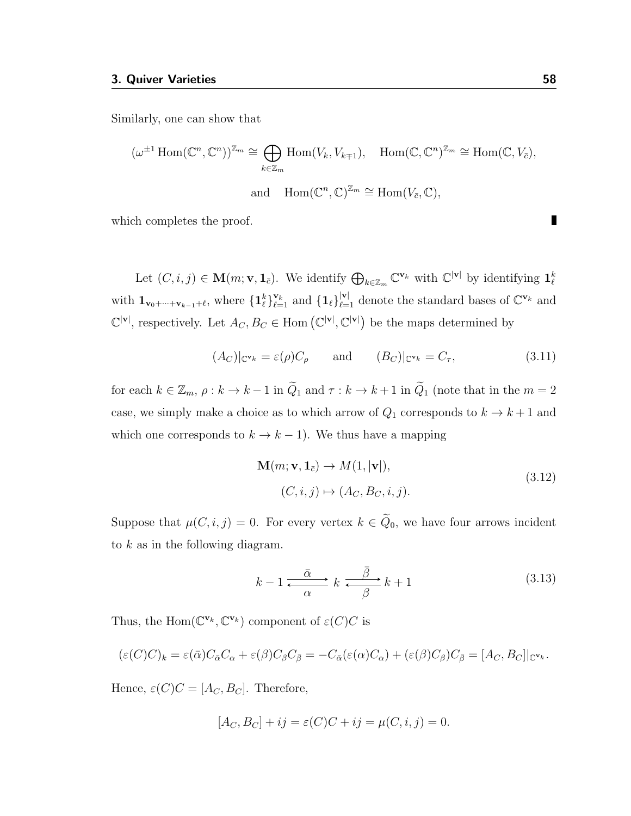Similarly, one can show that

$$
(\omega^{\pm 1} \operatorname{Hom}(\mathbb{C}^n, \mathbb{C}^n))^{\mathbb{Z}_m} \cong \bigoplus_{k \in \mathbb{Z}_m} \operatorname{Hom}(V_k, V_{k+1}), \quad \operatorname{Hom}(\mathbb{C}, \mathbb{C}^n)^{\mathbb{Z}_m} \cong \operatorname{Hom}(\mathbb{C}, V_{\bar{c}}),
$$
  
and 
$$
\operatorname{Hom}(\mathbb{C}^n, \mathbb{C})^{\mathbb{Z}_m} \cong \operatorname{Hom}(V_{\bar{c}}, \mathbb{C}),
$$

which completes the proof.

Let  $(C, i, j) \in \mathbf{M}(m; \mathbf{v}, \mathbf{1}_{\bar{c}})$ . We identify  $\bigoplus_{k \in \mathbb{Z}_m} \mathbb{C}^{\mathbf{v}_k}$  with  $\mathbb{C}^{|\mathbf{v}|}$  by identifying  $\mathbf{1}_{\ell}^k$ with  $\mathbf{1}_{\mathbf{v}_0+\cdots+\mathbf{v}_{k-1}+\ell}$ , where  $\{\mathbf{1}_\ell^k\}_{\ell=1}^{\mathbf{v}_k}$  and  $\{\mathbf{1}_\ell\}_{\ell=1}^{|\mathbf{v}|}$  denote the standard bases of  $\mathbb{C}^{\mathbf{v}_k}$  and  $\mathbb{C}^{|\mathbf{v}|}$ , respectively. Let  $A_C, B_C \in \text{Hom}(\mathbb{C}^{|\mathbf{v}|}, \mathbb{C}^{|\mathbf{v}|})$  be the maps determined by

<span id="page-62-1"></span>
$$
(A_C)|_{\mathbb{C}^{\mathbf{v}_k}} = \varepsilon(\rho)C_{\rho} \quad \text{and} \quad (B_C)|_{\mathbb{C}^{\mathbf{v}_k}} = C_{\tau}, \tag{3.11}
$$

for each  $k \in \mathbb{Z}_m$ ,  $\rho : k \to k-1$  in  $\tilde{Q}_1$  and  $\tau : k \to k+1$  in  $\tilde{Q}_1$  (note that in the  $m=2$ case, we simply make a choice as to which arrow of  $Q_1$  corresponds to  $k \to k+1$  and which one corresponds to  $k \to k - 1$ ). We thus have a mapping

$$
\mathbf{M}(m; \mathbf{v}, \mathbf{1}_{\bar{c}}) \to M(1, |\mathbf{v}|),
$$
  
(C, i, j) \mapsto (A\_C, B\_C, i, j). (3.12)

Suppose that  $\mu(C, i, j) = 0$ . For every vertex  $k \in \tilde{Q}_0$ , we have four arrows incident to  $k$  as in the following diagram.

<span id="page-62-2"></span>
$$
k - 1 \xrightarrow{\bar{\alpha}} k \xrightarrow{\bar{\beta}} k + 1 \tag{3.13}
$$

Thus, the Hom $(\mathbb{C}^{\mathbf{v}_k}, \mathbb{C}^{\mathbf{v}_k})$  component of  $\varepsilon(C)C$  is

$$
(\varepsilon(C)C)_k = \varepsilon(\bar{\alpha})C_{\bar{\alpha}}C_{\alpha} + \varepsilon(\beta)C_{\beta}C_{\bar{\beta}} = -C_{\bar{\alpha}}(\varepsilon(\alpha)C_{\alpha}) + (\varepsilon(\beta)C_{\beta})C_{\bar{\beta}} = [A_C, B_C]|_{\mathbb{C}^{\mathbf{v}_k}}.
$$

Hence,  $\varepsilon(C)C = [A_C, B_C]$ . Therefore,

$$
[A_C, B_C] + ij = \varepsilon(C)C + ij = \mu(C, i, j) = 0.
$$

<span id="page-62-0"></span>П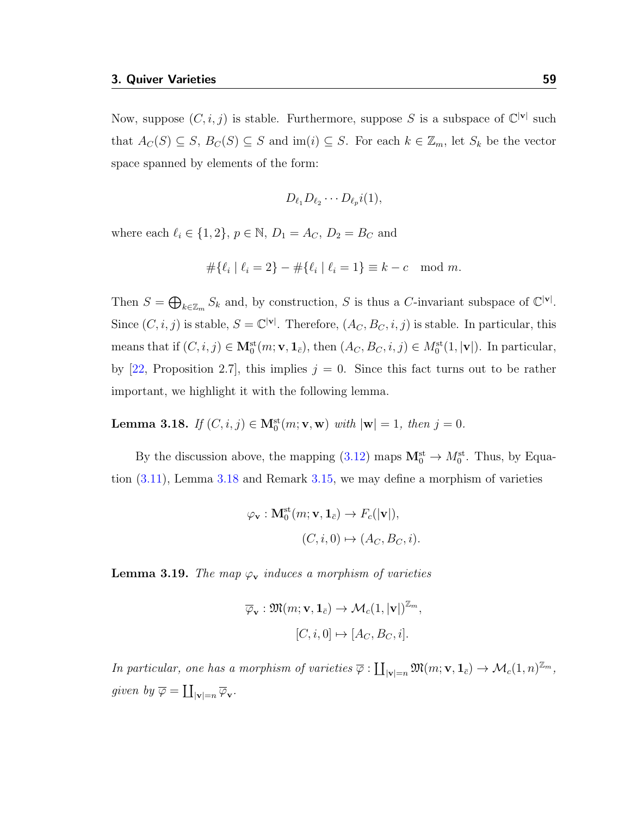Now, suppose  $(C, i, j)$  is stable. Furthermore, suppose S is a subspace of  $\mathbb{C}^{|\mathbf{v}|}$  such that  $A_C(S) \subseteq S$ ,  $B_C(S) \subseteq S$  and  $\text{im}(i) \subseteq S$ . For each  $k \in \mathbb{Z}_m$ , let  $S_k$  be the vector space spanned by elements of the form:

$$
D_{\ell_1}D_{\ell_2}\cdots D_{\ell_p}i(1),
$$

where each  $\ell_i \in \{1, 2\}, p \in \mathbb{N}, D_1 = A_C, D_2 = B_C$  and

$$
\#\{\ell_i \mid \ell_i = 2\} - \#\{\ell_i \mid \ell_i = 1\} \equiv k - c \mod m.
$$

Then  $S = \bigoplus_{k \in \mathbb{Z}_m} S_k$  and, by construction, S is thus a C-invariant subspace of  $\mathbb{C}^{|\mathbf{v}|}$ . Since  $(C, i, j)$  is stable,  $S = \mathbb{C}^{|\mathbf{v}|}$ . Therefore,  $(A_C, B_C, i, j)$  is stable. In particular, this means that if  $(C, i, j) \in M_0^{\text{st}}(m; v, \mathbf{1}_{\bar{c}})$ , then  $(A_C, B_C, i, j) \in M_0^{\text{st}}(1, |\mathbf{v}|)$ . In particular, by [\[22,](#page-116-4) Proposition 2.7], this implies  $j = 0$ . Since this fact turns out to be rather important, we highlight it with the following lemma.

<span id="page-63-0"></span>**Lemma 3.18.** If  $(C, i, j) \in M_0^{st}(m; v, w)$  with  $|w| = 1$ , then  $j = 0$ .

By the discussion above, the mapping  $(3.12)$  maps  $\mathbf{M}_0^{\text{st}} \to M_0^{\text{st}}$ . Thus, by Equation [\(3.11\)](#page-62-1), Lemma [3.18](#page-63-0) and Remark [3.15,](#page-58-1) we may define a morphism of varieties

$$
\varphi_{\mathbf{v}} : \mathbf{M}_0^{\mathrm{st}}(m; \mathbf{v}, \mathbf{1}_{\bar{c}}) \to F_c(|\mathbf{v}|),
$$
  

$$
(C, i, 0) \mapsto (A_C, B_C, i).
$$

<span id="page-63-1"></span>**Lemma 3.19.** The map  $\varphi_{\mathbf{v}}$  induces a morphism of varieties

$$
\overline{\varphi}_{\mathbf{v}} : \mathfrak{M}(m; \mathbf{v}, \mathbf{1}_{\overline{c}}) \to \mathcal{M}_c(1, |\mathbf{v}|)^{\mathbb{Z}_m},
$$
  

$$
[C, i, 0] \mapsto [A_C, B_C, i].
$$

In particular, one has a morphism of varieties  $\overline{\varphi} : \coprod_{|\mathbf{v}|=n} \mathfrak{M}(m; \mathbf{v}, \mathbf{1}_{\overline{c}}) \to \mathcal{M}_c(1,n)^{\mathbb{Z}_m}$ , given by  $\overline{\varphi} = \coprod_{|\mathbf{v}| = n} \overline{\varphi}_{\mathbf{v}}$ .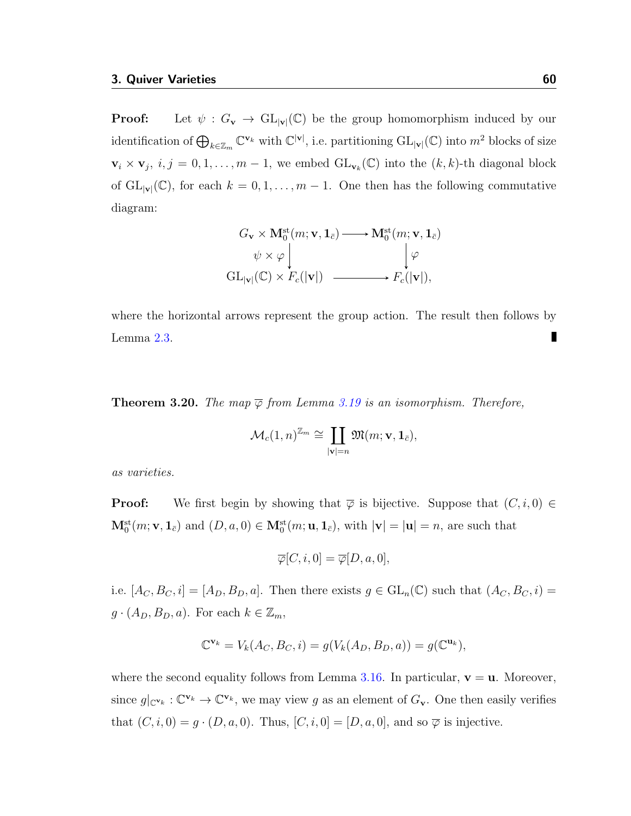**Proof:** Let  $\psi : G_{\mathbf{v}} \to GL_{|\mathbf{v}|}(\mathbb{C})$  be the group homomorphism induced by our identification of  $\bigoplus_{k\in\mathbb{Z}_m}\mathbb{C}^{\mathbf{v}_k}$  with  $\mathbb{C}^{|\mathbf{v}|}$ , i.e. partitioning  $\mathrm{GL}_{|\mathbf{v}|}(\mathbb{C})$  into  $m^2$  blocks of size  $\mathbf{v}_i \times \mathbf{v}_j$ ,  $i, j = 0, 1, \ldots, m-1$ , we embed  $\mathrm{GL}_{\mathbf{v}_k}(\mathbb{C})$  into the  $(k, k)$ -th diagonal block of  $GL_{|\mathbf{v}|}(\mathbb{C})$ , for each  $k = 0, 1, ..., m-1$ . One then has the following commutative diagram:

$$
G_{\mathbf{v}} \times \mathbf{M}_0^{\mathrm{st}}(m; \mathbf{v}, \mathbf{1}_{\bar{c}}) \longrightarrow \mathbf{M}_0^{\mathrm{st}}(m; \mathbf{v}, \mathbf{1}_{\bar{c}})
$$
  
\n
$$
\psi \times \varphi \downarrow \qquad \qquad \downarrow \varphi
$$
  
\n
$$
GL_{|\mathbf{v}|}(\mathbb{C}) \times F_c(|\mathbf{v}|) \longrightarrow F_c(|\mathbf{v}|),
$$

where the horizontal arrows represent the group action. The result then follows by Lemma [2.3.](#page-34-1)

<span id="page-64-0"></span>**Theorem 3.20.** The map  $\overline{\varphi}$  from Lemma [3.19](#page-63-1) is an isomorphism. Therefore,

$$
\mathcal{M}_c(1,n)^{\mathbb{Z}_m} \cong \coprod_{|\mathbf{v}|=n} \mathfrak{M}(m; \mathbf{v}, \mathbf{1}_{\bar{c}}),
$$

as varieties.

**Proof:** We first begin by showing that  $\overline{\varphi}$  is bijective. Suppose that  $(C, i, 0) \in$  $\mathbf{M}_0^{\text{st}}(m; \mathbf{v}, \mathbf{1}_{\bar{c}})$  and  $(D, a, 0) \in \mathbf{M}_0^{\text{st}}(m; \mathbf{u}, \mathbf{1}_{\bar{c}})$ , with  $|\mathbf{v}| = |\mathbf{u}| = n$ , are such that

$$
\overline{\varphi}[C, i, 0] = \overline{\varphi}[D, a, 0],
$$

i.e.  $[A_C, B_C, i] = [A_D, B_D, a]$ . Then there exists  $g \in GL_n(\mathbb{C})$  such that  $(A_C, B_C, i)$  $g \cdot (A_D, B_D, a)$ . For each  $k \in \mathbb{Z}_m$ ,

$$
\mathbb{C}^{\mathbf{v}_k} = V_k(A_C, B_C, i) = g(V_k(A_D, B_D, a)) = g(\mathbb{C}^{\mathbf{u}_k}),
$$

where the second equality follows from Lemma [3.16.](#page-59-0) In particular,  $v = u$ . Moreover, since  $g|_{\mathbb{C}^{\mathbf{v}_k}} : \mathbb{C}^{\mathbf{v}_k} \to \mathbb{C}^{\mathbf{v}_k}$ , we may view g as an element of  $G_{\mathbf{v}}$ . One then easily verifies that  $(C, i, 0) = g \cdot (D, a, 0)$ . Thus,  $[C, i, 0] = [D, a, 0]$ , and so  $\overline{\varphi}$  is injective.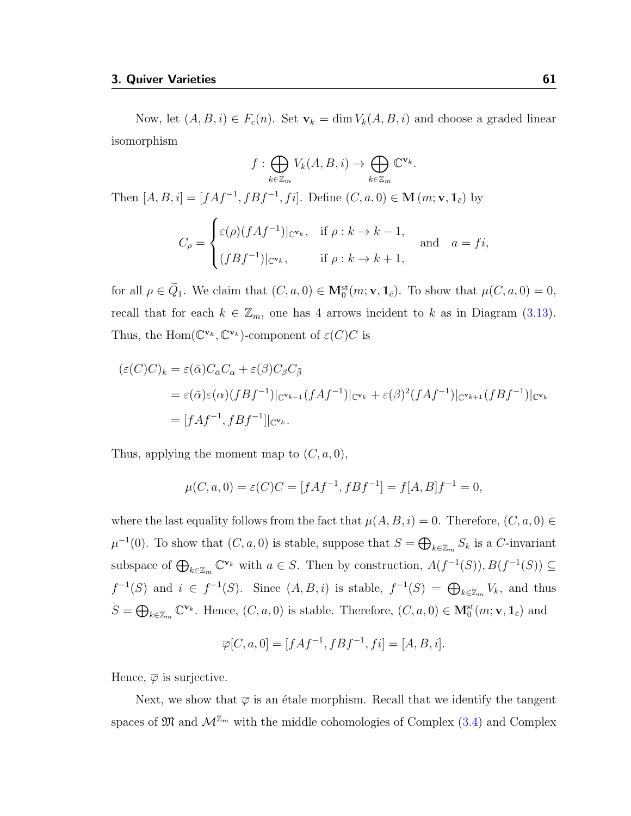Now, let  $(A, B, i) \in F_c(n)$ . Set  $\mathbf{v}_k = \dim V_k(A, B, i)$  and choose a graded linear isomorphism

$$
f: \bigoplus_{k \in \mathbb{Z}_m} V_k(A, B, i) \to \bigoplus_{k \in \mathbb{Z}_m} \mathbb{C}^{\mathbf{v}_k}.
$$

Then  $[A, B, i] = [fAf^{-1}, fBf^{-1}, fi]$ . Define  $(C, a, 0) \in M(m; v, 1_{\bar{c}})$  by

$$
C_{\rho} = \begin{cases} \varepsilon(\rho)(fAf^{-1})|_{\mathbb{C}^{\mathbf{v}_k}}, & \text{if } \rho : k \to k-1, \\ (fBf^{-1})|_{\mathbb{C}^{\mathbf{v}_k}}, & \text{if } \rho : k \to k+1, \end{cases} \text{ and } a = fi,
$$

for all  $\rho \in \tilde{Q}_1$ . We claim that  $(C, a, 0) \in M_0^{\text{st}}(m; \mathbf{v}, \mathbf{1}_{\bar{c}})$ . To show that  $\mu(C, a, 0) = 0$ , recall that for each  $k \in \mathbb{Z}_m$ , one has 4 arrows incident to k as in Diagram [\(3.13\)](#page-62-2). Thus, the Hom $(\mathbb{C}^{\mathbf{v}_k}, \mathbb{C}^{\mathbf{v}_k})$ -component of  $\varepsilon(C)C$  is

$$
\begin{aligned} (\varepsilon(C)C)_k &= \varepsilon(\bar{\alpha})C_{\bar{\alpha}}C_{\alpha} + \varepsilon(\beta)C_{\beta}C_{\bar{\beta}} \\ &= \varepsilon(\bar{\alpha})\varepsilon(\alpha)(fBf^{-1})|_{\mathbb{C}^{\mathbf{v}_{k-1}}}(fAf^{-1})|_{\mathbb{C}^{\mathbf{v}_k}} + \varepsilon(\beta)^2(fAf^{-1})|_{\mathbb{C}^{\mathbf{v}_{k+1}}}(fBf^{-1})|_{\mathbb{C}^{\mathbf{v}_k}} \\ &= [fAf^{-1}, fBf^{-1}]|_{\mathbb{C}^{\mathbf{v}_k}}. \end{aligned}
$$

Thus, applying the moment map to  $(C, a, 0)$ ,

$$
\mu(C, a, 0) = \varepsilon(C)C = [fAf^{-1}, fBf^{-1}] = f[A, B]f^{-1} = 0,
$$

where the last equality follows from the fact that  $\mu(A, B, i) = 0$ . Therefore,  $(C, a, 0) \in$  $\mu^{-1}(0)$ . To show that  $(C, a, 0)$  is stable, suppose that  $S = \bigoplus_{k \in \mathbb{Z}_m} S_k$  is a C-invariant subspace of  $\bigoplus_{k\in\mathbb{Z}_m}\mathbb{C}^{\mathbf{v}_k}$  with  $a\in S$ . Then by construction,  $A(f^{-1}(S)), B(f^{-1}(S))\subseteq$  $f^{-1}(S)$  and  $i \in f^{-1}(S)$ . Since  $(A, B, i)$  is stable,  $f^{-1}(S) = \bigoplus_{k \in \mathbb{Z}_m} V_k$ , and thus  $S = \bigoplus_{k \in \mathbb{Z}_m} \mathbb{C}^{\mathbf{v}_k}$ . Hence,  $(C, a, 0)$  is stable. Therefore,  $(C, a, 0) \in \mathbf{M}_0^{\mathrm{st}}(m; \mathbf{v}, \mathbf{1}_{\bar{c}})$  and

$$
\overline{\varphi}[C, a, 0] = [fAf^{-1}, fBf^{-1}, fi] = [A, B, i].
$$

Hence,  $\overline{\varphi}$  is surjective.

Next, we show that  $\overline{\varphi}$  is an étale morphism. Recall that we identify the tangent spaces of  $\mathfrak{M}$  and  $\mathcal{M}^{\mathbb{Z}_m}$  with the middle cohomologies of Complex [\(3.4\)](#page-55-0) and Complex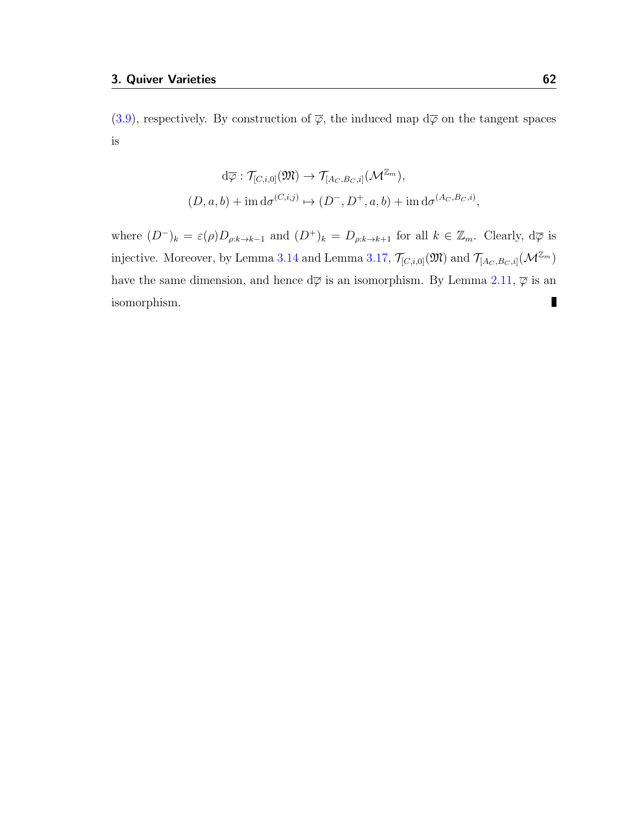[\(3.9\)](#page-60-0), respectively. By construction of  $\overline{\varphi}$ , the induced map  $d\overline{\varphi}$  on the tangent spaces is

$$
d\overline{\varphi}: \mathcal{T}_{[C,i,0]}(\mathfrak{M}) \to \mathcal{T}_{[A_C,B_C,i]}(\mathcal{M}^{\mathbb{Z}_m}),
$$
  

$$
(D,a,b) + \text{im } d\sigma^{(C,i,j)} \mapsto (D^-, D^+, a, b) + \text{im } d\sigma^{(A_C,B_C,i)},
$$

where  $(D^-)_k = \varepsilon(\rho)D_{\rho:k\to k-1}$  and  $(D^+)_k = D_{\rho:k\to k+1}$  for all  $k \in \mathbb{Z}_m$ . Clearly,  $d\overline{\varphi}$  is injective. Moreover, by Lemma [3.14](#page-55-1) and Lemma [3.17,](#page-0-0)  $\mathcal{T}_{[C,i,0]}(\mathfrak{M})$  and  $\mathcal{T}_{[A_C,B_C,i]}(\mathcal{M}^{\mathbb{Z}_m})$ have the same dimension, and hence  $d\overline{\varphi}$  is an isomorphism. By Lemma [2.11,](#page-45-0)  $\overline{\varphi}$  is an  $\blacksquare$ isomorphism.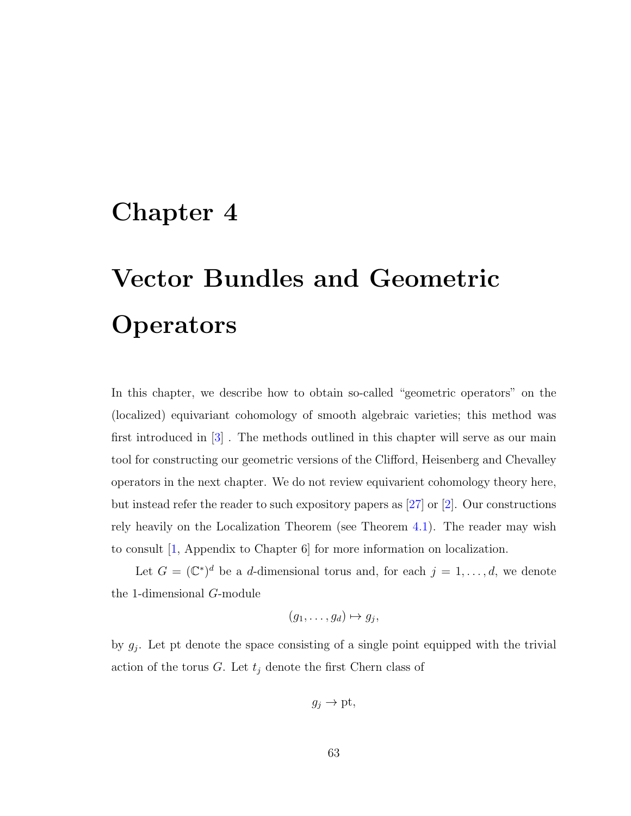# Chapter 4

# Vector Bundles and Geometric **Operators**

In this chapter, we describe how to obtain so-called "geometric operators" on the (localized) equivariant cohomology of smooth algebraic varieties; this method was first introduced in [\[3\]](#page-114-0) . The methods outlined in this chapter will serve as our main tool for constructing our geometric versions of the Clifford, Heisenberg and Chevalley operators in the next chapter. We do not review equivarient cohomology theory here, but instead refer the reader to such expository papers as [\[27\]](#page-117-0) or [\[2\]](#page-114-1). Our constructions rely heavily on the Localization Theorem (see Theorem [4.1\)](#page-68-0). The reader may wish to consult [\[1,](#page-114-2) Appendix to Chapter 6] for more information on localization.

Let  $G = (\mathbb{C}^*)^d$  be a d-dimensional torus and, for each  $j = 1, \ldots, d$ , we denote the 1-dimensional G-module

$$
(g_1,\ldots,g_d)\mapsto g_j,
$$

by  $g_j$ . Let pt denote the space consisting of a single point equipped with the trivial action of the torus  $G$ . Let  $t_j$  denote the first Chern class of

$$
g_j \to \text{pt},
$$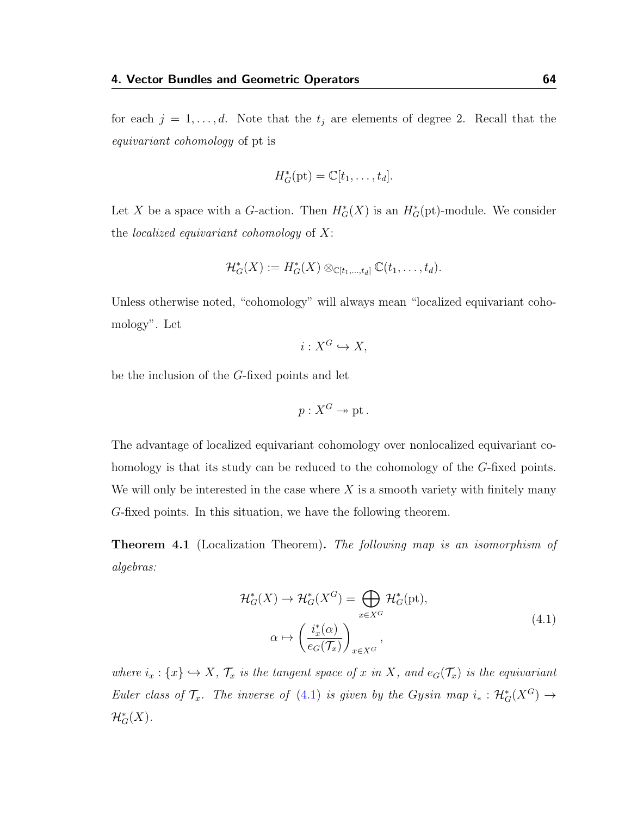for each  $j = 1, \ldots, d$ . Note that the  $t_j$  are elements of degree 2. Recall that the equivariant cohomology of pt is

$$
H_G^*(\text{pt}) = \mathbb{C}[t_1,\ldots,t_d].
$$

Let X be a space with a G-action. Then  $H^*_{G}(X)$  is an  $H^*_{G}(\text{pt})$ -module. We consider the *localized equivariant cohomology* of  $X$ :

$$
\mathcal{H}_G^*(X) := H_G^*(X) \otimes_{\mathbb{C}[t_1,\ldots,t_d]} \mathbb{C}(t_1,\ldots,t_d).
$$

Unless otherwise noted, "cohomology" will always mean "localized equivariant cohomology". Let

$$
i: X^G \hookrightarrow X,
$$

be the inclusion of the G-fixed points and let

$$
p:X^G\to\mathrm{pt}.
$$

The advantage of localized equivariant cohomology over nonlocalized equivariant cohomology is that its study can be reduced to the cohomology of the G-fixed points. We will only be interested in the case where  $X$  is a smooth variety with finitely many G-fixed points. In this situation, we have the following theorem.

<span id="page-68-0"></span>**Theorem 4.1** (Localization Theorem). The following map is an isomorphism of algebras:

<span id="page-68-1"></span>
$$
\mathcal{H}_G^*(X) \to \mathcal{H}_G^*(X^G) = \bigoplus_{x \in X^G} \mathcal{H}_G^*(\text{pt}),
$$
\n
$$
\alpha \mapsto \left(\frac{i_x^*(\alpha)}{e_G(\mathcal{T}_x)}\right)_{x \in X^G},
$$
\n(4.1)

where  $i_x: \{x\} \hookrightarrow X$ ,  $\mathcal{T}_x$  is the tangent space of x in X, and  $e_G(\mathcal{T}_x)$  is the equivariant Euler class of  $\mathcal{T}_x$ . The inverse of [\(4.1\)](#page-68-1) is given by the Gysin map  $i_* : \mathcal{H}_G^*(X^G) \to$  $\mathcal{H}^*_G(X).$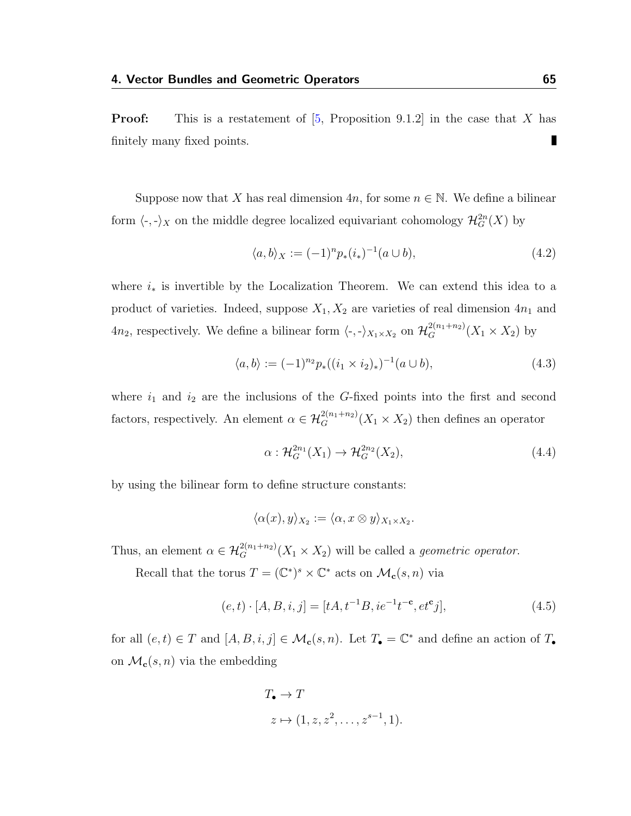**Proof:** This is a restatement of  $[5,$  Proposition 9.1.2 in the case that X has Π finitely many fixed points.

Suppose now that X has real dimension  $4n$ , for some  $n \in \mathbb{N}$ . We define a bilinear form  $\langle \text{-}, \text{-} \rangle_X$  on the middle degree localized equivariant cohomology  $\mathcal{H}^{2n}_G(X)$  by

$$
\langle a, b \rangle_X := (-1)^n p_*(i_*)^{-1} (a \cup b), \tag{4.2}
$$

where  $i_*$  is invertible by the Localization Theorem. We can extend this idea to a product of varieties. Indeed, suppose  $X_1, X_2$  are varieties of real dimension  $4n_1$  and  $4n_2$ , respectively. We define a bilinear form  $\langle \cdot, \cdot \rangle_{X_1 \times X_2}$  on  $\mathcal{H}_G^{2(n_1+n_2)}(X_1 \times X_2)$  by

$$
\langle a, b \rangle := (-1)^{n_2} p_*((i_1 \times i_2)_*)^{-1}(a \cup b), \tag{4.3}
$$

where  $i_1$  and  $i_2$  are the inclusions of the G-fixed points into the first and second factors, respectively. An element  $\alpha \in \mathcal{H}_G^{2(n_1+n_2)}(X_1 \times X_2)$  then defines an operator

$$
\alpha: \mathcal{H}_G^{2n_1}(X_1) \to \mathcal{H}_G^{2n_2}(X_2),\tag{4.4}
$$

by using the bilinear form to define structure constants:

$$
\langle \alpha(x), y \rangle_{X_2} := \langle \alpha, x \otimes y \rangle_{X_1 \times X_2}.
$$

Thus, an element  $\alpha \in \mathcal{H}_G^{2(n_1+n_2)}(X_1 \times X_2)$  will be called a *geometric operator*.

Recall that the torus  $T = (\mathbb{C}^*)^s \times \mathbb{C}^*$  acts on  $\mathcal{M}_c(s, n)$  via

<span id="page-69-0"></span>
$$
(e,t) \cdot [A,B,i,j] = [tA, t^{-1}B, ie^{-1}t^{-c}, et^cj],
$$
\n(4.5)

for all  $(e, t) \in T$  and  $[A, B, i, j] \in \mathcal{M}_c(s, n)$ . Let  $T_{\bullet} = \mathbb{C}^*$  and define an action of  $T_{\bullet}$ on  $\mathcal{M}_{c}(s, n)$  via the embedding

$$
T_{\bullet} \to T
$$
  

$$
z \mapsto (1, z, z^2, \dots, z^{s-1}, 1).
$$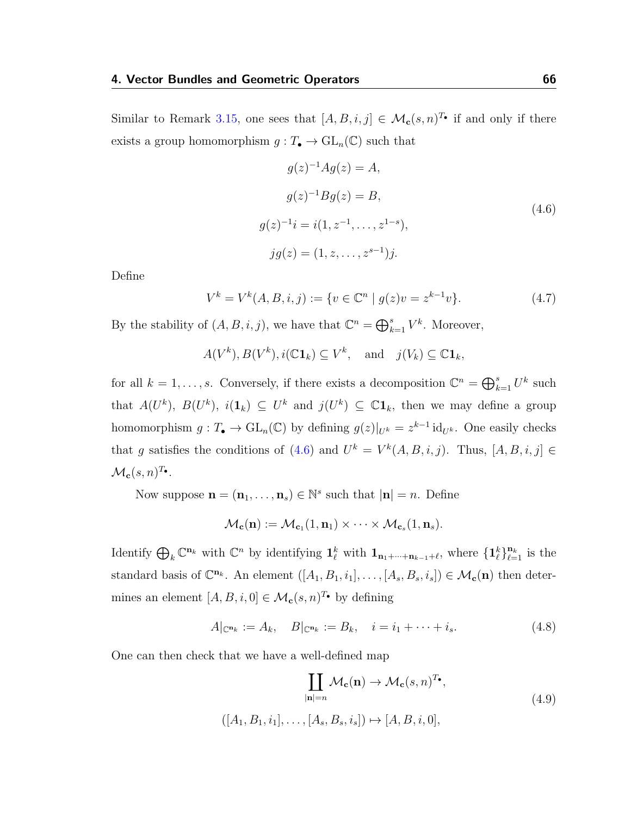Similar to Remark [3.15,](#page-58-1) one sees that  $[A, B, i, j] \in \mathcal{M}_c(s, n)^{T_{\bullet}}$  if and only if there exists a group homomorphism  $g: T_{\bullet} \to GL_n(\mathbb{C})$  such that

<span id="page-70-0"></span>
$$
g(z)^{-1}Ag(z) = A,
$$
  
\n
$$
g(z)^{-1}Bg(z) = B,
$$
  
\n
$$
g(z)^{-1}i = i(1, z^{-1}, \dots, z^{1-s}),
$$
  
\n
$$
jg(z) = (1, z, \dots, z^{s-1})j.
$$
\n(4.6)

Define

$$
V^k = V^k(A, B, i, j) := \{ v \in \mathbb{C}^n \mid g(z)v = z^{k-1}v \}. \tag{4.7}
$$

By the stability of  $(A, B, i, j)$ , we have that  $\mathbb{C}^n = \bigoplus_{k=1}^s V^k$ . Moreover,

$$
A(V^k), B(V^k), i(\mathbb{C} \mathbf{1}_k) \subseteq V^k
$$
, and  $j(V_k) \subseteq \mathbb{C} \mathbf{1}_k$ ,

for all  $k = 1, ..., s$ . Conversely, if there exists a decomposition  $\mathbb{C}^n = \bigoplus_{k=1}^s U^k$  such that  $A(U^k)$ ,  $B(U^k)$ ,  $i(1_k) \subseteq U^k$  and  $j(U^k) \subseteq \mathbb{C}1_k$ , then we may define a group homomorphism  $g: T_{\bullet} \to GL_n(\mathbb{C})$  by defining  $g(z)|_{U^k} = z^{k-1} \mathrm{id}_{U^k}$ . One easily checks that g satisfies the conditions of [\(4.6\)](#page-70-0) and  $U^k = V^k(A, B, i, j)$ . Thus,  $[A, B, i, j] \in$  $\mathcal{M}_{\mathbf{c}}(s,n)^{T_{\bullet}}.$ 

Now suppose  $\mathbf{n} = (\mathbf{n}_1, \dots, \mathbf{n}_s) \in \mathbb{N}^s$  such that  $|\mathbf{n}| = n$ . Define

$$
\mathcal{M}_{\mathbf{c}}(\mathbf{n}) := \mathcal{M}_{\mathbf{c}_1}(1, \mathbf{n}_1) \times \cdots \times \mathcal{M}_{\mathbf{c}_s}(1, \mathbf{n}_s).
$$

Identify  $\bigoplus_k \mathbb{C}^{n_k}$  with  $\mathbb{C}^n$  by identifying  $\mathbf{1}_{\ell}^k$  with  $\mathbf{1}_{n_1+\cdots+n_{k-1}+\ell}$ , where  $\{\mathbf{1}_{\ell}^k\}_{\ell=1}^{n_k}$  is the standard basis of  $\mathbb{C}^{n_k}$ . An element  $([A_1, B_1, i_1], \ldots, [A_s, B_s, i_s]) \in \mathcal{M}_c(\mathbf{n})$  then determines an element  $[A, B, i, 0] \in \mathcal{M}_c(s, n)^{T_{\bullet}}$  by defining

<span id="page-70-1"></span>
$$
A|_{\mathbb{C}^{\mathbf{n}_k}} := A_k, \quad B|_{\mathbb{C}^{\mathbf{n}_k}} := B_k, \quad i = i_1 + \dots + i_s. \tag{4.8}
$$

One can then check that we have a well-defined map

<span id="page-70-2"></span>
$$
\coprod_{|\mathbf{n}|=n} \mathcal{M}_{\mathbf{c}}(\mathbf{n}) \to \mathcal{M}_{\mathbf{c}}(s, n)^{T_{\bullet}},
$$
\n
$$
([A_1, B_1, i_1], \dots, [A_s, B_s, i_s]) \mapsto [A, B, i, 0],
$$
\n
$$
(4.9)
$$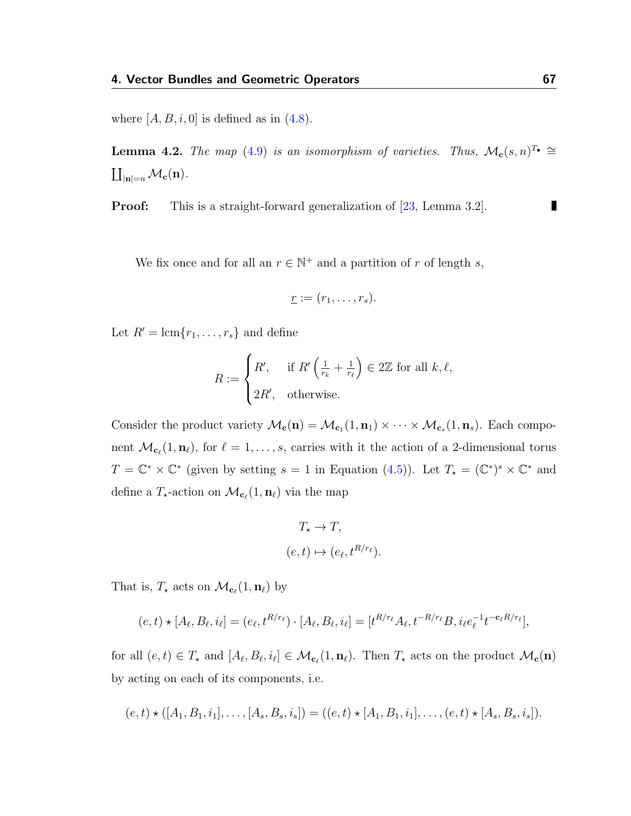where  $[A, B, i, 0]$  is defined as in  $(4.8)$ .

**Lemma 4.2.** The map [\(4.9\)](#page-70-2) is an isomorphism of varieties. Thus,  $\mathcal{M}_{c}(s, n)^{T_{\bullet}} \cong$  $\coprod_{|\mathbf{n}|=n} \mathcal{M}_{\mathbf{c}}(\mathbf{n}).$ 

**Proof:** This is a straight-forward generalization of [\[23,](#page-116-5) Lemma 3.2].

We fix once and for all an  $r \in \mathbb{N}^+$  and a partition of r of length s,

$$
\underline{r} := (r_1, \ldots, r_s).
$$

Let  $R' = \text{lcm}\lbrace r_1, \ldots, r_s \rbrace$  and define

$$
R := \begin{cases} R', & \text{if } R' \left( \frac{1}{r_k} + \frac{1}{r_\ell} \right) \in 2\mathbb{Z} \text{ for all } k, \ell, \\ 2R', & \text{otherwise.} \end{cases}
$$

Consider the product variety  $\mathcal{M}_{c}(n) = \mathcal{M}_{c_1}(1, n_1) \times \cdots \times \mathcal{M}_{c_s}(1, n_s)$ . Each component  $\mathcal{M}_{\mathbf{c}_\ell}(1, \mathbf{n}_\ell)$ , for  $\ell = 1, \ldots, s$ , carries with it the action of a 2-dimensional torus  $T = \mathbb{C}^* \times \mathbb{C}^*$  (given by setting  $s = 1$  in Equation [\(4.5\)](#page-69-0)). Let  $T_* = (\mathbb{C}^*)^s \times \mathbb{C}^*$  and define a  $T_{\star}$ -action on  $\mathcal{M}_{\mathbf{c}_{\ell}}(1, \mathbf{n}_{\ell})$  via the map

$$
T_{\star} \to T,
$$
  
(e, t) \mapsto (e\_{\ell}, t^{R/r\_{\ell}}).

That is,  $T_{\star}$  acts on  $\mathcal{M}_{\mathbf{c}_{\ell}}(1, \mathbf{n}_{\ell})$  by

$$
(e,t) \star [A_{\ell}, B_{\ell}, i_{\ell}] = (e_{\ell}, t^{R/r_{\ell}}) \cdot [A_{\ell}, B_{\ell}, i_{\ell}] = [t^{R/r_{\ell}} A_{\ell}, t^{-R/r_{\ell}} B, i_{\ell} e_{\ell}^{-1} t^{-c_{\ell} R/r_{\ell}}],
$$

for all  $(e, t) \in T_{\star}$  and  $[A_{\ell}, B_{\ell}, i_{\ell}] \in \mathcal{M}_{\mathbf{c}_{\ell}}(1, \mathbf{n}_{\ell})$ . Then  $T_{\star}$  acts on the product  $\mathcal{M}_{\mathbf{c}}(\mathbf{n})$ by acting on each of its components, i.e.

$$
(e,t)\star([A_1,B_1,i_1],\ldots,[A_s,B_s,i_s])=((e,t)\star[A_1,B_1,i_1],\ldots,(e,t)\star[A_s,B_s,i_s]).
$$

П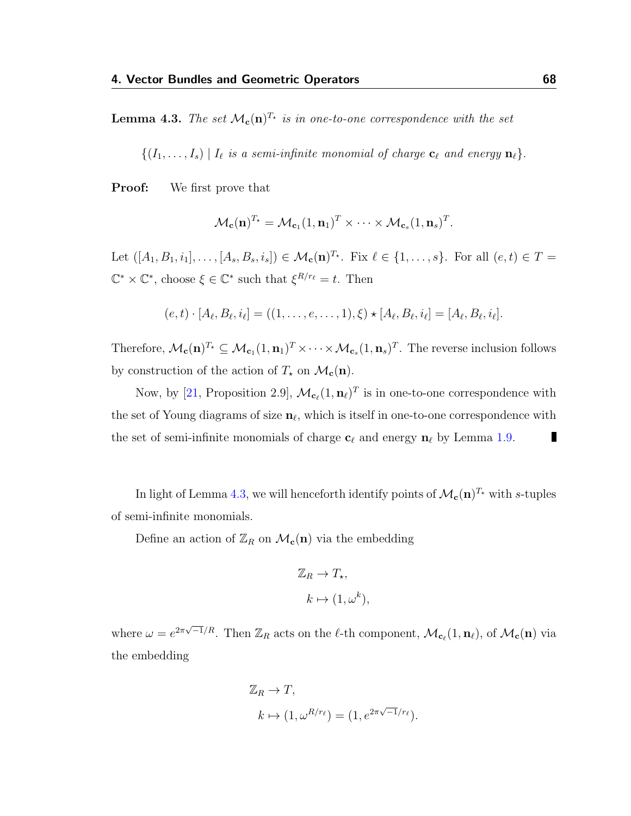<span id="page-72-0"></span>**Lemma 4.3.** The set  $\mathcal{M}_{c}(n)^{T_{\star}}$  is in one-to-one correspondence with the set

 $\{(I_1, \ldots, I_s) | I_\ell \text{ is a semi-infinite monomial of charge } \mathbf{c}_\ell \text{ and energy } \mathbf{n}_\ell\}.$ 

**Proof:** We first prove that

$$
\mathcal{M}_{\mathbf{c}}(\mathbf{n})^{T_{\star}} = \mathcal{M}_{\mathbf{c}_1}(1, \mathbf{n}_1)^T \times \cdots \times \mathcal{M}_{\mathbf{c}_s}(1, \mathbf{n}_s)^T.
$$

Let  $([A_1, B_1, i_1], \ldots, [A_s, B_s, i_s]) \in \mathcal{M}_{\mathbf{c}}(\mathbf{n})^{T_\star}$ . Fix  $\ell \in \{1, \ldots, s\}$ . For all  $(e, t) \in T =$  $\mathbb{C}^* \times \mathbb{C}^*$ , choose  $\xi \in \mathbb{C}^*$  such that  $\xi^{R/r_\ell} = t$ . Then

$$
(e,t) \cdot [A_{\ell}, B_{\ell}, i_{\ell}] = ((1, \ldots, e, \ldots, 1), \xi) \star [A_{\ell}, B_{\ell}, i_{\ell}] = [A_{\ell}, B_{\ell}, i_{\ell}].
$$

Therefore,  $\mathcal{M}_{\mathbf{c}}(\mathbf{n})^{T_\star} \subseteq \mathcal{M}_{\mathbf{c}_1}(1,\mathbf{n}_1)^T \times \cdots \times \mathcal{M}_{\mathbf{c}_s}(1,\mathbf{n}_s)^T$ . The reverse inclusion follows by construction of the action of  $T_{\star}$  on  $\mathcal{M}_{c}(n)$ .

Now, by [\[21,](#page-116-0) Proposition 2.9],  $\mathcal{M}_{c_{\ell}}(1, n_{\ell})^T$  is in one-to-one correspondence with the set of Young diagrams of size  $\mathbf{n}_{\ell}$ , which is itself in one-to-one correspondence with the set of semi-infinite monomials of charge  $c_\ell$  and energy  $n_\ell$  by Lemma [1.9.](#page-15-0) П

In light of Lemma [4.3,](#page-72-0) we will henceforth identify points of  $\mathcal{M}_{c}(n)^{T_{\star}}$  with s-tuples of semi-infinite monomials.

Define an action of  $\mathbb{Z}_R$  on  $\mathcal{M}_c(n)$  via the embedding

$$
\mathbb{Z}_R \to T_\star,
$$
  

$$
k \mapsto (1, \omega^k),
$$

where  $\omega = e^{2\pi\sqrt{-1}/R}$ . Then  $\mathbb{Z}_R$  acts on the  $\ell$ -th component,  $\mathcal{M}_{\mathbf{c}_\ell}(1, \mathbf{n}_\ell)$ , of  $\mathcal{M}_{\mathbf{c}}(\mathbf{n})$  via the embedding

$$
\mathbb{Z}_R \to T,
$$
  
\n
$$
k \mapsto (1, \omega^{R/r_{\ell}}) = (1, e^{2\pi\sqrt{-1}/r_{\ell}}).
$$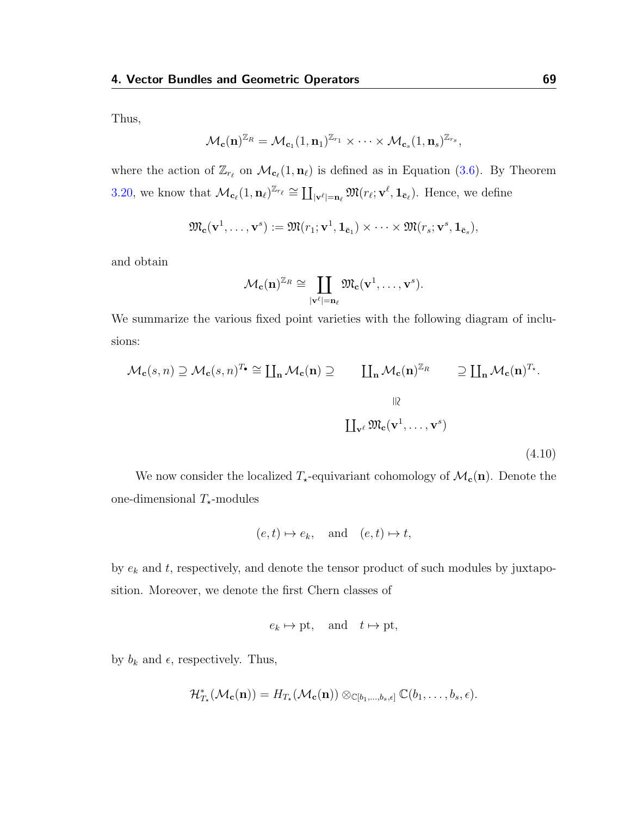Thus,

$$
\mathcal{M}_{\mathbf{c}}(\mathbf{n})^{\mathbb{Z}_R}=\mathcal{M}_{\mathbf{c}_1}(1,\mathbf{n}_1)^{\mathbb{Z}_{r_1}}\times\cdots\times\mathcal{M}_{\mathbf{c}_s}(1,\mathbf{n}_s)^{\mathbb{Z}_{r_s}},
$$

where the action of  $\mathbb{Z}_{r_\ell}$  on  $\mathcal{M}_{c_\ell}(1,n_\ell)$  is defined as in Equation [\(3.6\)](#page-58-0). By Theorem [3.20,](#page-64-0) we know that  $\mathcal{M}_{\mathbf{c}_{\ell}}(1, \mathbf{n}_{\ell})^{\mathbb{Z}_{r_{\ell}}} \cong \coprod_{|\mathbf{v}^{\ell}|=\mathbf{n}_{\ell}} \mathfrak{M}(r_{\ell}; \mathbf{v}^{\ell}, \mathbf{1}_{\bar{\mathbf{c}}_{\ell}})$ . Hence, we define

$$
\mathfrak{M}_{\mathbf{c}}(\mathbf{v}^1,\ldots,\mathbf{v}^s):=\mathfrak{M}(r_1;\mathbf{v}^1,\mathbf{1}_{\bar{\mathbf{c}}_1})\times\cdots\times\mathfrak{M}(r_s;\mathbf{v}^s,\mathbf{1}_{\bar{\mathbf{c}}_s}),
$$

and obtain

$$
\mathcal{M}_{\mathbf{c}}(\mathbf{n})^{\mathbb{Z}_R} \cong \coprod_{|\mathbf{v}^{\ell}|=\mathbf{n}_{\ell}} \mathfrak{M}_{\mathbf{c}}(\mathbf{v}^1,\dots,\mathbf{v}^s).
$$

We summarize the various fixed point varieties with the following diagram of inclusions:

<span id="page-73-0"></span>
$$
\mathcal{M}_{\mathbf{c}}(s,n) \supseteq \mathcal{M}_{\mathbf{c}}(s,n)^{T_{\bullet}} \cong \coprod_{\mathbf{n}} \mathcal{M}_{\mathbf{c}}(\mathbf{n}) \supseteq \coprod_{\mathbf{n}} \mathcal{M}_{\mathbf{c}}(\mathbf{n})^{\mathbb{Z}_{R}} \supseteq \coprod_{\mathbf{n}} \mathcal{M}_{\mathbf{c}}(\mathbf{n})^{T_{\star}}.
$$
\n
$$
\parallel \downarrow \parallel
$$
\n
$$
\coprod_{\mathbf{v}^{\ell}} \mathfrak{M}_{\mathbf{c}}(\mathbf{v}^{1},\ldots,\mathbf{v}^{s})
$$
\n(4.10)

We now consider the localized  $T_{\star}$ -equivariant cohomology of  $\mathcal{M}_{c}(n)$ . Denote the one-dimensional  $T_{\star}$ -modules

$$
(e,t) \mapsto e_k
$$
, and  $(e,t) \mapsto t$ ,

by  $e_k$  and  $t$ , respectively, and denote the tensor product of such modules by juxtaposition. Moreover, we denote the first Chern classes of

$$
e_k \mapsto \text{pt}, \quad \text{and} \quad t \mapsto \text{pt},
$$

by  $b_k$  and  $\epsilon$ , respectively. Thus,

$$
\mathcal{H}^*_{T_{\star}}(\mathcal{M}_{\mathbf{c}}(\mathbf{n})) = H_{T_{\star}}(\mathcal{M}_{\mathbf{c}}(\mathbf{n})) \otimes_{\mathbb{C}[b_1,\ldots,b_s,\epsilon]} \mathbb{C}(b_1,\ldots,b_s,\epsilon).
$$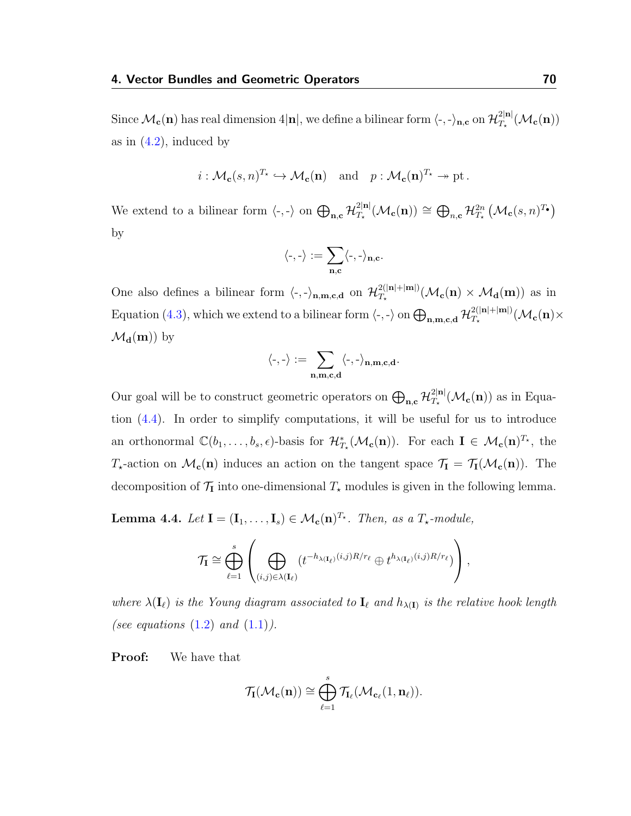Since  $\mathcal{M}_{\bf c}({\bf n})$  has real dimension 4 $|{\bf n}|$ , we define a bilinear form  $\langle$ -, - $\rangle_{{\bf n},{\bf c}}$  on  $\mathcal{H}_{T_{\bf r}}^{2|{\bf n}|}$  $T_\star^{\rm 2|n|}(\mathcal{M}_{\mathbf{c}}(\mathbf{n}))$ as in  $(4.2)$ , induced by

$$
i: \mathcal{M}_{\mathbf{c}}(s, n)^{T_{\star}} \hookrightarrow \mathcal{M}_{\mathbf{c}}(\mathbf{n}) \text{ and } p: \mathcal{M}_{\mathbf{c}}(\mathbf{n})^{T_{\star}} \to \text{pt}.
$$

We extend to a bilinear form  $\langle \cdot, \cdot \rangle$  on  $\bigoplus_{\mathbf{n},\mathbf{c}} \mathcal{H}_{T_{\star}}^{2|\mathbf{n}|}$  $\frac{2|\mathbf{n}|}{T_{\star}}(\mathcal{M}_{\mathbf{c}}(\mathbf{n})) \cong \bigoplus_{n,\mathbf{c}} \mathcal{H}_{T_{\star}}^{2n} \left(\mathcal{M}_{\mathbf{c}}(s,n)^{T_{\bullet}}\right)$ by

$$
\langle\text{-},\text{-}\rangle:=\sum_{\mathbf{n},\mathbf{c}}\langle\text{-},\text{-}\rangle_{\mathbf{n},\mathbf{c}}.
$$

One also defines a bilinear form  $\langle \cdot, \cdot \rangle_{n,m,c,d}$  on  $\mathcal{H}_{T_{+}}^{2(|n|+|m|)}$  $T_{\star}^{2(|\mathbf{n}|+|\mathbf{m}|)}(\mathcal{M}_{\mathbf{c}}(\mathbf{n}) \times \mathcal{M}_{\mathbf{d}}(\mathbf{m}))$  as in Equation [\(4.3\)](#page-69-1), which we extend to a bilinear form  $\langle \cdot, \cdot \rangle$  on  $\bigoplus_{n,m,c,d} \mathcal{H}_{T_{\star}}^{2(|n|+|m|)}$  $T_\star^{2(|\mathbf{n}|+|\mathbf{m}|)}(\mathcal{M}_{\mathbf{c}}(\mathbf{n})\times$  $\mathcal{M}_{\mathbf{d}}(\mathbf{m})$  by

$$
\langle\text{-},\text{-}\rangle := \sum_{\mathbf{n},\mathbf{m},\mathbf{c},\mathbf{d}} \langle\text{-},\text{-}\rangle_{\mathbf{n},\mathbf{m},\mathbf{c},\mathbf{d}}.
$$

Our goal will be to construct geometric operators on  $\bigoplus_{n,c} \mathcal{H}_{T_{\star}}^{2|n|}$  $T_{\star}^{2|\mathbf{n}|}(\mathcal{M}_{\mathbf{c}}(\mathbf{n}))$  as in Equation [\(4.4\)](#page-69-2). In order to simplify computations, it will be useful for us to introduce an orthonormal  $\mathbb{C}(b_1,\ldots,b_s,\epsilon)$ -basis for  $\mathcal{H}_{T_{\star}}^{\ast}(\mathcal{M}_{\mathbf{c}}(\mathbf{n}))$ . For each  $\mathbf{I} \in \mathcal{M}_{\mathbf{c}}(\mathbf{n})^{T_{\star}},$  the  $T_{\star}$ -action on  $\mathcal{M}_{c}(n)$  induces an action on the tangent space  $\mathcal{T}_{I} = \mathcal{T}_{I}(\mathcal{M}_{c}(n))$ . The decomposition of  $\mathcal{T}_{I}$  into one-dimensional  $T_{\star}$  modules is given in the following lemma.

**Lemma 4.4.** Let  $I = (I_1, \ldots, I_s) \in \mathcal{M}_c(n)^{T_\star}$ . Then, as a  $T_\star$ -module,

$$
\mathcal{T}_{\mathbf{I}} \cong \bigoplus_{\ell=1}^s \left( \bigoplus_{(i,j)\in \lambda(\mathbf{I}_{\ell})} (t^{-h_{\lambda(\mathbf{I}_{\ell})}(i,j)R/r_{\ell}} \oplus t^{h_{\lambda(\mathbf{I}_{\ell})}(i,j)R/r_{\ell}}) \right),
$$

where  $\lambda(I_\ell)$  is the Young diagram associated to  $I_\ell$  and  $h_{\lambda(I)}$  is the relative hook length (see equations  $(1.2)$  and  $(1.1)$ ).

Proof: We have that

$$
\mathcal{T}_\mathbf{I}(\mathcal{M}_\mathbf{c}(\mathbf{n})) \cong \bigoplus_{\ell=1}^s \mathcal{T}_{\mathbf{I}_\ell}(\mathcal{M}_{\mathbf{c}_\ell}(1,\mathbf{n}_\ell)).
$$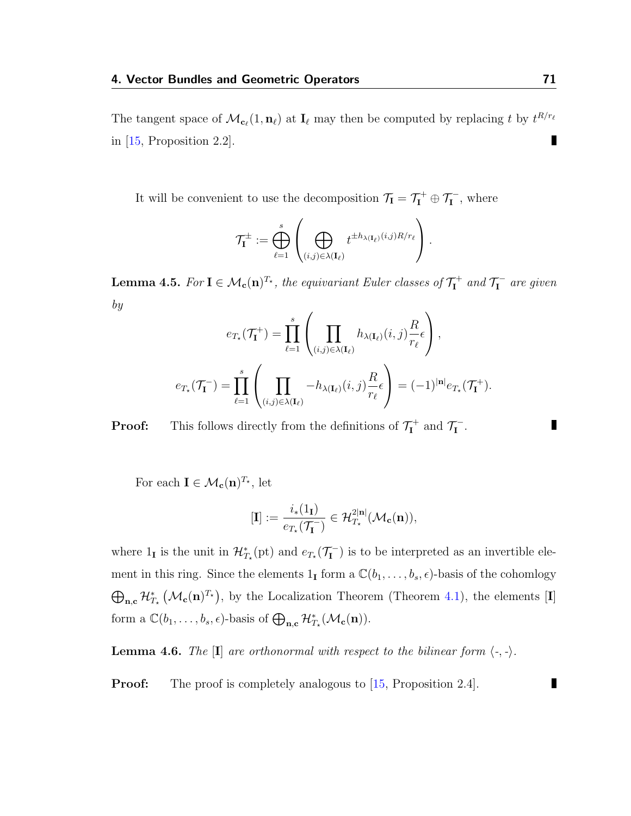The tangent space of  $\mathcal{M}_{c_\ell}(1, n_\ell)$  at  $I_\ell$  may then be computed by replacing t by  $t^{R/r_\ell}$ Π in  $[15,$  Proposition 2.2.

It will be convenient to use the decomposition  $\mathcal{T}_{I} = \mathcal{T}_{I}^{+} \oplus \mathcal{T}_{I}^{-}$ , where

$$
\mathcal{T}_{\mathbf{I}}^{\pm} := \bigoplus_{\ell=1}^{s} \left( \bigoplus_{(i,j)\in \lambda(\mathbf{I}_{\ell})} t^{\pm h_{\lambda(\mathbf{I}_{\ell})}(i,j)R/r_{\ell}} \right).
$$

**Lemma 4.5.** For  $I \in \mathcal{M}_{c}(n)^{T*}$ , the equivariant Euler classes of  $\mathcal{T}_{I}^{+}$  $\mathbf{I}^+$  and  $\mathcal{T}^ I^{\text{I}}$  are given by

$$
e_{T_{\star}}(\mathcal{T}_{\mathbf{I}}^{+}) = \prod_{\ell=1}^{s} \left( \prod_{(i,j)\in\lambda(\mathbf{I}_{\ell})} h_{\lambda(\mathbf{I}_{\ell})}(i,j) \frac{R}{r_{\ell}} \epsilon \right),
$$

$$
e_{T_{\star}}(\mathcal{T}_{\mathbf{I}}^{-}) = \prod_{\ell=1}^{s} \left( \prod_{(i,j)\in\lambda(\mathbf{I}_{\ell})} -h_{\lambda(\mathbf{I}_{\ell})}(i,j) \frac{R}{r_{\ell}} \epsilon \right) = (-1)^{|\mathbf{n}|} e_{T_{\star}}(\mathcal{T}_{\mathbf{I}}^{+}).
$$

**Proof:** This follows directly from the definitions of  $\mathcal{T}_{I}^{+}$  $\mathbf{I}^+$  and  $\mathcal{T}^ \frac{1}{1}$  .

For each  $\mathbf{I} \in \mathcal{M}_{\mathbf{c}}(\mathbf{n})^{T_{\star}},$  let

$$
[\mathbf{I}] := \frac{i_*(1_\mathbf{I})}{e_{T_\star}(\mathcal{T}_\mathbf{I}^-)} \in \mathcal{H}_{T_\star}^{2|\mathbf{n}|}(\mathcal{M}_\mathbf{c}(\mathbf{n})),
$$

where  $1_{\mathbf{I}}$  is the unit in  $\mathcal{H}_{T_{\star}}^{*}(\text{pt})$  and  $e_{T_{\star}}(\mathcal{T}_{\mathbf{I}}^{-})$  $\left( \begin{matrix} \mathbf{I} \\ \mathbf{I} \end{matrix} \right)$  is to be interpreted as an invertible element in this ring. Since the elements  $1_I$  form a  $\mathbb{C}(b_1, \ldots, b_s, \epsilon)$ -basis of the cohomlogy  $\bigoplus_{n,c} \mathcal{H}_{T_{\star}}^{*}(\mathcal{M}_{c}(n)^{T_{\star}}),$  by the Localization Theorem (Theorem [4.1\)](#page-68-0), the elements [I] form a  $\mathbb{C}(b_1,\ldots,b_s,\epsilon)$ -basis of  $\bigoplus_{\mathbf{n},\mathbf{c}}\mathcal{H}_{T_{\star}}^*(\mathcal{M}_{\mathbf{c}}(\mathbf{n})).$ 

<span id="page-75-0"></span>**Lemma 4.6.** The  $[I]$  are orthonormal with respect to the bilinear form  $\langle \cdot, \cdot \rangle$ .

**Proof:** The proof is completely analogous to [\[15,](#page-115-0) Proposition 2.4].

П

п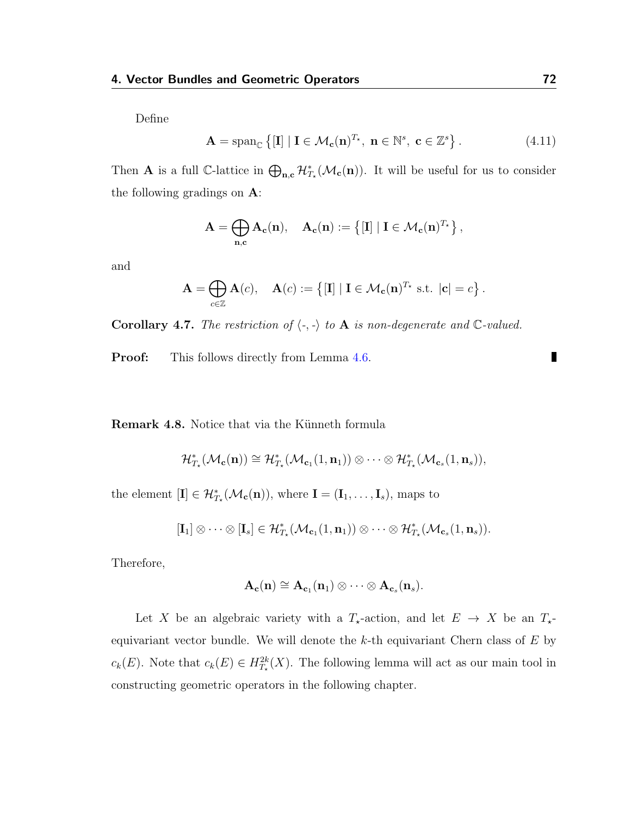Define

$$
\mathbf{A} = \operatorname{span}_{\mathbb{C}} \left\{ \left[ \mathbf{I} \right] \mid \mathbf{I} \in \mathcal{M}_{\mathbf{c}}(\mathbf{n})^{T_{\star}}, \ \mathbf{n} \in \mathbb{N}^{s}, \ \mathbf{c} \in \mathbb{Z}^{s} \right\}.
$$
 (4.11)

Then **A** is a full C-lattice in  $\bigoplus_{n,c} \mathcal{H}_{T_{\star}}^{*}(\mathcal{M}_{c}(n))$ . It will be useful for us to consider the following gradings on A:

$$
\mathbf{A} = \bigoplus_{\mathbf{n}, \mathbf{c}} \mathbf{A}_{\mathbf{c}}(\mathbf{n}), \quad \mathbf{A}_{\mathbf{c}}(\mathbf{n}) := \left\{ [\mathbf{I}] \ | \ \mathbf{I} \in \mathcal{M}_{\mathbf{c}}(\mathbf{n})^{T_\star} \right\},
$$

and

$$
\mathbf{A} = \bigoplus_{c \in \mathbb{Z}} \mathbf{A}(c), \quad \mathbf{A}(c) := \{ [\mathbf{I}] \mid \mathbf{I} \in \mathcal{M}_{\mathbf{c}}(\mathbf{n})^{T_{\star}} \text{ s.t. } |\mathbf{c}| = c \}.
$$

Corollary 4.7. The restriction of  $\langle -, - \rangle$  to A is non-degenerate and C-valued.

**Proof:** This follows directly from Lemma [4.6.](#page-75-0)

<span id="page-76-0"></span>Remark 4.8. Notice that via the Künneth formula

$$
\mathcal{H}^*_{\mathcal{I}_\star}(\mathcal{M}_{\mathbf{c}}(\mathbf{n})) \cong \mathcal{H}^*_{\mathcal{I}_\star}(\mathcal{M}_{\mathbf{c}_1}(1,\mathbf{n}_1)) \otimes \cdots \otimes \mathcal{H}^*_{\mathcal{I}_\star}(\mathcal{M}_{\mathbf{c}_s}(1,\mathbf{n}_s)),
$$

the element  $[\mathbf{I}] \in \mathcal{H}_{T_{\star}}^{*}(\mathcal{M}_{\mathbf{c}}(\mathbf{n})),$  where  $\mathbf{I} = (\mathbf{I}_{1}, \ldots, \mathbf{I}_{s}),$  maps to

$$
[\mathbf{I}_1]\otimes\cdots\otimes [\mathbf{I}_s]\in \mathcal{H}_{\mathcal{I}_{\star}}^*(\mathcal{M}_{\mathbf{c}_1}(1,\mathbf{n}_1))\otimes\cdots\otimes \mathcal{H}_{\mathcal{I}_{\star}}^*(\mathcal{M}_{\mathbf{c}_s}(1,\mathbf{n}_s)).
$$

Therefore,

$$
\mathbf{A_c(n)} \cong \mathbf{A_{c_1}(n_1)} \otimes \cdots \otimes \mathbf{A_{c_s}(n_s)}.
$$

Let X be an algebraic variety with a  $T_{\star}$ -action, and let  $E \to X$  be an  $T_{\star}$ equivariant vector bundle. We will denote the  $k$ -th equivariant Chern class of  $E$  by  $c_k(E)$ . Note that  $c_k(E) \in H^{2k}_{T_*}(X)$ . The following lemma will act as our main tool in constructing geometric operators in the following chapter.

П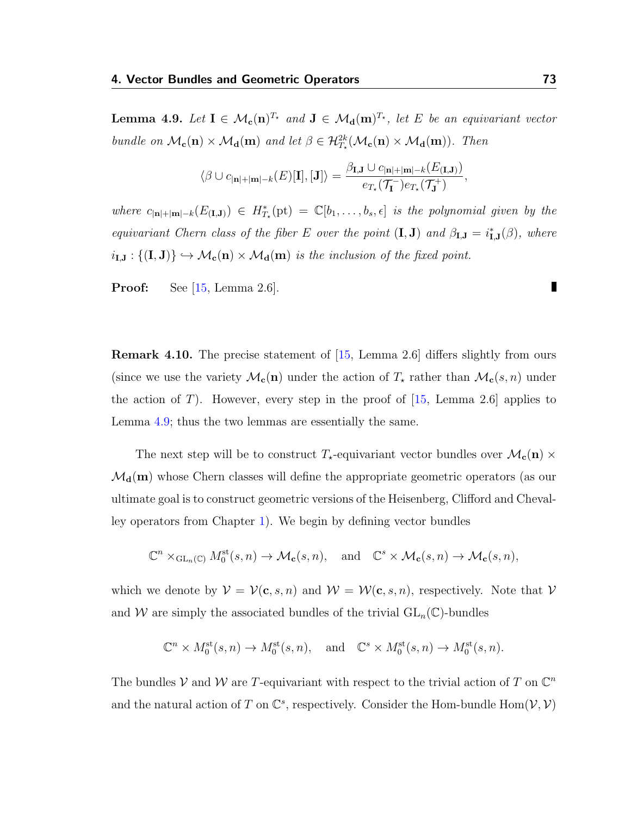<span id="page-77-0"></span>**Lemma 4.9.** Let  $I \in M_c(n)^{T_\star}$  and  $J \in M_d(m)^{T_\star}$ , let E be an equivariant vector bundle on  $\mathcal{M}_{c}(n) \times \mathcal{M}_{d}(m)$  and let  $\beta \in \mathcal{H}_{T_{*}}^{2k}(\mathcal{M}_{c}(n) \times \mathcal{M}_{d}(m))$ . Then

$$
\langle \beta \cup c_{|\mathbf{n}|+|\mathbf{m}|-k}(E)[\mathbf{I}], [\mathbf{J}]\rangle = \frac{\beta_{\mathbf{I},\mathbf{J}} \cup c_{|\mathbf{n}|+|\mathbf{m}|-k}(E_{(\mathbf{I},\mathbf{J})})}{e_{T_{\star}}(\mathcal{T}_{\mathbf{I}}^{-})e_{T_{\star}}(\mathcal{T}_{\mathbf{J}}^{+})},
$$

where  $c_{|\mathbf{n}|+|\mathbf{m}|-k}(E_{(\mathbf{I},\mathbf{J})}) \in H^*_{T^*}(\mathrm{pt}) = \mathbb{C}[b_1,\ldots,b_s,\epsilon]$  is the polynomial given by the equivariant Chern class of the fiber E over the point  $(I, J)$  and  $\beta_{I,J} = i_{I,J}^*(\beta)$ , where  $i_{I,J}: \{ (I,J) \} \hookrightarrow \mathcal{M}_c(n) \times \mathcal{M}_d(m)$  is the inclusion of the fixed point.

**Proof:** See  $[15, \text{Lemma } 2.6]$  $[15, \text{Lemma } 2.6]$ .

Remark 4.10. The precise statement of [\[15,](#page-115-0) Lemma 2.6] differs slightly from ours (since we use the variety  $\mathcal{M}_{c}(n)$  under the action of  $T_{\star}$  rather than  $\mathcal{M}_{c}(s, n)$  under the action of T). However, every step in the proof of  $[15, \text{ Lemma } 2.6]$  $[15, \text{ Lemma } 2.6]$  applies to Lemma [4.9;](#page-77-0) thus the two lemmas are essentially the same.

The next step will be to construct  $T_{\star}$ -equivariant vector bundles over  $\mathcal{M}_{c}(n) \times$  $\mathcal{M}_{d}(m)$  whose Chern classes will define the appropriate geometric operators (as our ultimate goal is to construct geometric versions of the Heisenberg, Clifford and Chevalley operators from Chapter [1\)](#page-8-0). We begin by defining vector bundles

$$
\mathbb{C}^n\times_{\mathrm{GL}_n(\mathbb{C})}M_0^{\mathrm{st}}(s,n)\to \mathcal{M}_{\mathbf{c}}(s,n),\quad \text{and}\quad \mathbb{C}^s\times \mathcal{M}_{\mathbf{c}}(s,n)\to \mathcal{M}_{\mathbf{c}}(s,n),
$$

which we denote by  $V = V(c, s, n)$  and  $W = W(c, s, n)$ , respectively. Note that V and W are simply the associated bundles of the trivial  $GL_n(\mathbb{C})$ -bundles

$$
\mathbb{C}^n \times M_0^{\text{st}}(s,n) \to M_0^{\text{st}}(s,n), \text{ and } \mathbb{C}^s \times M_0^{\text{st}}(s,n) \to M_0^{\text{st}}(s,n).
$$

The bundles V and W are T-equivariant with respect to the trivial action of T on  $\mathbb{C}^n$ and the natural action of T on  $\mathbb{C}^s$ , respectively. Consider the Hom-bundle Hom $(\mathcal{V}, \mathcal{V})$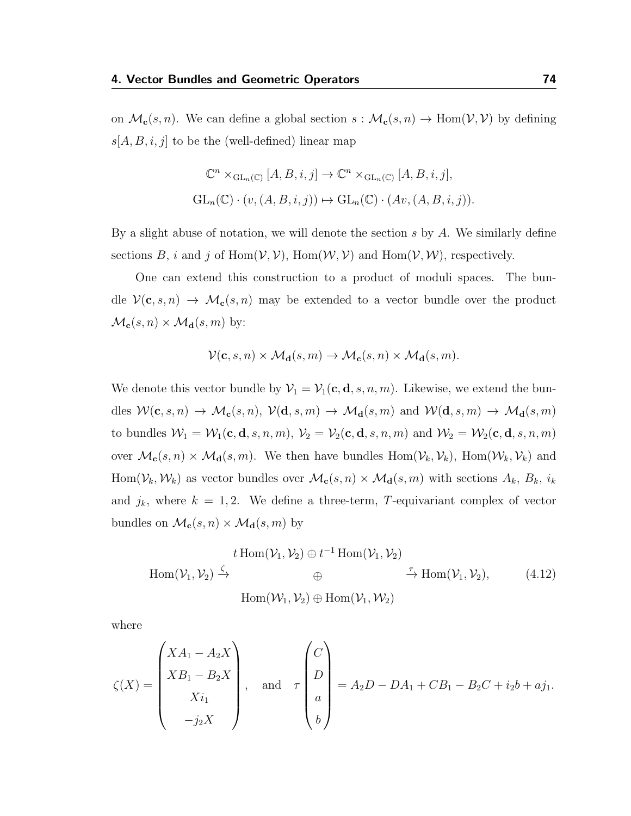on  $\mathcal{M}_{c}(s, n)$ . We can define a global section  $s : \mathcal{M}_{c}(s, n) \to \text{Hom}(\mathcal{V}, \mathcal{V})$  by defining  $s[A, B, i, j]$  to be the (well-defined) linear map

$$
\mathbb{C}^n \times_{\mathrm{GL}_n(\mathbb{C})} [A, B, i, j] \to \mathbb{C}^n \times_{\mathrm{GL}_n(\mathbb{C})} [A, B, i, j],
$$
  

$$
\mathrm{GL}_n(\mathbb{C}) \cdot (v, (A, B, i, j)) \mapsto \mathrm{GL}_n(\mathbb{C}) \cdot (Av, (A, B, i, j)).
$$

By a slight abuse of notation, we will denote the section  $s$  by  $A$ . We similarly define sections B, i and j of Hom $(V, V)$ , Hom $(W, V)$  and Hom $(V, W)$ , respectively.

One can extend this construction to a product of moduli spaces. The bundle  $\mathcal{V}(\mathbf{c}, s, n) \to \mathcal{M}_{\mathbf{c}}(s, n)$  may be extended to a vector bundle over the product  $\mathcal{M}_{\mathbf{c}}(s, n) \times \mathcal{M}_{\mathbf{d}}(s, m)$  by:

$$
\mathcal{V}(\mathbf{c}, s, n) \times \mathcal{M}_{\mathbf{d}}(s, m) \to \mathcal{M}_{\mathbf{c}}(s, n) \times \mathcal{M}_{\mathbf{d}}(s, m).
$$

We denote this vector bundle by  $\mathcal{V}_1 = \mathcal{V}_1(c, d, s, n, m)$ . Likewise, we extend the bundles  $W(c, s, n) \to \mathcal{M}_c(s, n)$ ,  $\mathcal{V}(\mathbf{d}, s, m) \to \mathcal{M}_\mathbf{d}(s, m)$  and  $\mathcal{W}(\mathbf{d}, s, m) \to \mathcal{M}_\mathbf{d}(s, m)$ to bundles  $W_1 = W_1(c, d, s, n, m)$ ,  $V_2 = V_2(c, d, s, n, m)$  and  $W_2 = W_2(c, d, s, n, m)$ over  $\mathcal{M}_c(s, n) \times \mathcal{M}_d(s, m)$ . We then have bundles  $Hom(\mathcal{V}_k, \mathcal{V}_k)$ ,  $Hom(\mathcal{W}_k, \mathcal{V}_k)$  and Hom( $V_k, W_k$ ) as vector bundles over  $\mathcal{M}_c(s, n) \times \mathcal{M}_d(s, m)$  with sections  $A_k, B_k, i_k$ and  $j_k$ , where  $k = 1, 2$ . We define a three-term, T-equivariant complex of vector bundles on  $\mathcal{M}_{\mathbf{c}}(s, n) \times \mathcal{M}_{\mathbf{d}}(s, m)$  by

<span id="page-78-0"></span>
$$
t \operatorname{Hom}(\mathcal{V}_1, \mathcal{V}_2) \oplus t^{-1} \operatorname{Hom}(\mathcal{V}_1, \mathcal{V}_2)
$$
  
Hom $(\mathcal{V}_1, \mathcal{V}_2) \xrightarrow{\zeta} \oplus$   
Hom $(\mathcal{W}_1, \mathcal{V}_2) \oplus \operatorname{Hom}(\mathcal{V}_1, \mathcal{W}_2)$   

$$
\xrightarrow{\tau} \operatorname{Hom}(\mathcal{V}_1, \mathcal{V}_2), \qquad (4.12)
$$

where

$$
\zeta(X) = \begin{pmatrix} XA_1 - A_2X \\ XB_1 - B_2X \\ Xi_1 \\ -j_2X \end{pmatrix}, \text{ and } \tau \begin{pmatrix} C \\ D \\ a \\ b \end{pmatrix} = A_2D - DA_1 + CB_1 - B_2C + i_2b + aj_1.
$$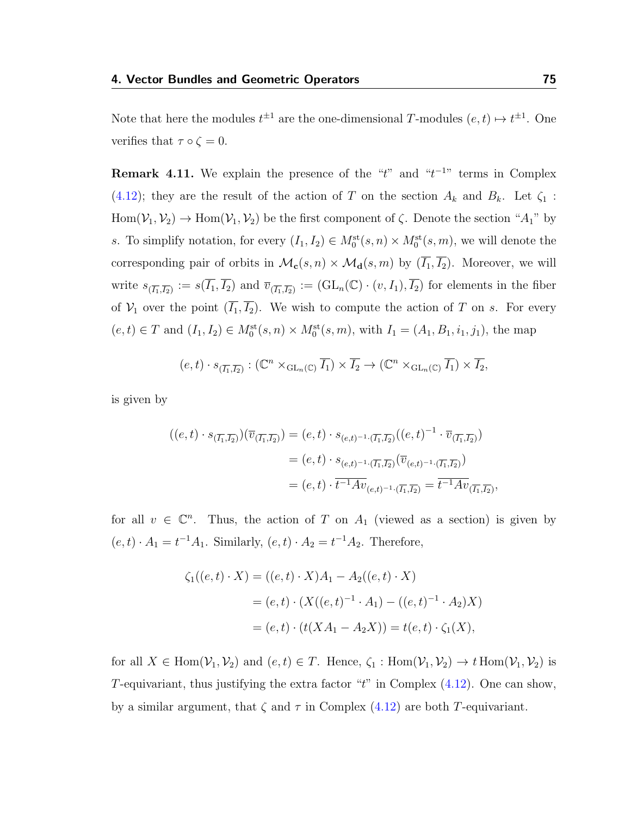Note that here the modules  $t^{\pm 1}$  are the one-dimensional T-modules  $(e, t) \mapsto t^{\pm 1}$ . One verifies that  $\tau \circ \zeta = 0$ .

**Remark 4.11.** We explain the presence of the " $t$ " and " $t^{-1}$ " terms in Complex [\(4.12\)](#page-78-0); they are the result of the action of T on the section  $A_k$  and  $B_k$ . Let  $\zeta_1$ :  $Hom(\mathcal{V}_1, \mathcal{V}_2) \to Hom(\mathcal{V}_1, \mathcal{V}_2)$  be the first component of  $\zeta$ . Denote the section " $A_1$ " by s. To simplify notation, for every  $(I_1, I_2) \in M_0^{\text{st}}(s, n) \times M_0^{\text{st}}(s, m)$ , we will denote the corresponding pair of orbits in  $\mathcal{M}_{c}(s, n) \times \mathcal{M}_{d}(s, m)$  by  $(\overline{I_1}, \overline{I_2})$ . Moreover, we will write  $s_{(\overline{I_1},\overline{I_2})} := s(\overline{I_1}, \overline{I_2})$  and  $\overline{v}_{(\overline{I_1},\overline{I_2})} := (\text{GL}_n(\mathbb{C}) \cdot (v, I_1), \overline{I_2})$  for elements in the fiber of  $\mathcal{V}_1$  over the point  $(\overline{I_1}, \overline{I_2})$ . We wish to compute the action of T on s. For every  $(e, t) \in T$  and  $(I_1, I_2) \in M_0^{\text{st}}(s, n) \times M_0^{\text{st}}(s, m)$ , with  $I_1 = (A_1, B_1, i_1, j_1)$ , the map

 $(e,t) \cdot s_{(\overline{I_1},\overline{I_2})}: (\mathbb{C}^n \times_{\text{GL}_n(\mathbb{C})} \overline{I_1}) \times \overline{I_2} \to (\mathbb{C}^n \times_{\text{GL}_n(\mathbb{C})} \overline{I_1}) \times \overline{I_2},$ 

is given by

$$
\begin{aligned} ((e,t)\cdot s_{(\overline{I_1},\overline{I_2})})(\overline{v}_{(\overline{I_1},\overline{I_2})}) &= (e,t)\cdot s_{(e,t)^{-1}\cdot(\overline{I_1},\overline{I_2})}((e,t)^{-1}\cdot\overline{v}_{(\overline{I_1},\overline{I_2})}) \\ &= (e,t)\cdot s_{(e,t)^{-1}\cdot(\overline{I_1},\overline{I_2})}(\overline{v}_{(e,t)^{-1}\cdot(\overline{I_1},\overline{I_2})}) \\ &= (e,t)\cdot\overline{t^{-1}Av}_{(e,t)^{-1}\cdot(\overline{I_1},\overline{I_2})} = \overline{t^{-1}Av}_{(\overline{I_1},\overline{I_2})}, \end{aligned}
$$

for all  $v \in \mathbb{C}^n$ . Thus, the action of T on  $A_1$  (viewed as a section) is given by  $(e, t) \cdot A_1 = t^{-1}A_1$ . Similarly,  $(e, t) \cdot A_2 = t^{-1}A_2$ . Therefore,

$$
\zeta_1((e,t)\cdot X) = ((e,t)\cdot X)A_1 - A_2((e,t)\cdot X)
$$
  
=  $(e,t)\cdot (X((e,t)^{-1}\cdot A_1) - ((e,t)^{-1}\cdot A_2)X)$   
=  $(e,t)\cdot (t(XA_1 - A_2X)) = t(e,t)\cdot \zeta_1(X),$ 

for all  $X \in \text{Hom}(\mathcal{V}_1, \mathcal{V}_2)$  and  $(e, t) \in T$ . Hence,  $\zeta_1 : \text{Hom}(\mathcal{V}_1, \mathcal{V}_2) \to t \text{Hom}(\mathcal{V}_1, \mathcal{V}_2)$  is T-equivariant, thus justifying the extra factor " $t$ " in Complex  $(4.12)$ . One can show, by a similar argument, that  $\zeta$  and  $\tau$  in Complex [\(4.12\)](#page-78-0) are both T-equivariant.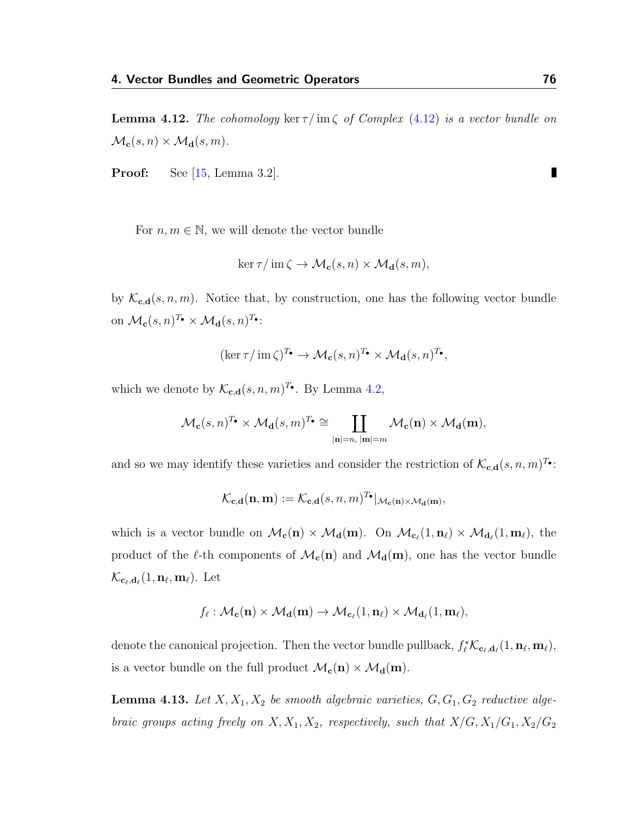**Lemma 4.12.** The cohomology ker  $\tau/m\zeta$  of Complex [\(4.12\)](#page-78-0) is a vector bundle on  $\mathcal{M}_{c}(s, n) \times \mathcal{M}_{d}(s, m).$ 

Proof: See [\[15,](#page-115-0) Lemma 3.2].

For  $n, m \in \mathbb{N}$ , we will denote the vector bundle

$$
\ker \tau / \operatorname{im} \zeta \to \mathcal{M}_{\mathbf{c}}(s, n) \times \mathcal{M}_{\mathbf{d}}(s, m),
$$

by  $\mathcal{K}_{\mathbf{c},\mathbf{d}}(s,n,m)$ . Notice that, by construction, one has the following vector bundle on  $\mathcal{M}_{\mathbf{c}}(s,n)^{T_{\bullet}} \times \mathcal{M}_{\mathbf{d}}(s,n)^{T_{\bullet}}$ :

$$
(\ker \tau / \operatorname{im} \zeta)^{T_{\bullet}} \to \mathcal{M}_{\mathbf{c}}(s, n)^{T_{\bullet}} \times \mathcal{M}_{\mathbf{d}}(s, n)^{T_{\bullet}},
$$

which we denote by  $\mathcal{K}_{\mathbf{c},\mathbf{d}}(s,n,m)^{T_{\bullet}}$ . By Lemma [4.2,](#page-71-0)

$$
\mathcal{M}_{\mathbf{c}}(s,n)^{T_{\bullet}} \times \mathcal{M}_{\mathbf{d}}(s,m)^{T_{\bullet}} \cong \coprod_{|\mathbf{n}|=n, \ |\mathbf{m}|=m} \mathcal{M}_{\mathbf{c}}(\mathbf{n}) \times \mathcal{M}_{\mathbf{d}}(\mathbf{m}),
$$

and so we may identify these varieties and consider the restriction of  $\mathcal{K}_{\mathbf{c},\mathbf{d}}(s,n,m)^{T_{\bullet}}$ :

$$
\mathcal{K}_{\mathbf{c},\mathbf{d}}(\mathbf{n},\mathbf{m}):=\mathcal{K}_{\mathbf{c},\mathbf{d}}(s,n,m)^{T_{\bullet}}|_{\mathcal{M}_{\mathbf{c}}(\mathbf{n})\times\mathcal{M}_{\mathbf{d}}(\mathbf{m})},
$$

which is a vector bundle on  $\mathcal{M}_{c}(n) \times \mathcal{M}_{d}(m)$ . On  $\mathcal{M}_{c_{\ell}}(1, n_{\ell}) \times \mathcal{M}_{d_{\ell}}(1, m_{\ell})$ , the product of the  $\ell$ -th components of  $\mathcal{M}_{c}(n)$  and  $\mathcal{M}_{d}(m)$ , one has the vector bundle  $\mathcal{K}_{\mathbf{c}_\ell,\mathbf{d}_\ell}(1,\mathbf{n}_\ell,\mathbf{m}_\ell).$  Let

$$
f_{\ell}: \mathcal{M}_{\mathbf{c}}(\mathbf{n}) \times \mathcal{M}_{\mathbf{d}}(\mathbf{m}) \to \mathcal{M}_{\mathbf{c}_{\ell}}(1, \mathbf{n}_{\ell}) \times \mathcal{M}_{\mathbf{d}_{\ell}}(1, \mathbf{m}_{\ell}),
$$

denote the canonical projection. Then the vector bundle pullback,  $f_\ell^* \mathcal{K}_{c_\ell, d_\ell}(1, n_\ell, m_\ell)$ , is a vector bundle on the full product  $\mathcal{M}_{c}(n) \times \mathcal{M}_{d}(m)$ .

<span id="page-80-0"></span>**Lemma 4.13.** Let  $X, X_1, X_2$  be smooth algebraic varieties,  $G, G_1, G_2$  reductive algebraic groups acting freely on  $X, X_1, X_2$ , respectively, such that  $X/G, X_1/G_1, X_2/G_2$ 

П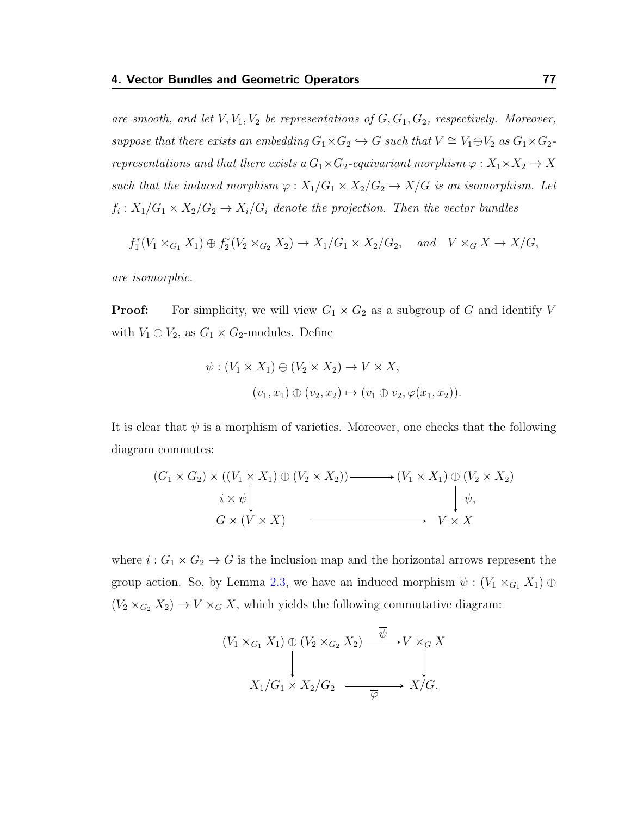are smooth, and let  $V, V_1, V_2$  be representations of  $G, G_1, G_2$ , respectively. Moreover, suppose that there exists an embedding  $G_1 \times G_2 \hookrightarrow G$  such that  $V \cong V_1 \oplus V_2$  as  $G_1 \times G_2$ representations and that there exists a  $G_1 \times G_2$ -equivariant morphism  $\varphi : X_1 \times X_2 \to X$ such that the induced morphism  $\overline{\varphi}: X_1/G_1 \times X_2/G_2 \to X/G$  is an isomorphism. Let  $f_i: X_1/G_1 \times X_2/G_2 \to X_i/G_i$  denote the projection. Then the vector bundles

$$
f_1^*(V_1 \times_{G_1} X_1) \oplus f_2^*(V_2 \times_{G_2} X_2) \to X_1/G_1 \times X_2/G_2, \quad and \quad V \times_G X \to X/G,
$$

are isomorphic.

**Proof:** For simplicity, we will view  $G_1 \times G_2$  as a subgroup of G and identify V with  $V_1 \oplus V_2$ , as  $G_1 \times G_2$ -modules. Define

$$
\psi : (V_1 \times X_1) \oplus (V_2 \times X_2) \to V \times X,
$$

$$
(v_1, x_1) \oplus (v_2, x_2) \mapsto (v_1 \oplus v_2, \varphi(x_1, x_2)).
$$

It is clear that  $\psi$  is a morphism of varieties. Moreover, one checks that the following diagram commutes:

$$
(G_1 \times G_2) \times ((V_1 \times X_1) \oplus (V_2 \times X_2)) \longrightarrow (V_1 \times X_1) \oplus (V_2 \times X_2)
$$
  
\n $i \times \psi \downarrow \qquad \qquad \downarrow \psi,$   
\n $G \times (V \times X) \longrightarrow V \times X$ 

where  $i: G_1 \times G_2 \to G$  is the inclusion map and the horizontal arrows represent the group action. So, by Lemma [2.3,](#page-34-0) we have an induced morphism  $\overline{\psi}$  :  $(V_1 \times_{G_1} X_1) \oplus$  $(V_2 \times_{G_2} X_2) \to V \times_G X$ , which yields the following commutative diagram:

$$
(V_1 \times_{G_1} X_1) \oplus (V_2 \times_{G_2} X_2) \xrightarrow{\psi} V \times_G X
$$
  
\n
$$
\downarrow \qquad \qquad \downarrow
$$
  
\n
$$
X_1/G_1 \times X_2/G_2 \xrightarrow{\overline{\varphi}} X/G.
$$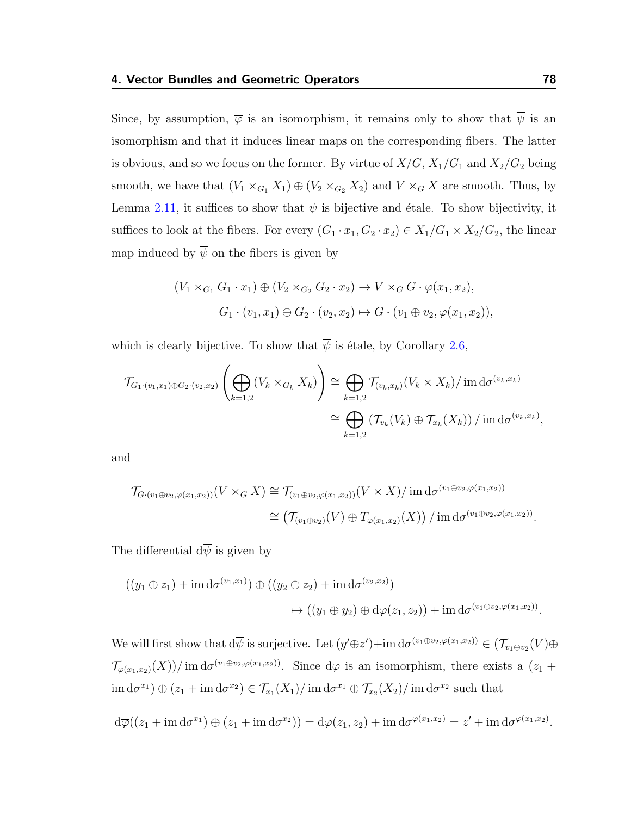Since, by assumption,  $\overline{\varphi}$  is an isomorphism, it remains only to show that  $\overline{\psi}$  is an isomorphism and that it induces linear maps on the corresponding fibers. The latter is obvious, and so we focus on the former. By virtue of  $X/G$ ,  $X_1/G_1$  and  $X_2/G_2$  being smooth, we have that  $(V_1 \times_{G_1} X_1) \oplus (V_2 \times_{G_2} X_2)$  and  $V \times_G X$  are smooth. Thus, by Lemma [2.11,](#page-45-0) it suffices to show that  $\overline{\psi}$  is bijective and étale. To show bijectivity, it suffices to look at the fibers. For every  $(G_1 \cdot x_1, G_2 \cdot x_2) \in X_1/G_1 \times X_2/G_2$ , the linear map induced by  $\overline{\psi}$  on the fibers is given by

$$
(V_1 \times_{G_1} G_1 \cdot x_1) \oplus (V_2 \times_{G_2} G_2 \cdot x_2) \to V \times_G G \cdot \varphi(x_1, x_2),
$$
  

$$
G_1 \cdot (v_1, x_1) \oplus G_2 \cdot (v_2, x_2) \mapsto G \cdot (v_1 \oplus v_2, \varphi(x_1, x_2)),
$$

which is clearly bijective. To show that  $\overline{\psi}$  is étale, by Corollary [2.6,](#page-38-0)

$$
\mathcal{T}_{G_1 \cdot (v_1, x_1) \oplus G_2 \cdot (v_2, x_2)} \left( \bigoplus_{k=1,2} (V_k \times_{G_k} X_k) \right) \cong \bigoplus_{k=1,2} \mathcal{T}_{(v_k, x_k)}(V_k \times X_k) / \operatorname{im} d\sigma^{(v_k, x_k)}
$$

$$
\cong \bigoplus_{k=1,2} \left( \mathcal{T}_{v_k}(V_k) \oplus \mathcal{T}_{x_k}(X_k) \right) / \operatorname{im} d\sigma^{(v_k, x_k)},
$$

and

$$
\mathcal{T}_{G\cdot(v_1\oplus v_2,\varphi(x_1,x_2))}(V\times_G X)\cong \mathcal{T}_{(v_1\oplus v_2,\varphi(x_1,x_2))}(V\times X)/\operatorname{im} d\sigma^{(v_1\oplus v_2,\varphi(x_1,x_2))}
$$
  

$$
\cong \left(\mathcal{T}_{(v_1\oplus v_2)}(V)\oplus \mathcal{T}_{\varphi(x_1,x_2)}(X)\right)/\operatorname{im} d\sigma^{(v_1\oplus v_2,\varphi(x_1,x_2))}.
$$

The differential  $d\overline{\psi}$  is given by

$$
((y_1 \oplus z_1) + \operatorname{im} d\sigma^{(v_1, x_1)}) \oplus ((y_2 \oplus z_2) + \operatorname{im} d\sigma^{(v_2, x_2)})
$$

$$
\mapsto ((y_1 \oplus y_2) \oplus d\varphi(z_1, z_2)) + \operatorname{im} d\sigma^{(v_1 \oplus v_2, \varphi(x_1, x_2))}.
$$

We will first show that  $d\overline{\psi}$  is surjective. Let  $(y'\oplus z') + \text{im } d\sigma^{(v_1 \oplus v_2, \varphi(x_1, x_2))} \in (\mathcal{T}_{v_1 \oplus v_2}(V) \oplus$  $\mathcal{T}_{\varphi(x_1,x_2)}(X)$  im  $d\sigma^{(v_1\oplus v_2,\varphi(x_1,x_2))}$ . Since  $d\overline{\varphi}$  is an isomorphism, there exists a  $(z_1 + z_2)$  $\text{im}\,\text{d}\sigma^{x_1}\text{)}\oplus\text{d}z_1+\text{im}\,\text{d}\sigma^{x_2}\text{)}\in\mathcal{T}_{x_1}(X_1)/\text{im}\,\text{d}\sigma^{x_1}\oplus\mathcal{T}_{x_2}(X_2)/\text{im}\,\text{d}\sigma^{x_2}$  such that

$$
d\overline{\varphi}((z_1+\operatorname{im} d\sigma^{x_1})\oplus (z_1+\operatorname{im} d\sigma^{x_2}))=d\varphi(z_1,z_2)+\operatorname{im} d\sigma^{\varphi(x_1,x_2)}=z'+\operatorname{im} d\sigma^{\varphi(x_1,x_2)}.
$$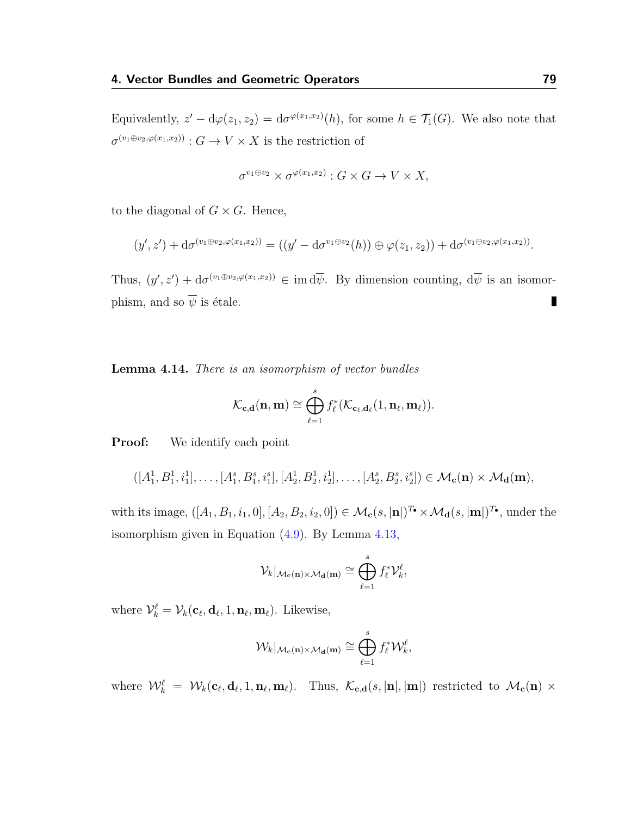Equivalently,  $z' - d\varphi(z_1, z_2) = d\sigma^{\varphi(x_1, x_2)}(h)$ , for some  $h \in \mathcal{T}_1(G)$ . We also note that  $\sigma^{(v_1 \oplus v_2, \varphi(x_1, x_2))}: G \to V \times X$  is the restriction of

$$
\sigma^{v_1 \oplus v_2} \times \sigma^{\varphi(x_1, x_2)} : G \times G \to V \times X,
$$

to the diagonal of  $G \times G$ . Hence,

$$
(y',z') + d\sigma^{(v_1 \oplus v_2, \varphi(x_1,x_2))} = ((y'-d\sigma^{v_1 \oplus v_2}(h)) \oplus \varphi(z_1,z_2)) + d\sigma^{(v_1 \oplus v_2, \varphi(x_1,x_2))}.
$$

Thus,  $(y', z') + d\sigma^{(v_1 \oplus v_2, \varphi(x_1, x_2))} \in \text{im } d\overline{\psi}$ . By dimension counting,  $d\overline{\psi}$  is an isomorphism, and so  $\overline{\psi}$  is étale.  $\blacksquare$ 

<span id="page-83-0"></span>Lemma 4.14. There is an isomorphism of vector bundles

$$
\mathcal{K}_{\mathbf{c},\mathbf{d}}(\mathbf{n},\mathbf{m}) \cong \bigoplus_{\ell=1}^s f_\ell^*(\mathcal{K}_{\mathbf{c}_\ell,\mathbf{d}_\ell}(1,\mathbf{n}_\ell,\mathbf{m}_\ell)).
$$

**Proof:** We identify each point

$$
([A_1^1, B_1^1, i_1^1], \ldots, [A_1^s, B_1^s, i_1^s], [A_2^1, B_2^1, i_2^1], \ldots, [A_2^s, B_2^s, i_2^s]) \in \mathcal{M}_{\mathbf{c}}(\mathbf{n}) \times \mathcal{M}_{\mathbf{d}}(\mathbf{m}),
$$

with its image,  $([A_1, B_1, i_1, 0], [A_2, B_2, i_2, 0]) \in \mathcal{M}_c(s, \mathbf{n}_i)^{T_\bullet} \times \mathcal{M}_d(s, \mathbf{m}_i)^{T_\bullet}$ , under the isomorphism given in Equation [\(4.9\)](#page-70-0). By Lemma [4.13,](#page-80-0)

$$
\mathcal{V}_k|_{\mathcal{M}_\mathbf{c}(\mathbf{n})\times\mathcal{M}_\mathbf{d}(\mathbf{m})}\cong\bigoplus_{\ell=1}^s f_\ell^*\mathcal{V}_k^\ell,
$$

where  $\mathcal{V}_k^{\ell} = \mathcal{V}_k(\mathbf{c}_{\ell}, \mathbf{d}_{\ell}, 1, \mathbf{n}_{\ell}, \mathbf{m}_{\ell})$ . Likewise,

$$
\mathcal{W}_{k}|_{\mathcal{M}_{\mathbf{c}}(\mathbf{n})\times\mathcal{M}_{\mathbf{d}}(\mathbf{m})}\cong \bigoplus_{\ell=1}^{s}f_{\ell}^{*}\mathcal{W}_{k}^{\ell},
$$

where  $\mathcal{W}_k^{\ell} = \mathcal{W}_k(c_{\ell}, d_{\ell}, 1, n_{\ell}, m_{\ell}).$  Thus,  $\mathcal{K}_{c,d}(s, |\mathbf{n}|, |\mathbf{m}|)$  restricted to  $\mathcal{M}_c(\mathbf{n}) \times$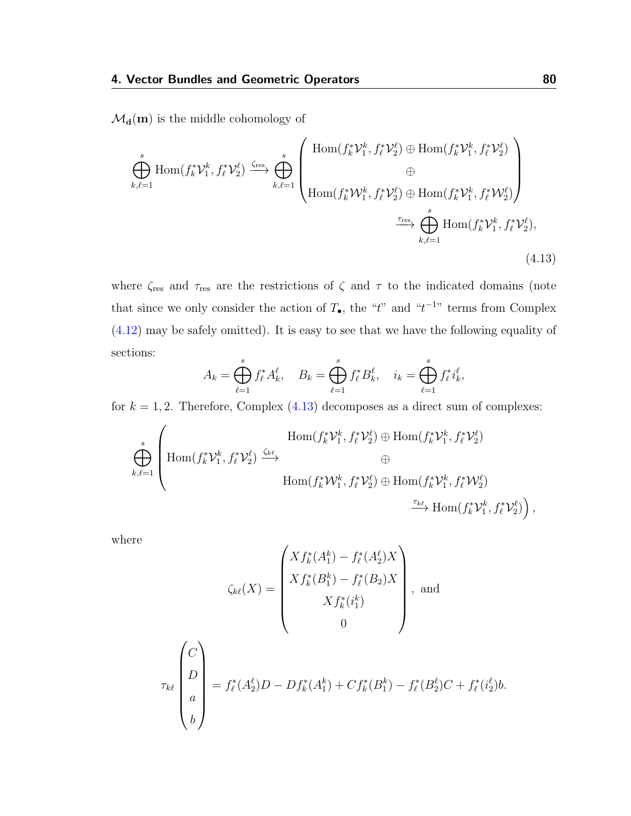$\mathcal{M}_d(m)$  is the middle cohomology of

$$
\oint_{k,\ell=1}^{s} \text{Hom}(f_{k}^{*} \mathcal{V}_{1}^{k}, f_{\ell}^{*} \mathcal{V}_{2}^{\ell}) \xrightarrow{\zeta_{\text{res}}} \bigoplus_{k,\ell=1}^{s} \left( \text{Hom}(f_{k}^{*} \mathcal{V}_{1}^{k}, f_{\ell}^{*} \mathcal{V}_{2}^{\ell}) \oplus \text{Hom}(f_{k}^{*} \mathcal{V}_{1}^{k}, f_{\ell}^{*} \mathcal{V}_{2}^{\ell}) \right) \n\text{Hom}(f_{k}^{*} \mathcal{W}_{1}^{k}, f_{\ell}^{*} \mathcal{V}_{2}^{\ell}) \oplus \text{Hom}(f_{k}^{*} \mathcal{V}_{1}^{k}, f_{\ell}^{*} \mathcal{W}_{2}^{\ell}) \n\xrightarrow{\tau_{\text{res}}} \bigoplus_{k,\ell=1}^{s} \text{Hom}(f_{k}^{*} \mathcal{V}_{1}^{k}, f_{\ell}^{*} \mathcal{V}_{2}^{\ell}),
$$
\n(4.13)

where  $\zeta_{\rm res}$  and  $\tau_{\rm res}$  are the restrictions of  $\zeta$  and  $\tau$  to the indicated domains (note that since we only consider the action of  $T_{\bullet}$ , the "t" and "t<sup>-1</sup>" terms from Complex [\(4.12\)](#page-78-0) may be safely omitted). It is easy to see that we have the following equality of sections:

<span id="page-84-0"></span>
$$
A_k = \bigoplus_{\ell=1}^s f_{\ell}^* A_k^{\ell}, \quad B_k = \bigoplus_{\ell=1}^s f_{\ell}^* B_k^{\ell}, \quad i_k = \bigoplus_{\ell=1}^s f_{\ell}^* i_k^{\ell},
$$

for  $k = 1, 2$ . Therefore, Complex  $(4.13)$  decomposes as a direct sum of complexes:

$$
\bigoplus_{k,\ell=1}^s \left( \text{Hom}(f_k^* \mathcal{V}_1^k, f_\ell^* \mathcal{V}_2^\ell) \xrightarrow{\zeta_{k\ell}} \text{Hom}(f_k^* \mathcal{V}_1^k, f_\ell^* \mathcal{V}_2^\ell) \oplus \text{Hom}(f_k^* \mathcal{V}_1^k, f_\ell^* \mathcal{V}_2^\ell) \right)
$$
\n
$$
\oplus \text{Hom}(f_k^* \mathcal{W}_1^k, f_\ell^* \mathcal{V}_2^\ell) \oplus \text{Hom}(f_k^* \mathcal{V}_1^k, f_\ell^* \mathcal{W}_2^\ell)
$$
\n
$$
\xrightarrow{\tau_{k\ell}} \text{Hom}(f_k^* \mathcal{V}_1^k, f_\ell^* \mathcal{V}_2^\ell) ,
$$

where

$$
\zeta_{k\ell}(X) = \begin{pmatrix} X f_k^*(A_1^k) - f_\ell^*(A_2^{\ell}) X \\ X f_k^*(B_1^k) - f_\ell^*(B_2) X \\ X f_k^*(i_1^k) \\ 0 \end{pmatrix}, \text{ and}
$$
\n
$$
\tau_{k\ell} \begin{pmatrix} C \\ D \\ a \\ a \\ b \end{pmatrix} = f_\ell^*(A_2^{\ell}) D - D f_k^*(A_1^k) + C f_k^*(B_1^k) - f_\ell^*(B_2^{\ell}) C + f_\ell^*(i_2^{\ell}) b.
$$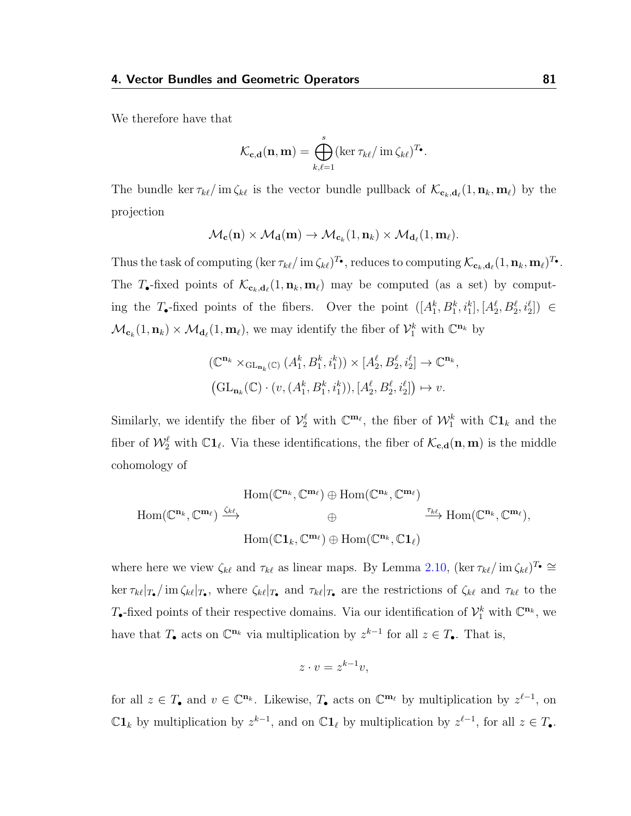We therefore have that

$$
\mathcal{K}_{\mathbf{c},\mathbf{d}}(\mathbf{n},\mathbf{m}) = \bigoplus_{k,\ell=1}^s (\ker \tau_{k\ell} / \operatorname{im} \zeta_{k\ell})^{T_{\bullet}}.
$$

The bundle ker  $\tau_{k\ell}/\text{im}\zeta_{k\ell}$  is the vector bundle pullback of  $\mathcal{K}_{c_k,d_\ell}(1,\mathbf{n}_k,\mathbf{m}_\ell)$  by the projection

$$
\mathcal{M}_{\mathbf{c}}(\mathbf{n}) \times \mathcal{M}_{\mathbf{d}}(\mathbf{m}) \to \mathcal{M}_{\mathbf{c}_k}(1, \mathbf{n}_k) \times \mathcal{M}_{\mathbf{d}_\ell}(1, \mathbf{m}_\ell).
$$

Thus the task of computing  $(\ker \tau_{k\ell}/\operatorname{im} \zeta_{k\ell})^T\bullet$ , reduces to computing  $\mathcal{K}_{\mathbf{c}_k,\mathbf{d}_\ell}(1,\mathbf{n}_k,\mathbf{m}_\ell)^T\bullet$ . The T-fixed points of  $\mathcal{K}_{c_k, d_\ell}(1, n_k, m_\ell)$  may be computed (as a set) by computing the T-fixed points of the fibers. Over the point  $([A_1^k, B_1^k, i_1^k], [A_2^\ell, B_2^\ell, i_2^\ell]) \in$  $\mathcal{M}_{\mathbf{c}_k}(1,\mathbf{n}_k) \times \mathcal{M}_{\mathbf{d}_\ell}(1,\mathbf{m}_\ell)$ , we may identify the fiber of  $\mathcal{V}_1^k$  with  $\mathbb{C}^{\mathbf{n}_k}$  by

$$
\begin{aligned} & \left( \mathbb{C}^{\mathbf{n}_k} \times_{\mathrm{GL}_{\mathbf{n}_k}(\mathbb{C})} \left( A_1^k, B_1^k, i_1^k \right) \right) \times \left[ A_2^\ell, B_2^\ell, i_2^\ell \right] \to \mathbb{C}^{\mathbf{n}_k}, \\ & \left( \mathrm{GL}_{\mathbf{n}_k}(\mathbb{C}) \cdot (v, (A_1^k, B_1^k, i_1^k)), \left[ A_2^\ell, B_2^\ell, i_2^\ell \right] \right) \mapsto v. \end{aligned}
$$

Similarly, we identify the fiber of  $\mathcal{V}_2^{\ell}$  with  $\mathbb{C}^{m_{\ell}}$ , the fiber of  $\mathcal{W}_1^k$  with  $\mathbb{C}^{n_k}$  and the fiber of  $\mathcal{W}_2^{\ell}$  with  $\mathbb{C}1_{\ell}$ . Via these identifications, the fiber of  $\mathcal{K}_{c,d}(n, m)$  is the middle cohomology of

$$
\begin{array}{ccc} \operatorname{Hom}(\mathbb{C}^{\mathbf{n}_{k}},\mathbb{C}^{\mathbf{m}_{\ell}})\oplus\operatorname{Hom}(\mathbb{C}^{\mathbf{n}_{k}},\mathbb{C}^{\mathbf{m}_{\ell}})\\ \oplus&\oplus&\stackrel{\tau_{k\ell}}{\longrightarrow}\operatorname{Hom}(\mathbb{C}^{\mathbf{n}_{k}},\mathbb{C}^{\mathbf{m}_{\ell}}),\\ \operatorname{Hom}(\mathbb{C}^{\mathbf{1}}{}_{k},\mathbb{C}^{\mathbf{m}_{\ell}})\oplus\operatorname{Hom}(\mathbb{C}^{\mathbf{n}_{k}},\mathbb{C}\mathbf{1}_{\ell})\end{array}
$$

where here we view  $\zeta_{k\ell}$  and  $\tau_{k\ell}$  as linear maps. By Lemma [2.10,](#page-43-0)  $(\ker \tau_{k\ell}/\operatorname{im} \zeta_{k\ell})^T \cong$  $\ker \tau_{k\ell}|_{T_{\bullet}}/\mathrm{im}\,\zeta_{k\ell}|_{T_{\bullet}},$  where  $\zeta_{k\ell}|_{T_{\bullet}}$  and  $\tau_{k\ell}|_{T_{\bullet}}$  are the restrictions of  $\zeta_{k\ell}$  and  $\tau_{k\ell}$  to the T<sub>•</sub>-fixed points of their respective domains. Via our identification of  $\mathcal{V}_1^k$  with  $\mathbb{C}^{\mathbf{n}_k}$ , we have that  $T_{\bullet}$  acts on  $\mathbb{C}^{\mathbf{n}_k}$  via multiplication by  $z^{k-1}$  for all  $z \in T_{\bullet}$ . That is,

$$
z \cdot v = z^{k-1}v,
$$

for all  $z \in T_{\bullet}$  and  $v \in \mathbb{C}^{n_k}$ . Likewise,  $T_{\bullet}$  acts on  $\mathbb{C}^{m_{\ell}}$  by multiplication by  $z^{\ell-1}$ , on  $\mathbb{C}1_k$  by multiplication by  $z^{k-1}$ , and on  $\mathbb{C}1_\ell$  by multiplication by  $z^{\ell-1}$ , for all  $z \in T_\bullet$ .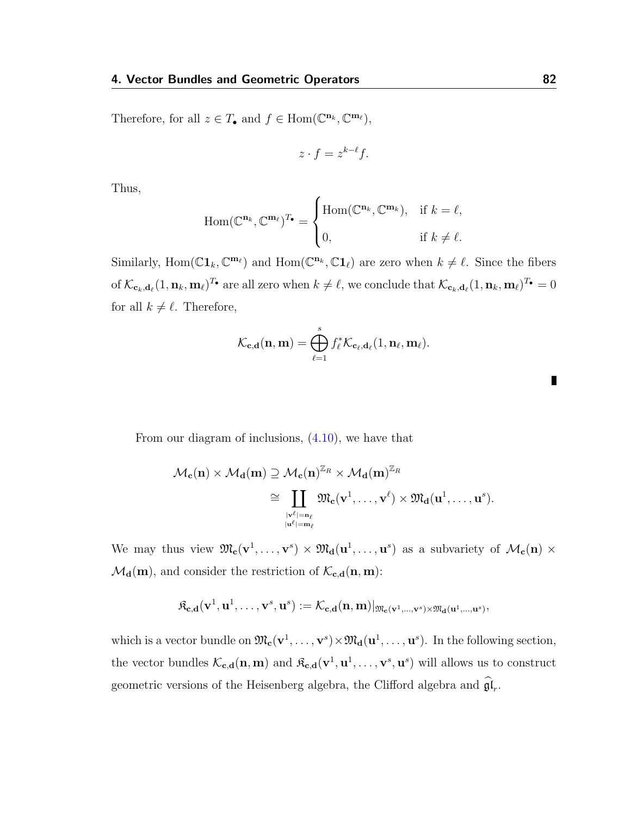Therefore, for all  $z \in T_{\bullet}$  and  $f \in \text{Hom}(\mathbb{C}^{\mathbf{n}_k}, \mathbb{C}^{\mathbf{m}_\ell}),$ 

$$
z \cdot f = z^{k-\ell} f.
$$

Thus,

$$
\text{Hom}(\mathbb{C}^{\mathbf{n}_k}, \mathbb{C}^{\mathbf{m}_\ell})^{T_\bullet} = \begin{cases} \text{Hom}(\mathbb{C}^{\mathbf{n}_k}, \mathbb{C}^{\mathbf{m}_k}), & \text{if } k = \ell, \\ 0, & \text{if } k \neq \ell. \end{cases}
$$

Similarly, Hom( $\mathbb{C}$ **1**<sub>k</sub>,  $\mathbb{C}^{\mathbf{m}_{\ell}}$ ) and Hom( $\mathbb{C}^{\mathbf{n}_{k}}$ ,  $\mathbb{C}$ **1**<sub> $\ell$ </sub>) are zero when  $k \neq \ell$ . Since the fibers of  $\mathcal{K}_{\mathbf{c}_k,\mathbf{d}_{\ell}}(1,\mathbf{n}_k,\mathbf{m}_{\ell})^{T_\bullet}$  are all zero when  $k\neq \ell$ , we conclude that  $\mathcal{K}_{\mathbf{c}_k,\mathbf{d}_{\ell}}(1,\mathbf{n}_k,\mathbf{m}_{\ell})^{T_\bullet}=0$ for all  $k \neq \ell$ . Therefore,

$$
\mathcal{K}_{\mathbf{c},\mathbf{d}}(\mathbf{n},\mathbf{m}) = \bigoplus_{\ell=1}^s f_{\ell}^* \mathcal{K}_{\mathbf{c}_{\ell},\mathbf{d}_{\ell}}(1,\mathbf{n}_{\ell},\mathbf{m}_{\ell}).
$$

From our diagram of inclusions, [\(4.10\)](#page-73-0), we have that

$$
\begin{aligned} \mathcal{M}_c(n)\times \mathcal{M}_d(m)&\supseteq \mathcal{M}_c(n)^{\mathbb{Z}_\mathit{R}}\times \mathcal{M}_d(m)^{\mathbb{Z}_\mathit{R}}\\ &\cong \coprod_{\stackrel{\vert v^\ell\vert=n_\ell}{\vert u^\ell\vert=m_\ell}}\mathfrak{M}_c(v^1,\dots,v^\ell)\times \mathfrak{M}_d(u^1,\dots,u^s).\end{aligned}
$$

We may thus view  $\mathfrak{M}_{c}(v^{1}, \ldots, v^{s}) \times \mathfrak{M}_{d}(u^{1}, \ldots, u^{s})$  as a subvariety of  $\mathcal{M}_{c}(n) \times$  $\mathcal{M}_{d}(m)$ , and consider the restriction of  $\mathcal{K}_{c,d}(n,m)$ :

$$
\mathfrak{K}_{\mathbf{c},\mathbf{d}}(\mathbf{v}^1,\mathbf{u}^1,\ldots,\mathbf{v}^s,\mathbf{u}^s):=\mathcal{K}_{\mathbf{c},\mathbf{d}}(\mathbf{n},\mathbf{m})|_{\mathfrak{M}_\mathbf{c}(\mathbf{v}^1,\ldots,\mathbf{v}^s)\times\mathfrak{M}_\mathbf{d}(\mathbf{u}^1,\ldots,\mathbf{u}^s)},
$$

which is a vector bundle on  $\mathfrak{M}_{c}(v^1,\ldots,v^s)\times \mathfrak{M}_{d}(u^1,\ldots,u^s)$ . In the following section, the vector bundles  $\mathcal{K}_{c,d}(n,m)$  and  $\mathfrak{K}_{c,d}(v^1, u^1, \ldots, v^s, u^s)$  will allows us to construct geometric versions of the Heisenberg algebra, the Clifford algebra and  $\mathfrak{gl}_r$ .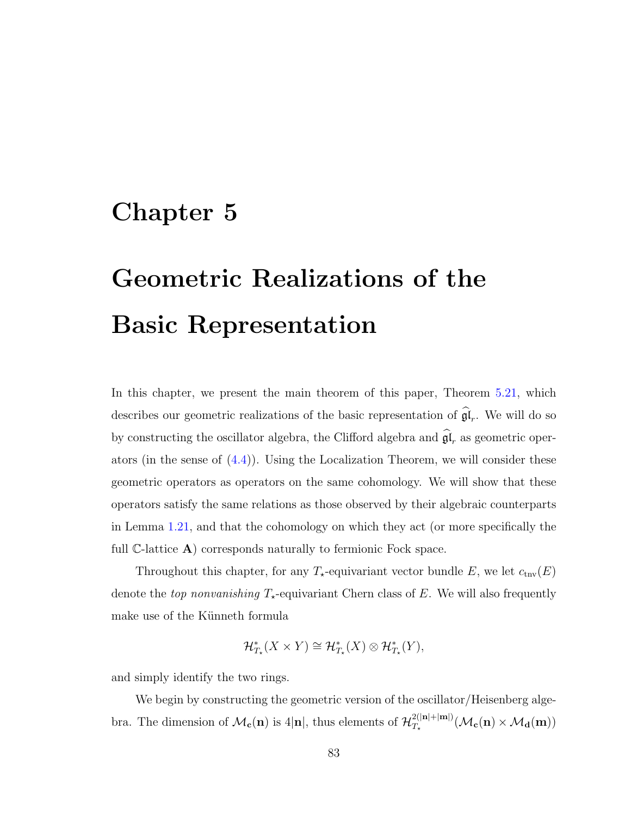## Chapter 5

## Geometric Realizations of the Basic Representation

In this chapter, we present the main theorem of this paper, Theorem [5.21,](#page-112-0) which describes our geometric realizations of the basic representation of  $\mathfrak{gl}_r$ . We will do so by constructing the oscillator algebra, the Clifford algebra and  $\mathfrak{gl}_r$  as geometric operators (in the sense of  $(4.4)$ ). Using the Localization Theorem, we will consider these geometric operators as operators on the same cohomology. We will show that these operators satisfy the same relations as those observed by their algebraic counterparts in Lemma [1.21,](#page-28-0) and that the cohomology on which they act (or more specifically the full  $\mathbb{C}\text{-lattice }A$  corresponds naturally to fermionic Fock space.

Throughout this chapter, for any  $T_{\star}$ -equivariant vector bundle E, we let  $c_{\text{trv}}(E)$ denote the *top nonvanishing*  $T_{\star}$ -equivariant Chern class of E. We will also frequently make use of the Künneth formula

$$
\mathcal{H}^*_{T_{\star}}(X \times Y) \cong \mathcal{H}^*_{T_{\star}}(X) \otimes \mathcal{H}^*_{T_{\star}}(Y),
$$

and simply identify the two rings.

We begin by constructing the geometric version of the oscillator/Heisenberg algebra. The dimension of  $\mathcal{M}_{c}(n)$  is 4|n|, thus elements of  $\mathcal{H}_{T_{+}}^{2(|n|+|m|)}$  $\frac{2(|\mathbf{n}|+|\mathbf{m}|)}{\sum_{\mathbf{k}}(\mathbf{n})\times \mathcal{M}_{\mathbf{d}}(\mathbf{m})}$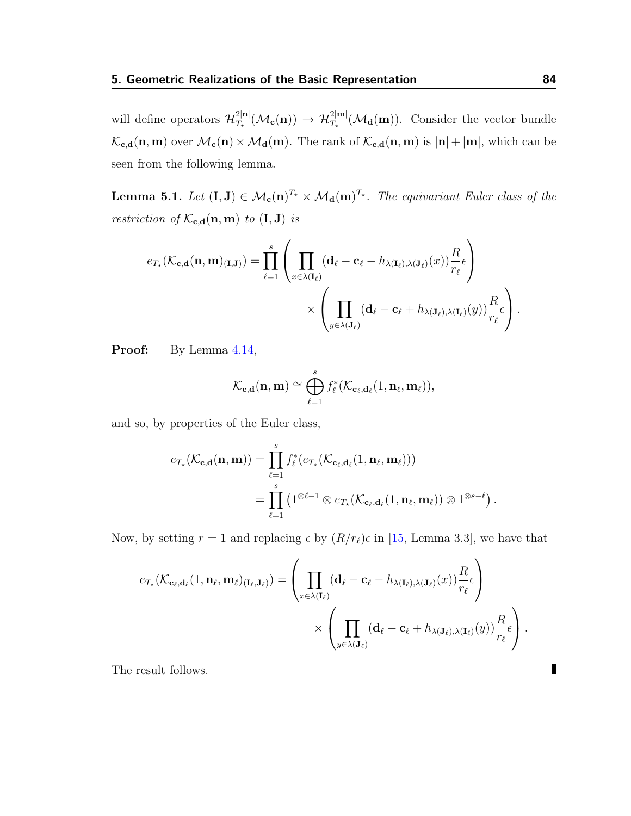will define operators  $\mathcal{H}_T^{2|\mathbf{n}|}$  $T_{\rm r}^{\rm 2|nl}(\mathcal{M}_{\rm c}(n)) \to \mathcal{H}_{T_{\star}}^{\rm 2|ml}(\mathcal{M}_{\rm d}(m))$ . Consider the vector bundle  $\mathcal{K}_{\mathbf{c},\mathbf{d}}(\mathbf{n},\mathbf{m})$  over  $\mathcal{M}_{\mathbf{c}}(\mathbf{n}) \times \mathcal{M}_{\mathbf{d}}(\mathbf{m})$ . The rank of  $\mathcal{K}_{\mathbf{c},\mathbf{d}}(\mathbf{n},\mathbf{m})$  is  $|\mathbf{n}| + |\mathbf{m}|$ , which can be seen from the following lemma.

**Lemma 5.1.** Let  $(I, J) \in \mathcal{M}_c(n)^{T_\star} \times \mathcal{M}_d(m)^{T_\star}$ . The equivariant Euler class of the restriction of  $\mathcal{K}_{\mathbf{c},\mathbf{d}}(\mathbf{n},\mathbf{m})$  to  $(\mathbf{I},\mathbf{J})$  is

$$
e_{T_{\star}}(\mathcal{K}_{\mathbf{c},\mathbf{d}}(\mathbf{n},\mathbf{m})_{(\mathbf{I},\mathbf{J})}) = \prod_{\ell=1}^{s} \left( \prod_{x \in \lambda(\mathbf{I}_{\ell})} (\mathbf{d}_{\ell} - \mathbf{c}_{\ell} - h_{\lambda(\mathbf{I}_{\ell}),\lambda(\mathbf{J}_{\ell})}(x)) \frac{R}{r_{\ell}} \epsilon \right) \times \left( \prod_{y \in \lambda(\mathbf{J}_{\ell})} (\mathbf{d}_{\ell} - \mathbf{c}_{\ell} + h_{\lambda(\mathbf{J}_{\ell}),\lambda(\mathbf{I}_{\ell})}(y)) \frac{R}{r_{\ell}} \epsilon \right).
$$

Proof: By Lemma  $4.14$ ,

$$
\mathcal{K}_{\mathbf{c},\mathbf{d}}(\mathbf{n},\mathbf{m}) \cong \bigoplus_{\ell=1}^s f_\ell^*(\mathcal{K}_{\mathbf{c}_\ell,\mathbf{d}_\ell}(1,\mathbf{n}_\ell,\mathbf{m}_\ell)),
$$

and so, by properties of the Euler class,

$$
e_{T_{\star}}(\mathcal{K}_{\mathbf{c},\mathbf{d}}(\mathbf{n},\mathbf{m})) = \prod_{\ell=1}^{s} f_{\ell}^{*}(e_{T_{\star}}(\mathcal{K}_{\mathbf{c}_{\ell},\mathbf{d}_{\ell}}(1,\mathbf{n}_{\ell},\mathbf{m}_{\ell})))
$$
  
= 
$$
\prod_{\ell=1}^{s} (1^{\otimes \ell-1} \otimes e_{T_{\star}}(\mathcal{K}_{\mathbf{c}_{\ell},\mathbf{d}_{\ell}}(1,\mathbf{n}_{\ell},\mathbf{m}_{\ell})) \otimes 1^{\otimes s-\ell}).
$$

Now, by setting  $r = 1$  and replacing  $\epsilon$  by  $(R/r_\ell)\epsilon$  in [\[15,](#page-115-0) Lemma 3.3], we have that

$$
e_{T_{\star}}(\mathcal{K}_{\mathbf{c}_{\ell},\mathbf{d}_{\ell}}(1,\mathbf{n}_{\ell},\mathbf{m}_{\ell})_{(\mathbf{I}_{\ell},\mathbf{J}_{\ell})}) = \left(\prod_{x \in \lambda(\mathbf{I}_{\ell})} (\mathbf{d}_{\ell} - \mathbf{c}_{\ell} - h_{\lambda(\mathbf{I}_{\ell}),\lambda(\mathbf{J}_{\ell})}(x)) \frac{R}{r_{\ell}} \epsilon \right) \times \left(\prod_{y \in \lambda(\mathbf{J}_{\ell})} (\mathbf{d}_{\ell} - \mathbf{c}_{\ell} + h_{\lambda(\mathbf{J}_{\ell}),\lambda(\mathbf{I}_{\ell})}(y)) \frac{R}{r_{\ell}} \epsilon \right).
$$

The result follows.

П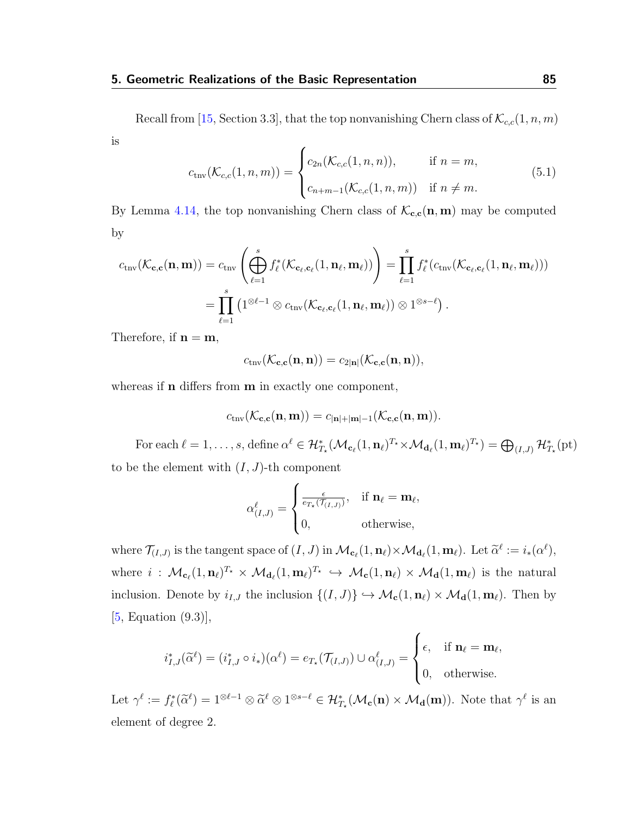Recall from [\[15,](#page-115-0) Section 3.3], that the top nonvanishing Chern class of  $\mathcal{K}_{c,c}(1,n,m)$ is  $\epsilon$ 

<span id="page-89-0"></span>
$$
c_{\text{tnv}}(\mathcal{K}_{c,c}(1,n,m)) = \begin{cases} c_{2n}(\mathcal{K}_{c,c}(1,n,n)), & \text{if } n = m, \\ c_{n+m-1}(\mathcal{K}_{c,c}(1,n,m)) & \text{if } n \neq m. \end{cases}
$$
(5.1)

By Lemma [4.14,](#page-83-0) the top nonvanishing Chern class of  $\mathcal{K}_{c,c}(n, m)$  may be computed by

$$
c_{\text{tnv}}(\mathcal{K}_{\mathbf{c},\mathbf{c}}(\mathbf{n},\mathbf{m})) = c_{\text{tnv}}\left(\bigoplus_{\ell=1}^{s} f_{\ell}^{*}(\mathcal{K}_{\mathbf{c}_{\ell},\mathbf{c}_{\ell}}(1,\mathbf{n}_{\ell},\mathbf{m}_{\ell}))\right) = \prod_{\ell=1}^{s} f_{\ell}^{*}(c_{\text{tnv}}(\mathcal{K}_{\mathbf{c}_{\ell},\mathbf{c}_{\ell}}(1,\mathbf{n}_{\ell},\mathbf{m}_{\ell})))
$$

$$
= \prod_{\ell=1}^{s} (1^{\otimes \ell-1} \otimes c_{\text{tnv}}(\mathcal{K}_{\mathbf{c}_{\ell},\mathbf{c}_{\ell}}(1,\mathbf{n}_{\ell},\mathbf{m}_{\ell})) \otimes 1^{\otimes s-\ell}).
$$

Therefore, if  $n = m$ ,

$$
c_{\text{tnv}}(\mathcal{K}_{\mathbf{c},\mathbf{c}}(\mathbf{n},\mathbf{n})) = c_{2|\mathbf{n}|}(\mathcal{K}_{\mathbf{c},\mathbf{c}}(\mathbf{n},\mathbf{n})),
$$

whereas if **n** differs from **m** in exactly one component,

$$
c_{\text{tnv}}(\mathcal{K}_{\mathbf{c},\mathbf{c}}(\mathbf{n},\mathbf{m})) = c_{|\mathbf{n}|+|\mathbf{m}|-1}(\mathcal{K}_{\mathbf{c},\mathbf{c}}(\mathbf{n},\mathbf{m})).
$$

For each  $\ell = 1, \ldots, s$ , define  $\alpha^{\ell} \in \mathcal{H}_{T_{\star}}^{*}(\mathcal{M}_{\mathbf{c}_{\ell}}(1, \mathbf{n}_{\ell})^{T_{\star}} \times \mathcal{M}_{\mathbf{d}_{\ell}}(1, \mathbf{m}_{\ell})^{T_{\star}}) = \bigoplus_{(I,J)} \mathcal{H}_{T_{\star}}^{*}(\mathrm{pt})$ to be the element with  $(I, J)$ -th component

$$
\alpha_{(I,J)}^{\ell} = \begin{cases} \frac{\epsilon}{e_{T_{\star}}(\mathcal{T}_{(I,J)})}, & \text{if } \mathbf{n}_{\ell} = \mathbf{m}_{\ell}, \\ 0, & \text{otherwise}, \end{cases}
$$

where  $\mathcal{T}_{(I,J)}$  is the tangent space of  $(I,J)$  in  $\mathcal{M}_{\mathbf{c}_{\ell}}(1,\mathbf{n}_{\ell}) \times \mathcal{M}_{\mathbf{d}_{\ell}}(1,\mathbf{m}_{\ell})$ . Let  $\widetilde{\alpha}^{\ell} := i_*(\alpha^{\ell}),$ where  $i : \mathcal{M}_{\mathbf{c}_{\ell}}(1, \mathbf{n}_{\ell})^{T_{\star}} \times \mathcal{M}_{\mathbf{d}_{\ell}}(1, \mathbf{m}_{\ell})^{T_{\star}} \hookrightarrow \mathcal{M}_{\mathbf{c}}(1, \mathbf{n}_{\ell}) \times \mathcal{M}_{\mathbf{d}}(1, \mathbf{m}_{\ell})$  is the natural inclusion. Denote by  $i_{I,J}$  the inclusion  $\{(I, J)\}\hookrightarrow \mathcal{M}_{c}(1, n_{\ell}) \times \mathcal{M}_{d}(1, m_{\ell})$ . Then by [\[5,](#page-114-0) Equation (9.3)],

$$
i_{I,J}^*(\widetilde{\alpha}^\ell)=(i_{I,J}^*\circ i_*)(\alpha^\ell)=e_{T_\star}(\mathcal{T}_{(I,J)})\cup \alpha_{(I,J)}^\ell=\begin{cases}\epsilon,&\text{if } \mathbf{n}_\ell=\mathbf{m}_\ell,\\0,&\text{otherwise.}\end{cases}
$$

Let  $\gamma^{\ell} := f_{\ell}^*(\widetilde{\alpha}^{\ell}) = 1^{\otimes \ell - 1} \otimes \widetilde{\alpha}^{\ell} \otimes 1^{\otimes s - \ell} \in \mathcal{H}_{T_{\star}}^*(\mathcal{M}_{\mathbf{c}}(\mathbf{n}) \times \mathcal{M}_{\mathbf{d}}(\mathbf{m}))$ . Note that  $\gamma^{\ell}$  is an element of degree 2.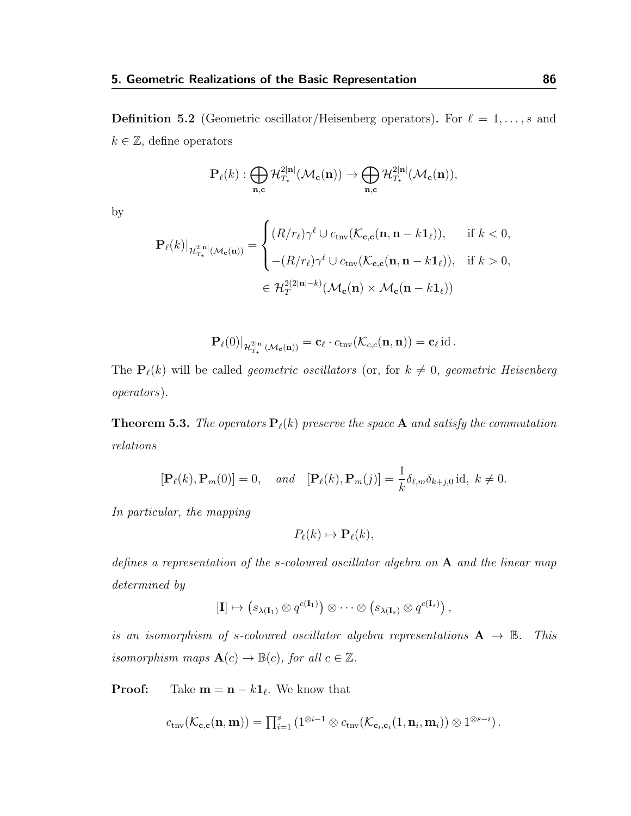<span id="page-90-1"></span>**Definition 5.2** (Geometric oscillator/Heisenberg operators). For  $\ell = 1, \ldots, s$  and  $k \in \mathbb{Z}$ , define operators

$$
\mathbf{P}_{\ell}(k):\bigoplus_{\mathbf{n},\mathbf{c}}\mathcal{H}_{T_{\star}}^{2|\mathbf{n}|}(\mathcal{M}_{\mathbf{c}}(\mathbf{n}))\rightarrow\bigoplus_{\mathbf{n},\mathbf{c}}\mathcal{H}_{T_{\star}}^{2|\mathbf{n}|}(\mathcal{M}_{\mathbf{c}}(\mathbf{n})),
$$

by

$$
\mathbf{P}_{\ell}(k)|_{\mathcal{H}_{T_{\star}}^{2|\mathbf{n}|}(\mathcal{M}_{\mathbf{c}}(\mathbf{n}))} = \begin{cases} (R/r_{\ell})\gamma^{\ell} \cup c_{\mathrm{triv}}(\mathcal{K}_{\mathbf{c},\mathbf{c}}(\mathbf{n}, \mathbf{n} - k\mathbf{1}_{\ell})), & \text{if } k < 0, \\ \ - (R/r_{\ell})\gamma^{\ell} \cup c_{\mathrm{triv}}(\mathcal{K}_{\mathbf{c},\mathbf{c}}(\mathbf{n}, \mathbf{n} - k\mathbf{1}_{\ell})), & \text{if } k > 0, \end{cases}
$$
  

$$
\in \mathcal{H}_{T}^{2(2|\mathbf{n}| - k)}(\mathcal{M}_{\mathbf{c}}(\mathbf{n}) \times \mathcal{M}_{\mathbf{c}}(\mathbf{n} - k\mathbf{1}_{\ell}))
$$

$$
\mathbf{P}_{\ell}(0)|_{\mathcal{H}^{2|\mathbf{n}|}_{T_{\star}}(\mathcal{M}_{\mathbf{c}}(\mathbf{n}))} = \mathbf{c}_{\ell} \cdot c_{\mathrm{tnv}}(\mathcal{K}_{c,c}(\mathbf{n}, \mathbf{n})) = \mathbf{c}_{\ell} \,\mathrm{id} \,.
$$

The  $\mathbf{P}_{\ell}(k)$  will be called *geometric oscillators* (or, for  $k \neq 0$ , *geometric Heisenberg* operators).

<span id="page-90-0"></span>**Theorem 5.3.** The operators  $P_{\ell}(k)$  preserve the space A and satisfy the commutation relations

$$
[\mathbf{P}_{\ell}(k), \mathbf{P}_{m}(0)] = 0, \quad and \quad [\mathbf{P}_{\ell}(k), \mathbf{P}_{m}(j)] = \frac{1}{k} \delta_{\ell, m} \delta_{k+j, 0} \text{ id}, \ k \neq 0.
$$

In particular, the mapping

$$
P_{\ell}(k) \mapsto \mathbf{P}_{\ell}(k),
$$

defines a representation of the s-coloured oscillator algebra on A and the linear map determined by

$$
[\mathbf{I}] \mapsto (s_{\lambda(\mathbf{I}_1)} \otimes q^{c(\mathbf{I}_1)}) \otimes \cdots \otimes (s_{\lambda(\mathbf{I}_s)} \otimes q^{c(\mathbf{I}_s)}) ,
$$

is an isomorphism of s-coloured oscillator algebra representations  $A \rightarrow \mathbb{B}$ . This isomorphism maps  $\mathbf{A}(c) \to \mathbb{B}(c)$ , for all  $c \in \mathbb{Z}$ .

**Proof:** Take  $\mathbf{m} = \mathbf{n} - k \mathbf{1}_{\ell}$ . We know that

$$
c_{\text{tnv}}(\mathcal{K}_{\mathbf{c},\mathbf{c}}(\mathbf{n},\mathbf{m})) = \prod_{i=1}^s \left(1^{\otimes i-1} \otimes c_{\text{tnv}}(\mathcal{K}_{\mathbf{c}_i,\mathbf{c}_i}(1,\mathbf{n}_i,\mathbf{m}_i)) \otimes 1^{\otimes s-i}\right).
$$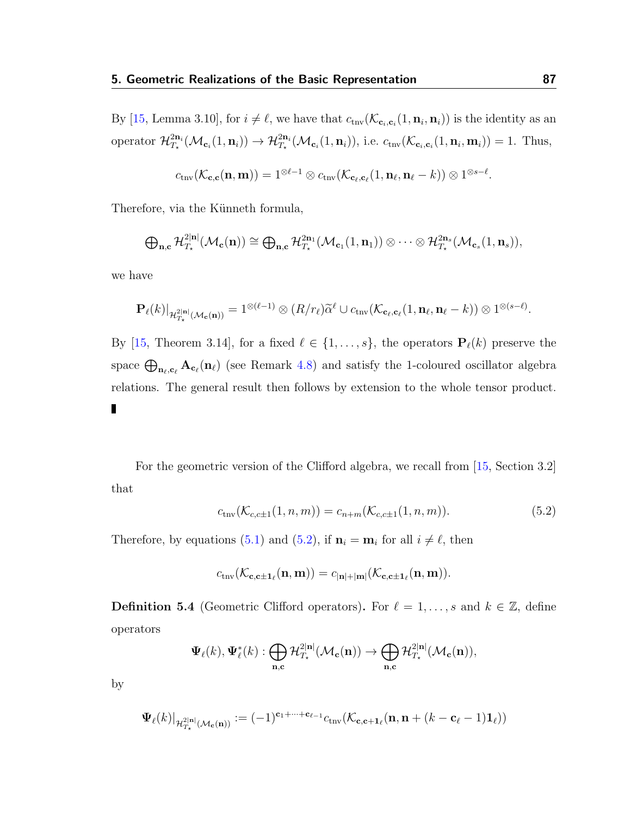By [\[15,](#page-115-0) Lemma 3.10], for  $i \neq \ell$ , we have that  $c_{\text{triv}}(\mathcal{K}_{\mathbf{c}_i,\mathbf{c}_i}(1,\mathbf{n}_i,\mathbf{n}_i))$  is the identity as an operator  $\mathcal{H}_{T_i}^{2n_i}$  $T_{\mathcal{I}_{\mathbf{x}}}^{2\mathbf{n}_i}(\mathcal{M}_{\mathbf{c}_i}(1,\mathbf{n}_i)) \rightarrow \mathcal{H}_{T_{\mathbf{x}}}^{2\mathbf{n}_i}(\mathcal{M}_{\mathbf{c}_i}(1,\mathbf{n}_i)),$  i.e.  $c_{\text{triv}}(\mathcal{K}_{\mathbf{c}_i,\mathbf{c}_i}(1,\mathbf{n}_i,\mathbf{m}_i)) = 1$ . Thus,

$$
c_{\text{triv}}(\mathcal{K}_{\mathbf{c},\mathbf{c}}(\mathbf{n},\mathbf{m})) = 1^{\otimes \ell - 1} \otimes c_{\text{triv}}(\mathcal{K}_{\mathbf{c}_{\ell},\mathbf{c}_{\ell}}(1,\mathbf{n}_{\ell},\mathbf{n}_{\ell} - k)) \otimes 1^{\otimes s - \ell}.
$$

Therefore, via the Künneth formula,

$$
\bigoplus_{\mathbf{n},\mathbf{c}}\mathcal{H}_{T_{\star}}^{2|\mathbf{n}|}(\mathcal{M}_{\mathbf{c}}(\mathbf{n})) \cong \bigoplus_{\mathbf{n},\mathbf{c}}\mathcal{H}_{T_{\star}}^{2\mathbf{n}_1}(\mathcal{M}_{\mathbf{c}_1}(1,\mathbf{n}_1)) \otimes \cdots \otimes \mathcal{H}_{T_{\star}}^{2\mathbf{n}_s}(\mathcal{M}_{\mathbf{c}_s}(1,\mathbf{n}_s)),
$$

we have

$$
\mathbf{P}_{\ell}(k)|_{\mathcal{H}_{T_{\star}}^{2|\mathbf{n}|}(\mathcal{M}_{\mathbf{c}}(\mathbf{n}))} = 1^{\otimes (\ell-1)} \otimes (R/r_{\ell}) \widetilde{\alpha}^{\ell} \cup c_{\text{triv}}(\mathcal{K}_{\mathbf{c}_{\ell},\mathbf{c}_{\ell}}(1,\mathbf{n}_{\ell},\mathbf{n}_{\ell}-k)) \otimes 1^{\otimes (s-\ell)}.
$$

By [\[15,](#page-115-0) Theorem 3.14], for a fixed  $\ell \in \{1, \ldots, s\}$ , the operators  $\mathbf{P}_{\ell}(k)$  preserve the space  $\bigoplus_{\mathbf{n}_\ell,\mathbf{c}_\ell} \mathbf{A}_{\mathbf{c}_\ell}(\mathbf{n}_\ell)$  (see Remark [4.8\)](#page-76-0) and satisfy the 1-coloured oscillator algebra relations. The general result then follows by extension to the whole tensor product. П

For the geometric version of the Clifford algebra, we recall from [\[15,](#page-115-0) Section 3.2] that

<span id="page-91-0"></span>
$$
c_{\text{tnv}}(\mathcal{K}_{c,c\pm 1}(1,n,m)) = c_{n+m}(\mathcal{K}_{c,c\pm 1}(1,n,m)).
$$
\n(5.2)

Therefore, by equations [\(5.1\)](#page-89-0) and [\(5.2\)](#page-91-0), if  $\mathbf{n}_i = \mathbf{m}_i$  for all  $i \neq \ell$ , then

$$
c_{\mathrm{tnv}}(\mathcal{K}_{\mathbf{c},\mathbf{c}\pm\mathbf{1}_{\ell}}(\mathbf{n},\mathbf{m})) = c_{|\mathbf{n}|+|\mathbf{m}|}(\mathcal{K}_{\mathbf{c},\mathbf{c}\pm\mathbf{1}_{\ell}}(\mathbf{n},\mathbf{m})).
$$

**Definition 5.4** (Geometric Clifford operators). For  $\ell = 1, \ldots, s$  and  $k \in \mathbb{Z}$ , define operators

$$
\Psi_{\ell}(k),\Psi_{\ell}^*(k): \bigoplus_{\mathbf{n},\mathbf{c}}\mathcal{H}^{2|\mathbf{n}|}_{T_{\star}}(\mathcal{M}_{\mathbf{c}}(\mathbf{n}))\rightarrow \bigoplus_{\mathbf{n},\mathbf{c}}\mathcal{H}^{2|\mathbf{n}|}_{T_{\star}}(\mathcal{M}_{\mathbf{c}}(\mathbf{n})),
$$

by

$$
\Psi_{\ell}(k)|_{\mathcal{H}_{T_{\star}}^{2|\mathbf{n}|}(\mathcal{M}_{\mathbf{c}}(\mathbf{n}))}:=(-1)^{\mathbf{c}_1+\cdots+\mathbf{c}_{\ell-1}}c_{\mathrm{tnv}}(\mathcal{K}_{\mathbf{c},\mathbf{c}+\mathbf{1}_{\ell}}(\mathbf{n},\mathbf{n}+(k-\mathbf{c}_\ell-1)\mathbf{1}_{\ell}))
$$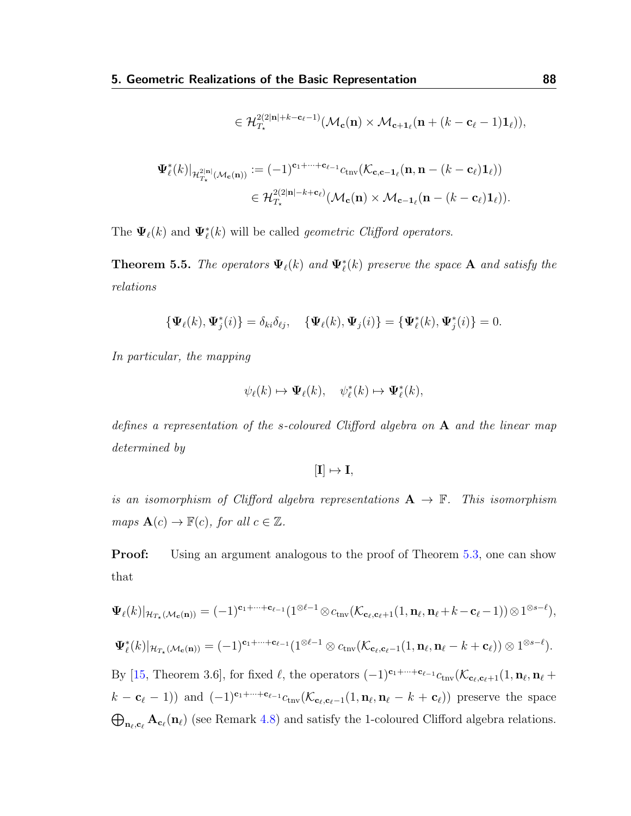$$
\in \mathcal{H}_{T_{\star}}^{2(2|\mathbf{n}|+k-\mathbf{c}_{\ell}-1)}(\mathcal{M}_{\mathbf{c}}(\mathbf{n}) \times \mathcal{M}_{\mathbf{c}+1_{\ell}}(\mathbf{n}+(k-\mathbf{c}_{\ell}-1)\mathbf{1}_{\ell})),
$$

$$
\begin{aligned} \Psi_\ell^*(k)|_{\mathcal{H}^{2|\mathbf{n}|}_{T_\star}(\mathcal{M}_\mathbf{c}(\mathbf{n}))} &:= (-1)^{\mathbf{c}_1 + \dots + \mathbf{c}_{\ell-1}} c_{\mathrm{tnv}}(\mathcal{K}_{\mathbf{c},\mathbf{c}-\mathbf{1}_{\ell}}(\mathbf{n},\mathbf{n} - (k - \mathbf{c}_\ell)\mathbf{1}_\ell)) \\ &\in \mathcal{H}^{2(2|\mathbf{n}| - k + \mathbf{c}_\ell)}_{T_\star}(\mathcal{M}_\mathbf{c}(\mathbf{n}) \times \mathcal{M}_{\mathbf{c}-\mathbf{1}_{\ell}}(\mathbf{n} - (k - \mathbf{c}_\ell)\mathbf{1}_\ell)). \end{aligned}
$$

The  $\Psi_{\ell}(k)$  and  $\Psi_{\ell}^{*}(k)$  will be called *geometric Clifford operators*.

<span id="page-92-0"></span>**Theorem 5.5.** The operators  $\Psi_{\ell}(k)$  and  $\Psi_{\ell}^{*}(k)$  preserve the space A and satisfy the relations

$$
\{\Psi_{\ell}(k),\Psi_j^*(i)\}=\delta_{ki}\delta_{\ell j},\quad \{\Psi_{\ell}(k),\Psi_j(i)\}=\{\Psi_{\ell}^*(k),\Psi_j^*(i)\}=0.
$$

In particular, the mapping

$$
\psi_{\ell}(k) \mapsto \Psi_{\ell}(k), \quad \psi_{\ell}^{*}(k) \mapsto \Psi_{\ell}^{*}(k),
$$

defines a representation of the s-coloured Clifford algebra on  $A$  and the linear map determined by

 $[I] \mapsto I$ ,

is an isomorphism of Clifford algebra representations  $A \rightarrow \mathbb{F}$ . This isomorphism  $maps \mathbf{A}(c) \rightarrow \mathbb{F}(c), \text{ for all } c \in \mathbb{Z}.$ 

**Proof:** Using an argument analogous to the proof of Theorem [5.3,](#page-90-0) one can show that

$$
\Psi_{\ell}(k)|_{\mathcal{H}_{T_{\star}}(\mathcal{M}_{\mathbf{c}}(\mathbf{n}))} = (-1)^{\mathbf{c}_1 + \dots + \mathbf{c}_{\ell-1}} (1^{\otimes \ell - 1} \otimes c_{\text{triv}}(\mathcal{K}_{\mathbf{c}_{\ell}, \mathbf{c}_{\ell}+1}(1, \mathbf{n}_{\ell}, \mathbf{n}_{\ell} + k - \mathbf{c}_{\ell} - 1)) \otimes 1^{\otimes s - \ell}),
$$
  

$$
\Psi_{\ell}^{*}(k)|_{\mathcal{H}_{T_{\star}}(\mathcal{M}_{\mathbf{c}}(\mathbf{n}))} = (-1)^{\mathbf{c}_1 + \dots + \mathbf{c}_{\ell-1}} (1^{\otimes \ell - 1} \otimes c_{\text{triv}}(\mathcal{K}_{\mathbf{c}_{\ell}, \mathbf{c}_{\ell} - 1}(1, \mathbf{n}_{\ell}, \mathbf{n}_{\ell} - k + \mathbf{c}_{\ell})) \otimes 1^{\otimes s - \ell}).
$$

By [\[15,](#page-115-0) Theorem 3.6], for fixed  $\ell$ , the operators  $(-1)^{c_1+\cdots+c_{\ell-1}}c_{\text{trv}}(\mathcal{K}_{c_\ell,c_{\ell}+1}(1,\mathbf{n}_{\ell},\mathbf{n}_{\ell}+1))$  $(k - c_{\ell} - 1)$ ) and  $(-1)^{c_1 + \cdots + c_{\ell-1}} c_{\text{triv}}(\mathcal{K}_{c_{\ell},c_{\ell}-1}(1, n_{\ell}, n_{\ell} - k + c_{\ell}))$  preserve the space  $\bigoplus_{\mathbf{n}_{\ell},\mathbf{c}_{\ell}}\mathbf{A}_{\mathbf{c}_{\ell}}(\mathbf{n}_{\ell})$  (see Remark [4.8\)](#page-76-0) and satisfy the 1-coloured Clifford algebra relations.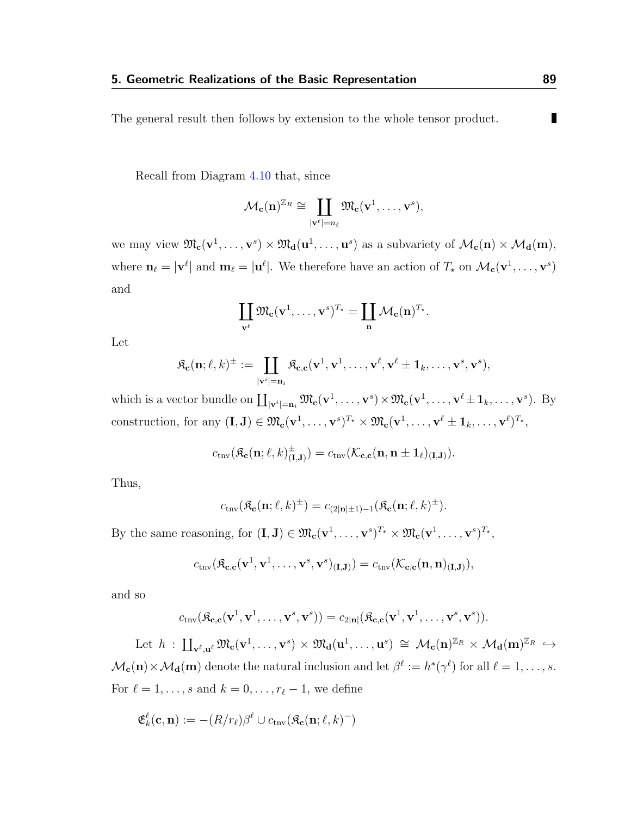The general result then follows by extension to the whole tensor product.

Recall from Diagram [4.10](#page-73-0) that, since

$$
\mathcal{M}_{\mathbf{c}}(\mathbf{n})^{\mathbb{Z}_R} \cong \coprod_{|\mathbf{v}^{\ell}|=n_{\ell}} \mathfrak{M}_{\mathbf{c}}(\mathbf{v}^1,\ldots,\mathbf{v}^s),
$$

we may view  $\mathfrak{M}_{\mathbf{c}}(\mathbf{v}^1,\ldots,\mathbf{v}^s) \times \mathfrak{M}_{\mathbf{d}}(\mathbf{u}^1,\ldots,\mathbf{u}^s)$  as a subvariety of  $\mathcal{M}_{\mathbf{c}}(\mathbf{n}) \times \mathcal{M}_{\mathbf{d}}(\mathbf{m})$ , where  $\mathbf{n}_{\ell} = |\mathbf{v}^{\ell}|$  and  $\mathbf{m}_{\ell} = |\mathbf{u}^{\ell}|$ . We therefore have an action of  $T_{\star}$  on  $\mathcal{M}_{\mathbf{c}}(\mathbf{v}^1, \ldots, \mathbf{v}^s)$ and

$$
\coprod_{\mathbf{v}^{\ell}}\mathfrak{M}_{\mathbf{c}}(\mathbf{v}^1,\ldots,\mathbf{v}^s)^{T_\star}=\coprod_{\mathbf{n}}\mathcal{M}_{\mathbf{c}}(\mathbf{n})^{T_\star}.
$$

Let

$$
\mathfrak{K}_{\mathbf{c}}(\mathbf{n};\ell,k)^{\pm} := \coprod_{|\mathbf{v}^i|= \mathbf{n}_i} \mathfrak{K}_{\mathbf{c},\mathbf{c}}(\mathbf{v}^1,\mathbf{v}^1,\ldots,\mathbf{v}^\ell,\mathbf{v}^\ell \pm \mathbf{1}_k,\ldots,\mathbf{v}^s,\mathbf{v}^s),
$$

which is a vector bundle on  $\coprod_{|\mathbf{v}^i|=\mathbf{n}_i} \mathfrak{M}_{\mathbf{c}}(\mathbf{v}^1, \dots, \mathbf{v}^s) \times \mathfrak{M}_{\mathbf{c}}(\mathbf{v}^1, \dots, \mathbf{v}^\ell \pm \mathbf{1}_k, \dots, \mathbf{v}^s)$ . By construction, for any  $(\mathbf{I}, \mathbf{J}) \in \mathfrak{M}_{\mathbf{c}}(\mathbf{v}^1, \dots, \mathbf{v}^s)^{T_\star} \times \mathfrak{M}_{\mathbf{c}}(\mathbf{v}^1, \dots, \mathbf{v}^\ell \pm \mathbf{1}_k, \dots, \mathbf{v}^\ell)^{T_\star},$ 

$$
c_{\mathrm{tnv}}(\mathfrak{K}_{\mathbf{c}}(\mathbf{n};\ell,k)_{(\mathbf{I},\mathbf{J})}^{\pm})=c_{\mathrm{tnv}}(\mathcal{K}_{\mathbf{c},\mathbf{c}}(\mathbf{n},\mathbf{n}\pm\mathbf{1}_{\ell})_{(\mathbf{I},\mathbf{J})}).
$$

Thus,

$$
c_{\text{tnv}}(\mathfrak{K}_{\mathbf{c}}(\mathbf{n};\ell,k)^{\pm}) = c_{(2|\mathbf{n}|\pm 1)-1}(\mathfrak{K}_{\mathbf{c}}(\mathbf{n};\ell,k)^{\pm}).
$$

By the same reasoning, for  $(\mathbf{I}, \mathbf{J}) \in \mathfrak{M}_{\mathbf{c}}(\mathbf{v}^1, \dots, \mathbf{v}^s)^{T_\star} \times \mathfrak{M}_{\mathbf{c}}(\mathbf{v}^1, \dots, \mathbf{v}^s)^{T_\star},$ 

$$
c_{\text{triv}}(\mathfrak{K}_{\mathbf{c},\mathbf{c}}(\mathbf{v}^1,\mathbf{v}^1,\ldots,\mathbf{v}^s,\mathbf{v}^s)_{(\mathbf{I},\mathbf{J})})=c_{\text{triv}}(\mathcal{K}_{\mathbf{c},\mathbf{c}}(\mathbf{n},\mathbf{n})_{(\mathbf{I},\mathbf{J})}),
$$

and so

$$
c_{\mathrm{tnv}}(\mathfrak{K}_{\mathbf{c},\mathbf{c}}(\mathbf{v}^1,\mathbf{v}^1,\ldots,\mathbf{v}^s,\mathbf{v}^s)) = c_{2|\mathbf{n}|}(\mathfrak{K}_{\mathbf{c},\mathbf{c}}(\mathbf{v}^1,\mathbf{v}^1,\ldots,\mathbf{v}^s,\mathbf{v}^s)).
$$

Let  $h : \coprod_{\mathbf{v}^{\ell},\mathbf{u}^{\ell}} \mathfrak{M}_{\mathbf{c}}(\mathbf{v}^1,\ldots,\mathbf{v}^s) \times \mathfrak{M}_{\mathbf{d}}(\mathbf{u}^1,\ldots,\mathbf{u}^s) \cong \mathcal{M}_{\mathbf{c}}(\mathbf{n})^{\mathbb{Z}_R} \times \mathcal{M}_{\mathbf{d}}(\mathbf{m})^{\mathbb{Z}_R} \hookrightarrow$  $\mathcal{M}_{\mathbf{c}}(\mathbf{n}) \times \mathcal{M}_{\mathbf{d}}(\mathbf{m})$  denote the natural inclusion and let  $\beta^{\ell} := h^*(\gamma^{\ell})$  for all  $\ell = 1, \ldots, s$ . For  $\ell = 1, \ldots, s$  and  $k = 0, \ldots, r_{\ell} - 1$ , we define

$$
\mathfrak{E}^{\ell}_{k}(\mathbf{c},\mathbf{n}):=-(R/r_{\ell})\beta^{\ell}\cup c_{\mathrm{tnv}}(\mathfrak{K}_{\mathbf{c}}(\mathbf{n};\ell,k)^{-})
$$

П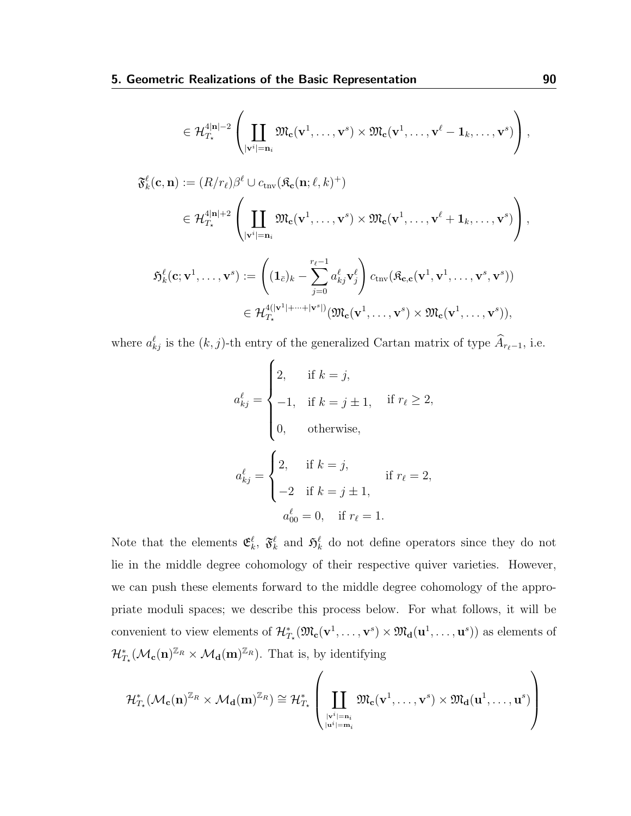$$
\in\mathcal{H}_{T_{\star}}^{4|\mathbf{n}|-2}\left(\coprod_{|\mathbf{v}^i|= \mathbf{n}_i}\mathfrak{M}_{\mathbf{c}}(\mathbf{v}^1,\ldots,\mathbf{v}^s)\times \mathfrak{M}_{\mathbf{c}}(\mathbf{v}^1,\ldots,\mathbf{v}^\ell-\mathbf{1}_k,\ldots,\mathbf{v}^s)\right),
$$

$$
\mathfrak{F}_{k}^{\ell}(\mathbf{c}, \mathbf{n}) := (R/r_{\ell})\beta^{\ell} \cup c_{\text{tnv}}(\mathfrak{K}_{\mathbf{c}}(\mathbf{n}; \ell, k)^{+})
$$
\n
$$
\in \mathcal{H}_{T_{\star}}^{4|\mathbf{n}|+2} \left( \prod_{|\mathbf{v}^{i}|=\mathbf{n}_{i}} \mathfrak{M}_{\mathbf{c}}(\mathbf{v}^{1}, \dots, \mathbf{v}^{s}) \times \mathfrak{M}_{\mathbf{c}}(\mathbf{v}^{1}, \dots, \mathbf{v}^{\ell} + \mathbf{1}_{k}, \dots, \mathbf{v}^{s}) \right),
$$

$$
\mathfrak{H}^{\ell}_{k}(\mathbf{c};\mathbf{v}^{1},\ldots,\mathbf{v}^{s}) := \left( (\mathbf{1}_{\bar{c}})_{k} - \sum_{j=0}^{r_{\ell}-1} a^{\ell}_{kj} \mathbf{v}^{\ell}_{j} \right) c_{\text{triv}}(\mathfrak{K}_{\mathbf{c},\mathbf{c}}(\mathbf{v}^{1},\mathbf{v}^{1},\ldots,\mathbf{v}^{s},\mathbf{v}^{s}))
$$
\n
$$
\in \mathcal{H}_{T_{\star}}^{4(|\mathbf{v}^{1}|+\cdots+|\mathbf{v}^{s}|)}(\mathfrak{M}_{\mathbf{c}}(\mathbf{v}^{1},\ldots,\mathbf{v}^{s}) \times \mathfrak{M}_{\mathbf{c}}(\mathbf{v}^{1},\ldots,\mathbf{v}^{s})),
$$

where  $a_{kj}^{\ell}$  is the  $(k, j)$ -th entry of the generalized Cartan matrix of type  $\widehat{A}_{r_{\ell}-1}$ , i.e.

$$
a_{kj}^{\ell} = \begin{cases} 2, & \text{if } k = j, \\ -1, & \text{if } k = j \pm 1, \\ 0, & \text{otherwise,} \end{cases}
$$
  

$$
a_{kj}^{\ell} = \begin{cases} 2, & \text{if } k = j, \\ -2 & \text{if } k = j \pm 1, \\ -2 & \text{if } k = j \pm 1, \\ a_{00}^{\ell} = 0, & \text{if } r_{\ell} = 1. \end{cases}
$$

Note that the elements  $\mathfrak{E}_k^{\ell}$ ,  $\mathfrak{F}_k^{\ell}$  and  $\mathfrak{H}_k^{\ell}$  do not define operators since they do not lie in the middle degree cohomology of their respective quiver varieties. However, we can push these elements forward to the middle degree cohomology of the appropriate moduli spaces; we describe this process below. For what follows, it will be convenient to view elements of  $\mathcal{H}_{T_{\star}}^{*}(\mathfrak{M}_{\mathbf{c}}(\mathbf{v}^1, \dots, \mathbf{v}^s) \times \mathfrak{M}_{\mathbf{d}}(\mathbf{u}^1, \dots, \mathbf{u}^s))$  as elements of  $\mathcal{H}_{T_{\star}}^{\ast}(\mathcal{M}_{c}(n)^{\mathbb{Z}_{R}} \times \mathcal{M}_{d}(m)^{\mathbb{Z}_{R}})$ . That is, by identifying

$$
\mathcal{H}^*_{\mathcal{I}_\star}(\mathcal{M}_c(n)^{\mathbb{Z}_R} \times \mathcal{M}_d(m)^{\mathbb{Z}_R}) \cong \mathcal{H}^*_{\mathcal{I}_\star}\left( \coprod_{\stackrel{|v^i|=n_i}{|u^i|=m_i}} \mathfrak{M}_c(v^1,\dots,v^s) \times \mathfrak{M}_d(u^1,\dots,u^s) \right)
$$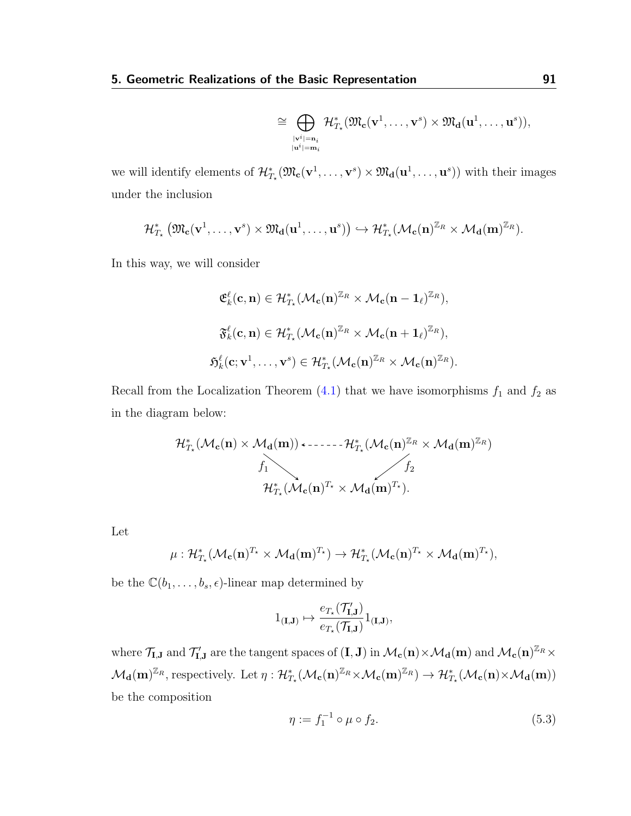$$
\cong \bigoplus_{\substack{|\mathbf{v}^i|= \mathbf{n}_i \\ |\mathbf{u}^i|= \mathbf{m}_i}} \mathcal{H}^*_{T_\star}(\mathfrak{M}_{\mathbf{c}}(\mathbf{v}^1,\dots,\mathbf{v}^s) \times \mathfrak{M}_{\mathbf{d}}(\mathbf{u}^1,\dots,\mathbf{u}^s)),
$$

we will identify elements of  $\mathcal{H}_{T_*}^*(\mathfrak{M}_c(\mathbf{v}^1,\ldots,\mathbf{v}^s)\times \mathfrak{M}_d(\mathbf{u}^1,\ldots,\mathbf{u}^s))$  with their images under the inclusion

$$
\mathcal{H}^*_{T_{\star}}\left(\mathfrak{M}_{\mathbf{c}}(\mathbf{v}^1,\ldots,\mathbf{v}^s)\times \mathfrak{M}_{\mathbf{d}}(\mathbf{u}^1,\ldots,\mathbf{u}^s)\right)\hookrightarrow \mathcal{H}^*_{T_{\star}}(\mathcal{M}_{\mathbf{c}}(\mathbf{n})^{\mathbb{Z}_R}\times \mathcal{M}_{\mathbf{d}}(\mathbf{m})^{\mathbb{Z}_R}).
$$

In this way, we will consider

$$
\mathfrak{E}^{\ell}_{k}(\mathbf{c}, \mathbf{n}) \in \mathcal{H}^{*}_{T_{\star}}(\mathcal{M}_{\mathbf{c}}(\mathbf{n})^{\mathbb{Z}_{R}} \times \mathcal{M}_{\mathbf{c}}(\mathbf{n} - \mathbf{1}_{\ell})^{\mathbb{Z}_{R}}),
$$
  

$$
\mathfrak{F}^{\ell}_{k}(\mathbf{c}, \mathbf{n}) \in \mathcal{H}^{*}_{T_{\star}}(\mathcal{M}_{\mathbf{c}}(\mathbf{n})^{\mathbb{Z}_{R}} \times \mathcal{M}_{\mathbf{c}}(\mathbf{n} + \mathbf{1}_{\ell})^{\mathbb{Z}_{R}}),
$$
  

$$
\mathfrak{H}^{\ell}_{k}(\mathbf{c}; \mathbf{v}^{1}, \dots, \mathbf{v}^{s}) \in \mathcal{H}^{*}_{T_{\star}}(\mathcal{M}_{\mathbf{c}}(\mathbf{n})^{\mathbb{Z}_{R}} \times \mathcal{M}_{\mathbf{c}}(\mathbf{n})^{\mathbb{Z}_{R}}).
$$

Recall from the Localization Theorem  $(4.1)$  that we have isomorphisms  $f_1$  and  $f_2$  as in the diagram below:

$$
\mathcal{H}^*_{T_\star}(\mathcal{M}_{\mathbf{c}}(\mathbf{n}) \times \mathcal{M}_{\mathbf{d}}(\mathbf{m})) \longleftrightarrow \cdots \hookrightarrow \mathcal{H}^*_{T_\star}(\mathcal{M}_{\mathbf{c}}(\mathbf{n})^{\mathbb{Z}_R} \times \mathcal{M}_{\mathbf{d}}(\mathbf{m})^{\mathbb{Z}_R})
$$
\n
$$
f_1
$$
\n
$$
\mathcal{H}^*_{T_\star}(\mathcal{M}_{\mathbf{c}}(\mathbf{n})^{T_\star} \times \mathcal{M}_{\mathbf{d}}(\mathbf{m})^{T_\star}).
$$

Let

$$
\mu: \mathcal{H}^*_{T_\star}(\mathcal{M}_{\mathbf{c}}(\mathbf{n})^{T_\star} \times \mathcal{M}_{\mathbf{d}}(\mathbf{m})^{T_\star}) \to \mathcal{H}^*_{T_\star}(\mathcal{M}_{\mathbf{c}}(\mathbf{n})^{T_\star} \times \mathcal{M}_{\mathbf{d}}(\mathbf{m})^{T_\star}),
$$

be the  $\mathbb{C}(b_1, \ldots, b_s, \epsilon)$ -linear map determined by

$$
1_{(\mathbf{I},\mathbf{J})}\mapsto \frac{e_{T_\star}(\mathcal{T}'_{\mathbf{I},\mathbf{J}})}{e_{T_\star}(\mathcal{T}_{\mathbf{I},\mathbf{J}})}1_{(\mathbf{I},\mathbf{J})},
$$

where  $\mathcal{T}_{\mathbf{I},\mathbf{J}}$  and  $\mathcal{T}'_{\mathbf{I},\mathbf{J}}$  are the tangent spaces of  $(\mathbf{I},\mathbf{J})$  in  $\mathcal{M}_{\mathbf{c}}(\mathbf{n}) \times \mathcal{M}_{\mathbf{d}}(\mathbf{m})$  and  $\mathcal{M}_{\mathbf{c}}(\mathbf{n})^{\mathbb{Z}_R} \times$  $\mathcal{M}_{\mathbf{d}}(\mathbf{m})^{\mathbb{Z}_R}$ , respectively. Let  $\eta: \mathcal{H}_{T_{\star}}^{\ast}(\mathcal{M}_{\mathbf{c}}(\mathbf{n})^{\mathbb{Z}_R} \times \mathcal{M}_{\mathbf{c}}(\mathbf{m})^{\mathbb{Z}_R}) \to \mathcal{H}_{T_{\star}}^{\ast}(\mathcal{M}_{\mathbf{c}}(\mathbf{n}) \times \mathcal{M}_{\mathbf{d}}(\mathbf{m}))$ be the composition

<span id="page-95-0"></span>
$$
\eta := f_1^{-1} \circ \mu \circ f_2. \tag{5.3}
$$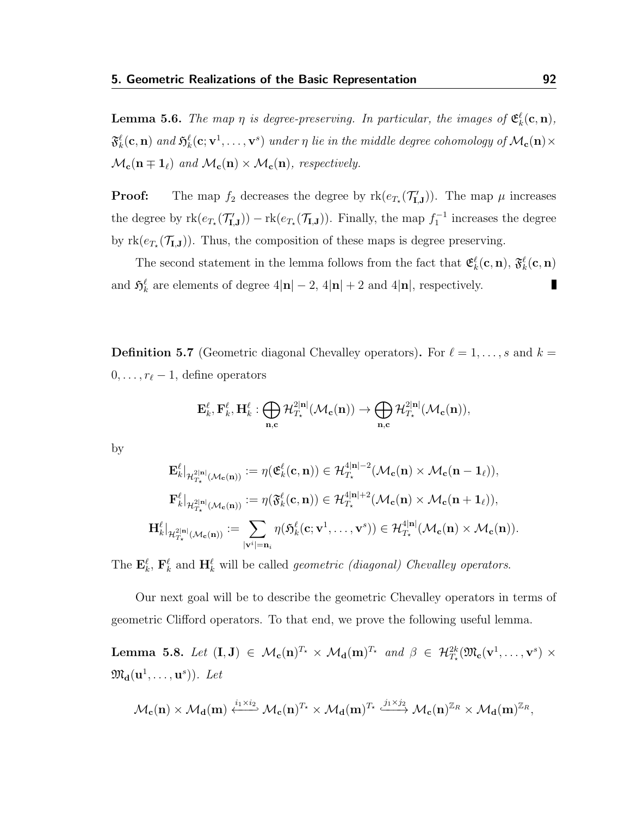**Lemma 5.6.** The map  $\eta$  is degree-preserving. In particular, the images of  $\mathfrak{E}_k^{\ell}(\mathbf{c},\mathbf{n})$ ,  $\mathfrak{F}^\ell_k(\mathbf{c},\mathbf{n})$  and  $\mathfrak{H}^\ell_k(\mathbf{c};\mathbf{v}^1,\dots,\mathbf{v}^s)$  under  $\eta$  lie in the middle degree cohomology of  $\mathcal{M}_{\mathbf{c}}(\mathbf{n})\times$  $\mathcal{M}_{c}(n \mp 1_{\ell})$  and  $\mathcal{M}_{c}(n) \times \mathcal{M}_{c}(n)$ , respectively.

**Proof:** The map  $f_2$  decreases the degree by  $rk(e_{T_{\star}}(\mathcal{T}_{\mathbf{I},\mathbf{J}}))$ . The map  $\mu$  increases the degree by  $rk(e_{T_{\star}}(\mathcal{T}_{\mathbf{I},\mathbf{J}})) - rk(e_{T_{\star}}(\mathcal{T}_{\mathbf{I},\mathbf{J}})).$  Finally, the map  $f_1^{-1}$  increases the degree by  $rk(e_{T_{\star}}(\mathcal{T}_{\mathbf{I},\mathbf{J}}))$ . Thus, the composition of these maps is degree preserving.

The second statement in the lemma follows from the fact that  $\mathfrak{E}_k^{\ell}(\mathbf{c},\mathbf{n}), \mathfrak{F}_k^{\ell}(\mathbf{c},\mathbf{n})$ and  $\mathfrak{H}_k^{\ell}$  are elements of degree  $4|\mathbf{n}| - 2$ ,  $4|\mathbf{n}| + 2$  and  $4|\mathbf{n}|$ , respectively. П

**Definition 5.7** (Geometric diagonal Chevalley operators). For  $\ell = 1, \ldots, s$  and  $k =$  $0, \ldots, r_{\ell} - 1$ , define operators

$$
\mathbf{E}_k^\ell, \mathbf{F}_k^\ell, \mathbf{H}_k^\ell: \bigoplus_{\mathbf{n},\mathbf{c}}\mathcal{H}^{2|\mathbf{n}|}_{T_\star}(\mathcal{M}_\mathbf{c}(\mathbf{n}))\rightarrow \bigoplus_{\mathbf{n},\mathbf{c}}\mathcal{H}^{2|\mathbf{n}|}_{T_\star}(\mathcal{M}_\mathbf{c}(\mathbf{n})),
$$

by

$$
\mathbf{E}_{k}^{\ell}|_{\mathcal{H}_{T_{\star}}^{2|\mathbf{n}|}(\mathcal{M}_{\mathbf{c}}(\mathbf{n}))} := \eta(\mathfrak{E}_{k}^{\ell}(\mathbf{c}, \mathbf{n})) \in \mathcal{H}_{T_{\star}}^{4|\mathbf{n}|-2}(\mathcal{M}_{\mathbf{c}}(\mathbf{n}) \times \mathcal{M}_{\mathbf{c}}(\mathbf{n}-\mathbf{1}_{\ell})),
$$
\n
$$
\mathbf{F}_{k}^{\ell}|_{\mathcal{H}_{T_{\star}}^{2|\mathbf{n}|}(\mathcal{M}_{\mathbf{c}}(\mathbf{n}))} := \eta(\mathfrak{F}_{k}^{\ell}(\mathbf{c}, \mathbf{n})) \in \mathcal{H}_{T_{\star}}^{4|\mathbf{n}|+2}(\mathcal{M}_{\mathbf{c}}(\mathbf{n}) \times \mathcal{M}_{\mathbf{c}}(\mathbf{n}+\mathbf{1}_{\ell})),
$$
\n
$$
\mathbf{H}_{k}^{\ell}|_{\mathcal{H}_{T_{\star}}^{2|\mathbf{n}|}(\mathcal{M}_{\mathbf{c}}(\mathbf{n}))} := \sum_{|\mathbf{v}^{i}|=\mathbf{n}_{i}} \eta(\mathfrak{H}_{k}^{\ell}(\mathbf{c}; \mathbf{v}^{1}, \dots, \mathbf{v}^{s})) \in \mathcal{H}_{T_{\star}}^{4|\mathbf{n}|}(\mathcal{M}_{\mathbf{c}}(\mathbf{n}) \times \mathcal{M}_{\mathbf{c}}(\mathbf{n})).
$$

The  $\mathbf{E}_k^{\ell}$ ,  $\mathbf{F}_k^{\ell}$  and  $\mathbf{H}_k^{\ell}$  will be called *geometric (diagonal) Chevalley operators*.

Our next goal will be to describe the geometric Chevalley operators in terms of geometric Clifford operators. To that end, we prove the following useful lemma.

<span id="page-96-0"></span>Lemma 5.8. Let  $(I, J) \in \mathcal{M}_c(n)^{T_\star} \times \mathcal{M}_d(m)^{T_\star}$  and  $\beta \in \mathcal{H}_{T_\star}^{2k}(\mathfrak{M}_c(v^1, \ldots, v^s) \times$  $\mathfrak{M}_{\mathbf{d}}(\mathbf{u}^1,\ldots,\mathbf{u}^s))$ . Let

$$
\mathcal{M}_{\mathbf{c}}(\mathbf{n}) \times \mathcal{M}_{\mathbf{d}}(\mathbf{m}) \xleftarrow{i_1 \times i_2} \mathcal{M}_{\mathbf{c}}(\mathbf{n})^{T_\star} \times \mathcal{M}_{\mathbf{d}}(\mathbf{m})^{T_\star} \xleftarrow{j_1 \times j_2} \mathcal{M}_{\mathbf{c}}(\mathbf{n})^{\mathbb{Z}_R} \times \mathcal{M}_{\mathbf{d}}(\mathbf{m})^{\mathbb{Z}_R},
$$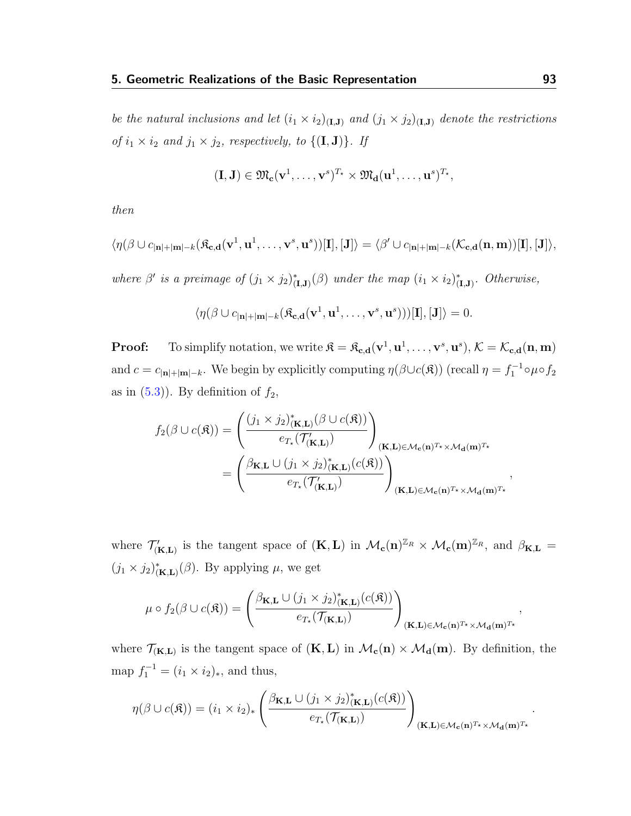be the natural inclusions and let  $(i_1 \times i_2)_{(I,J)}$  and  $(j_1 \times j_2)_{(I,J)}$  denote the restrictions of  $i_1 \times i_2$  and  $j_1 \times j_2$ , respectively, to  $\{(\mathbf{I}, \mathbf{J})\}$ . If

$$
(\mathbf{I},\mathbf{J})\in \mathfrak{M}_{\mathbf{c}}(\mathbf{v}^1,\ldots,\mathbf{v}^s)^{T_\star}\times \mathfrak{M}_{\mathbf{d}}(\mathbf{u}^1,\ldots,\mathbf{u}^s)^{T_\star},
$$

then

$$
\langle \eta(\beta \cup c_{|\mathbf{n}|+|\mathbf{m}|-k}(\mathfrak{K}_{\mathbf{c},\mathbf{d}}(\mathbf{v}^1,\mathbf{u}^1,\ldots,\mathbf{v}^s,\mathbf{u}^s))[I],[J]\rangle = \langle \beta' \cup c_{|\mathbf{n}|+|\mathbf{m}|-k}(\mathcal{K}_{\mathbf{c},\mathbf{d}}(\mathbf{n},\mathbf{m}))[I],[J]\rangle,
$$

where  $\beta'$  is a preimage of  $(j_1 \times j_2)_{(I,J)}^* (\beta)$  under the map  $(i_1 \times i_2)_{(I,J)}^*$ . Otherwise,

$$
\langle \eta(\beta \cup c_{|\mathbf{n}|+|\mathbf{m}|-k}(\mathfrak{K}_{\mathbf{c},\mathbf{d}}(\mathbf{v}^1,\mathbf{u}^1,\ldots,\mathbf{v}^s,\mathbf{u}^s)))[\mathbf{I}], [\mathbf{J}]\rangle = 0.
$$

**Proof:** To simplify notation, we write  $\mathbf{\hat{x}} = \mathbf{\hat{x}_{c,d}}(\mathbf{v}^1, \mathbf{u}^1, \dots, \mathbf{v}^s, \mathbf{u}^s), \mathcal{K} = \mathcal{K}_{c,d}(\mathbf{n}, \mathbf{m})$ and  $c = c_{|\mathbf{n}|+|\mathbf{m}|-k}$ . We begin by explicitly computing  $\eta(\beta \cup c(\mathbf{\hat{x}}))$  (recall  $\eta = f_1^{-1} \circ \mu \circ f_2$ as in  $(5.3)$ ). By definition of  $f_2$ ,

$$
f_2(\beta \cup c(\mathfrak{K})) = \left( \frac{(j_1 \times j_2)_{(\mathbf{K},\mathbf{L})}^*(\beta \cup c(\mathfrak{K}))}{e_{T_\star}(\mathcal{T}'_{(\mathbf{K},\mathbf{L})})} \right)_{(\mathbf{K},\mathbf{L}) \in \mathcal{M}_{\mathbf{c}}(\mathbf{n})^{T_\star} \times \mathcal{M}_{\mathbf{d}}(\mathbf{m})^{T_\star}}
$$
  
= 
$$
\left( \frac{\beta_{\mathbf{K},\mathbf{L}} \cup (j_1 \times j_2)_{(\mathbf{K},\mathbf{L})}^*(c(\mathfrak{K}))}{e_{T_\star}(\mathcal{T}'_{(\mathbf{K},\mathbf{L})})} \right)_{(\mathbf{K},\mathbf{L}) \in \mathcal{M}_{\mathbf{c}}(\mathbf{n})^{T_\star} \times \mathcal{M}_{\mathbf{d}}(\mathbf{m})^{T_\star}}
$$

where  $\mathcal{T}'_{(\mathbf{K},\mathbf{L})}$  is the tangent space of  $(\mathbf{K},\mathbf{L})$  in  $\mathcal{M}_{\mathbf{c}}(\mathbf{n})^{\mathbb{Z}_R} \times \mathcal{M}_{\mathbf{c}}(\mathbf{m})^{\mathbb{Z}_R}$ , and  $\beta_{\mathbf{K},\mathbf{L}} =$  $(j_1 \times j_2)_{(\mathbf{K},\mathbf{L})}^* (\beta)$ . By applying  $\mu$ , we get

$$
\mu \circ f_2(\beta \cup c(\mathfrak{K})) = \left( \frac{\beta_{\mathbf{K},\mathbf{L}} \cup (j_1 \times j_2)_{(\mathbf{K},\mathbf{L})}^*(c(\mathfrak{K}))}{e_{T_{\star}}(\mathcal{T}_{(\mathbf{K},\mathbf{L})})} \right)_{(\mathbf{K},\mathbf{L}) \in \mathcal{M}_{\mathbf{c}}(\mathbf{n})^{T_{\star}} \times \mathcal{M}_{\mathbf{d}}(\mathbf{m})^{T_{\star}}},
$$

where  $\mathcal{T}_{(K,L)}$  is the tangent space of  $(K,L)$  in  $\mathcal{M}_{c}(n) \times \mathcal{M}_{d}(m)$ . By definition, the map  $f_1^{-1} = (i_1 \times i_2)_*,$  and thus,

$$
\eta(\beta \cup c(\mathfrak{K})) = (i_1 \times i_2)_* \left( \frac{\beta_{\mathbf{K},\mathbf{L}} \cup (j_1 \times j_2)_{(\mathbf{K},\mathbf{L})}^*(c(\mathfrak{K}))}{e_{T_*}(\mathcal{T}_{(\mathbf{K},\mathbf{L})})} \right)_{(\mathbf{K},\mathbf{L}) \in \mathcal{M}_{\mathbf{c}}(\mathbf{n})^{T_*} \times \mathcal{M}_{\mathbf{d}}(\mathbf{m})^{T_*}}
$$

,

.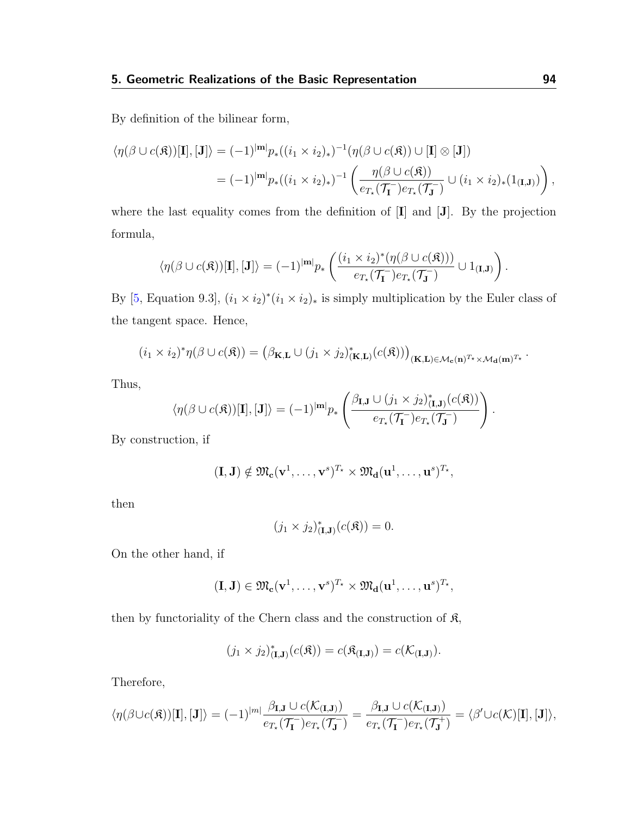By definition of the bilinear form,

$$
\langle \eta(\beta \cup c(\mathfrak{K}))[\mathbf{I}], [\mathbf{J}]\rangle = (-1)^{|\mathbf{m}|} p_*((i_1 \times i_2)_*)^{-1} (\eta(\beta \cup c(\mathfrak{K})) \cup [\mathbf{I}] \otimes [\mathbf{J}])
$$
  
= 
$$
(-1)^{|\mathbf{m}|} p_*((i_1 \times i_2)_*)^{-1} \left( \frac{\eta(\beta \cup c(\mathfrak{K}))}{e_{T_*}(\mathcal{T}_\mathbf{I}^-) e_{T_*}(\mathcal{T}_\mathbf{J}^-)} \cup (i_1 \times i_2)_*(1_{(\mathbf{I},\mathbf{J})}) \right),
$$

where the last equality comes from the definition of [I] and [J]. By the projection formula,

$$
\langle \eta(\beta \cup c(\mathfrak{K}))[\mathbf{I}], [\mathbf{J}]\rangle = (-1)^{|\mathbf{m}|} p_*\left( \frac{(i_1 \times i_2)^*(\eta(\beta \cup c(\mathfrak{K})))}{e_{T_*}(\mathcal{T}_\mathbf{I})} \cup 1_{(\mathbf{I},\mathbf{J})} \right).
$$

By [\[5,](#page-114-0) Equation 9.3],  $(i_1 \times i_2)^*(i_1 \times i_2)_*$  is simply multiplication by the Euler class of the tangent space. Hence,

$$
(i_1 \times i_2)^*\eta(\beta \cup c(\mathfrak{K})) = (\beta_{\mathbf{K},\mathbf{L}} \cup (j_1 \times j_2)^*_{(\mathbf{K},\mathbf{L})}(c(\mathfrak{K})))_{(\mathbf{K},\mathbf{L}) \in \mathcal{M}_{\mathbf{c}}(\mathbf{n})^{T_\star} \times \mathcal{M}_{\mathbf{d}}(\mathbf{m})^{T_\star}}.
$$

Thus,

$$
\langle \eta(\beta \cup c(\mathfrak{K}))[\mathbf{I}], [\mathbf{J}]\rangle = (-1)^{|\mathbf{m}|} p_* \left( \frac{\beta_{\mathbf{I},\mathbf{J}} \cup (j_1 \times j_2)_{(\mathbf{I},\mathbf{J})}^*(c(\mathfrak{K}))}{e_{T_*}(\mathcal{T}_\mathbf{I}) e_{T_*}(\mathcal{T}_\mathbf{J})} \right).
$$

By construction, if

$$
(\mathbf{I},\mathbf{J}) \notin \mathfrak{M}_{\mathbf{c}}(\mathbf{v}^1,\ldots,\mathbf{v}^s)^{T_\star} \times \mathfrak{M}_{\mathbf{d}}(\mathbf{u}^1,\ldots,\mathbf{u}^s)^{T_\star},
$$

then

$$
(j_1 \times j_2)_{(\mathbf{I},\mathbf{J})}^*(c(\mathfrak{K})) = 0.
$$

On the other hand, if

$$
(\mathbf{I},\mathbf{J})\in \mathfrak{M}_{\mathbf{c}}(\mathbf{v}^1,\dots,\mathbf{v}^s)^{T_\star}\times \mathfrak{M}_{\mathbf{d}}(\mathbf{u}^1,\dots,\mathbf{u}^s)^{T_\star},
$$

then by functoriality of the Chern class and the construction of  $\mathfrak{K}$ ,

$$
(j_1 \times j_2)_{(\mathbf{I},\mathbf{J})}^*(c(\mathfrak{K})) = c(\mathfrak{K}_{(\mathbf{I},\mathbf{J})}) = c(\mathcal{K}_{(\mathbf{I},\mathbf{J})}).
$$

Therefore,

$$
\langle \eta(\beta \cup c(\mathfrak{K}))[\mathbf{I}], [\mathbf{J}]\rangle = (-1)^{|m|} \frac{\beta_{\mathbf{I},\mathbf{J}} \cup c(\mathcal{K}_{(\mathbf{I},\mathbf{J})})}{e_{T_{\star}}(\mathcal{T}_{\mathbf{I}}^-)e_{T_{\star}}(\mathcal{T}_{\mathbf{J}}^-)} = \frac{\beta_{\mathbf{I},\mathbf{J}} \cup c(\mathcal{K}_{(\mathbf{I},\mathbf{J})})}{e_{T_{\star}}(\mathcal{T}_{\mathbf{J}}^-)e_{T_{\star}}(\mathcal{T}_{\mathbf{J}}^+)} = \langle \beta' \cup c(\mathcal{K})[\mathbf{I}], [\mathbf{J}]\rangle,
$$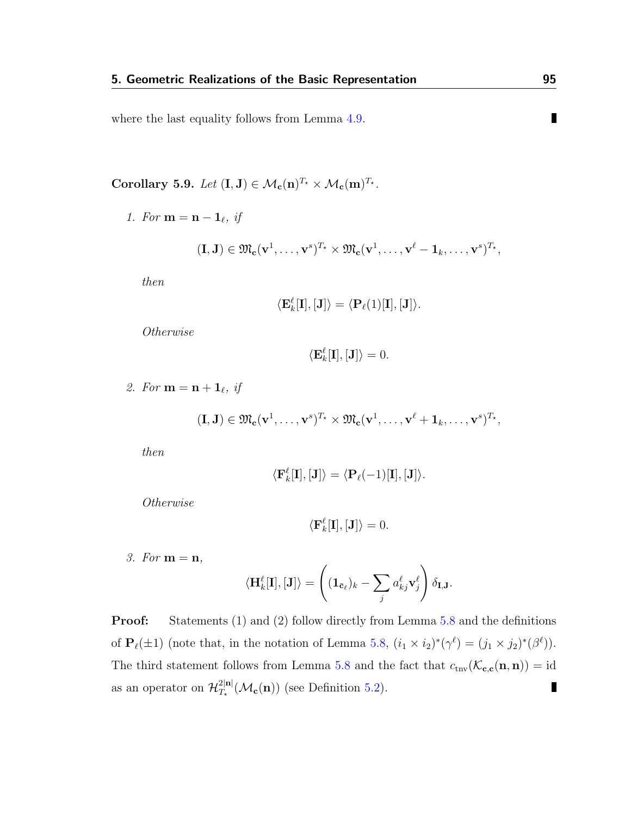where the last equality follows from Lemma [4.9.](#page-77-0)

<span id="page-99-0"></span>Corollary 5.9. Let  $(I, J) \in \mathcal{M}_{c}(n)^{T_{\star}} \times \mathcal{M}_{c}(m)^{T_{\star}}$ .

1. For  $\mathbf{m} = \mathbf{n} - \mathbf{1}_{\ell}, \; \mathbf{i}$ 

$$
(\mathbf{I},\mathbf{J})\in \mathfrak{M}_{\mathbf{c}}(\mathbf{v}^1,\ldots,\mathbf{v}^s)^{T_\star}\times \mathfrak{M}_{\mathbf{c}}(\mathbf{v}^1,\ldots,\mathbf{v}^\ell-\mathbf{1}_k,\ldots,\mathbf{v}^s)^{T_\star},
$$

then

$$
\langle \mathbf{E}_k^\ell[\mathbf{I}],[\mathbf{J}]\rangle = \langle \mathbf{P}_\ell(1)[\mathbf{I}],[\mathbf{J}]\rangle.
$$

Otherwise

$$
\langle \mathbf{E}_k^{\ell}[\mathbf{I}], [\mathbf{J}] \rangle = 0.
$$

2. For  $\mathbf{m} = \mathbf{n} + \mathbf{1}_{\ell}, \text{ if}$ 

$$
(\mathbf{I},\mathbf{J}) \in \mathfrak{M}_{\mathbf{c}}(\mathbf{v}^1,\ldots,\mathbf{v}^s)^{T_\star} \times \mathfrak{M}_{\mathbf{c}}(\mathbf{v}^1,\ldots,\mathbf{v}^\ell + \mathbf{1}_k,\ldots,\mathbf{v}^s)^{T_\star},
$$

then

$$
\langle \mathbf{F}_k^{\ell}[\mathbf{I}], [\mathbf{J}] \rangle = \langle \mathbf{P}_{\ell}(-1)[\mathbf{I}], [\mathbf{J}] \rangle.
$$

Otherwise

$$
\langle \mathbf{F}_k^{\ell}[\mathbf{I}], [\mathbf{J}] \rangle = 0.
$$

3. For  $m = n$ ,

$$
\langle \mathbf{H}_k^{\ell}[\mathbf{I}], [\mathbf{J}] \rangle = \left( (\mathbf{1}_{\bar{\mathbf{c}}_{\ell}})_k - \sum_j a_{kj}^{\ell} \mathbf{v}_j^{\ell} \right) \delta_{\mathbf{I}, \mathbf{J}}.
$$

**Proof:** Statements (1) and (2) follow directly from Lemma [5.8](#page-96-0) and the definitions of  $\mathbf{P}_{\ell}(\pm 1)$  (note that, in the notation of Lemma [5.8,](#page-96-0)  $(i_1 \times i_2)^*(\gamma^{\ell}) = (j_1 \times j_2)^*(\beta^{\ell})$ ). The third statement follows from Lemma [5.8](#page-96-0) and the fact that  $c_{\text{trv}}(\mathcal{K}_{c,c}(n, n)) = id$ as an operator on  $\mathcal{H}_{T}^{2|\mathbf{n}|}$  $\blacksquare$  $T_{\star}^{2|\mathbf{n}|}(\mathcal{M}_{\mathbf{c}}(\mathbf{n}))$  (see Definition [5.2\)](#page-90-1).

 $\blacksquare$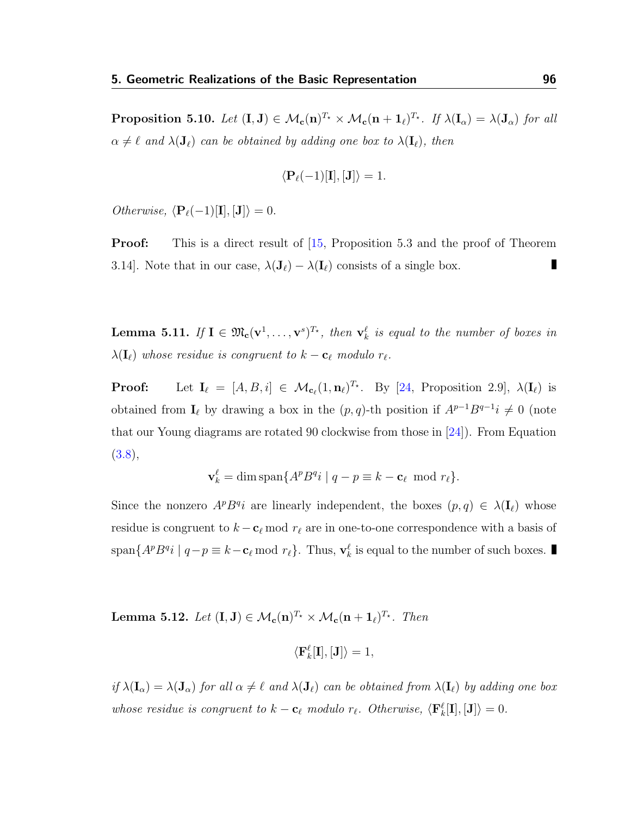<span id="page-100-0"></span>**Proposition 5.10.** Let  $(\mathbf{I}, \mathbf{J}) \in \mathcal{M}_{\mathbf{c}}(\mathbf{n})^{T_\star} \times \mathcal{M}_{\mathbf{c}}(\mathbf{n} + \mathbf{1}_{\ell})^{T_\star}$ . If  $\lambda(\mathbf{I}_{\alpha}) = \lambda(\mathbf{J}_{\alpha})$  for all  $\alpha \neq \ell$  and  $\lambda(\mathbf{J}_{\ell})$  can be obtained by adding one box to  $\lambda(\mathbf{I}_{\ell})$ , then

$$
\langle \mathbf{P}_{\ell}(-1)[\mathbf{I}],[\mathbf{J}]\rangle = 1.
$$

*Otherwise*,  $\langle P_{\ell}(-1)[\mathbf{I}], [\mathbf{J}]\rangle = 0.$ 

**Proof:** This is a direct result of [\[15,](#page-115-0) Proposition 5.3 and the proof of Theorem 3.14]. Note that in our case,  $\lambda(\mathbf{J}_{\ell}) - \lambda(\mathbf{I}_{\ell})$  consists of a single box.

<span id="page-100-1"></span>**Lemma 5.11.** If  $I \in \mathfrak{M}_{c}(v^{1},...,v^{s})^{T_{\star}},$  then  $v_{k}^{\ell}$  is equal to the number of boxes in  $\lambda(\mathbf{I}_{\ell})$  whose residue is congruent to  $k - \mathbf{c}_{\ell}$  modulo  $r_{\ell}$ .

**Proof:** Let  $I_{\ell} = [A, B, i] \in \mathcal{M}_{c_{\ell}}(1, n_{\ell})^{T_{\star}}$ . By [\[24,](#page-116-1) Proposition 2.9],  $\lambda(I_{\ell})$  is obtained from  $I_\ell$  by drawing a box in the  $(p, q)$ -th position if  $A^{p-1}B^{q-1}i \neq 0$  (note that our Young diagrams are rotated 90 clockwise from those in [\[24\]](#page-116-1)). From Equation  $(3.8),$  $(3.8),$ 

$$
\mathbf{v}_k^{\ell} = \dim \operatorname{span} \{ A^p B^q i \mid q - p \equiv k - \mathbf{c}_{\ell} \mod r_{\ell} \}.
$$

Since the nonzero  $A^p B^q i$  are linearly independent, the boxes  $(p, q) \in \lambda(\mathbf{I}_{\ell})$  whose residue is congruent to  $k - c_\ell$  mod  $r_\ell$  are in one-to-one correspondence with a basis of span $\{A^pB^q i \mid q-p \equiv k-\mathbf{c}_\ell \bmod r_\ell\}$ . Thus,  $\mathbf{v}_k^\ell$  is equal to the number of such boxes.

<span id="page-100-2"></span>Lemma 5.12. Let  $(I, J) \in \mathcal{M}_{\mathbf{c}}(\mathbf{n})^{T_\star} \times \mathcal{M}_{\mathbf{c}}(\mathbf{n} + \mathbf{1}_{\ell})^{T_\star}$ . Then

$$
\langle \mathbf{F}_k^{\ell}[\mathbf{I}],[\mathbf{J}]\rangle = 1,
$$

if  $\lambda(I_\alpha) = \lambda(J_\alpha)$  for all  $\alpha \neq \ell$  and  $\lambda(J_\ell)$  can be obtained from  $\lambda(I_\ell)$  by adding one box whose residue is congruent to  $k - \mathbf{c}_{\ell}$  modulo  $r_{\ell}$ . Otherwise,  $\langle \mathbf{F}_k^{\ell}[\mathbf{I}], [\mathbf{J}]\rangle = 0$ .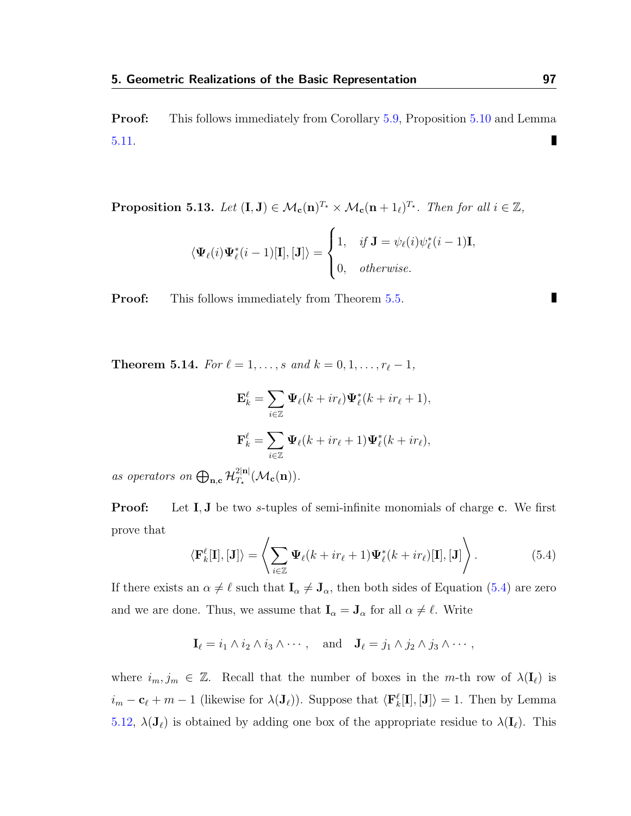Proof: This follows immediately from Corollary [5.9,](#page-99-0) Proposition [5.10](#page-100-0) and Lemma П [5.11.](#page-100-1)

<span id="page-101-1"></span>**Proposition 5.13.** Let  $(I, J) \in \mathcal{M}_c(n)^{T_\star} \times \mathcal{M}_c(n + 1_\ell)^{T_\star}$ . Then for all  $i \in \mathbb{Z}$ ,

$$
\langle \mathbf{\Psi}_{\ell}(i)\mathbf{\Psi}_{\ell}^{*}(i-1)[\mathbf{I}], [\mathbf{J}]\rangle = \begin{cases} 1, & if \mathbf{J} = \psi_{\ell}(i)\psi_{\ell}^{*}(i-1)\mathbf{I}, \\ 0, & otherwise. \end{cases}
$$

**Proof:** This follows immediately from Theorem [5.5.](#page-92-0)

<span id="page-101-2"></span>**Theorem 5.14.** For  $\ell = 1, ..., s$  and  $k = 0, 1, ..., r_{\ell} - 1$ ,

$$
\mathbf{E}_{k}^{\ell} = \sum_{i \in \mathbb{Z}} \Psi_{\ell}(k + ir_{\ell}) \Psi_{\ell}^{*}(k + ir_{\ell} + 1),
$$
  

$$
\mathbf{F}_{k}^{\ell} = \sum_{i \in \mathbb{Z}} \Psi_{\ell}(k + ir_{\ell} + 1) \Psi_{\ell}^{*}(k + ir_{\ell}),
$$

as operators on  $\bigoplus_{\mathbf{n},\mathbf{c}} \mathcal{H}_{T_{\star}}^{2|\mathbf{n}|}$  $T_\star^{\text{2|n|}}(\mathcal{M}_{\mathbf{c}}(\mathbf{n})).$ 

**Proof:** Let **I**, **J** be two *s*-tuples of semi-infinite monomials of charge **c**. We first prove that

<span id="page-101-0"></span>
$$
\langle \mathbf{F}_k^{\ell}[\mathbf{I}], [\mathbf{J}] \rangle = \left\langle \sum_{i \in \mathbb{Z}} \mathbf{\Psi}_{\ell}(k + ir_{\ell} + 1) \mathbf{\Psi}_{\ell}^*(k + ir_{\ell})[\mathbf{I}], [\mathbf{J}] \right\rangle.
$$
 (5.4)

If there exists an  $\alpha \neq \ell$  such that  $I_{\alpha} \neq J_{\alpha}$ , then both sides of Equation [\(5.4\)](#page-101-0) are zero and we are done. Thus, we assume that  $I_{\alpha} = J_{\alpha}$  for all  $\alpha \neq \ell$ . Write

 $\mathbf{I}_{\ell} = i_1 \wedge i_2 \wedge i_3 \wedge \cdots$ , and  $\mathbf{J}_{\ell} = j_1 \wedge j_2 \wedge j_3 \wedge \cdots$ ,

where  $i_m, j_m \in \mathbb{Z}$ . Recall that the number of boxes in the m-th row of  $\lambda(\mathbf{I}_{\ell})$  is  $i_m - c_\ell + m - 1$  (likewise for  $\lambda(\mathbf{J}_\ell)$ ). Suppose that  $\langle \mathbf{F}_k^{\ell}[\mathbf{I}], [\mathbf{J}] \rangle = 1$ . Then by Lemma [5.12,](#page-100-2)  $\lambda(\mathbf{J}_{\ell})$  is obtained by adding one box of the appropriate residue to  $\lambda(\mathbf{I}_{\ell})$ . This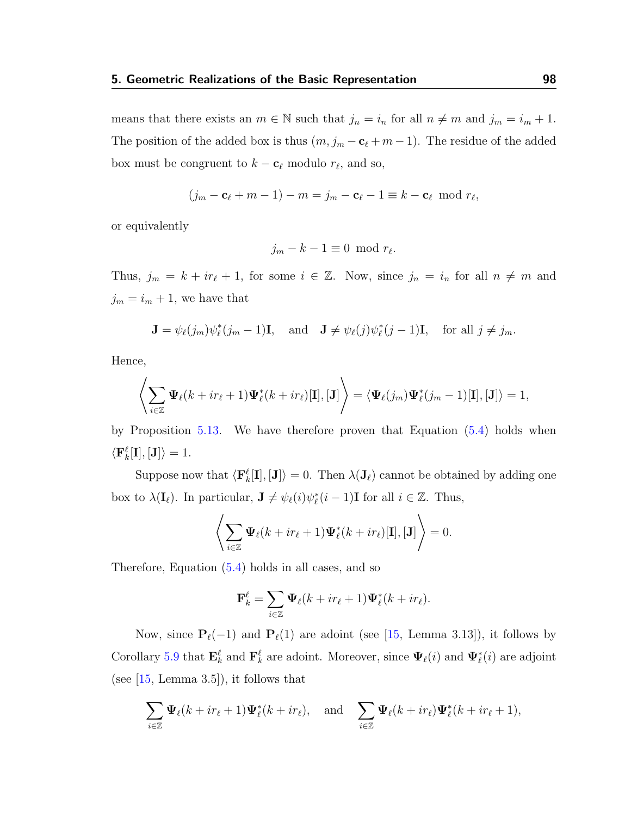means that there exists an  $m \in \mathbb{N}$  such that  $j_n = i_n$  for all  $n \neq m$  and  $j_m = i_m + 1$ . The position of the added box is thus  $(m, j_m - c_\ell + m - 1)$ . The residue of the added box must be congruent to  $k - \mathbf{c}_{\ell}$  modulo  $r_{\ell}$ , and so,

$$
(j_m - \mathbf{c}_{\ell} + m - 1) - m = j_m - \mathbf{c}_{\ell} - 1 \equiv k - \mathbf{c}_{\ell} \mod r_{\ell},
$$

or equivalently

$$
j_m - k - 1 \equiv 0 \mod r_{\ell}.
$$

Thus,  $j_m = k + ir_\ell + 1$ , for some  $i \in \mathbb{Z}$ . Now, since  $j_n = i_n$  for all  $n \neq m$  and  $j_m = i_m + 1$ , we have that

$$
\mathbf{J} = \psi_{\ell}(j_m)\psi_{\ell}^*(j_m - 1)\mathbf{I}, \text{ and } \mathbf{J} \neq \psi_{\ell}(j)\psi_{\ell}^*(j - 1)\mathbf{I}, \text{ for all } j \neq j_m.
$$

Hence,

$$
\left\langle \sum_{i\in\mathbb{Z}}\Psi_\ell(k+ir_\ell+1)\Psi_\ell^*(k+ir_\ell)[\mathbf{I}], [\mathbf{J}]\right\rangle=\langle \Psi_\ell(j_m)\Psi_\ell^*(j_m-1)[\mathbf{I}], [\mathbf{J}]\rangle=1,
$$

by Proposition [5.13.](#page-101-1) We have therefore proven that Equation [\(5.4\)](#page-101-0) holds when  $\langle \mathbf{F}_k^{\ell}[\mathbf{I}], [\mathbf{J}]\rangle = 1.$ 

Suppose now that  $\langle \mathbf{F}_k^{\ell}[\mathbf{I}], [\mathbf{J}]\rangle = 0$ . Then  $\lambda(\mathbf{J}_{\ell})$  cannot be obtained by adding one box to  $\lambda(\mathbf{I}_{\ell})$ . In particular,  $\mathbf{J} \neq \psi_{\ell}(i)\psi_{\ell}^*(i-1)\mathbf{I}$  for all  $i \in \mathbb{Z}$ . Thus,

$$
\left\langle \sum_{i\in\mathbb{Z}}\boldsymbol{\Psi}_{\ell}(k+ir_{\ell}+1)\boldsymbol{\Psi}_{\ell}^{*}(k+ir_{\ell})[\mathbf{I}],[\mathbf{J}]\right\rangle =0.
$$

Therefore, Equation [\(5.4\)](#page-101-0) holds in all cases, and so

$$
\mathbf{F}_k^{\ell} = \sum_{i \in \mathbb{Z}} \mathbf{\Psi}_{\ell}(k + ir_{\ell} + 1) \mathbf{\Psi}_{\ell}^*(k + ir_{\ell}).
$$

Now, since  $P_{\ell}(-1)$  and  $P_{\ell}(1)$  are adoint (see [\[15,](#page-115-0) Lemma 3.13]), it follows by Corollary [5.9](#page-99-0) that  $\mathbf{E}_k^{\ell}$  and  $\mathbf{F}_k^{\ell}$  are adoint. Moreover, since  $\Psi_{\ell}(i)$  and  $\Psi_{\ell}^*(i)$  are adjoint (see  $[15, \text{Lemma } 3.5]$  $[15, \text{Lemma } 3.5]$ ), it follows that

$$
\sum_{i\in\mathbb{Z}}\Psi_{\ell}(k+ir_{\ell}+1)\Psi_{\ell}^{*}(k+ir_{\ell}), \text{ and } \sum_{i\in\mathbb{Z}}\Psi_{\ell}(k+ir_{\ell})\Psi_{\ell}^{*}(k+ir_{\ell}+1),
$$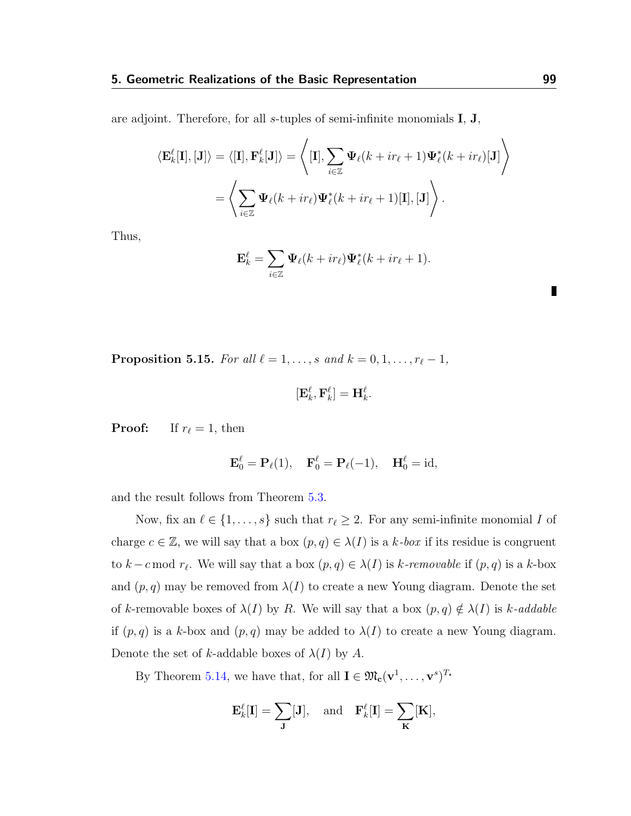are adjoint. Therefore, for all s-tuples of semi-infinite monomials  $I, J$ ,

$$
\langle \mathbf{E}_k^{\ell}[\mathbf{I}], [\mathbf{J}] \rangle = \langle [\mathbf{I}], \mathbf{F}_k^{\ell}[\mathbf{J}] \rangle = \left\langle [\mathbf{I}], \sum_{i \in \mathbb{Z}} \Psi_{\ell}(k + ir_{\ell} + 1) \Psi_{\ell}^*(k + ir_{\ell})[\mathbf{J}] \right\rangle
$$

$$
= \left\langle \sum_{i \in \mathbb{Z}} \Psi_{\ell}(k + ir_{\ell}) \Psi_{\ell}^*(k + ir_{\ell} + 1)[\mathbf{I}], [\mathbf{J}] \right\rangle.
$$

Thus,

$$
\mathbf{E}_{k}^{\ell} = \sum_{i \in \mathbb{Z}} \mathbf{\Psi}_{\ell}(k + ir_{\ell}) \mathbf{\Psi}_{\ell}^{*}(k + ir_{\ell} + 1).
$$

**Proposition 5.15.** For all  $\ell = 1, \ldots, s$  and  $k = 0, 1, \ldots, r_{\ell} - 1$ ,

$$
[{\bf E}_k^\ell, {\bf F}_k^\ell]={\bf H}_k^\ell.
$$

**Proof:** If  $r_\ell = 1$ , then

$$
\mathbf{E}_0^{\ell} = \mathbf{P}_{\ell}(1), \quad \mathbf{F}_0^{\ell} = \mathbf{P}_{\ell}(-1), \quad \mathbf{H}_0^{\ell} = id,
$$

and the result follows from Theorem [5.3.](#page-90-0)

Now, fix an  $\ell \in \{1, \ldots, s\}$  such that  $r_\ell \geq 2$ . For any semi-infinite monomial I of charge  $c \in \mathbb{Z}$ , we will say that a box  $(p, q) \in \lambda(I)$  is a k-box if its residue is congruent to  $k - c \mod r_\ell$ . We will say that a box  $(p, q) \in \lambda(I)$  is k-removable if  $(p, q)$  is a k-box and  $(p, q)$  may be removed from  $\lambda(I)$  to create a new Young diagram. Denote the set of k-removable boxes of  $\lambda(I)$  by R. We will say that a box  $(p, q) \notin \lambda(I)$  is k-addable if  $(p, q)$  is a k-box and  $(p, q)$  may be added to  $\lambda(I)$  to create a new Young diagram. Denote the set of k-addable boxes of  $\lambda(I)$  by A.

By Theorem [5.14,](#page-101-2) we have that, for all  $I \in \mathfrak{M}_{c}(\mathbf{v}^1, \ldots, \mathbf{v}^s)^{T_\star}$ 

$$
\mathbf{E}_k^{\ell}[\mathbf{I}] = \sum_{\mathbf{J}} [\mathbf{J}], \text{ and } \mathbf{F}_k^{\ell}[\mathbf{I}] = \sum_{\mathbf{K}} [\mathbf{K}],
$$

Г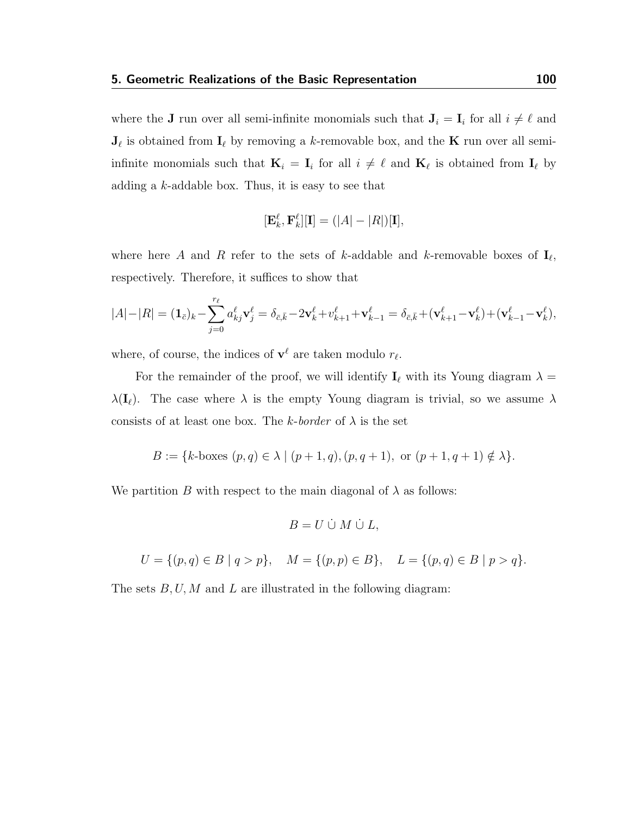where the **J** run over all semi-infinite monomials such that  $J_i = I_i$  for all  $i \neq \ell$  and  $J_{\ell}$  is obtained from  $I_{\ell}$  by removing a k-removable box, and the K run over all semiinfinite monomials such that  $\mathbf{K}_i = \mathbf{I}_i$  for all  $i \neq \ell$  and  $\mathbf{K}_\ell$  is obtained from  $\mathbf{I}_\ell$  by adding a  $k$ -addable box. Thus, it is easy to see that

$$
[\mathbf{E}_k^{\ell}, \mathbf{F}_k^{\ell}][\mathbf{I}] = (|A| - |R|)[\mathbf{I}],
$$

where here A and R refer to the sets of k-addable and k-removable boxes of  $I_{\ell}$ , respectively. Therefore, it suffices to show that

$$
|A| - |R| = (\mathbf{1}_{\bar{c}})_k - \sum_{j=0}^{r_\ell} a^\ell_{kj} \mathbf{v}^\ell_j = \delta_{\bar{c},\bar{k}} - 2\mathbf{v}^\ell_k + v^\ell_{k+1} + \mathbf{v}^\ell_{k-1} = \delta_{\bar{c},\bar{k}} + (\mathbf{v}^\ell_{k+1} - \mathbf{v}^\ell_k) + (\mathbf{v}^\ell_{k-1} - \mathbf{v}^\ell_k),
$$

where, of course, the indices of  $\mathbf{v}^{\ell}$  are taken modulo  $r_{\ell}$ .

For the remainder of the proof, we will identify  $\mathbf{I}_{\ell}$  with its Young diagram  $\lambda =$  $\lambda(I_\ell)$ . The case where  $\lambda$  is the empty Young diagram is trivial, so we assume  $\lambda$ consists of at least one box. The k-border of  $\lambda$  is the set

$$
B := \{k\text{-boxes } (p,q) \in \lambda \mid (p+1,q), (p,q+1), \text{ or } (p+1,q+1) \notin \lambda\}.
$$

We partition B with respect to the main diagonal of  $\lambda$  as follows:

$$
B = U \cup M \cup L,
$$

$$
U = \{(p, q) \in B \mid q > p\}, \quad M = \{(p, p) \in B\}, \quad L = \{(p, q) \in B \mid p > q\}.
$$

The sets  $B, U, M$  and  $L$  are illustrated in the following diagram: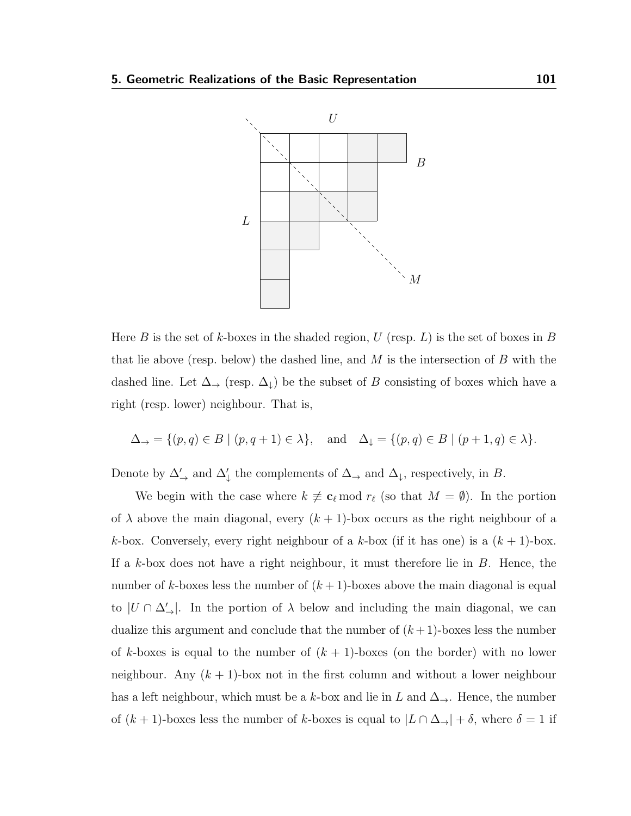

Here B is the set of k-boxes in the shaded region, U (resp. L) is the set of boxes in B that lie above (resp. below) the dashed line, and  $M$  is the intersection of  $B$  with the dashed line. Let  $\Delta_{\rightarrow}$  (resp.  $\Delta_{\downarrow}$ ) be the subset of B consisting of boxes which have a right (resp. lower) neighbour. That is,

$$
\Delta_{\rightarrow} = \{ (p,q) \in B \mid (p,q+1) \in \lambda \}, \quad \text{and} \quad \Delta_{\downarrow} = \{ (p,q) \in B \mid (p+1,q) \in \lambda \}.
$$

Denote by  $\Delta'_{\rightarrow}$  and  $\Delta'_{\downarrow}$  the complements of  $\Delta_{\rightarrow}$  and  $\Delta_{\downarrow}$ , respectively, in B.

We begin with the case where  $k \neq c_\ell \mod r_\ell$  (so that  $M = \emptyset$ ). In the portion of  $\lambda$  above the main diagonal, every  $(k + 1)$ -box occurs as the right neighbour of a k-box. Conversely, every right neighbour of a k-box (if it has one) is a  $(k + 1)$ -box. If a k-box does not have a right neighbour, it must therefore lie in  $B$ . Hence, the number of k-boxes less the number of  $(k+1)$ -boxes above the main diagonal is equal to  $|U \cap \Delta'_{\rightarrow}|$ . In the portion of  $\lambda$  below and including the main diagonal, we can dualize this argument and conclude that the number of  $(k+1)$ -boxes less the number of k-boxes is equal to the number of  $(k + 1)$ -boxes (on the border) with no lower neighbour. Any  $(k + 1)$ -box not in the first column and without a lower neighbour has a left neighbour, which must be a k-box and lie in L and  $\Delta_{\rightarrow}$ . Hence, the number of  $(k + 1)$ -boxes less the number of k-boxes is equal to  $|L \cap \Delta_{\rightarrow}| + \delta$ , where  $\delta = 1$  if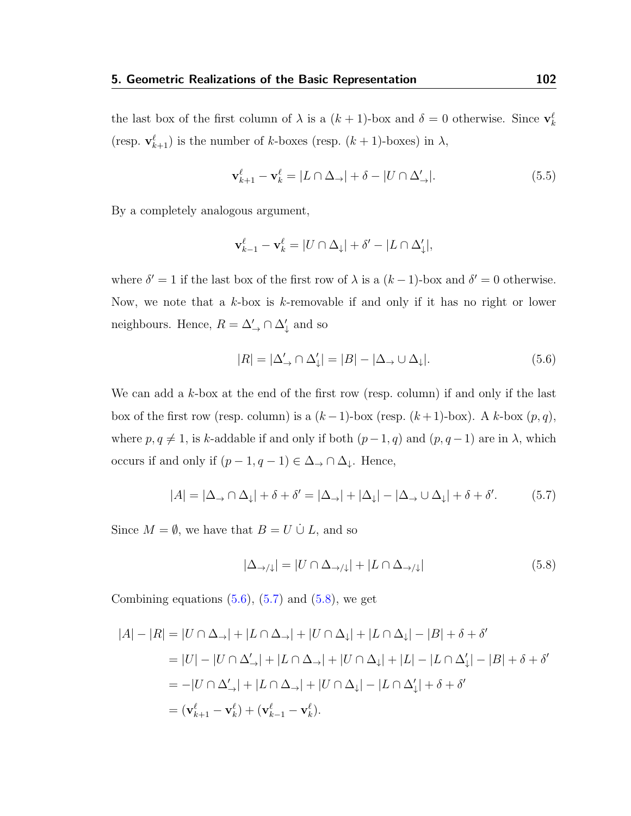the last box of the first column of  $\lambda$  is a  $(k+1)$ -box and  $\delta = 0$  otherwise. Since  $\mathbf{v}_k^{\ell}$ (resp.  $\mathbf{v}_{k+1}^{\ell}$ ) is the number of k-boxes (resp.  $(k+1)$ -boxes) in  $\lambda$ ,

$$
\mathbf{v}_{k+1}^{\ell} - \mathbf{v}_k^{\ell} = |L \cap \Delta_{\rightarrow}| + \delta - |U \cap \Delta_{\rightarrow}^{\prime}|. \tag{5.5}
$$

By a completely analogous argument,

$$
\mathbf{v}_{k-1}^{\ell} - \mathbf{v}_k^{\ell} = |U \cap \Delta_{\downarrow}| + \delta' - |L \cap \Delta_{\downarrow}^{\prime}|,
$$

where  $\delta' = 1$  if the last box of the first row of  $\lambda$  is a  $(k-1)$ -box and  $\delta' = 0$  otherwise. Now, we note that a  $k$ -box is k-removable if and only if it has no right or lower neighbours. Hence,  $R = \Delta'_{\rightarrow} \cap \Delta'_{\downarrow}$  and so

<span id="page-106-0"></span>
$$
|R| = |\Delta'_{\to} \cap \Delta'_{\downarrow}| = |B| - |\Delta_{\to} \cup \Delta_{\downarrow}|.
$$
\n(5.6)

We can add a  $k$ -box at the end of the first row (resp. column) if and only if the last box of the first row (resp. column) is a  $(k-1)$ -box (resp.  $(k+1)$ -box). A k-box  $(p, q)$ , where  $p, q \neq 1$ , is k-addable if and only if both  $(p-1, q)$  and  $(p, q-1)$  are in  $\lambda$ , which occurs if and only if  $(p-1, q-1) \in \Delta_{\rightarrow} \cap \Delta_{\downarrow}$ . Hence,

<span id="page-106-1"></span>
$$
|A| = |\Delta_{\rightarrow} \cap \Delta_{\downarrow}| + \delta + \delta' = |\Delta_{\rightarrow}| + |\Delta_{\downarrow}| - |\Delta_{\rightarrow} \cup \Delta_{\downarrow}| + \delta + \delta'. \tag{5.7}
$$

Since  $M = \emptyset$ , we have that  $B = U \cup L$ , and so

<span id="page-106-2"></span>
$$
|\Delta_{\rightarrow/\downarrow}| = |U \cap \Delta_{\rightarrow/\downarrow}| + |L \cap \Delta_{\rightarrow/\downarrow}| \tag{5.8}
$$

Combining equations  $(5.6)$ ,  $(5.7)$  and  $(5.8)$ , we get

$$
|A| - |R| = |U \cap \Delta_{\rightarrow}| + |L \cap \Delta_{\rightarrow}| + |U \cap \Delta_{\downarrow}| + |L \cap \Delta_{\downarrow}| - |B| + \delta + \delta'
$$
  
\n
$$
= |U| - |U \cap \Delta_{\rightarrow}'| + |L \cap \Delta_{\rightarrow}| + |U \cap \Delta_{\downarrow}| + |L| - |L \cap \Delta_{\downarrow}'| - |B| + \delta + \delta'
$$
  
\n
$$
= -|U \cap \Delta_{\rightarrow}'| + |L \cap \Delta_{\rightarrow}| + |U \cap \Delta_{\downarrow}| - |L \cap \Delta_{\downarrow}'| + \delta + \delta'
$$
  
\n
$$
= (\mathbf{v}_{k+1}^{\ell} - \mathbf{v}_{k}^{\ell}) + (\mathbf{v}_{k-1}^{\ell} - \mathbf{v}_{k}^{\ell}).
$$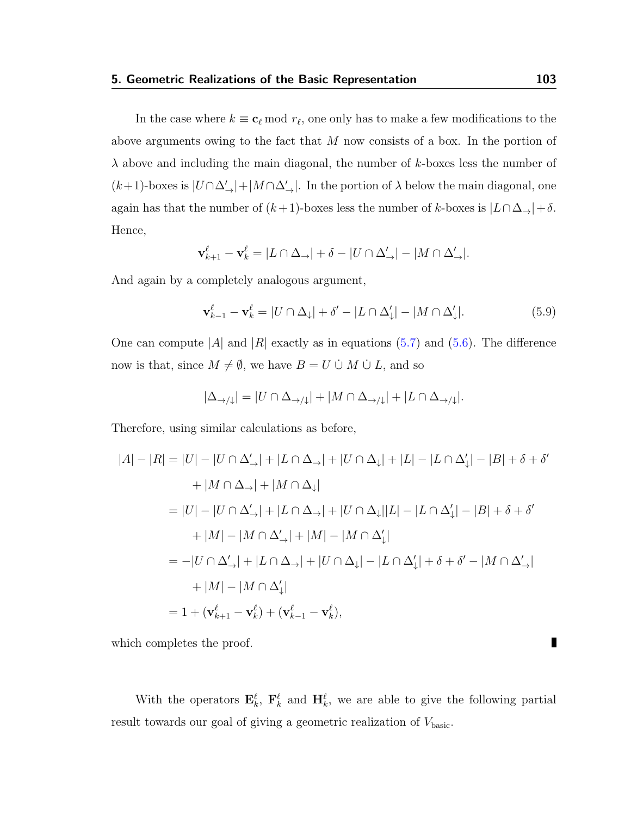## 5. Geometric Realizations of the Basic Representation 103

In the case where  $k \equiv \mathbf{c}_{\ell} \bmod r_{\ell}$ , one only has to make a few modifications to the above arguments owing to the fact that M now consists of a box. In the portion of  $\lambda$  above and including the main diagonal, the number of k-boxes less the number of  $(k+1)$ -boxes is  $|U \cap \Delta'_{\rightarrow}| + |M \cap \Delta'_{\rightarrow}|$ . In the portion of  $\lambda$  below the main diagonal, one again has that the number of  $(k+1)$ -boxes less the number of k-boxes is  $|L \cap \Delta_{\rightarrow}| + \delta$ . Hence,

$$
\mathbf{v}_{k+1}^{\ell} - \mathbf{v}_k^{\ell} = |L \cap \Delta_{\rightarrow}| + \delta - |U \cap \Delta_{\rightarrow}'| - |M \cap \Delta_{\rightarrow}'|.
$$

And again by a completely analogous argument,

$$
\mathbf{v}_{k-1}^{\ell} - \mathbf{v}_k^{\ell} = |U \cap \Delta_1| + \delta' - |L \cap \Delta_1'| - |M \cap \Delta_1'|.
$$
 (5.9)

One can compute |A| and |R| exactly as in equations  $(5.7)$  and  $(5.6)$ . The difference now is that, since  $M \neq \emptyset$ , we have  $B = U \cup M \cup L$ , and so

$$
|\Delta_{\rightarrow/\downarrow}| = |U \cap \Delta_{\rightarrow/\downarrow}| + |M \cap \Delta_{\rightarrow/\downarrow}| + |L \cap \Delta_{\rightarrow/\downarrow}|.
$$

Therefore, using similar calculations as before,

$$
|A| - |R| = |U| - |U \cap \Delta'_{\rightarrow}| + |L \cap \Delta_{\rightarrow}| + |U \cap \Delta_{\downarrow}| + |L| - |L \cap \Delta'_{\downarrow}| - |B| + \delta + \delta'
$$
  
+ |M \cap \Delta\_{\rightarrow}| + |M \cap \Delta\_{\downarrow}|  
= |U| - |U \cap \Delta'\_{\rightarrow}| + |L \cap \Delta\_{\rightarrow}| + |U \cap \Delta\_{\downarrow}| |L| - |L \cap \Delta'\_{\downarrow}| - |B| + \delta + \delta'  
+ |M| - |M \cap \Delta'\_{\rightarrow}| + |M| - |M \cap \Delta'\_{\downarrow}|  
= -|U \cap \Delta'\_{\rightarrow}| + |L \cap \Delta\_{\rightarrow}| + |U \cap \Delta\_{\downarrow}| - |L \cap \Delta'\_{\downarrow}| + \delta + \delta' - |M \cap \Delta'\_{\rightarrow}|  
+ |M| - |M \cap \Delta'\_{\downarrow}|  
= 1 + (\mathbf{v}\_{k+1}^{\ell} - \mathbf{v}\_{k}^{\ell}) + (\mathbf{v}\_{k-1}^{\ell} - \mathbf{v}\_{k}^{\ell}),

which completes the proof.

With the operators  $\mathbf{E}_k^{\ell}$ ,  $\mathbf{F}_k^{\ell}$  and  $\mathbf{H}_k^{\ell}$ , we are able to give the following partial result towards our goal of giving a geometric realization of  $V_{\text{basic}}$ .

П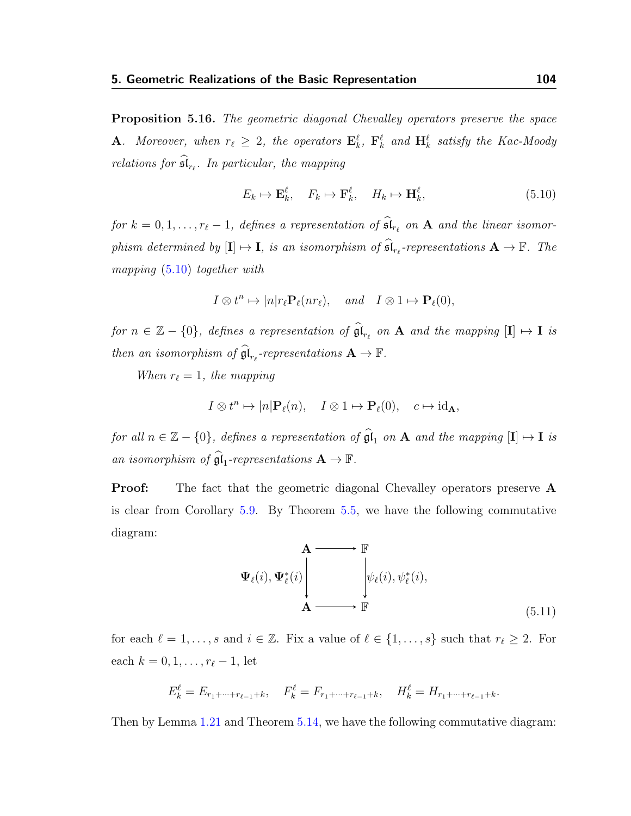<span id="page-108-1"></span>**Proposition 5.16.** The geometric diagonal Chevalley operators preserve the space **A**. Moreover, when  $r_{\ell} \geq 2$ , the operators  $\mathbf{E}_k^{\ell}$ ,  $\mathbf{F}_k^{\ell}$  and  $\mathbf{H}_k^{\ell}$  satisfy the Kac-Moody relations for  $\mathfrak{sl}_{r_{\ell}}$ . In particular, the mapping

<span id="page-108-0"></span>
$$
E_k \mapsto \mathbf{E}_k^{\ell}, \quad F_k \mapsto \mathbf{F}_k^{\ell}, \quad H_k \mapsto \mathbf{H}_k^{\ell}, \tag{5.10}
$$

for  $k = 0, 1, \ldots, r_{\ell} - 1$ , defines a representation of  $\mathfrak{sl}_{r_{\ell}}$  on  $\mathbf A$  and the linear isomorphism determined by  $[\mathbf{I}] \mapsto \mathbf{I}$ , is an isomorphism of  $\widehat{\mathfrak{sl}}_{r_{\ell}}$ -representations  $\mathbf{A} \to \mathbb{F}$ . The mapping [\(5.10\)](#page-108-0) together with

$$
I \otimes t^n \mapsto |n|r_{\ell} \mathbf{P}_{\ell}(nr_{\ell}), \quad and \quad I \otimes 1 \mapsto \mathbf{P}_{\ell}(0),
$$

for  $n \in \mathbb{Z} - \{0\}$ , defines a representation of  $\widehat{\mathfrak{gl}}_{r_{\ell}}$  on  $A$  and the mapping  $[\mathbf{I}] \mapsto \mathbf{I}$  is then an isomorphism of  $\widehat{\mathfrak{gl}}_{r_{\ell}}$ -representations  $A \to \mathbb{F}$ .

When  $r_{\ell} = 1$ , the mapping

$$
I \otimes t^n \mapsto |n| \mathbf{P}_{\ell}(n), \quad I \otimes 1 \mapsto \mathbf{P}_{\ell}(0), \quad c \mapsto \mathrm{id}_{\mathbf{A}},
$$

for all  $n \in \mathbb{Z} - \{0\}$ , defines a representation of  $\widehat{\mathfrak{gl}}_1$  on  $A$  and the mapping  $[\mathbf{I}] \mapsto \mathbf{I}$  is an isomorphism of  $\widehat{\mathfrak{gl}}_1$ -representations  $A \to \mathbb{F}$ .

**Proof:** The fact that the geometric diagonal Chevalley operators preserve **A** is clear from Corollary [5.9.](#page-99-0) By Theorem [5.5,](#page-92-0) we have the following commutative diagram:

<span id="page-108-2"></span>
$$
\begin{array}{ccc}\n & A \longrightarrow & \mathbb{F} \\
\Psi_{\ell}(i), \Psi_{\ell}^{*}(i) & \psi_{\ell}(i), \psi_{\ell}^{*}(i), \\
& A \longrightarrow & \mathbb{F}\n\end{array}
$$
\n(5.11)

for each  $\ell = 1, \ldots, s$  and  $i \in \mathbb{Z}$ . Fix a value of  $\ell \in \{1, \ldots, s\}$  such that  $r_{\ell} \geq 2$ . For each  $k = 0, 1, \ldots, r_{\ell} - 1$ , let

$$
E_k^{\ell} = E_{r_1 + \dots + r_{\ell-1} + k}, \quad F_k^{\ell} = F_{r_1 + \dots + r_{\ell-1} + k}, \quad H_k^{\ell} = H_{r_1 + \dots + r_{\ell-1} + k}.
$$

Then by Lemma [1.21](#page-28-0) and Theorem [5.14,](#page-101-0) we have the following commutative diagram: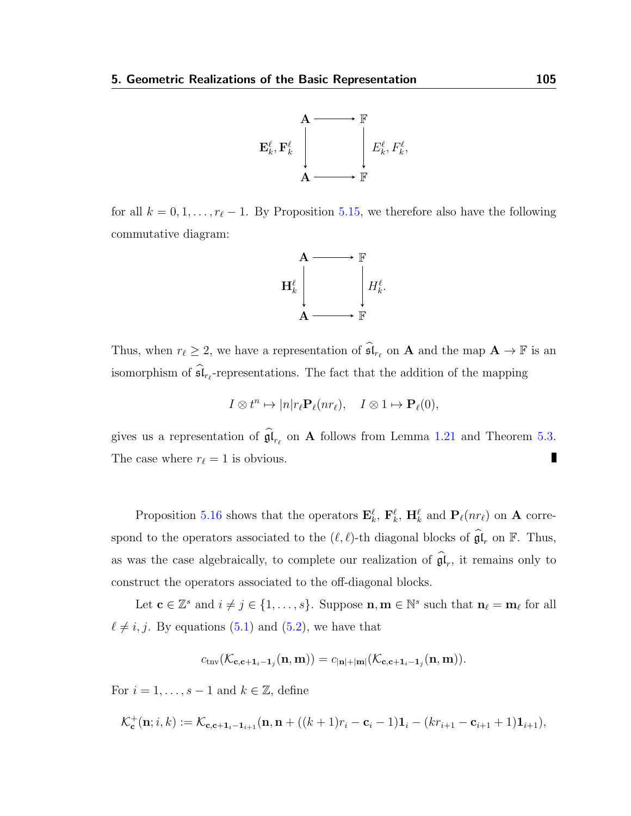

for all  $k = 0, 1, \ldots, r_{\ell} - 1$ . By Proposition [5.15,](#page-103-0) we therefore also have the following commutative diagram:



Thus, when  $r_\ell \geq 2$ , we have a representation of  $\widehat{\mathfrak{sl}}_{r_\ell}$  on **A** and the map  $\mathbf{A} \to \mathbb{F}$  is an isomorphism of  $\mathfrak{sl}_{r_{\ell}}$ -representations. The fact that the addition of the mapping

$$
I \otimes t^n \mapsto |n| r_{\ell} \mathbf{P}_{\ell}(n r_{\ell}), \quad I \otimes 1 \mapsto \mathbf{P}_{\ell}(0),
$$

gives us a representation of  $\mathfrak{gl}_{r_{\ell}}$  on **A** follows from Lemma [1.21](#page-28-0) and Theorem [5.3.](#page-90-0)  $\blacksquare$ The case where  $r_{\ell} = 1$  is obvious.

Proposition [5.16](#page-108-1) shows that the operators  $\mathbf{E}_k^{\ell}$ ,  $\mathbf{F}_k^{\ell}$ ,  $\mathbf{H}_k^{\ell}$  and  $\mathbf{P}_{\ell}(nr_{\ell})$  on A correspond to the operators associated to the  $(\ell, \ell)$ -th diagonal blocks of  $\widehat{\mathfrak{gl}}_r$  on  $\mathbb{F}$ . Thus, as was the case algebraically, to complete our realization of  $\mathfrak{gl}_r$ , it remains only to construct the operators associated to the off-diagonal blocks.

Let  $\mathbf{c} \in \mathbb{Z}^s$  and  $i \neq j \in \{1, \ldots, s\}$ . Suppose  $\mathbf{n}, \mathbf{m} \in \mathbb{N}^s$  such that  $\mathbf{n}_{\ell} = \mathbf{m}_{\ell}$  for all  $\ell \neq i, j$ . By equations [\(5.1\)](#page-89-0) and [\(5.2\)](#page-91-0), we have that

$$
c_{\text{tnv}}(\mathcal{K}_{\mathbf{c},\mathbf{c}+\mathbf{1}_i-\mathbf{1}_j}(\mathbf{n},\mathbf{m})) = c_{|\mathbf{n}|+|\mathbf{m}|}(\mathcal{K}_{\mathbf{c},\mathbf{c}+\mathbf{1}_i-\mathbf{1}_j}(\mathbf{n},\mathbf{m})).
$$

For  $i = 1, \ldots, s - 1$  and  $k \in \mathbb{Z}$ , define

$$
\mathcal{K}_{\mathbf{c}}^+(\mathbf{n};i,k) := \mathcal{K}_{\mathbf{c},\mathbf{c}+1_i-1_{i+1}}(\mathbf{n},\mathbf{n} + ((k+1)r_i - \mathbf{c}_i - 1)\mathbf{1}_i - (kr_{i+1} - \mathbf{c}_{i+1} + 1)\mathbf{1}_{i+1}),
$$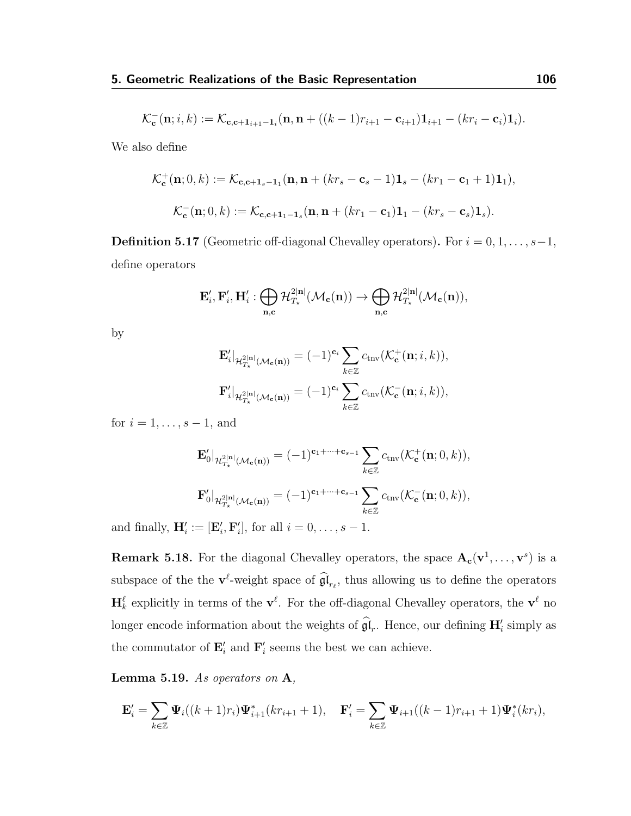$$
\mathcal{K}_{\mathbf{c}}^{-}(\mathbf{n}; i, k) := \mathcal{K}_{\mathbf{c}, \mathbf{c} + \mathbf{1}_{i+1} - \mathbf{1}_i}(\mathbf{n}, \mathbf{n} + ((k-1)r_{i+1} - \mathbf{c}_{i+1})\mathbf{1}_{i+1} - (kr_i - \mathbf{c}_i)\mathbf{1}_i).
$$

We also define

$$
\mathcal{K}_{\mathbf{c}}^{+}(\mathbf{n};0,k) := \mathcal{K}_{\mathbf{c},\mathbf{c}+1_{s}-1_{1}}(\mathbf{n},\mathbf{n}+(kr_{s}-\mathbf{c}_{s}-1)\mathbf{1}_{s}-(kr_{1}-\mathbf{c}_{1}+1)\mathbf{1}_{1}),
$$
  

$$
\mathcal{K}_{\mathbf{c}}^{-}(\mathbf{n};0,k) := \mathcal{K}_{\mathbf{c},\mathbf{c}+1_{1}-1_{s}}(\mathbf{n},\mathbf{n}+(kr_{1}-\mathbf{c}_{1})\mathbf{1}_{1}-(kr_{s}-\mathbf{c}_{s})\mathbf{1}_{s}).
$$

**Definition 5.17** (Geometric off-diagonal Chevalley operators). For  $i = 0, 1, ..., s-1$ , define operators

$$
\mathbf{E}'_i, \mathbf{F}'_i, \mathbf{H}'_i : \bigoplus_{\mathbf{n}, \mathbf{c}} \mathcal{H}^{2|\mathbf{n}|}_{T_{\star}}(\mathcal{M}_{\mathbf{c}}(\mathbf{n})) \to \bigoplus_{\mathbf{n}, \mathbf{c}} \mathcal{H}^{2|\mathbf{n}|}_{T_{\star}}(\mathcal{M}_{\mathbf{c}}(\mathbf{n})),
$$

by

$$
\begin{aligned} \mathbf{E}_i' |_{\mathcal{H}^{2|\mathbf{n}|}_{T_\star}(\mathcal{M}_\mathbf{c}(\mathbf{n}))} & = (-1)^{\mathbf{c}_i} \sum_{k \in \mathbb{Z}} c_{\mathrm{trv}}(\mathcal{K}_\mathbf{c}^+(\mathbf{n};i,k)),\\ \mathbf{F}_i' |_{\mathcal{H}^{2|\mathbf{n}|}_{T_\star}(\mathcal{M}_\mathbf{c}(\mathbf{n}))} & = (-1)^{\mathbf{c}_i} \sum_{k \in \mathbb{Z}} c_{\mathrm{trv}}(\mathcal{K}_\mathbf{c}^-(\mathbf{n};i,k)), \end{aligned}
$$

for  $i = 1, \ldots, s - 1$ , and

$$
\mathbf{E}'_0|_{\mathcal{H}^{2|\mathbf{n}|}_{T_\star}(\mathcal{M}_\mathbf{c}(\mathbf{n}))} = (-1)^{\mathbf{c}_1 + \dots + \mathbf{c}_{s-1}} \sum_{k \in \mathbb{Z}} c_{\text{trv}}(\mathcal{K}^+_\mathbf{c}(\mathbf{n}; 0, k)),
$$
  

$$
\mathbf{F}'_0|_{\mathcal{H}^{2|\mathbf{n}|}_{T_\star}(\mathcal{M}_\mathbf{c}(\mathbf{n}))} = (-1)^{\mathbf{c}_1 + \dots + \mathbf{c}_{s-1}} \sum_{k \in \mathbb{Z}} c_{\text{trv}}(\mathcal{K}^-_\mathbf{c}(\mathbf{n}; 0, k)),
$$

and finally,  $\mathbf{H}'_i := [\mathbf{E}'_i, \mathbf{F}'_i]$ , for all  $i = 0, \ldots, s - 1$ .

**Remark 5.18.** For the diagonal Chevalley operators, the space  $A_c(v^1, \ldots, v^s)$  is a subspace of the the  $\mathbf{v}^{\ell}$ -weight space of  $\hat{\mathfrak{gl}}_{r_{\ell}}$ , thus allowing us to define the operators  $\mathbf{H}_k^{\ell}$  explicitly in terms of the  $\mathbf{v}^{\ell}$ . For the off-diagonal Chevalley operators, the  $\mathbf{v}^{\ell}$  no longer encode information about the weights of  $\mathfrak{gl}_r$ . Hence, our defining  $\mathbf{H}'_i$  simply as the commutator of  $\mathbf{E}'_i$  and  $\mathbf{F}'_i$  seems the best we can achieve.

<span id="page-110-0"></span>Lemma 5.19. As operators on A,

$$
\mathbf{E}'_i = \sum_{k \in \mathbb{Z}} \mathbf{\Psi}_i((k+1)r_i)\mathbf{\Psi}^*_{i+1}(kr_{i+1}+1), \quad \mathbf{F}'_i = \sum_{k \in \mathbb{Z}} \mathbf{\Psi}_{i+1}((k-1)r_{i+1}+1)\mathbf{\Psi}^*_{i}(kr_i),
$$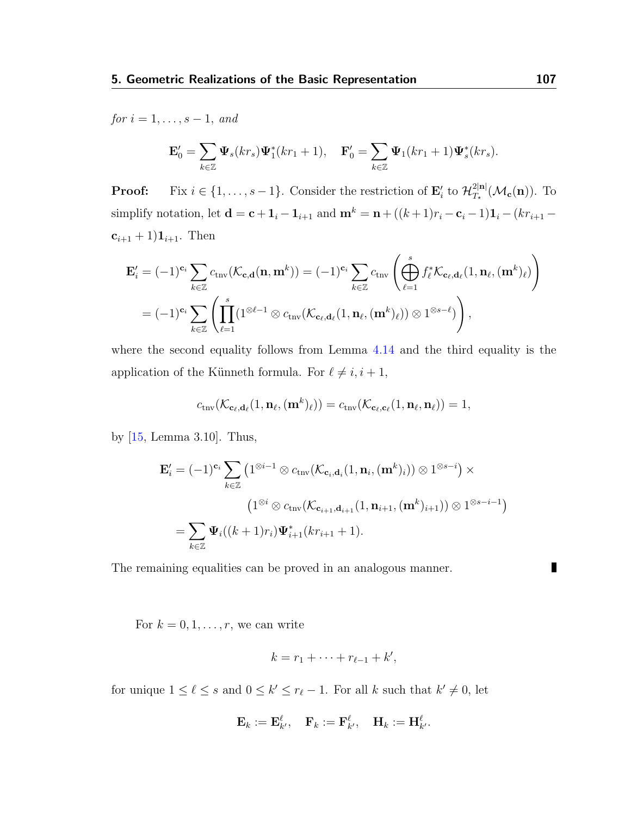for  $i = 1, \ldots, s - 1, \text{ and}$ 

$$
\mathbf{E}'_0 = \sum_{k \in \mathbb{Z}} \mathbf{\Psi}_s(kr_s) \mathbf{\Psi}_1^*(kr_1 + 1), \quad \mathbf{F}'_0 = \sum_{k \in \mathbb{Z}} \mathbf{\Psi}_1(kr_1 + 1) \mathbf{\Psi}_s^*(kr_s).
$$

**Proof:** Fix  $i \in \{1, ..., s-1\}$ . Consider the restriction of  $\mathbf{E}'_i$  to  $\mathcal{H}_{T_{\star}}^{2|\mathbf{n}|}$  $T_{\star}^{\text{2|n}}(\mathcal{M}_{\mathbf{c}}(\mathbf{n}))$ . To simplify notation, let  $\mathbf{d} = \mathbf{c} + \mathbf{1}_i - \mathbf{1}_{i+1}$  and  $\mathbf{m}^k = \mathbf{n} + ((k+1)r_i - \mathbf{c}_i - 1)\mathbf{1}_i - (kr_{i+1} - \mathbf{1}_i)$  $c_{i+1} + 1$ ) $1_{i+1}$ . Then

$$
\mathbf{E}'_i = (-1)^{\mathbf{c}_i} \sum_{k \in \mathbb{Z}} c_{\text{trv}}(\mathcal{K}_{\mathbf{c},\mathbf{d}}(\mathbf{n},\mathbf{m}^k)) = (-1)^{\mathbf{c}_i} \sum_{k \in \mathbb{Z}} c_{\text{trv}} \left( \bigoplus_{\ell=1}^s f_\ell^* \mathcal{K}_{\mathbf{c}_\ell,\mathbf{d}_\ell}(1,\mathbf{n}_\ell,(\mathbf{m}^k)_\ell) \right)
$$
  
=  $(-1)^{\mathbf{c}_i} \sum_{k \in \mathbb{Z}} \left( \prod_{\ell=1}^s (1^{\otimes \ell-1} \otimes c_{\text{trv}}(\mathcal{K}_{\mathbf{c}_\ell,\mathbf{d}_\ell}(1,\mathbf{n}_\ell,(\mathbf{m}^k)_\ell)) \otimes 1^{\otimes s-\ell}) \right),$ 

where the second equality follows from Lemma [4.14](#page-83-0) and the third equality is the application of the Künneth formula. For  $\ell \neq i, i + 1$ ,

$$
c_{\text{triv}}(\mathcal{K}_{\mathbf{c}_{\ell},\mathbf{d}_{\ell}}(1,\mathbf{n}_{\ell},(\mathbf{m}^{k})_{\ell})) = c_{\text{triv}}(\mathcal{K}_{\mathbf{c}_{\ell},\mathbf{c}_{\ell}}(1,\mathbf{n}_{\ell},\mathbf{n}_{\ell})) = 1,
$$

by [\[15,](#page-115-0) Lemma 3.10]. Thus,

$$
\mathbf{E}'_i = (-1)^{\mathbf{c}_i} \sum_{k \in \mathbb{Z}} \left( 1^{\otimes i-1} \otimes c_{\text{tnv}}(\mathcal{K}_{\mathbf{c}_i, \mathbf{d}_i}(1, \mathbf{n}_i, (\mathbf{m}^k)_i)) \otimes 1^{\otimes s-i} \right) \times
$$
\n
$$
\left( 1^{\otimes i} \otimes c_{\text{tnv}}(\mathcal{K}_{\mathbf{c}_{i+1}, \mathbf{d}_{i+1}}(1, \mathbf{n}_{i+1}, (\mathbf{m}^k)_{i+1})) \otimes 1^{\otimes s-i-1} \right)
$$
\n
$$
= \sum_{k \in \mathbb{Z}} \Psi_i((k+1)r_i) \Psi_{i+1}^*(kr_{i+1}+1).
$$

The remaining equalities can be proved in an analogous manner.

For  $k = 0, 1, \ldots, r$ , we can write

$$
k=r_1+\cdots+r_{\ell-1}+k',
$$

for unique  $1 \leq \ell \leq s$  and  $0 \leq k' \leq r_{\ell} - 1$ . For all k such that  $k' \neq 0$ , let

$$
\mathbf{E}_k := \mathbf{E}^\ell_{k'}, \quad \mathbf{F}_k := \mathbf{F}^\ell_{k'}, \quad \mathbf{H}_k := \mathbf{H}^\ell_{k'}.
$$

П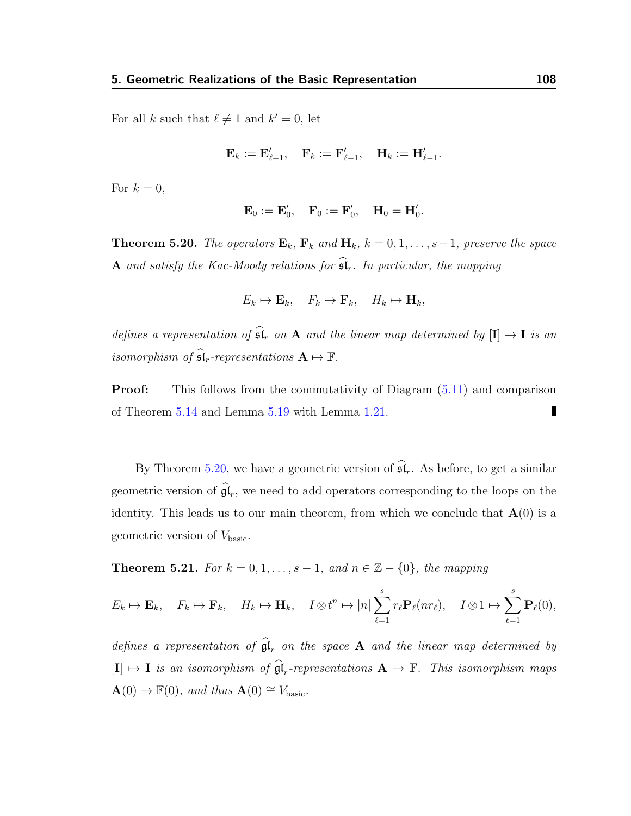For all k such that  $\ell \neq 1$  and  $k' = 0$ , let

$$
\mathbf{E}_k := \mathbf{E}'_{\ell-1}, \quad \mathbf{F}_k := \mathbf{F}'_{\ell-1}, \quad \mathbf{H}_k := \mathbf{H}'_{\ell-1}.
$$

For  $k = 0$ ,

$$
\mathbf{E}_0:=\mathbf{E}_0',\quad \mathbf{F}_0:=\mathbf{F}_0',\quad \mathbf{H}_0=\mathbf{H}_0'.
$$

<span id="page-112-0"></span>**Theorem 5.20.** The operators  $\mathbf{E}_k$ ,  $\mathbf{F}_k$  and  $\mathbf{H}_k$ ,  $k = 0, 1, \ldots, s-1$ , preserve the space A and satisfy the Kac-Moody relations for  $\widehat{\mathfrak{sl}}_r$ . In particular, the mapping

$$
E_k \mapsto \mathbf{E}_k, \quad F_k \mapsto \mathbf{F}_k, \quad H_k \mapsto \mathbf{H}_k,
$$

defines a representation of  $\widehat{\mathfrak{sl}}_r$  on A and the linear map determined by  $[I] \to I$  is an isomorphism of  $\widehat{\mathfrak{sl}}_r$ -representations  $A \mapsto \mathbb{F}$ .

**Proof:** This follows from the commutativity of Diagram  $(5.11)$  and comparison of Theorem [5.14](#page-101-0) and Lemma [5.19](#page-110-0) with Lemma [1.21.](#page-28-0) П

By Theorem [5.20,](#page-112-0) we have a geometric version of  $\widehat{\mathfrak{sl}}_r$ . As before, to get a similar geometric version of  $\mathfrak{gl}_r$ , we need to add operators corresponding to the loops on the identity. This leads us to our main theorem, from which we conclude that  $\mathbf{A}(0)$  is a geometric version of  $V_{\text{basic}}$ .

**Theorem 5.21.** For  $k = 0, 1, \ldots, s - 1$ , and  $n \in \mathbb{Z} - \{0\}$ , the mapping

$$
E_k \mapsto \mathbf{E}_k, \quad F_k \mapsto \mathbf{F}_k, \quad H_k \mapsto \mathbf{H}_k, \quad I \otimes t^n \mapsto |n| \sum_{\ell=1}^s r_\ell \mathbf{P}_\ell(nr_\ell), \quad I \otimes 1 \mapsto \sum_{\ell=1}^s \mathbf{P}_\ell(0),
$$

defines a representation of  $\mathfrak{gl}_r$  on the space **A** and the linear map determined by  $[I] \mapsto I$  is an isomorphism of  $\widehat{\mathfrak{gl}}_r$ -representations  $A \to \mathbb{F}$ . This isomorphism maps  $\mathbf{A}(0) \to \mathbb{F}(0)$ , and thus  $\mathbf{A}(0) \cong V_{\text{basic}}$ .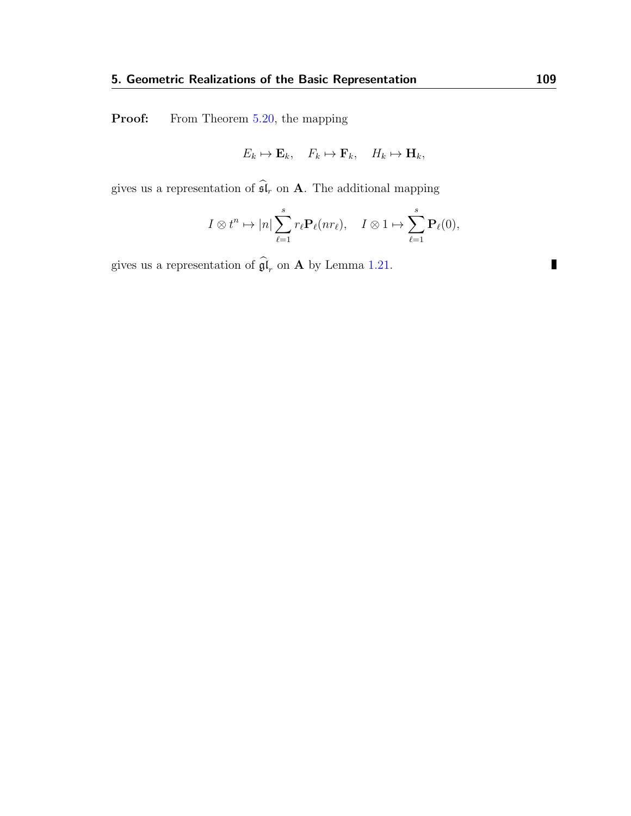**Proof:** From Theorem [5.20,](#page-112-0) the mapping

$$
E_k \mapsto \mathbf{E}_k, \quad F_k \mapsto \mathbf{F}_k, \quad H_k \mapsto \mathbf{H}_k,
$$

gives us a representation of  $\widehat{\mathfrak{sl}}_r$  on **A**. The additional mapping

$$
I \otimes t^n \mapsto |n| \sum_{\ell=1}^s r_\ell \mathbf{P}_\ell(nr_\ell), \quad I \otimes 1 \mapsto \sum_{\ell=1}^s \mathbf{P}_\ell(0),
$$

gives us a representation of  $\mathfrak{gl}_r$  on **A** by Lemma [1.21.](#page-28-0)

 $\blacksquare$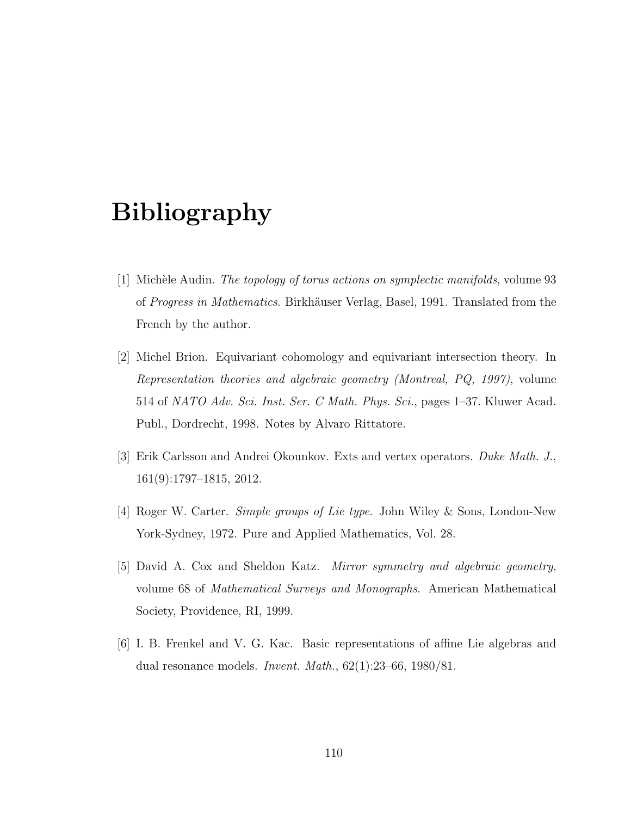## Bibliography

- [1] Michèle Audin. The topology of torus actions on symplectic manifolds, volume 93 of Progress in Mathematics. Birkhäuser Verlag, Basel, 1991. Translated from the French by the author.
- [2] Michel Brion. Equivariant cohomology and equivariant intersection theory. In Representation theories and algebraic geometry (Montreal, PQ, 1997), volume 514 of NATO Adv. Sci. Inst. Ser. C Math. Phys. Sci., pages 1–37. Kluwer Acad. Publ., Dordrecht, 1998. Notes by Alvaro Rittatore.
- [3] Erik Carlsson and Andrei Okounkov. Exts and vertex operators. Duke Math. J., 161(9):1797–1815, 2012.
- [4] Roger W. Carter. Simple groups of Lie type. John Wiley & Sons, London-New York-Sydney, 1972. Pure and Applied Mathematics, Vol. 28.
- [5] David A. Cox and Sheldon Katz. Mirror symmetry and algebraic geometry, volume 68 of Mathematical Surveys and Monographs. American Mathematical Society, Providence, RI, 1999.
- [6] I. B. Frenkel and V. G. Kac. Basic representations of affine Lie algebras and dual resonance models. *Invent. Math.*,  $62(1):23-66$ ,  $1980/81$ .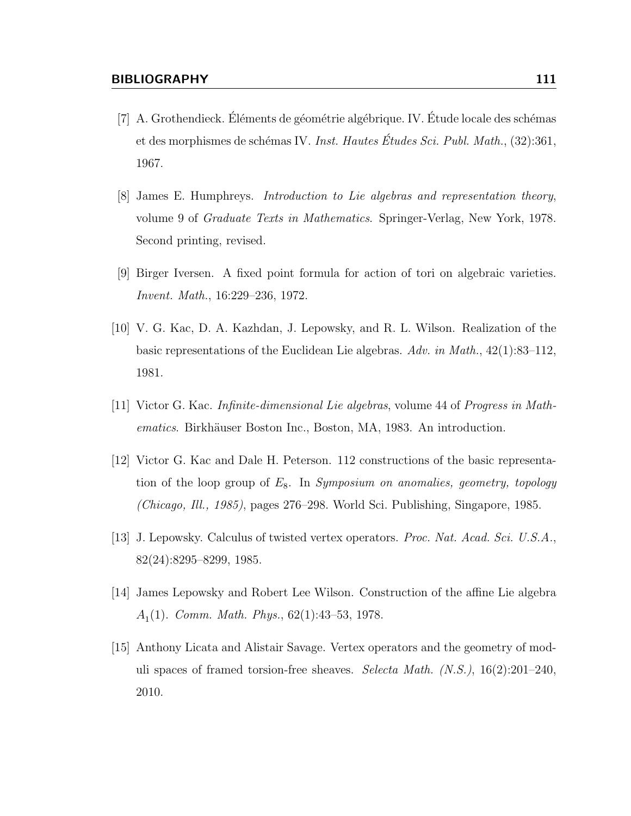- $[7]$  A. Grothendieck. Éléments de géométrie algébrique. IV. Étude locale des schémas et des morphismes de schémas IV. Inst. Hautes Études Sci. Publ. Math.,  $(32):361$ , 1967.
- [8] James E. Humphreys. Introduction to Lie algebras and representation theory, volume 9 of Graduate Texts in Mathematics. Springer-Verlag, New York, 1978. Second printing, revised.
- [9] Birger Iversen. A fixed point formula for action of tori on algebraic varieties. Invent. Math., 16:229–236, 1972.
- [10] V. G. Kac, D. A. Kazhdan, J. Lepowsky, and R. L. Wilson. Realization of the basic representations of the Euclidean Lie algebras. Adv. in Math., 42(1):83–112, 1981.
- [11] Victor G. Kac. Infinite-dimensional Lie algebras, volume 44 of Progress in Mathematics. Birkhäuser Boston Inc., Boston, MA, 1983. An introduction.
- [12] Victor G. Kac and Dale H. Peterson. 112 constructions of the basic representation of the loop group of  $E_8$ . In Symposium on anomalies, geometry, topology (Chicago, Ill., 1985), pages 276–298. World Sci. Publishing, Singapore, 1985.
- [13] J. Lepowsky. Calculus of twisted vertex operators. Proc. Nat. Acad. Sci. U.S.A., 82(24):8295–8299, 1985.
- [14] James Lepowsky and Robert Lee Wilson. Construction of the affine Lie algebra  $A<sub>1</sub>(1)$ . Comm. Math. Phys., 62(1):43–53, 1978.
- <span id="page-115-0"></span>[15] Anthony Licata and Alistair Savage. Vertex operators and the geometry of moduli spaces of framed torsion-free sheaves. Selecta Math.  $(N.S.)$ ,  $16(2):201-240$ , 2010.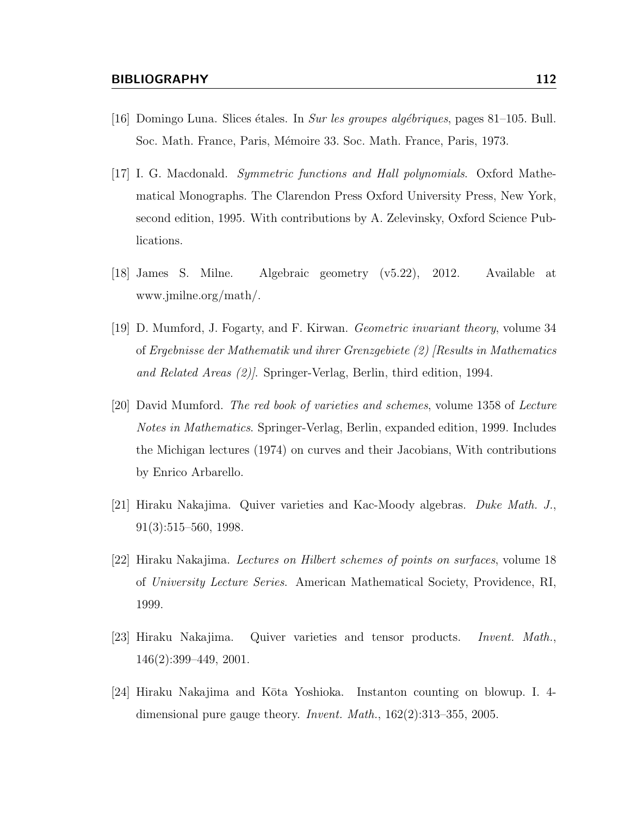- [16] Domingo Luna. Slices étales. In Sur les groupes algébriques, pages 81–105. Bull. Soc. Math. France, Paris, Mémoire 33. Soc. Math. France, Paris, 1973.
- [17] I. G. Macdonald. Symmetric functions and Hall polynomials. Oxford Mathematical Monographs. The Clarendon Press Oxford University Press, New York, second edition, 1995. With contributions by A. Zelevinsky, Oxford Science Publications.
- [18] James S. Milne. Algebraic geometry (v5.22), 2012. Available at www.jmilne.org/math/.
- [19] D. Mumford, J. Fogarty, and F. Kirwan. Geometric invariant theory, volume 34 of Ergebnisse der Mathematik und ihrer Grenzgebiete (2) [Results in Mathematics and Related Areas (2)]. Springer-Verlag, Berlin, third edition, 1994.
- [20] David Mumford. The red book of varieties and schemes, volume 1358 of Lecture Notes in Mathematics. Springer-Verlag, Berlin, expanded edition, 1999. Includes the Michigan lectures (1974) on curves and their Jacobians, With contributions by Enrico Arbarello.
- [21] Hiraku Nakajima. Quiver varieties and Kac-Moody algebras. Duke Math. J., 91(3):515–560, 1998.
- [22] Hiraku Nakajima. Lectures on Hilbert schemes of points on surfaces, volume 18 of University Lecture Series. American Mathematical Society, Providence, RI, 1999.
- [23] Hiraku Nakajima. Quiver varieties and tensor products. Invent. Math., 146(2):399–449, 2001.
- [24] Hiraku Nakajima and Kōta Yoshioka. Instanton counting on blowup. I. 4dimensional pure gauge theory. *Invent. Math.*,  $162(2):313-355$ , 2005.